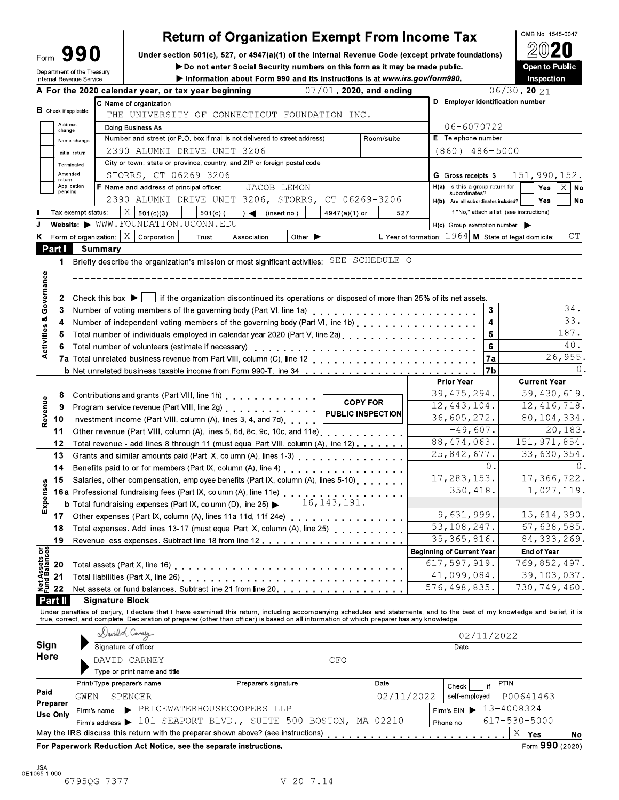| ∙orm |  |                           |  |
|------|--|---------------------------|--|
|      |  | epartment of the Treasury |  |

Internal Revenue Service

## **Return of Organization Exempt From Income Tax**

OMB No. 1545-0047

Open to Public

Under section 501(c), 527, or 4947(a)(1) of the Internal Revenue Code (except private foundations)

Do not enter Social Security numbers on this form as it may be made public.

Information about Form 990 and its instructions is at www.irs.gov/form990.

Inspection A For the 2020 calendar year, or tax year beginning  $07/01$ , 2020, and ending  $06/30$ , 20 21 D Employer identification number C Name of organization  $B$  Check if applicable: THE UNIVERSITY OF CONNECTICUT FOUNDATION INC. Address 06-6070722 Doing Business As Number and street (or P.O. box if mail is not delivered to street address) Room/suite E Telephone number Name change 2390 ALUMNI DRIVE UNIT 3206  $(860)$  486-5000 Initial return City or town, state or province, country, and ZIP or foreign postal code Terminated Amended STORRS, CT 06269-3206 G Gross receipts \$ 151,990,152. return Application<br>pending H(a) Is this a group return for F Name and address of principal officer: JACOB LEMON Yes  $\overline{X}$ **No** subordinates? 2390 ALUMNI DRIVE UNIT 3206, STORRS, CT 06269-3206 Yes **No**  $H(b)$ Are all subordinates included?  $X \big| 501(c)(3)$  $501(c)$  ( If "No," attach a list. (see instructions) Tax-exempt status: (insert no.) 4947(a)(1) or 527  $\rightarrow$ Website: > WWW.FOUNDATION.UCONN.EDU  $H(c)$  Group exemption number  $\blacktriangleright$ Form of organization:  $\mid X \mid$  Corporation  $CT$ Association L Year of formation:  $1964$  M State of legal domicile: K Trust Other  $\blacktriangleright$ **Summary** Part I 1 Briefly describe the organization's mission or most significant activities: SEE SCHEDULE O Governance 2 Check this box  $\blacktriangleright$ if the organization discontinued its operations or disposed of more than 25% of its net assets.  $34.$  $\overline{3}$  $\overline{\mathbf{3}}$ **Activities &** Number of independent voting members of the governing body (Part VI, line 1b) . . . . . . . . . . . . . . . . . 33. 4 4 187. Total number of individuals employed in calendar year 2020 (Part V, line 2a) [attal], when you can controlled  $\overline{\mathbf{5}}$ 5  $40.$ 6 26,955. 7a Total unrelated business revenue from Part VIII, column (C), line 12 . . . . . . . . . .  $7a$  $\Omega$ . **b** Net unrelated business taxable income from Form 990-T, line 34 . . . . . . . .  $7<sub>h</sub>$ **Prior Year Current Year**  $\overline{39, 475, 294}$ . Contributions and grants (Part VIII, line 1h) . . . . . . . . . . . . . .  $\overline{59,430,619}$ . 8 Revenue **COPY FOR**  $12,443,104$  $12,416,718.$ Program service revenue (Part VIII, line 2g) . . . . . . . . . . . . . . 9 **PUBLIC INSPECTION** 36,605,272.  $80, 104, 334.$ Investment income (Part VIII, column (A), lines 3, 4, and 7d) . . . .  $10<sup>1</sup>$ Other revenue (Part VIII, column (A), lines 5, 6d, 8c, 9c, 10c, and 11e)...  $-49,607.$ 20,183.  $11$ 88,474,063.  $151, 971, 854.$  $12$ Total revenue - add lines 8 through 11 (must equal Part VIII, column (A), line 12). . . . . . .  $\overline{33,630,}354.$ 25,842,677. 13 Grants and similar amounts paid (Part IX, column (A), lines 1-3) . . . . . . . . . . . . . . Benefits paid to or for members (Part IX, column (A), line 4) . . . . . . . . . . . . . . .  $\Omega$ .  $14$  $\theta$ . 17,283,153.  $17,366,722.$ 15 Salaries, other compensation, employee benefits (Part IX, column (A), lines 5-10) Expenses 16a Professional fundraising fees (Part IX, column (A), line 11e) . . . . . . 350,418. 1,027,119. Other expenses (Part IX, column (A), lines 11a-11d, 11f-24e) . . . . . . 9,631,999. 15,614,390.  $17$ 53,108,247.  $67,638,585.$ Total expenses. Add lines 13-17 (must equal Part IX, column (A), line 25) . . . . . . 18  $84, 333, 269.$ 35, 365, 816. 19 Revenue less expenses. Subtract line 18 from line 12 . . . . . . . . . .  $rac{\sigma}{25}$ **Beginning of Current Year** End of Year ets  $617,597,919.$ 769,852,497. ಸ 20 Total assets (Part X, line 16) . . . . . . . . . . . . ទឹច្ច 41,099,084. 39,103,037.  $21$ Net of<br>P 576,498,835. 730,749,460. 22 Net assets or fund balances. Subtract line 21 from line 20. . . . . . **Part II Signature Block** Under penalties of perjury, I declare that I have examined this return, including accompanying schedules and statements, and to the best of my knowledge and belief, it is<br>true, correct, and complete. Declaration of prepare Davidd Camey 02/11/2022 Signature of officer Sign Date Here DAVID CARNEY CFO Type or print name and title Print/Type preparer's name  $\overline{Date}$ PTIN Preparer's signature Check if Paid GWEN SPENCER 02/11/2022 self-employed P00641463 Preparer Firm's name > PRICEWATERHOUSECOOPERS LLP  $13 - 4008324$ Firm's  $EIN$ **Use Only** Firm's address > 101 SEAPORT BLVD., SUITE 500 BOSTON,  $617 - 530 - 5000$ MA 02210 Phone no. May the IRS discuss this return with the preparer shown above? (see instructions)  $X \mid \mathsf{Yes}$ **No** For Paperwork Reduction Act Notice, see the separate instructions. Form 990 (2020)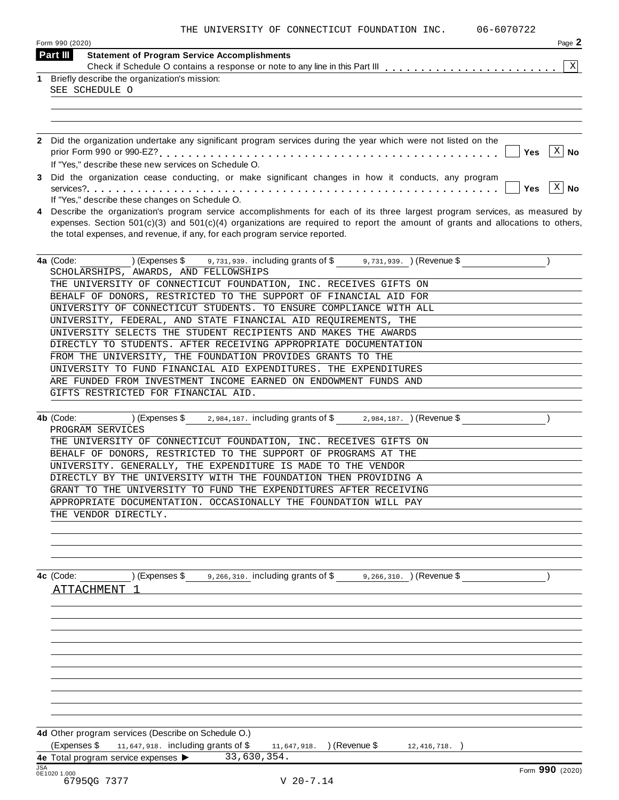|  |  |  | THE UNIVERSITY OF CONNECTICUT FOUNDATION INC. |  |  |
|--|--|--|-----------------------------------------------|--|--|
|--|--|--|-----------------------------------------------|--|--|

06-6070722

|            | Form 990 (2020)<br>Part III<br><b>Statement of Program Service Accomplishments</b>                                                                                                                                                                               | Page 2      |
|------------|------------------------------------------------------------------------------------------------------------------------------------------------------------------------------------------------------------------------------------------------------------------|-------------|
|            |                                                                                                                                                                                                                                                                  | X           |
| 1.         | Briefly describe the organization's mission:                                                                                                                                                                                                                     |             |
|            | SEE SCHEDULE O                                                                                                                                                                                                                                                   |             |
|            |                                                                                                                                                                                                                                                                  |             |
|            |                                                                                                                                                                                                                                                                  |             |
|            |                                                                                                                                                                                                                                                                  |             |
|            | 2 Did the organization undertake any significant program services during the year which were not listed on the                                                                                                                                                   |             |
|            | <b>Yes</b>                                                                                                                                                                                                                                                       | $X \mid No$ |
|            | If "Yes," describe these new services on Schedule O.                                                                                                                                                                                                             |             |
|            | Did the organization cease conducting, or make significant changes in how it conducts, any program                                                                                                                                                               |             |
|            | <b>Yes</b>                                                                                                                                                                                                                                                       | $X \mid No$ |
|            | If "Yes," describe these changes on Schedule O.                                                                                                                                                                                                                  |             |
|            | Describe the organization's program service accomplishments for each of its three largest program services, as measured by<br>expenses. Section $501(c)(3)$ and $501(c)(4)$ organizations are required to report the amount of grants and allocations to others, |             |
|            | the total expenses, and revenue, if any, for each program service reported.                                                                                                                                                                                      |             |
|            |                                                                                                                                                                                                                                                                  |             |
|            | $(1)$ (Expenses \$ $\frac{1}{2}$ , 731, 939. including grants of \$ $\frac{1}{2}$ , 731, 939. $(2)$ Revenue \$<br>4a (Code:                                                                                                                                      |             |
|            | SCHOLARSHIPS, AWARDS, AND FELLOWSHIPS                                                                                                                                                                                                                            |             |
|            | THE UNIVERSITY OF CONNECTICUT FOUNDATION, INC. RECEIVES GIFTS ON                                                                                                                                                                                                 |             |
|            | BEHALF OF DONORS, RESTRICTED TO THE SUPPORT OF FINANCIAL AID FOR                                                                                                                                                                                                 |             |
|            | UNIVERSITY OF CONNECTICUT STUDENTS. TO ENSURE COMPLIANCE WITH ALL                                                                                                                                                                                                |             |
|            | UNIVERSITY, FEDERAL, AND STATE FINANCIAL AID REQUIREMENTS, THE                                                                                                                                                                                                   |             |
|            | UNIVERSITY SELECTS THE STUDENT RECIPIENTS AND MAKES THE AWARDS                                                                                                                                                                                                   |             |
|            | DIRECTLY TO STUDENTS. AFTER RECEIVING APPROPRIATE DOCUMENTATION                                                                                                                                                                                                  |             |
|            | FROM THE UNIVERSITY, THE FOUNDATION PROVIDES GRANTS TO THE                                                                                                                                                                                                       |             |
|            | UNIVERSITY TO FUND FINANCIAL AID EXPENDITURES. THE EXPENDITURES                                                                                                                                                                                                  |             |
|            | ARE FUNDED FROM INVESTMENT INCOME EARNED ON ENDOWMENT FUNDS AND                                                                                                                                                                                                  |             |
|            | GIFTS RESTRICTED FOR FINANCIAL AID.                                                                                                                                                                                                                              |             |
|            |                                                                                                                                                                                                                                                                  |             |
|            | $2,984,187$ . including grants of \$2,984,187. (Revenue \$<br>4b (Code:<br>) (Expenses \$                                                                                                                                                                        |             |
|            | PROGRAM SERVICES                                                                                                                                                                                                                                                 |             |
|            | THE UNIVERSITY OF CONNECTICUT FOUNDATION, INC. RECEIVES GIFTS ON                                                                                                                                                                                                 |             |
|            | BEHALF OF DONORS, RESTRICTED TO THE SUPPORT OF PROGRAMS AT THE<br>UNIVERSITY. GENERALLY, THE EXPENDITURE IS MADE TO THE VENDOR                                                                                                                                   |             |
|            | DIRECTLY BY THE UNIVERSITY WITH THE FOUNDATION THEN PROVIDING A                                                                                                                                                                                                  |             |
|            | GRANT TO THE UNIVERSITY TO FUND THE EXPENDITURES AFTER RECEIVING                                                                                                                                                                                                 |             |
|            | APPROPRIATE DOCUMENTATION. OCCASIONALLY THE FOUNDATION WILL PAY                                                                                                                                                                                                  |             |
|            | THE VENDOR DIRECTLY.                                                                                                                                                                                                                                             |             |
|            |                                                                                                                                                                                                                                                                  |             |
|            |                                                                                                                                                                                                                                                                  |             |
|            |                                                                                                                                                                                                                                                                  |             |
|            |                                                                                                                                                                                                                                                                  |             |
|            | (Expenses \$<br>9,266,310. including grants of \$9,266,310. ) (Revenue \$<br>4c (Code:                                                                                                                                                                           |             |
|            | <b>ATTACHMENT</b>                                                                                                                                                                                                                                                |             |
|            |                                                                                                                                                                                                                                                                  |             |
|            |                                                                                                                                                                                                                                                                  |             |
|            |                                                                                                                                                                                                                                                                  |             |
|            |                                                                                                                                                                                                                                                                  |             |
|            |                                                                                                                                                                                                                                                                  |             |
|            |                                                                                                                                                                                                                                                                  |             |
|            |                                                                                                                                                                                                                                                                  |             |
|            |                                                                                                                                                                                                                                                                  |             |
|            |                                                                                                                                                                                                                                                                  |             |
|            |                                                                                                                                                                                                                                                                  |             |
|            |                                                                                                                                                                                                                                                                  |             |
|            | 4d Other program services (Describe on Schedule O.)                                                                                                                                                                                                              |             |
|            | (Expenses \$<br>11,647,918. including grants of \$<br>11,647,918. ) (Revenue \$<br>$12, 416, 718.$ )<br>33,630,354.                                                                                                                                              |             |
| <b>JSA</b> | 4e Total program service expenses ><br>Form 990 (2020)                                                                                                                                                                                                           |             |
|            | 0E1020 1.000                                                                                                                                                                                                                                                     |             |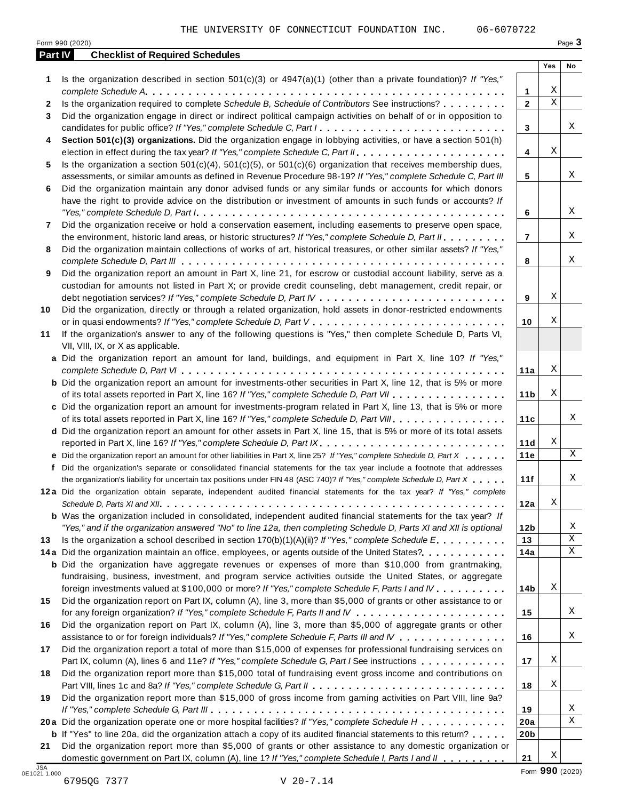| Part IV      | <b>Checklist of Required Schedules</b>                                                                                  |                 |             |    |
|--------------|-------------------------------------------------------------------------------------------------------------------------|-----------------|-------------|----|
|              |                                                                                                                         |                 | Yes         | No |
| 1            | Is the organization described in section $501(c)(3)$ or $4947(a)(1)$ (other than a private foundation)? If "Yes,"       |                 |             |    |
|              |                                                                                                                         | 1               | Χ           |    |
| $\mathbf{2}$ | Is the organization required to complete Schedule B, Schedule of Contributors See instructions?                         | $\mathbf{2}$    | $\mathbf X$ |    |
| 3            | Did the organization engage in direct or indirect political campaign activities on behalf of or in opposition to        |                 |             |    |
|              | candidates for public office? If "Yes," complete Schedule C, Part I.                                                    | 3               |             | Χ  |
| 4            | Section 501(c)(3) organizations. Did the organization engage in lobbying activities, or have a section 501(h)           |                 |             |    |
|              |                                                                                                                         | 4               | Χ           |    |
| 5            | Is the organization a section $501(c)(4)$ , $501(c)(5)$ , or $501(c)(6)$ organization that receives membership dues,    |                 |             | Χ  |
|              | assessments, or similar amounts as defined in Revenue Procedure 98-19? If "Yes," complete Schedule C, Part III          | 5               |             |    |
| 6            | Did the organization maintain any donor advised funds or any similar funds or accounts for which donors                 |                 |             |    |
|              | have the right to provide advice on the distribution or investment of amounts in such funds or accounts? If             |                 |             | X  |
|              | Did the organization receive or hold a conservation easement, including easements to preserve open space,               | 6               |             |    |
| 7            | the environment, historic land areas, or historic structures? If "Yes," complete Schedule D, Part II.                   | $\overline{7}$  |             | Χ  |
|              | Did the organization maintain collections of works of art, historical treasures, or other similar assets? If "Yes,"     |                 |             |    |
| 8            |                                                                                                                         | 8               |             | Χ  |
| 9            | Did the organization report an amount in Part X, line 21, for escrow or custodial account liability, serve as a         |                 |             |    |
|              | custodian for amounts not listed in Part X; or provide credit counseling, debt management, credit repair, or            |                 |             |    |
|              |                                                                                                                         | 9               | Χ           |    |
| 10           | Did the organization, directly or through a related organization, hold assets in donor-restricted endowments            |                 |             |    |
|              |                                                                                                                         | 10              | Χ           |    |
| 11           | If the organization's answer to any of the following questions is "Yes," then complete Schedule D, Parts VI,            |                 |             |    |
|              | VII, VIII, IX, or X as applicable.                                                                                      |                 |             |    |
|              | a Did the organization report an amount for land, buildings, and equipment in Part X, line 10? If "Yes,"                |                 |             |    |
|              |                                                                                                                         | 11a             | Χ           |    |
|              | <b>b</b> Did the organization report an amount for investments-other securities in Part X, line 12, that is 5% or more  |                 |             |    |
|              | of its total assets reported in Part X, line 16? If "Yes," complete Schedule D, Part VII                                | 11 <sub>b</sub> | Χ           |    |
|              | c Did the organization report an amount for investments-program related in Part X, line 13, that is 5% or more          |                 |             |    |
|              | of its total assets reported in Part X, line 16? If "Yes," complete Schedule D, Part VIII                               | 11c             |             | Χ  |
|              | d Did the organization report an amount for other assets in Part X, line 15, that is 5% or more of its total assets     |                 |             |    |
|              | reported in Part X, line 16? If "Yes," complete Schedule D, Part IX.                                                    | 11d             | Χ           |    |
|              | e Did the organization report an amount for other liabilities in Part X, line 25? If "Yes," complete Schedule D, Part X | 11e             |             | Χ  |
| f            | Did the organization's separate or consolidated financial statements for the tax year include a footnote that addresses |                 |             |    |
|              | the organization's liability for uncertain tax positions under FIN 48 (ASC 740)? If "Yes," complete Schedule D, Part X  | 11f             |             | Χ  |
|              | 12a Did the organization obtain separate, independent audited financial statements for the tax year? If "Yes," complete |                 |             |    |
|              |                                                                                                                         | 12a             | Χ           |    |
|              | <b>b</b> Was the organization included in consolidated, independent audited financial statements for the tax year? If   |                 |             |    |
|              | "Yes," and if the organization answered "No" to line 12a, then completing Schedule D, Parts XI and XII is optional      | 12 <sub>b</sub> |             | Χ  |
| 13           | Is the organization a school described in section $170(b)(1)(A)(ii)$ ? If "Yes," complete Schedule E.                   | 13              |             | Χ  |
|              | 14a Did the organization maintain an office, employees, or agents outside of the United States?.                        | 14a             |             | X  |
|              | <b>b</b> Did the organization have aggregate revenues or expenses of more than \$10,000 from grantmaking,               |                 |             |    |
|              | fundraising, business, investment, and program service activities outside the United States, or aggregate               |                 |             |    |
|              | foreign investments valued at \$100,000 or more? If "Yes," complete Schedule F, Parts I and IV                          | 14b             | Χ           |    |
| 15           | Did the organization report on Part IX, column (A), line 3, more than \$5,000 of grants or other assistance to or       |                 |             |    |
|              |                                                                                                                         | 15              |             | Χ  |
| 16           | Did the organization report on Part IX, column (A), line 3, more than \$5,000 of aggregate grants or other              |                 |             |    |
|              | assistance to or for foreign individuals? If "Yes," complete Schedule F, Parts III and IV                               | 16              |             | Χ  |
| 17           | Did the organization report a total of more than \$15,000 of expenses for professional fundraising services on          |                 |             |    |
|              | Part IX, column (A), lines 6 and 11e? If "Yes," complete Schedule G, Part I See instructions                            | 17              | Χ           |    |
| 18           | Did the organization report more than \$15,000 total of fundraising event gross income and contributions on             |                 |             |    |
|              |                                                                                                                         | 18              | Χ           |    |
| 19           | Did the organization report more than \$15,000 of gross income from gaming activities on Part VIII, line 9a?            |                 |             |    |
|              |                                                                                                                         | 19              |             | Χ  |
|              | 20a Did the organization operate one or more hospital facilities? If "Yes," complete Schedule H                         | 20a             |             | Χ  |
|              | <b>b</b> If "Yes" to line 20a, did the organization attach a copy of its audited financial statements to this return?   | 20 <sub>b</sub> |             |    |
| 21           | Did the organization report more than \$5,000 of grants or other assistance to any domestic organization or             |                 |             |    |
|              | domestic government on Part IX, column (A), line 1? If "Yes," complete Schedule I, Parts I and II                       | 21              | Χ           |    |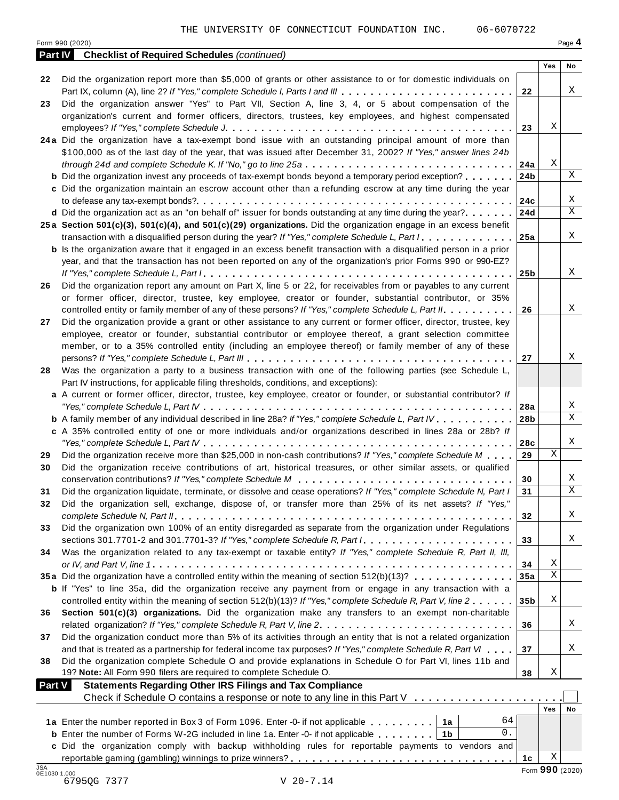|                | Form 990 (2020)                                                                                                                   |                 |     | Page 4      |
|----------------|-----------------------------------------------------------------------------------------------------------------------------------|-----------------|-----|-------------|
| <b>Part IV</b> | <b>Checklist of Required Schedules (continued)</b>                                                                                |                 |     |             |
|                |                                                                                                                                   |                 | Yes | No          |
| 22             | Did the organization report more than \$5,000 of grants or other assistance to or for domestic individuals on                     |                 |     |             |
|                | Part IX, column (A), line 2? If "Yes," complete Schedule I, Parts I and III                                                       | 22              |     | Χ           |
| 23             | Did the organization answer "Yes" to Part VII, Section A, line 3, 4, or 5 about compensation of the                               |                 |     |             |
|                | organization's current and former officers, directors, trustees, key employees, and highest compensated                           |                 |     |             |
|                |                                                                                                                                   | 23              | Χ   |             |
|                | 24a Did the organization have a tax-exempt bond issue with an outstanding principal amount of more than                           |                 |     |             |
|                | \$100,000 as of the last day of the year, that was issued after December 31, 2002? If "Yes," answer lines 24b                     |                 |     |             |
|                | through 24d and complete Schedule K. If "No," go to line 25a $\ldots$ ,                                                           | 24a             | Χ   |             |
|                | <b>b</b> Did the organization invest any proceeds of tax-exempt bonds beyond a temporary period exception?                        | 24b             |     | X           |
|                | c Did the organization maintain an escrow account other than a refunding escrow at any time during the year                       |                 |     |             |
|                |                                                                                                                                   | 24c             |     | Χ           |
|                | <b>d</b> Did the organization act as an "on behalf of" issuer for bonds outstanding at any time during the year?                  | 24d             |     | X           |
|                | 25a Section 501(c)(3), 501(c)(4), and 501(c)(29) organizations. Did the organization engage in an excess benefit                  |                 |     |             |
|                | transaction with a disqualified person during the year? If "Yes," complete Schedule L, Part I.                                    | 25a             |     | Χ           |
|                | <b>b</b> Is the organization aware that it engaged in an excess benefit transaction with a disqualified person in a prior         |                 |     |             |
|                | year, and that the transaction has not been reported on any of the organization's prior Forms 990 or 990-EZ?                      |                 |     |             |
|                |                                                                                                                                   | 25 <sub>b</sub> |     | X           |
| 26             | Did the organization report any amount on Part X, line 5 or 22, for receivables from or payables to any current                   |                 |     |             |
|                | or former officer, director, trustee, key employee, creator or founder, substantial contributor, or 35%                           |                 |     |             |
|                | controlled entity or family member of any of these persons? If "Yes," complete Schedule L, Part II.                               | 26              |     | Χ           |
| 27             | Did the organization provide a grant or other assistance to any current or former officer, director, trustee, key                 |                 |     |             |
|                | employee, creator or founder, substantial contributor or employee thereof, a grant selection committee                            |                 |     |             |
|                | member, or to a 35% controlled entity (including an employee thereof) or family member of any of these                            |                 |     |             |
|                |                                                                                                                                   | 27              |     | Χ           |
| 28             | Was the organization a party to a business transaction with one of the following parties (see Schedule L,                         |                 |     |             |
|                | Part IV instructions, for applicable filing thresholds, conditions, and exceptions):                                              |                 |     |             |
|                | a A current or former officer, director, trustee, key employee, creator or founder, or substantial contributor? If                |                 |     |             |
|                |                                                                                                                                   | 28a             |     | Χ           |
|                | <b>b</b> A family member of any individual described in line 28a? If "Yes," complete Schedule L, Part IV.                         | 28 <sub>b</sub> |     | X           |
|                | c A 35% controlled entity of one or more individuals and/or organizations described in lines 28a or 28b? If                       |                 |     |             |
|                |                                                                                                                                   | 28c             |     | Χ           |
| 29             | Did the organization receive more than \$25,000 in non-cash contributions? If "Yes," complete Schedule M                          | 29              | Χ   |             |
| 30             | Did the organization receive contributions of art, historical treasures, or other similar assets, or qualified                    |                 |     |             |
|                |                                                                                                                                   | 30              |     | Χ           |
|                | Did the organization liquidate, terminate, or dissolve and cease operations? If "Yes," complete Schedule N, Part I                | 31              |     | $\mathbf X$ |
| 32             | Did the organization sell, exchange, dispose of, or transfer more than 25% of its net assets? If "Yes,"                           |                 |     |             |
|                |                                                                                                                                   | 32              |     | Χ           |
| 33             | Did the organization own 100% of an entity disregarded as separate from the organization under Regulations                        |                 |     |             |
|                | sections 301.7701-2 and 301.7701-3? If "Yes," complete Schedule R, Part I. $\ldots$ , $\ldots$ , $\ldots$ , $\ldots$ , $\ldots$ , | 33              |     | Χ           |
| 34             | Was the organization related to any tax-exempt or taxable entity? If "Yes," complete Schedule R, Part II, III,                    |                 |     |             |
|                |                                                                                                                                   | 34              | Χ   |             |
|                | 35a Did the organization have a controlled entity within the meaning of section 512(b)(13)?                                       | 35a             | Χ   |             |
|                | <b>b</b> If "Yes" to line 35a, did the organization receive any payment from or engage in any transaction with a                  |                 |     |             |
|                | controlled entity within the meaning of section 512(b)(13)? If "Yes," complete Schedule R, Part V, line 2                         | 35 <sub>b</sub> | Χ   |             |
| 36             | Section 501(c)(3) organizations. Did the organization make any transfers to an exempt non-charitable                              |                 |     |             |
|                |                                                                                                                                   | 36              |     | Χ           |
| 37             | Did the organization conduct more than 5% of its activities through an entity that is not a related organization                  |                 |     |             |
|                | and that is treated as a partnership for federal income tax purposes? If "Yes," complete Schedule R, Part VI                      | 37              |     | Χ           |
| 38             | Did the organization complete Schedule O and provide explanations in Schedule O for Part VI, lines 11b and                        |                 |     |             |
|                | 19? Note: All Form 990 filers are required to complete Schedule O.                                                                | 38              | Χ   |             |
| <b>Part V</b>  | <b>Statements Regarding Other IRS Filings and Tax Compliance</b>                                                                  |                 |     |             |
|                | Check if Schedule O contains a response or note to any line in this Part V                                                        |                 |     |             |
|                |                                                                                                                                   |                 | Yes | No          |
|                | 64<br>1a Enter the number reported in Box 3 of Form 1096. Enter -0- if not applicable   1a                                        |                 |     |             |
|                | 0.<br><b>b</b> Enter the number of Forms W-2G included in line 1a. Enter -0- if not applicable   1b                               |                 |     |             |
|                | c Did the organization comply with backup withholding rules for reportable payments to vendors and                                |                 |     |             |
|                |                                                                                                                                   | 1с              | Χ   |             |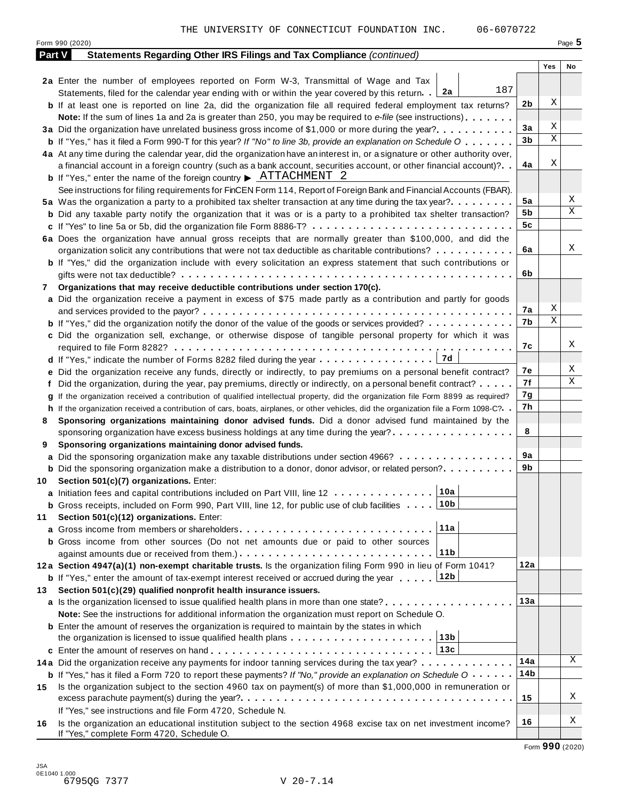|               | Form 990 (2020)                                                                                                                                              |     |     | Page 5 |
|---------------|--------------------------------------------------------------------------------------------------------------------------------------------------------------|-----|-----|--------|
| <b>Part V</b> | Statements Regarding Other IRS Filings and Tax Compliance (continued)                                                                                        |     |     |        |
|               |                                                                                                                                                              |     | Yes | No     |
|               | 2a Enter the number of employees reported on Form W-3, Transmittal of Wage and Tax                                                                           |     |     |        |
|               | 187<br>Statements, filed for the calendar year ending with or within the year covered by this return. [2a]                                                   |     |     |        |
|               | <b>b</b> If at least one is reported on line 2a, did the organization file all required federal employment tax returns?                                      | 2b  | Χ   |        |
|               | <b>Note:</b> If the sum of lines 1a and 2a is greater than 250, you may be required to e-file (see instructions).                                            |     |     |        |
|               | 3a Did the organization have unrelated business gross income of \$1,000 or more during the year?                                                             | За  | Χ   |        |
|               | <b>b</b> If "Yes," has it filed a Form 990-T for this year? If "No" to line 3b, provide an explanation on Schedule O                                         | 3b  | Χ   |        |
|               | 4a At any time during the calendar year, did the organization have an interest in, or a signature or other authority over,                                   |     |     |        |
|               | a financial account in a foreign country (such as a bank account, securities account, or other financial account)?                                           | 4a  | Χ   |        |
|               | <b>b</b> If "Yes," enter the name of the foreign country $\triangleright$ $\frac{\text{ATTACHMENT}}{\text{2}}$                                               |     |     |        |
|               | See instructions for filing requirements for FinCEN Form 114, Report of Foreign Bank and Financial Accounts (FBAR).                                          |     |     |        |
|               | 5a Was the organization a party to a prohibited tax shelter transaction at any time during the tax year?                                                     | 5a  |     | Χ      |
|               | <b>b</b> Did any taxable party notify the organization that it was or is a party to a prohibited tax shelter transaction?                                    | 5b  |     | Χ      |
|               | c If "Yes" to line 5a or 5b, did the organization file Form 8886-T?                                                                                          | 5c  |     |        |
|               | 6a Does the organization have annual gross receipts that are normally greater than \$100,000, and did the                                                    |     |     |        |
|               | organization solicit any contributions that were not tax deductible as charitable contributions?                                                             | 6a  |     | Χ      |
|               |                                                                                                                                                              |     |     |        |
|               | <b>b</b> If "Yes," did the organization include with every solicitation an express statement that such contributions or                                      | 6b  |     |        |
|               |                                                                                                                                                              |     |     |        |
| 7             | Organizations that may receive deductible contributions under section 170(c).                                                                                |     |     |        |
|               | a Did the organization receive a payment in excess of \$75 made partly as a contribution and partly for goods                                                |     | Χ   |        |
|               |                                                                                                                                                              | 7а  | Χ   |        |
|               | <b>b</b> If "Yes," did the organization notify the donor of the value of the goods or services provided?                                                     | 7b  |     |        |
|               | c Did the organization sell, exchange, or otherwise dispose of tangible personal property for which it was                                                   |     |     |        |
|               |                                                                                                                                                              | 7с  |     | Χ      |
|               | d If "Yes," indicate the number of Forms 8282 filed during the year 7d                                                                                       |     |     |        |
|               | e Did the organization receive any funds, directly or indirectly, to pay premiums on a personal benefit contract?                                            | 7е  |     | Χ      |
|               | f Did the organization, during the year, pay premiums, directly or indirectly, on a personal benefit contract?                                               | 7f  |     | Χ      |
|               | If the organization received a contribution of qualified intellectual property, did the organization file Form 8899 as required?                             | 7g  |     |        |
|               | h If the organization received a contribution of cars, boats, airplanes, or other vehicles, did the organization file a Form 1098-C?                         | 7h  |     |        |
| 8             | Sponsoring organizations maintaining donor advised funds. Did a donor advised fund maintained by the                                                         |     |     |        |
|               | sponsoring organization have excess business holdings at any time during the year?                                                                           | 8   |     |        |
| 9             | Sponsoring organizations maintaining donor advised funds.                                                                                                    |     |     |        |
|               | <b>a</b> Did the sponsoring organization make any taxable distributions under section 4966?                                                                  | 9а  |     |        |
|               | <b>b</b> Did the sponsoring organization make a distribution to a donor, donor advisor, or related person?                                                   | 9b  |     |        |
| 10            | Section 501(c)(7) organizations. Enter:                                                                                                                      |     |     |        |
|               | 10a <br>a Initiation fees and capital contributions included on Part VIII, line 12                                                                           |     |     |        |
|               | <b>b</b> Gross receipts, included on Form 990, Part VIII, line 12, for public use of club facilities 10b                                                     |     |     |        |
| 11            | Section 501(c)(12) organizations. Enter:                                                                                                                     |     |     |        |
|               | 11a<br>a Gross income from members or shareholders                                                                                                           |     |     |        |
|               | <b>b</b> Gross income from other sources (Do not net amounts due or paid to other sources                                                                    |     |     |        |
|               | 11b                                                                                                                                                          |     |     |        |
|               | 12a Section 4947(a)(1) non-exempt charitable trusts. Is the organization filing Form 990 in lieu of Form 1041?                                               | 12a |     |        |
|               | 12b<br><b>b</b> If "Yes," enter the amount of tax-exempt interest received or accrued during the year                                                        |     |     |        |
|               |                                                                                                                                                              |     |     |        |
| 13.           | Section 501(c)(29) qualified nonprofit health insurance issuers.                                                                                             |     |     |        |
|               | a Is the organization licensed to issue qualified health plans in more than one state?                                                                       | 13а |     |        |
|               | Note: See the instructions for additional information the organization must report on Schedule O.                                                            |     |     |        |
|               | <b>b</b> Enter the amount of reserves the organization is required to maintain by the states in which                                                        |     |     |        |
|               | the organization is licensed to issue qualified health plans $\ldots \ldots \ldots \ldots \ldots \ldots \ldots$                                              |     |     |        |
|               |                                                                                                                                                              |     |     |        |
|               | 14a Did the organization receive any payments for indoor tanning services during the tax year?                                                               | 14a |     | Χ      |
|               | <b>b</b> If "Yes," has it filed a Form 720 to report these payments? If "No," provide an explanation on Schedule O                                           | 14b |     |        |
| 15            | Is the organization subject to the section 4960 tax on payment(s) of more than \$1,000,000 in remuneration or                                                |     |     |        |
|               |                                                                                                                                                              | 15  |     | Χ      |
|               | If "Yes," see instructions and file Form 4720, Schedule N.                                                                                                   |     |     |        |
| 16            | Is the organization an educational institution subject to the section 4968 excise tax on net investment income?<br>If "Yes," complete Form 4720, Schedule O. | 16  |     | Χ      |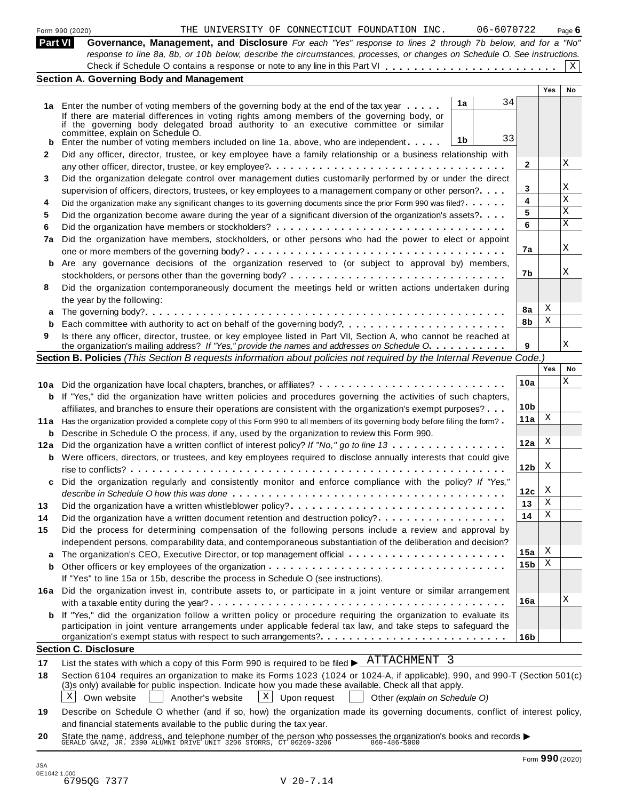|     | 06-6070722<br>THE UNIVERSITY OF CONNECTICUT FOUNDATION INC.<br>Form 990 (2020)                                                                                                                                   |                 |     | Page $6$  |
|-----|------------------------------------------------------------------------------------------------------------------------------------------------------------------------------------------------------------------|-----------------|-----|-----------|
|     | <b>Part VI</b><br>Governance, Management, and Disclosure For each "Yes" response to lines 2 through 7b below, and for a "No"                                                                                     |                 |     |           |
|     | response to line 8a, 8b, or 10b below, describe the circumstances, processes, or changes on Schedule O. See instructions.                                                                                        |                 |     |           |
|     |                                                                                                                                                                                                                  |                 |     | X         |
|     | <b>Section A. Governing Body and Management</b>                                                                                                                                                                  |                 |     |           |
|     | 34                                                                                                                                                                                                               |                 | Yes | <b>No</b> |
|     | 1a<br>1a Enter the number of voting members of the governing body at the end of the tax year                                                                                                                     |                 |     |           |
|     | If there are material differences in voting rights among members of the governing body, or<br>if the governing body delegated broad authority to an executive committee or similar                               |                 |     |           |
|     | committee, explain on Schedule O.<br>33                                                                                                                                                                          |                 |     |           |
|     | 1b<br>Enter the number of voting members included on line 1a, above, who are independent                                                                                                                         |                 |     |           |
| 2   | Did any officer, director, trustee, or key employee have a family relationship or a business relationship with                                                                                                   |                 |     | Χ         |
|     |                                                                                                                                                                                                                  | $\mathbf{2}$    |     |           |
| 3   | Did the organization delegate control over management duties customarily performed by or under the direct                                                                                                        |                 |     | Χ         |
|     | supervision of officers, directors, trustees, or key employees to a management company or other person?                                                                                                          | 3               |     | Χ         |
| 4   | Did the organization make any significant changes to its governing documents since the prior Form 990 was filed?                                                                                                 | 4               |     | Χ         |
| 5   | Did the organization become aware during the year of a significant diversion of the organization's assets?                                                                                                       | 5               |     | X         |
| 6   |                                                                                                                                                                                                                  | 6               |     |           |
| 7a  | Did the organization have members, stockholders, or other persons who had the power to elect or appoint                                                                                                          |                 |     | Χ         |
|     |                                                                                                                                                                                                                  | 7а              |     |           |
| b   | Are any governance decisions of the organization reserved to (or subject to approval by) members,                                                                                                                |                 |     | Χ         |
|     |                                                                                                                                                                                                                  | 7b              |     |           |
| 8   | Did the organization contemporaneously document the meetings held or written actions undertaken during                                                                                                           |                 |     |           |
|     | the year by the following:                                                                                                                                                                                       |                 | Χ   |           |
|     |                                                                                                                                                                                                                  | 8a<br>8b        | Χ   |           |
| b   |                                                                                                                                                                                                                  |                 |     |           |
| 9   | Is there any officer, director, trustee, or key employee listed in Part VII, Section A, who cannot be reached at<br>the organization's mailing address? If "Yes," provide the names and addresses on Schedule O. | 9               |     | Χ         |
|     | Section B. Policies (This Section B requests information about policies not required by the Internal Revenue Code.)                                                                                              |                 |     |           |
|     |                                                                                                                                                                                                                  |                 | Yes | No        |
|     | 10a Did the organization have local chapters, branches, or affiliates?                                                                                                                                           | 10a             |     | Χ         |
| b   | If "Yes," did the organization have written policies and procedures governing the activities of such chapters,                                                                                                   |                 |     |           |
|     | affiliates, and branches to ensure their operations are consistent with the organization's exempt purposes?                                                                                                      | 10 <sub>b</sub> |     |           |
| 11a | Has the organization provided a complete copy of this Form 990 to all members of its governing body before filing the form?                                                                                      | 11a             | X   |           |
|     | <b>b</b> Describe in Schedule O the process, if any, used by the organization to review this Form 990.                                                                                                           |                 |     |           |
| 12a | Did the organization have a written conflict of interest policy? If "No," go to line 13                                                                                                                          | 12a             | X   |           |
|     | <b>b</b> Were officers, directors, or trustees, and key employees required to disclose annually interests that could give                                                                                        |                 |     |           |
|     |                                                                                                                                                                                                                  | 12 <sub>b</sub> | X   |           |
|     | Did the organization regularly and consistently monitor and enforce compliance with the policy? If "Yes,"                                                                                                        |                 |     |           |
|     |                                                                                                                                                                                                                  | 12c             | X   |           |
| 13  | Did the organization have a written whistleblower policy?                                                                                                                                                        | 13              | Χ   |           |
| 14  | Did the organization have a written document retention and destruction policy?                                                                                                                                   | 14              | Χ   |           |
| 15  | Did the process for determining compensation of the following persons include a review and approval by                                                                                                           |                 |     |           |
|     | independent persons, comparability data, and contemporaneous substantiation of the deliberation and decision?                                                                                                    |                 |     |           |
| a   |                                                                                                                                                                                                                  | 15a             | Χ   |           |
| b   |                                                                                                                                                                                                                  | 15 <sub>b</sub> | Χ   |           |
|     | If "Yes" to line 15a or 15b, describe the process in Schedule O (see instructions).                                                                                                                              |                 |     |           |
| 16а | Did the organization invest in, contribute assets to, or participate in a joint venture or similar arrangement                                                                                                   |                 |     |           |
|     |                                                                                                                                                                                                                  | 16a             |     | Χ         |
|     | <b>b</b> If "Yes," did the organization follow a written policy or procedure requiring the organization to evaluate its                                                                                          |                 |     |           |
|     | participation in joint venture arrangements under applicable federal tax law, and take steps to safeguard the                                                                                                    |                 |     |           |
|     |                                                                                                                                                                                                                  | 16 <sub>b</sub> |     |           |
|     | <b>Section C. Disclosure</b>                                                                                                                                                                                     |                 |     |           |
|     | ATTACHMENT 3<br>List the states with which a copy of this Form 990 is required to be filed $\blacktriangleright$                                                                                                 |                 |     |           |
| 18  | Section 6104 requires an organization to make its Forms 1023 (1024 or 1024-A, if applicable), 990, and 990-T (Section 501(c)                                                                                     |                 |     |           |
|     | (3)s only) available for public inspection. Indicate how you made these available. Check all that apply.                                                                                                         |                 |     |           |
|     | Χ<br>$\vert$ X $\vert$<br>Upon request<br>Own website<br>Another's website<br>Other (explain on Schedule O)                                                                                                      |                 |     |           |
| 19  | Describe on Schedule O whether (and if so, how) the organization made its governing documents, conflict of interest policy,                                                                                      |                 |     |           |
|     | and financial statements available to the public during the tax year.                                                                                                                                            |                 |     |           |

**20** and infancial statements available to the public during the tax year.<br>State the name, address, and telephone number of the person who possesses the organization's books and records<br>GERALD GANZ, JR. 2390 ALUMNI DRIVE UNIT 3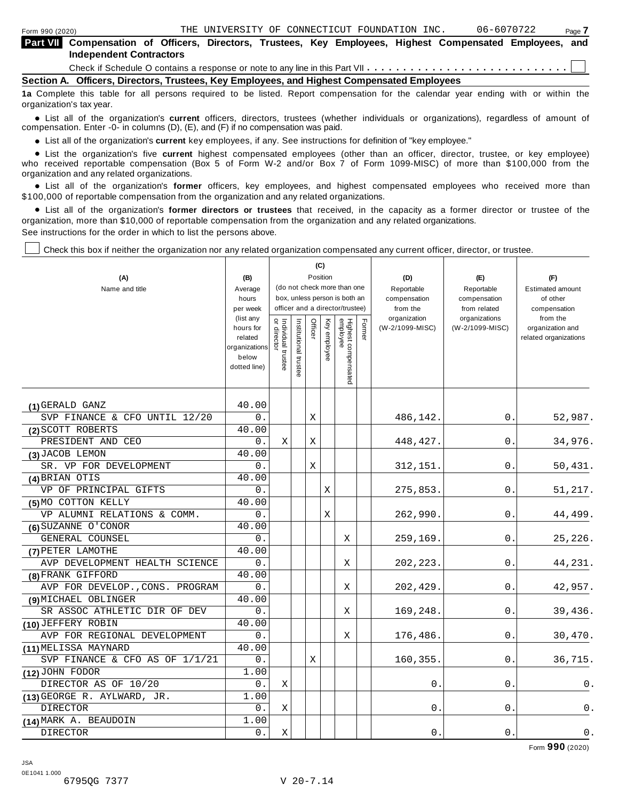| <b>Part VII</b> Compensation of Officers, Directors, Trustees, Key Employees, Highest Compensated Employees, and<br><b>Independent Contractors</b> |  |
|----------------------------------------------------------------------------------------------------------------------------------------------------|--|
|                                                                                                                                                    |  |
| Section A. Officers, Directors, Trustees, Key Employees, and Highest Compensated Employees                                                         |  |

**1a** Complete this table for all persons required to be listed. Report compensation for the calendar year ending with or within the organization's tax year.

anization's lax year.<br>● List all of the organization's **current** officers, directors, trustees (whether individuals or organizations), regardless of amount of<br>nnensation Enter -0- in columns (D) (E) and (E) if no compensa compensation. Enter -0- in columns (D), (E), and (F) if no compensation was paid.

• List all of the organization's current key employees, if any. See instructions for definition of "key employee."

■ List all of the organization's current key employees, if any. See instructions for definition of "key employee."<br>■ List the organization's five current highest compensated employees (other than an officer, director, tru who received reportable compensation (Box 5 of Form W-2 and/or Box 7 of Form 1099-MISC) of more than \$100,000 from the

organization and any related organizations.<br>• List all of the organization's **former** officers, key employees, and highest compensated employees who received more than<br>\$1.00.000 of reportable componention from the erganiza \$100,000 of reportable compensation from the organization and any related organizations.

% List all of the organization's **former directors or trustees** that received, in the capacity as a former director or trustee of the organization, more than \$10,000 of reportable compensation from the organization and any related organizations. See instructions for the order in which to list the persons above.

Check this box if neither the organization nor any related organization compensated any current officer, director, or trustee.

|                                             |                                                                             |                                   |                       |         | (C)          |                                 |        |                                 |                                  |                                                       |
|---------------------------------------------|-----------------------------------------------------------------------------|-----------------------------------|-----------------------|---------|--------------|---------------------------------|--------|---------------------------------|----------------------------------|-------------------------------------------------------|
| (A)                                         | (B)                                                                         |                                   |                       |         | Position     | (do not check more than one     |        | (D)                             | (E)                              | (F)                                                   |
| Name and title                              | Average<br>hours                                                            |                                   |                       |         |              | box, unless person is both an   |        | Reportable<br>compensation      | Reportable<br>compensation       | <b>Estimated amount</b><br>of other                   |
|                                             | per week                                                                    |                                   |                       |         |              | officer and a director/trustee) |        | from the                        | from related                     | compensation                                          |
|                                             | (list any<br>hours for<br>related<br>organizations<br>below<br>dotted line) | Individual trustee<br>or director | Institutional trustee | Officer | Key employee | Highest compensated<br>employee | Former | organization<br>(W-2/1099-MISC) | organizations<br>(W-2/1099-MISC) | from the<br>organization and<br>related organizations |
| (1) GERALD GANZ                             | 40.00                                                                       |                                   |                       |         |              |                                 |        |                                 |                                  |                                                       |
| SVP FINANCE & CFO UNTIL 12/20               | 0.                                                                          |                                   |                       | Χ       |              |                                 |        | 486,142.                        | 0.                               | 52,987.                                               |
| (2) SCOTT ROBERTS                           | 40.00                                                                       |                                   |                       |         |              |                                 |        |                                 |                                  |                                                       |
| PRESIDENT AND CEO                           | 0.                                                                          | X                                 |                       | Χ       |              |                                 |        | 448, 427.                       | 0.                               | 34,976.                                               |
| (3) JACOB LEMON                             | 40.00                                                                       |                                   |                       |         |              |                                 |        |                                 |                                  |                                                       |
| SR. VP FOR DEVELOPMENT                      | 0.                                                                          |                                   |                       | X       |              |                                 |        | 312, 151.                       | 0.                               | 50,431.                                               |
| (4) BRIAN OTIS                              | 40.00                                                                       |                                   |                       |         |              |                                 |        |                                 |                                  |                                                       |
| VP OF PRINCIPAL GIFTS                       | 0.                                                                          |                                   |                       |         | Χ            |                                 |        | 275,853.                        | 0.                               | 51,217.                                               |
| (5) MO COTTON KELLY                         | 40.00                                                                       |                                   |                       |         |              |                                 |        |                                 |                                  |                                                       |
| VP ALUMNI RELATIONS & COMM.                 | 0.                                                                          |                                   |                       |         | X            |                                 |        | 262,990                         | 0.                               | 44,499.                                               |
| (6) SUZANNE O'CONOR                         | 40.00                                                                       |                                   |                       |         |              |                                 |        |                                 |                                  |                                                       |
| GENERAL COUNSEL                             | 0.                                                                          |                                   |                       |         |              | X                               |        | 259,169                         | 0.                               | 25,226.                                               |
| (7) PETER LAMOTHE                           | 40.00                                                                       |                                   |                       |         |              |                                 |        |                                 |                                  |                                                       |
| AVP DEVELOPMENT HEALTH SCIENCE              | 0.                                                                          |                                   |                       |         |              | Χ                               |        | 202, 223.                       | 0.                               | 44,231.                                               |
| (8) FRANK GIFFORD                           | 40.00                                                                       |                                   |                       |         |              |                                 |        |                                 |                                  |                                                       |
| AVP FOR DEVELOP., CONS. PROGRAM             | 0.                                                                          |                                   |                       |         |              | X                               |        | 202,429                         | 0.                               | 42,957.                                               |
| (9) MICHAEL OBLINGER                        | 40.00                                                                       |                                   |                       |         |              |                                 |        |                                 |                                  |                                                       |
| SR ASSOC ATHLETIC DIR OF DEV                | 0.                                                                          |                                   |                       |         |              | Χ                               |        | 169,248                         | 0.                               | 39,436.                                               |
| (10) JEFFERY ROBIN                          | 40.00                                                                       |                                   |                       |         |              |                                 |        |                                 |                                  |                                                       |
| AVP FOR REGIONAL DEVELOPMENT                | $0$ .                                                                       |                                   |                       |         |              | Χ                               |        | 176,486.                        | $\mathbf{0}$                     | 30,470.                                               |
| (11) MELISSA MAYNARD                        | 40.00                                                                       |                                   |                       |         |              |                                 |        |                                 |                                  |                                                       |
| SVP FINANCE & CFO AS OF 1/1/21              | 0.                                                                          |                                   |                       | Χ       |              |                                 |        | 160,355                         | 0.                               | 36,715.                                               |
| (12) JOHN FODOR                             | 1.00                                                                        |                                   |                       |         |              |                                 |        |                                 |                                  |                                                       |
| DIRECTOR AS OF 10/20                        | 0.                                                                          | X                                 |                       |         |              |                                 |        | 0.                              | 0.                               | 0.                                                    |
| $(13)$ GEORGE R. AYLWARD, $\overline{JR}$ . | 1.00                                                                        |                                   |                       |         |              |                                 |        |                                 |                                  |                                                       |
| <b>DIRECTOR</b>                             | 0.                                                                          | Χ                                 |                       |         |              |                                 |        | 0                               | $0$ .                            | 0.                                                    |
| (14) MARK A. BEAUDOIN                       | 1.00                                                                        |                                   |                       |         |              |                                 |        |                                 |                                  |                                                       |
| <b>DIRECTOR</b>                             | 0.                                                                          | X                                 |                       |         |              |                                 |        | 0.                              | 0.                               | 0.                                                    |

Form **990** (2020)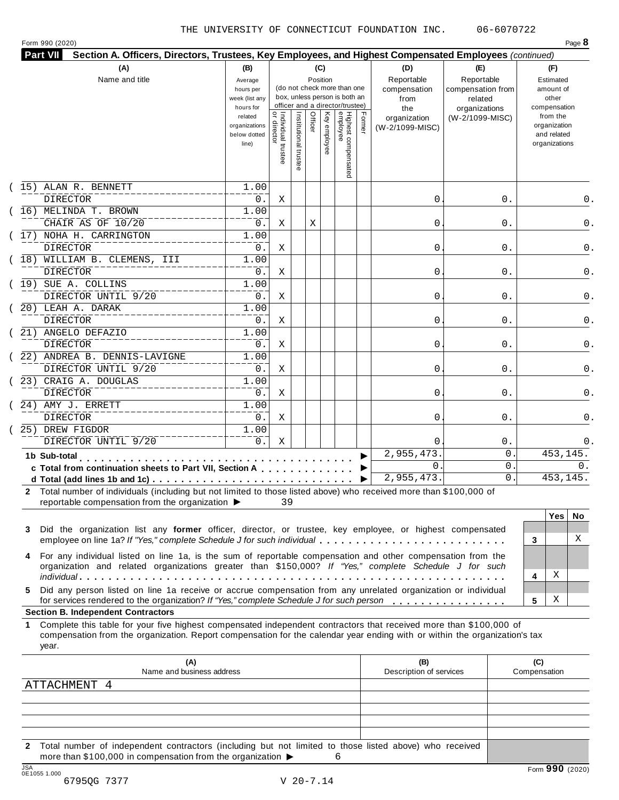Form <sup>990</sup> (2020) Page **8**

| <b>Part VII</b><br>Section A. Officers, Directors, Trustees, Key Employees, and Highest Compensated Employees (continued) |                                                                                                                 |                                   |                                |         |                                 |                                                                                                                                    |        |                                                                                     |                                                                                       |   |                                                                                                                    |       |
|---------------------------------------------------------------------------------------------------------------------------|-----------------------------------------------------------------------------------------------------------------|-----------------------------------|--------------------------------|---------|---------------------------------|------------------------------------------------------------------------------------------------------------------------------------|--------|-------------------------------------------------------------------------------------|---------------------------------------------------------------------------------------|---|--------------------------------------------------------------------------------------------------------------------|-------|
| (A)<br>Name and title                                                                                                     | (B)<br>Average<br>hours per<br>week (list any<br>hours for<br>related<br>organizations<br>below dotted<br>line) | Individual trustee<br>or director | Institutional<br>$\frac{1}{2}$ | Officer | (C)<br>Position<br>Key employee | (do not check more than one<br>box, unless person is both an<br>officer and a director/trustee)<br>Highest compensated<br>employee | Former | (D)<br>Reportable<br>compensation<br>from<br>the<br>organization<br>(W-2/1099-MISC) | (E)<br>Reportable<br>compensation from<br>related<br>organizations<br>(W-2/1099-MISC) |   | (F)<br>Estimated<br>amount of<br>other<br>compensation<br>from the<br>organization<br>and related<br>organizations |       |
| (15) ALAN R. BENNETT                                                                                                      | 1.00                                                                                                            |                                   |                                |         |                                 |                                                                                                                                    |        |                                                                                     |                                                                                       |   |                                                                                                                    |       |
| <b>DIRECTOR</b>                                                                                                           | 0.                                                                                                              | Χ                                 |                                |         |                                 |                                                                                                                                    |        | 0                                                                                   | $0$ .                                                                                 |   |                                                                                                                    | 0.    |
| (16) MELINDA T. BROWN<br>CHAIR AS OF 10/20                                                                                | 1.00<br>0.                                                                                                      | Χ                                 |                                | Χ       |                                 |                                                                                                                                    |        | 0                                                                                   | 0.                                                                                    |   |                                                                                                                    | 0.    |
| (17) NOHA H. CARRINGTON                                                                                                   | 1.00                                                                                                            |                                   |                                |         |                                 |                                                                                                                                    |        |                                                                                     |                                                                                       |   |                                                                                                                    |       |
| <b>DIRECTOR</b>                                                                                                           | 0.                                                                                                              | Χ                                 |                                |         |                                 |                                                                                                                                    |        | 0                                                                                   | 0.                                                                                    |   |                                                                                                                    | $0$ . |
| (18) WILLIAM B. CLEMENS, III                                                                                              | 1.00                                                                                                            |                                   |                                |         |                                 |                                                                                                                                    |        |                                                                                     |                                                                                       |   |                                                                                                                    |       |
| <b>DIRECTOR</b>                                                                                                           | 0.                                                                                                              | Χ                                 |                                |         |                                 |                                                                                                                                    |        | 0                                                                                   | 0.                                                                                    |   |                                                                                                                    | $0$ . |
| (19) SUE A. COLLINS                                                                                                       | 1.00                                                                                                            |                                   |                                |         |                                 |                                                                                                                                    |        |                                                                                     |                                                                                       |   |                                                                                                                    |       |
| DIRECTOR UNTIL 9/20                                                                                                       | 0.                                                                                                              | Χ                                 |                                |         |                                 |                                                                                                                                    |        | 0                                                                                   | 0.                                                                                    |   |                                                                                                                    | 0.    |
| (20) LEAH A. DARAK                                                                                                        | 1.00                                                                                                            |                                   |                                |         |                                 |                                                                                                                                    |        |                                                                                     |                                                                                       |   |                                                                                                                    |       |
| <b>DIRECTOR</b>                                                                                                           | 0.                                                                                                              | Χ                                 |                                |         |                                 |                                                                                                                                    |        | 0                                                                                   | 0.                                                                                    |   |                                                                                                                    | 0.    |
| (21) ANGELO DEFAZIO                                                                                                       | 1.00                                                                                                            |                                   |                                |         |                                 |                                                                                                                                    |        |                                                                                     |                                                                                       |   |                                                                                                                    |       |
| <b>DIRECTOR</b>                                                                                                           | 0.                                                                                                              | Χ                                 |                                |         |                                 |                                                                                                                                    |        | 0                                                                                   | 0.                                                                                    |   |                                                                                                                    | 0.    |
| (22) ANDREA B. DENNIS-LAVIGNE                                                                                             | 1.00                                                                                                            |                                   |                                |         |                                 |                                                                                                                                    |        |                                                                                     |                                                                                       |   |                                                                                                                    |       |
| DIRECTOR UNTIL 9/20                                                                                                       | 0.                                                                                                              | Χ                                 |                                |         |                                 |                                                                                                                                    |        | 0                                                                                   | 0.                                                                                    |   |                                                                                                                    | 0.    |
| (23) CRAIG A. DOUGLAS                                                                                                     | 1.00                                                                                                            |                                   |                                |         |                                 |                                                                                                                                    |        |                                                                                     |                                                                                       |   |                                                                                                                    |       |
| <b>DIRECTOR</b>                                                                                                           | 0.                                                                                                              | Χ                                 |                                |         |                                 |                                                                                                                                    |        | 0                                                                                   | 0.                                                                                    |   |                                                                                                                    | 0.    |
| 24) AMY J. ERRETT                                                                                                         | 1.00                                                                                                            |                                   |                                |         |                                 |                                                                                                                                    |        |                                                                                     |                                                                                       |   |                                                                                                                    |       |
| <b>DIRECTOR</b>                                                                                                           | 0.                                                                                                              | Χ                                 |                                |         |                                 |                                                                                                                                    |        | 0                                                                                   | 0.                                                                                    |   |                                                                                                                    | 0.    |
| 25) DREW FIGDOR                                                                                                           | 1.00<br>$0$ .                                                                                                   | Χ                                 |                                |         |                                 |                                                                                                                                    |        |                                                                                     |                                                                                       |   |                                                                                                                    |       |
| DIRECTOR UNTIL 9/20                                                                                                       |                                                                                                                 |                                   |                                |         |                                 |                                                                                                                                    |        | 0<br>2,955,473.                                                                     | $0$ .<br>0                                                                            |   | 453,145.                                                                                                           | 0.    |
| 1b Sub-total<br>and a construction of the second service                                                                  |                                                                                                                 |                                   |                                |         |                                 |                                                                                                                                    |        | 0.                                                                                  | 0                                                                                     |   |                                                                                                                    | 0.    |
| c Total from continuation sheets to Part VII, Section A                                                                   |                                                                                                                 |                                   |                                |         |                                 |                                                                                                                                    |        | 2,955,473.                                                                          | 0                                                                                     |   | 453,145.                                                                                                           |       |
| 2 Total number of individuals (including but not limited to those listed above) who received more than \$100,000 of       |                                                                                                                 |                                   |                                |         |                                 |                                                                                                                                    |        |                                                                                     |                                                                                       |   |                                                                                                                    |       |
| reportable compensation from the organization $\blacktriangleright$ 39                                                    |                                                                                                                 |                                   |                                |         |                                 |                                                                                                                                    |        |                                                                                     |                                                                                       |   |                                                                                                                    |       |
|                                                                                                                           |                                                                                                                 |                                   |                                |         |                                 |                                                                                                                                    |        |                                                                                     |                                                                                       |   | $Yes \mid$                                                                                                         | No    |
| Did the organization list any former officer, director, or trustee, key employee, or highest compensated<br>3             |                                                                                                                 |                                   |                                |         |                                 |                                                                                                                                    |        |                                                                                     |                                                                                       |   |                                                                                                                    |       |
| employee on line 1a? If "Yes," complete Schedule J for such individual                                                    |                                                                                                                 |                                   |                                |         |                                 |                                                                                                                                    |        |                                                                                     |                                                                                       | 3 |                                                                                                                    | Χ     |
| 4 For any individual listed on line 1a, is the sum of reportable compensation and other compensation from the             |                                                                                                                 |                                   |                                |         |                                 |                                                                                                                                    |        |                                                                                     |                                                                                       |   |                                                                                                                    |       |
| organization and related organizations greater than \$150,000? If "Yes," complete Schedule J for such                     |                                                                                                                 |                                   |                                |         |                                 |                                                                                                                                    |        |                                                                                     |                                                                                       |   |                                                                                                                    |       |
|                                                                                                                           |                                                                                                                 |                                   |                                |         |                                 |                                                                                                                                    |        |                                                                                     |                                                                                       | 4 | Χ                                                                                                                  |       |
| Did any person listed on line 10 receive at seering componentian from any unrelated examination or individual             |                                                                                                                 |                                   |                                |         |                                 |                                                                                                                                    |        |                                                                                     |                                                                                       |   |                                                                                                                    |       |

**5** Did any person listed on line 1a receive or accrue compensation from any unrelated organization or individual for services rendered to the organization? *If"Yes," complete Schedule <sup>J</sup> for such person* mm m m m m m m m m m m m m m m **<sup>5</sup>**

**Section B. Independent Contractors**

**1** Complete this table for your five highest compensated independent contractors that received more than \$100,000 of compensation from the organization. Report compensation for the calendar year ending with or within the organization's tax year.

| (A)<br>Name and business address                                                                                                                                                            | (B)<br>Description of services | (C)<br>Compensation  |
|---------------------------------------------------------------------------------------------------------------------------------------------------------------------------------------------|--------------------------------|----------------------|
| ATTACHMENT 4                                                                                                                                                                                |                                |                      |
|                                                                                                                                                                                             |                                |                      |
|                                                                                                                                                                                             |                                |                      |
|                                                                                                                                                                                             |                                |                      |
|                                                                                                                                                                                             |                                |                      |
| 2 Total number of independent contractors (including but not limited to those listed above) who received<br>more than \$100,000 in compensation from the organization $\blacktriangleright$ |                                |                      |
| 10A                                                                                                                                                                                         |                                | $\sim$ $\sim$ $\sim$ |

X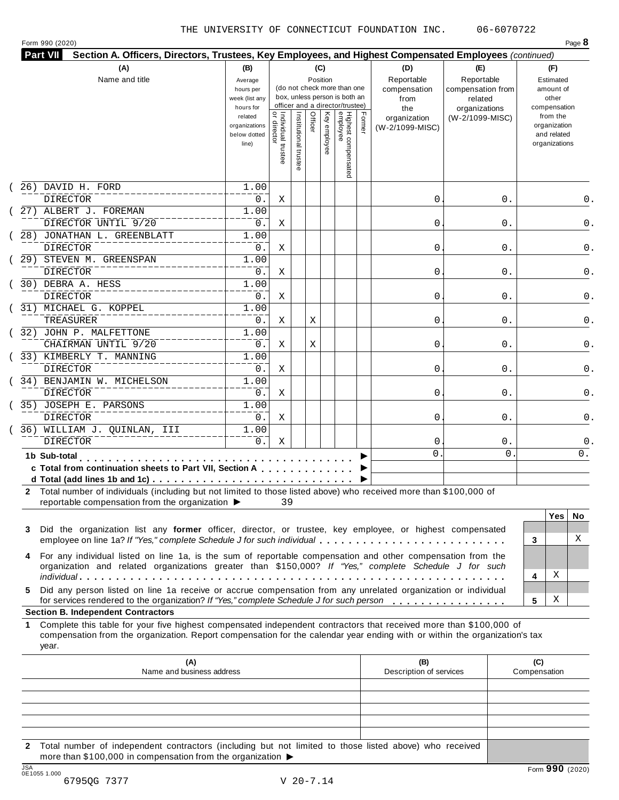|                   | <b>Part VII</b><br>Section A. Officers, Directors, Trustees, Key Employees, and Highest Compensated Employees (continued)                                                                                                    |                               |                                           |                       |              |                                 |        |                            |                                 |                             |
|-------------------|------------------------------------------------------------------------------------------------------------------------------------------------------------------------------------------------------------------------------|-------------------------------|-------------------------------------------|-----------------------|--------------|---------------------------------|--------|----------------------------|---------------------------------|-----------------------------|
|                   | (A)                                                                                                                                                                                                                          | (B)                           |                                           |                       | (C)          |                                 |        | (D)                        | (E)                             | (F)                         |
|                   | Name and title                                                                                                                                                                                                               | Average<br>hours per          |                                           |                       | Position     | (do not check more than one     |        | Reportable<br>compensation | Reportable<br>compensation from | Estimated<br>amount of      |
|                   |                                                                                                                                                                                                                              | week (list any                |                                           |                       |              | box, unless person is both an   |        | from                       | related                         | other                       |
|                   |                                                                                                                                                                                                                              | hours for                     |                                           |                       |              | officer and a director/trustee) |        | the                        | organizations                   | compensation                |
|                   |                                                                                                                                                                                                                              | related                       |                                           |                       | Officer      |                                 | Former | organization               | (W-2/1099-MISC)                 | from the                    |
|                   |                                                                                                                                                                                                                              | organizations<br>below dotted |                                           |                       |              |                                 |        | (W-2/1099-MISC)            |                                 | organization<br>and related |
|                   |                                                                                                                                                                                                                              | line)                         |                                           |                       | Key employee |                                 |        |                            |                                 | organizations               |
|                   |                                                                                                                                                                                                                              |                               | <br>  Individual trustee<br>  or director | Institutional trustee |              |                                 |        |                            |                                 |                             |
|                   |                                                                                                                                                                                                                              |                               |                                           |                       |              | Highest compensated<br>employee |        |                            |                                 |                             |
|                   | 26) DAVID H. FORD                                                                                                                                                                                                            | 1.00                          |                                           |                       |              |                                 |        |                            |                                 |                             |
|                   | DIRECTOR                                                                                                                                                                                                                     | 0.                            | Χ                                         |                       |              |                                 |        | 0                          | 0.                              | 0.                          |
|                   | 27) ALBERT J. FOREMAN                                                                                                                                                                                                        | 1.00                          |                                           |                       |              |                                 |        |                            |                                 |                             |
|                   | DIRECTOR UNTIL 9/20                                                                                                                                                                                                          | 0.                            | Χ                                         |                       |              |                                 |        | 0                          | 0.                              | 0.                          |
|                   | 28) JONATHAN L. GREENBLATT                                                                                                                                                                                                   | 1.00                          |                                           |                       |              |                                 |        |                            |                                 |                             |
|                   | <b>DIRECTOR</b>                                                                                                                                                                                                              | 0.                            | Χ                                         |                       |              |                                 |        | 0                          | 0.                              | 0.                          |
|                   | 29) STEVEN M. GREENSPAN                                                                                                                                                                                                      | 1.00                          |                                           |                       |              |                                 |        |                            |                                 |                             |
|                   | <b>DIRECTOR</b>                                                                                                                                                                                                              | 0.                            | Χ                                         |                       |              |                                 |        | 0                          | 0.                              | 0.                          |
|                   | 30) DEBRA A. HESS                                                                                                                                                                                                            | 1.00                          |                                           |                       |              |                                 |        |                            |                                 |                             |
|                   | DIRECTOR                                                                                                                                                                                                                     | 0.                            | Χ                                         |                       |              |                                 |        | 0                          | 0.                              |                             |
|                   | 31) MICHAEL G. KOPPEL                                                                                                                                                                                                        | 1.00                          |                                           |                       |              |                                 |        |                            |                                 |                             |
|                   | TREASURER                                                                                                                                                                                                                    | 0.                            | Χ                                         |                       | Χ            |                                 |        | 0                          | 0.                              |                             |
|                   |                                                                                                                                                                                                                              |                               |                                           |                       |              |                                 |        |                            |                                 |                             |
|                   | 32) JOHN P. MALFETTONE                                                                                                                                                                                                       | 1.00                          |                                           |                       |              |                                 |        |                            |                                 |                             |
|                   | CHAIRMAN UNTIL 9/20                                                                                                                                                                                                          | $0$ .                         | Χ                                         |                       | Χ            |                                 |        | 0                          | 0.                              | 0.                          |
|                   | 33) KIMBERLY T. MANNING                                                                                                                                                                                                      | 1.00                          |                                           |                       |              |                                 |        |                            |                                 |                             |
|                   | DIRECTOR                                                                                                                                                                                                                     | $0$ .                         | Χ                                         |                       |              |                                 |        | 0                          | 0.                              | 0.                          |
|                   | 34) BENJAMIN W. MICHELSON                                                                                                                                                                                                    | 1.00                          |                                           |                       |              |                                 |        |                            |                                 |                             |
|                   | DIRECTOR                                                                                                                                                                                                                     | $0$ .                         | Χ                                         |                       |              |                                 |        | 0                          | 0.                              | 0.                          |
|                   | 35) JOSEPH E. PARSONS                                                                                                                                                                                                        | 1.00                          |                                           |                       |              |                                 |        |                            |                                 |                             |
|                   | <b>DIRECTOR</b>                                                                                                                                                                                                              | $0$ .                         | Χ                                         |                       |              |                                 |        | 0                          | 0.                              | 0.                          |
|                   | 36) WILLIAM J. QUINLAN, III                                                                                                                                                                                                  | 1.00                          |                                           |                       |              |                                 |        |                            |                                 |                             |
|                   | <b>DIRECTOR</b>                                                                                                                                                                                                              | $0$ .                         | Χ                                         |                       |              |                                 |        | 0                          | $0$ .                           | 0.                          |
|                   | 1b Sub-total                                                                                                                                                                                                                 |                               |                                           |                       |              |                                 |        | 0                          | $\mathbf{0}$                    | 0.                          |
|                   |                                                                                                                                                                                                                              |                               |                                           |                       |              |                                 |        |                            |                                 |                             |
|                   |                                                                                                                                                                                                                              |                               |                                           |                       |              |                                 |        |                            |                                 |                             |
|                   | c Total from continuation sheets to Part VII, Section A                                                                                                                                                                      |                               |                                           |                       |              |                                 |        |                            |                                 |                             |
|                   | d Total (add lines 1b and 1c) $\ldots \ldots \ldots \ldots \ldots \ldots \ldots \ldots \ldots \ldots$<br>2 Total number of individuals (including but not limited to those listed above) who received more than \$100,000 of |                               |                                           |                       |              |                                 |        |                            |                                 |                             |
|                   | reportable compensation from the organization $\blacktriangleright$                                                                                                                                                          |                               | 39                                        |                       |              |                                 |        |                            |                                 |                             |
|                   |                                                                                                                                                                                                                              |                               |                                           |                       |              |                                 |        |                            |                                 | Yes                         |
|                   | Did the organization list any former officer, director, or trustee, key employee, or highest compensated                                                                                                                     |                               |                                           |                       |              |                                 |        |                            |                                 |                             |
|                   | employee on line 1a? If "Yes," complete Schedule J for such individual                                                                                                                                                       |                               |                                           |                       |              |                                 |        |                            |                                 | X<br>3                      |
|                   | For any individual listed on line 1a, is the sum of reportable compensation and other compensation from the                                                                                                                  |                               |                                           |                       |              |                                 |        |                            |                                 |                             |
|                   | organization and related organizations greater than \$150,000? If "Yes," complete Schedule J for such                                                                                                                        |                               |                                           |                       |              |                                 |        |                            |                                 |                             |
|                   |                                                                                                                                                                                                                              |                               |                                           |                       |              |                                 |        |                            |                                 | х<br>4                      |
|                   | Did any person listed on line 1a receive or accrue compensation from any unrelated organization or individual                                                                                                                |                               |                                           |                       |              |                                 |        |                            |                                 |                             |
|                   | for services rendered to the organization? If "Yes," complete Schedule J for such person<br><b>Section B. Independent Contractors</b>                                                                                        |                               |                                           |                       |              |                                 |        |                            |                                 | No.<br>х<br>5               |
|                   | Complete this table for your five highest compensated independent contractors that received more than \$100,000 of                                                                                                           |                               |                                           |                       |              |                                 |        |                            |                                 |                             |
| 3<br>4<br>5.<br>1 | compensation from the organization. Report compensation for the calendar year ending with or within the organization's tax<br>year.                                                                                          |                               |                                           |                       |              |                                 |        |                            |                                 |                             |
|                   | (A)                                                                                                                                                                                                                          |                               |                                           |                       |              |                                 |        | (B)                        |                                 | (C)                         |

**2** Total number of independent contractors (including but not limited to those listed above) who received more than \$100,000 in compensation from the organization  $\blacktriangleright$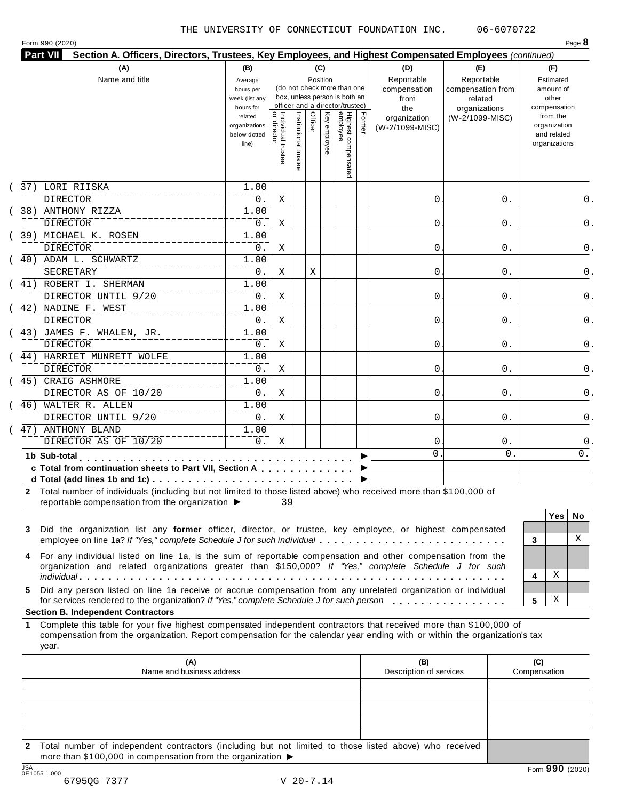|    | Section A. Officers, Directors, Trustees, Key Employees, and Highest Compensated Employees (continued)<br>(A)                                                                                                                                    | (B)                                    |                                           |                       |         | (C)          |                                                                  |        | (D)                             | (E)                             | (F)                                          |
|----|--------------------------------------------------------------------------------------------------------------------------------------------------------------------------------------------------------------------------------------------------|----------------------------------------|-------------------------------------------|-----------------------|---------|--------------|------------------------------------------------------------------|--------|---------------------------------|---------------------------------|----------------------------------------------|
|    | Name and title                                                                                                                                                                                                                                   | Average<br>hours per                   |                                           |                       |         | Position     | (do not check more than one                                      |        | Reportable<br>compensation      | Reportable<br>compensation from | Estimated<br>amount of                       |
|    |                                                                                                                                                                                                                                                  | week (list any<br>hours for<br>related |                                           |                       |         |              | box, unless person is both an<br>officer and a director/trustee) |        | from<br>the                     | related<br>organizations        | other<br>compensation<br>from the            |
|    |                                                                                                                                                                                                                                                  | organizations<br>below dotted<br>line) | <br>  Individual trustee<br>  or director | Institutional trustee | Officer | Key employee | Highest compensated<br>employee                                  | Former | organization<br>(W-2/1099-MISC) | (W-2/1099-MISC)                 | organization<br>and related<br>organizations |
|    | 37) LORI RIISKA                                                                                                                                                                                                                                  | 1.00                                   |                                           |                       |         |              |                                                                  |        |                                 |                                 |                                              |
|    | <b>DIRECTOR</b>                                                                                                                                                                                                                                  | 0.                                     | Χ                                         |                       |         |              |                                                                  |        | 0                               | 0.                              |                                              |
|    | 38) ANTHONY RIZZA                                                                                                                                                                                                                                | 1.00                                   |                                           |                       |         |              |                                                                  |        |                                 |                                 |                                              |
|    | <b>DIRECTOR</b>                                                                                                                                                                                                                                  | 0.                                     | Χ                                         |                       |         |              |                                                                  |        | 0                               | 0.                              |                                              |
|    | 39) MICHAEL K. ROSEN                                                                                                                                                                                                                             | 1.00                                   |                                           |                       |         |              |                                                                  |        |                                 |                                 |                                              |
|    | <b>DIRECTOR</b><br>40) ADAM L. SCHWARTZ                                                                                                                                                                                                          | 0.                                     | Χ                                         |                       |         |              |                                                                  |        | 0                               | 0.                              |                                              |
|    |                                                                                                                                                                                                                                                  | 1.00                                   |                                           |                       |         |              |                                                                  |        |                                 |                                 |                                              |
|    | SECRETARY                                                                                                                                                                                                                                        | 0.                                     | Χ                                         |                       | Х       |              |                                                                  |        | 0                               | 0.                              |                                              |
|    | 41) ROBERT I. SHERMAN<br>DIRECTOR UNTIL 9/20                                                                                                                                                                                                     | 1.00                                   |                                           |                       |         |              |                                                                  |        |                                 |                                 |                                              |
|    |                                                                                                                                                                                                                                                  | 0.                                     | Χ                                         |                       |         |              |                                                                  |        | 0                               | 0.                              |                                              |
|    | 42) NADINE F. WEST                                                                                                                                                                                                                               | 1.00                                   |                                           |                       |         |              |                                                                  |        |                                 |                                 |                                              |
|    | <b>DIRECTOR</b><br>(43) JAMES F. WHALEN, JR.                                                                                                                                                                                                     | 0.<br>1.00                             | Χ                                         |                       |         |              |                                                                  |        | 0                               | 0.                              |                                              |
|    | <b>DIRECTOR</b>                                                                                                                                                                                                                                  |                                        |                                           |                       |         |              |                                                                  |        |                                 |                                 |                                              |
|    |                                                                                                                                                                                                                                                  | 0.                                     | Χ                                         |                       |         |              |                                                                  |        | 0                               | 0.                              |                                              |
|    | 44) HARRIET MUNRETT WOLFE                                                                                                                                                                                                                        | 1.00                                   |                                           |                       |         |              |                                                                  |        |                                 |                                 |                                              |
|    | DIRECTOR                                                                                                                                                                                                                                         | 0.                                     | Χ                                         |                       |         |              |                                                                  |        | 0                               | 0.                              |                                              |
|    | 45) CRAIG ASHMORE                                                                                                                                                                                                                                | 1.00                                   |                                           |                       |         |              |                                                                  |        |                                 |                                 |                                              |
|    | DIRECTOR AS OF 10/20                                                                                                                                                                                                                             | 0.                                     | Χ                                         |                       |         |              |                                                                  |        | 0                               | 0.                              |                                              |
|    | 46) WALTER R. ALLEN                                                                                                                                                                                                                              | 1.00                                   |                                           |                       |         |              |                                                                  |        |                                 |                                 |                                              |
|    | DIRECTOR UNTIL 9/20<br>47) ANTHONY BLAND                                                                                                                                                                                                         | $0$ .                                  | Χ                                         |                       |         |              |                                                                  |        | 0                               | 0.                              |                                              |
|    |                                                                                                                                                                                                                                                  | 1.00                                   |                                           |                       |         |              |                                                                  |        |                                 |                                 |                                              |
|    | DIRECTOR AS OF 10/20                                                                                                                                                                                                                             | $0$ .                                  | Χ                                         |                       |         |              |                                                                  |        | 0<br>$\mathbf 0$                | $0$ .<br>$\mathbf{0}$           | 0.                                           |
|    | 1b Sub-total<br>c Total from continuation sheets to Part VII, Section A<br>2 Total number of individuals (including but not limited to those listed above) who received more than \$100,000 of                                                   |                                        |                                           |                       |         |              |                                                                  |        |                                 |                                 |                                              |
|    | reportable compensation from the organization ▶                                                                                                                                                                                                  |                                        | 39                                        |                       |         |              |                                                                  |        |                                 |                                 | <b>Yes</b><br>No.                            |
| 3  | Did the organization list any former officer, director, or trustee, key employee, or highest compensated<br>employee on line 1a? If "Yes," complete Schedule J for such individual                                                               |                                        |                                           |                       |         |              |                                                                  |        |                                 |                                 | X<br>3                                       |
| 4  | For any individual listed on line 1a, is the sum of reportable compensation and other compensation from the<br>organization and related organizations greater than \$150,000? If "Yes," complete Schedule J for such                             |                                        |                                           |                       |         |              |                                                                  |        |                                 |                                 | х<br>4                                       |
| 5. | Did any person listed on line 1a receive or accrue compensation from any unrelated organization or individual                                                                                                                                    |                                        |                                           |                       |         |              |                                                                  |        |                                 |                                 |                                              |
|    | for services rendered to the organization? If "Yes," complete Schedule J for such person<br><b>Section B. Independent Contractors</b>                                                                                                            |                                        |                                           |                       |         |              |                                                                  |        |                                 |                                 | х<br>5                                       |
|    | Complete this table for your five highest compensated independent contractors that received more than \$100,000 of<br>compensation from the organization. Report compensation for the calendar year ending with or within the organization's tax |                                        |                                           |                       |         |              |                                                                  |        |                                 |                                 |                                              |
|    | year.                                                                                                                                                                                                                                            |                                        |                                           |                       |         |              |                                                                  |        |                                 |                                 |                                              |
|    | (A)                                                                                                                                                                                                                                              |                                        |                                           |                       |         |              |                                                                  |        | (B)                             |                                 | (C)                                          |
|    | Name and business address                                                                                                                                                                                                                        |                                        |                                           |                       |         |              |                                                                  |        | Description of services         |                                 | Compensation                                 |

**2** Total number of independent contractors (including but not limited to those listed above) who received more than \$100,000 in compensation from the organization  $\blacktriangleright$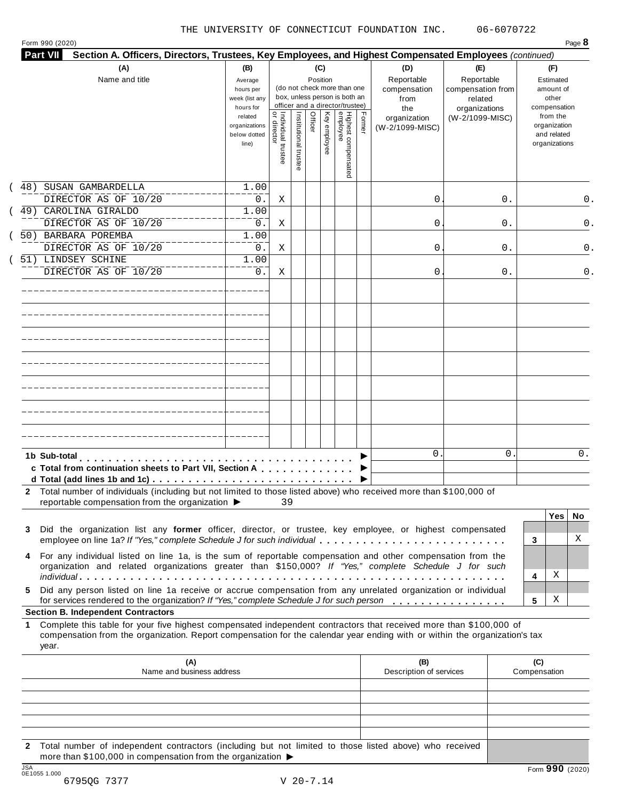Form <sup>990</sup> (2020) Page **8**

| Section A. Officers, Directors, Trustees, Key Employees, and Highest Compensated Employees (continued)<br>Part VII                                                                                                                                                                                           |                                                                                                                 |                                   |                    |         |                                 |                                                                                                                                    |        |                                                                                     |                                                                                       |    |                     |                                                                                                                    |       |  |
|--------------------------------------------------------------------------------------------------------------------------------------------------------------------------------------------------------------------------------------------------------------------------------------------------------------|-----------------------------------------------------------------------------------------------------------------|-----------------------------------|--------------------|---------|---------------------------------|------------------------------------------------------------------------------------------------------------------------------------|--------|-------------------------------------------------------------------------------------|---------------------------------------------------------------------------------------|----|---------------------|--------------------------------------------------------------------------------------------------------------------|-------|--|
| (A)<br>Name and title                                                                                                                                                                                                                                                                                        | (B)<br>Average<br>hours per<br>week (list any<br>hours for<br>related<br>organizations<br>below dotted<br>line) | Individual trustee<br>or director | Institutional trus | Officer | (C)<br>Position<br>Key employee | (do not check more than one<br>box, unless person is both an<br>officer and a director/trustee)<br>Highest compensated<br>employee | Former | (D)<br>Reportable<br>compensation<br>from<br>the<br>organization<br>(W-2/1099-MISC) | (E)<br>Reportable<br>compensation from<br>related<br>organizations<br>(W-2/1099-MISC) |    |                     | (F)<br>Estimated<br>amount of<br>other<br>compensation<br>from the<br>organization<br>and related<br>organizations |       |  |
|                                                                                                                                                                                                                                                                                                              |                                                                                                                 |                                   |                    |         |                                 |                                                                                                                                    |        |                                                                                     |                                                                                       |    |                     |                                                                                                                    |       |  |
| 48)<br>SUSAN GAMBARDELLA<br>DIRECTOR AS OF 10/20                                                                                                                                                                                                                                                             | 1.00<br>0.                                                                                                      | Χ                                 |                    |         |                                 |                                                                                                                                    |        | 0                                                                                   |                                                                                       | 0. |                     |                                                                                                                    | $0$ . |  |
| 49)<br>CAROLINA GIRALDO                                                                                                                                                                                                                                                                                      | 1.00                                                                                                            |                                   |                    |         |                                 |                                                                                                                                    |        |                                                                                     |                                                                                       |    |                     |                                                                                                                    |       |  |
| DIRECTOR AS OF 10/20                                                                                                                                                                                                                                                                                         | 0.                                                                                                              | Χ                                 |                    |         |                                 |                                                                                                                                    |        | 0                                                                                   |                                                                                       | 0. |                     |                                                                                                                    | 0.    |  |
| 50) BARBARA POREMBA                                                                                                                                                                                                                                                                                          | 1.00                                                                                                            |                                   |                    |         |                                 |                                                                                                                                    |        |                                                                                     |                                                                                       |    |                     |                                                                                                                    |       |  |
| DIRECTOR AS OF 10/20                                                                                                                                                                                                                                                                                         | 0.                                                                                                              | Χ                                 |                    |         |                                 |                                                                                                                                    |        | 0                                                                                   |                                                                                       | 0. |                     |                                                                                                                    | 0.    |  |
| 51) LINDSEY SCHINE<br>DIRECTOR AS OF 10/20                                                                                                                                                                                                                                                                   | 1.00<br>$0$ .                                                                                                   | Χ                                 |                    |         |                                 |                                                                                                                                    |        | 0                                                                                   |                                                                                       | 0. |                     |                                                                                                                    | $0$ . |  |
|                                                                                                                                                                                                                                                                                                              |                                                                                                                 |                                   |                    |         |                                 |                                                                                                                                    |        |                                                                                     |                                                                                       |    |                     |                                                                                                                    |       |  |
|                                                                                                                                                                                                                                                                                                              |                                                                                                                 |                                   |                    |         |                                 |                                                                                                                                    |        |                                                                                     |                                                                                       |    |                     |                                                                                                                    |       |  |
|                                                                                                                                                                                                                                                                                                              |                                                                                                                 |                                   |                    |         |                                 |                                                                                                                                    |        |                                                                                     |                                                                                       |    |                     |                                                                                                                    |       |  |
|                                                                                                                                                                                                                                                                                                              |                                                                                                                 |                                   |                    |         |                                 |                                                                                                                                    |        |                                                                                     |                                                                                       |    |                     |                                                                                                                    |       |  |
|                                                                                                                                                                                                                                                                                                              |                                                                                                                 |                                   |                    |         |                                 |                                                                                                                                    |        |                                                                                     |                                                                                       |    |                     |                                                                                                                    |       |  |
|                                                                                                                                                                                                                                                                                                              |                                                                                                                 |                                   |                    |         |                                 |                                                                                                                                    |        |                                                                                     |                                                                                       |    |                     |                                                                                                                    |       |  |
|                                                                                                                                                                                                                                                                                                              |                                                                                                                 |                                   |                    |         |                                 |                                                                                                                                    |        |                                                                                     |                                                                                       |    |                     |                                                                                                                    |       |  |
| 1b Sub-total<br>c Total from continuation sheets to Part VII, Section A                                                                                                                                                                                                                                      |                                                                                                                 |                                   |                    |         |                                 |                                                                                                                                    |        | 0.                                                                                  |                                                                                       | 0. |                     |                                                                                                                    | $0$ . |  |
| 2 Total number of individuals (including but not limited to those listed above) who received more than \$100,000 of<br>reportable compensation from the organization ▶ 39                                                                                                                                    |                                                                                                                 |                                   |                    |         |                                 |                                                                                                                                    |        |                                                                                     |                                                                                       |    |                     |                                                                                                                    |       |  |
|                                                                                                                                                                                                                                                                                                              |                                                                                                                 |                                   |                    |         |                                 |                                                                                                                                    |        |                                                                                     |                                                                                       |    |                     | $Yes \mid$                                                                                                         | No    |  |
| Did the organization list any former officer, director, or trustee, key employee, or highest compensated<br>3                                                                                                                                                                                                |                                                                                                                 |                                   |                    |         |                                 |                                                                                                                                    |        |                                                                                     |                                                                                       |    | 3                   |                                                                                                                    | Χ     |  |
| For any individual listed on line 1a, is the sum of reportable compensation and other compensation from the                                                                                                                                                                                                  |                                                                                                                 |                                   |                    |         |                                 |                                                                                                                                    |        |                                                                                     |                                                                                       |    |                     |                                                                                                                    |       |  |
| organization and related organizations greater than \$150,000? If "Yes," complete Schedule J for such                                                                                                                                                                                                        |                                                                                                                 |                                   |                    |         |                                 |                                                                                                                                    |        |                                                                                     |                                                                                       |    |                     |                                                                                                                    |       |  |
|                                                                                                                                                                                                                                                                                                              |                                                                                                                 |                                   |                    |         |                                 |                                                                                                                                    |        |                                                                                     |                                                                                       |    | 4                   | Χ                                                                                                                  |       |  |
| Did any person listed on line 1a receive or accrue compensation from any unrelated organization or individual<br>5.<br>for services rendered to the organization? If "Yes," complete Schedule J for such person                                                                                              |                                                                                                                 |                                   |                    |         |                                 |                                                                                                                                    |        |                                                                                     |                                                                                       |    | 5                   | Χ                                                                                                                  |       |  |
| <b>Section B. Independent Contractors</b><br>Complete this table for your five highest compensated independent contractors that received more than \$100,000 of<br>1.<br>compensation from the organization. Report compensation for the calendar year ending with or within the organization's tax<br>year. |                                                                                                                 |                                   |                    |         |                                 |                                                                                                                                    |        |                                                                                     |                                                                                       |    |                     |                                                                                                                    |       |  |
| (A)<br>Name and business address                                                                                                                                                                                                                                                                             |                                                                                                                 |                                   |                    |         |                                 |                                                                                                                                    |        | (B)<br>Description of services                                                      |                                                                                       |    | (C)<br>Compensation |                                                                                                                    |       |  |
|                                                                                                                                                                                                                                                                                                              |                                                                                                                 |                                   |                    |         |                                 |                                                                                                                                    |        |                                                                                     |                                                                                       |    |                     |                                                                                                                    |       |  |
|                                                                                                                                                                                                                                                                                                              |                                                                                                                 |                                   |                    |         |                                 |                                                                                                                                    |        |                                                                                     |                                                                                       |    |                     |                                                                                                                    |       |  |
|                                                                                                                                                                                                                                                                                                              |                                                                                                                 |                                   |                    |         |                                 |                                                                                                                                    |        |                                                                                     |                                                                                       |    |                     |                                                                                                                    |       |  |
|                                                                                                                                                                                                                                                                                                              |                                                                                                                 |                                   |                    |         |                                 |                                                                                                                                    |        |                                                                                     |                                                                                       |    |                     |                                                                                                                    |       |  |

**2** Total number of independent contractors (including but not limited to those listed above) who received more than \$100,000 in compensation from the organization  $\blacktriangleright$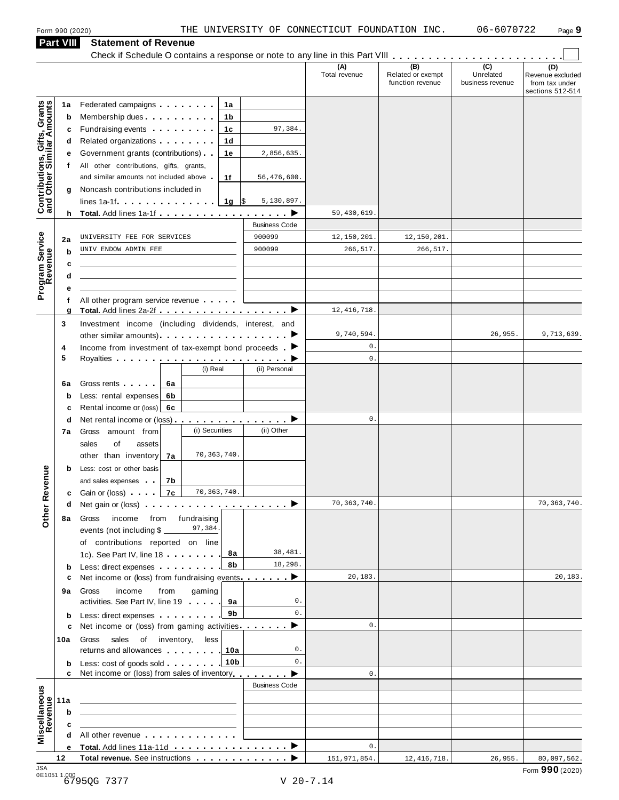### **Part VIII Statement of Revenue**

|                                                           | <b>Part VIII</b> | Statement of Revenue                                                                                                                                                                                                                      |                      |                      |                                              |                                      |                                                               |
|-----------------------------------------------------------|------------------|-------------------------------------------------------------------------------------------------------------------------------------------------------------------------------------------------------------------------------------------|----------------------|----------------------|----------------------------------------------|--------------------------------------|---------------------------------------------------------------|
|                                                           |                  |                                                                                                                                                                                                                                           |                      | (A)<br>Total revenue | (B)<br>Related or exempt<br>function revenue | (C)<br>Unrelated<br>business revenue | (D)<br>Revenue excluded<br>from tax under<br>sections 512-514 |
|                                                           | 1a               | Federated campaigns <b>Federated</b><br>1а                                                                                                                                                                                                |                      |                      |                                              |                                      |                                                               |
| Contributions, Gifts, Grants<br>and Other Similar Amounts | b                | Membership dues <b>All Accords</b> Membership dues<br>1b                                                                                                                                                                                  |                      |                      |                                              |                                      |                                                               |
|                                                           | c                | Fundraising events <b>Exercises</b><br>1c                                                                                                                                                                                                 | 97,384.              |                      |                                              |                                      |                                                               |
|                                                           | a                | Related organizations <b>contains</b> and the set of the set of the set of the set of the set of the set of the set of the set of the set of the set of the set of the set of the set of the set of the set of the set of the set o<br>1d |                      |                      |                                              |                                      |                                                               |
|                                                           | е                | Government grants (contributions)<br>1е                                                                                                                                                                                                   | 2,856,635.           |                      |                                              |                                      |                                                               |
|                                                           | t.               | All other contributions, gifts, grants,                                                                                                                                                                                                   |                      |                      |                                              |                                      |                                                               |
|                                                           |                  | and similar amounts not included above<br>1f                                                                                                                                                                                              | 56,476,600.          |                      |                                              |                                      |                                                               |
|                                                           | g                | Noncash contributions included in                                                                                                                                                                                                         |                      |                      |                                              |                                      |                                                               |
|                                                           |                  | $1g$ \$<br>lines $1a-1f$ $\ldots$ $\ldots$ $\ldots$ $\ldots$                                                                                                                                                                              | 5,130,897.           |                      |                                              |                                      |                                                               |
|                                                           |                  | h Total. Add lines 1a-1f $\ldots$ , $\ldots$ , $\ldots$ , $\blacktriangleright$                                                                                                                                                           |                      | 59,430,619           |                                              |                                      |                                                               |
|                                                           |                  |                                                                                                                                                                                                                                           | <b>Business Code</b> |                      |                                              |                                      |                                                               |
|                                                           | 2a               | UNIVERSITY FEE FOR SERVICES                                                                                                                                                                                                               | 900099               | 12,150,201.          | 12,150,201.                                  |                                      |                                                               |
| Program Service<br>Revenue                                | b                | UNIV ENDOW ADMIN FEE                                                                                                                                                                                                                      | 900099               | 266,517.             | 266,517.                                     |                                      |                                                               |
|                                                           | c                |                                                                                                                                                                                                                                           |                      |                      |                                              |                                      |                                                               |
|                                                           | d                |                                                                                                                                                                                                                                           |                      |                      |                                              |                                      |                                                               |
|                                                           |                  |                                                                                                                                                                                                                                           |                      |                      |                                              |                                      |                                                               |
|                                                           | f                | All other program service revenue                                                                                                                                                                                                         |                      |                      |                                              |                                      |                                                               |
|                                                           | g                | Total. Add lines 2a-2f ▶                                                                                                                                                                                                                  |                      | 12, 416, 718.        |                                              |                                      |                                                               |
|                                                           | 3                | Investment income (including dividends, interest, and                                                                                                                                                                                     |                      |                      |                                              |                                      |                                                               |
|                                                           |                  |                                                                                                                                                                                                                                           |                      | 9,740,594.           |                                              | 26,955.                              | 9,713,639.                                                    |
|                                                           | 4                | Income from investment of tax-exempt bond proceeds $\blacksquare$                                                                                                                                                                         |                      | $0$ .                |                                              |                                      |                                                               |
|                                                           | 5                |                                                                                                                                                                                                                                           |                      | $0$ .                |                                              |                                      |                                                               |
|                                                           |                  | (i) Real                                                                                                                                                                                                                                  | (ii) Personal        |                      |                                              |                                      |                                                               |
|                                                           | 6a               | Gross rents <b>Contains and Street Street</b> Section<br>6a                                                                                                                                                                               |                      |                      |                                              |                                      |                                                               |
|                                                           | b                | Less: rental expenses<br>6b                                                                                                                                                                                                               |                      |                      |                                              |                                      |                                                               |
|                                                           | c                | Rental income or (loss)<br>6c                                                                                                                                                                                                             |                      |                      |                                              |                                      |                                                               |
|                                                           | d                | Net rental income or (loss) $\cdots$ $\cdots$ $\cdots$ $\cdots$                                                                                                                                                                           |                      | $0$ .                |                                              |                                      |                                                               |
|                                                           | 7а               | (i) Securities<br>Gross amount from                                                                                                                                                                                                       | (ii) Other           |                      |                                              |                                      |                                                               |
|                                                           |                  | sales<br>of<br>assets                                                                                                                                                                                                                     |                      |                      |                                              |                                      |                                                               |
|                                                           |                  | 70, 363, 740.<br>other than inventory<br>7a                                                                                                                                                                                               |                      |                      |                                              |                                      |                                                               |
|                                                           | b                | Less: cost or other basis                                                                                                                                                                                                                 |                      |                      |                                              |                                      |                                                               |
| evenue                                                    |                  | and sales expenses<br>7b                                                                                                                                                                                                                  |                      |                      |                                              |                                      |                                                               |
|                                                           |                  | 70, 363, 740.<br>7c<br><b>c</b> Gain or (loss) <b>c</b>                                                                                                                                                                                   |                      |                      |                                              |                                      |                                                               |
| Other <sub>R</sub>                                        | d                |                                                                                                                                                                                                                                           |                      | 70,363,740.          |                                              |                                      | 70, 363, 740.                                                 |
|                                                           | 8а               | income from fundraising<br>Gross                                                                                                                                                                                                          |                      |                      |                                              |                                      |                                                               |
|                                                           |                  | 97,384.<br>events (not including \$                                                                                                                                                                                                       |                      |                      |                                              |                                      |                                                               |
|                                                           |                  | of contributions reported on line                                                                                                                                                                                                         |                      |                      |                                              |                                      |                                                               |
|                                                           |                  | 8a<br>1c). See Part IV, line 18                                                                                                                                                                                                           | 38,481.              |                      |                                              |                                      |                                                               |
|                                                           | b                | 8b<br>Less: direct expenses                                                                                                                                                                                                               | 18,298.              |                      |                                              |                                      |                                                               |
|                                                           | с                | Net income or (loss) from fundraising events $\ldots$                                                                                                                                                                                     |                      | 20,183.              |                                              |                                      | 20,183.                                                       |
|                                                           | 9а               | gaming<br>income<br>from<br>Gross                                                                                                                                                                                                         |                      |                      |                                              |                                      |                                                               |
|                                                           |                  | activities. See Part IV, line 19 9a                                                                                                                                                                                                       | 0.                   |                      |                                              |                                      |                                                               |
|                                                           | b                | 9b<br>Less: direct expenses                                                                                                                                                                                                               | $0$ .                |                      |                                              |                                      |                                                               |
|                                                           | c                | Net income or (loss) from gaming activities                                                                                                                                                                                               | ▸                    | $0$ .                |                                              |                                      |                                                               |
|                                                           | 10a              | less<br>Gross sales of inventory,                                                                                                                                                                                                         |                      |                      |                                              |                                      |                                                               |
|                                                           |                  | returns and allowances 10a                                                                                                                                                                                                                | 0.                   |                      |                                              |                                      |                                                               |
|                                                           | b                | Less: cost of goods sold 10b                                                                                                                                                                                                              | $\mathbf{0}$ .       |                      |                                              |                                      |                                                               |
|                                                           | c                | Net income or (loss) from sales of inventory                                                                                                                                                                                              |                      | $\mathbf{0}$ .       |                                              |                                      |                                                               |
|                                                           |                  |                                                                                                                                                                                                                                           | <b>Business Code</b> |                      |                                              |                                      |                                                               |
|                                                           | 11a              | the control of the control of the control of the control of the control of                                                                                                                                                                |                      |                      |                                              |                                      |                                                               |
|                                                           | b                | <u> 1989 - Johann Barn, mars ann an t-Amhain ann an t-Amhain an t-Amhain an t-Amhain an t-Amhain an t-Amhain an t-</u>                                                                                                                    |                      |                      |                                              |                                      |                                                               |
|                                                           |                  | <u> 1989 - Johann Barn, mars ann an t-Amhain ann an t-Amhain an t-Amhain an t-Amhain an t-Amhain an t-Amhain an t-</u>                                                                                                                    |                      |                      |                                              |                                      |                                                               |
| Miscellaneous<br>Revenue                                  | c                | All other revenue                                                                                                                                                                                                                         |                      |                      |                                              |                                      |                                                               |
|                                                           | е                |                                                                                                                                                                                                                                           |                      | $0$ .                |                                              |                                      |                                                               |
|                                                           | 12               |                                                                                                                                                                                                                                           |                      | 151,971,854.         | 12, 416, 718.                                | 26,955.                              | 80,097,562.                                                   |
| 10A                                                       |                  |                                                                                                                                                                                                                                           |                      |                      |                                              |                                      |                                                               |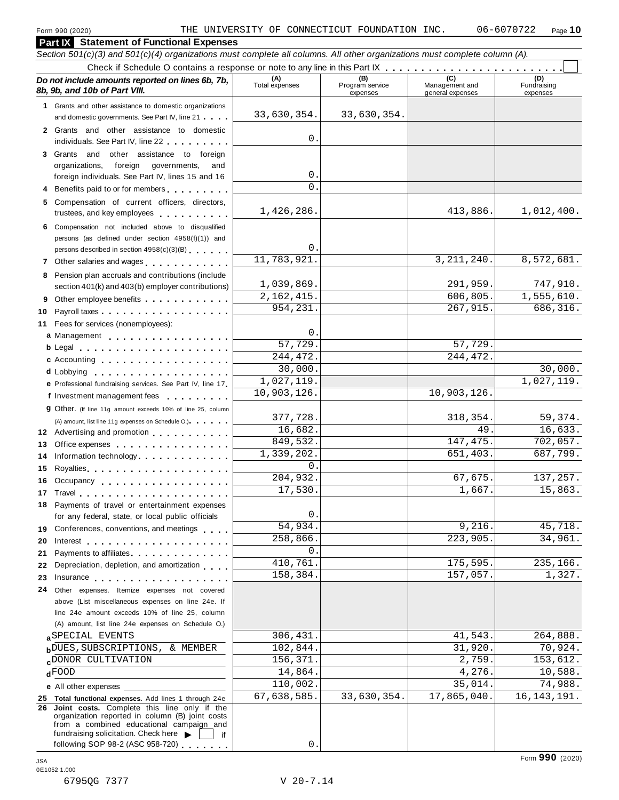#### **Part IX Statement of Functional Expenses** Section 501(c)(3) and 501(c)(4) organizations must complete all columns. All other organizations must complete column (A). Check if Schedule O contains a response or note to any line in this Part  $\begin{array}{c|c|c|c|c} \hline \text{Check if Schedule O contains a response or note to any line in this Part } \mathbb{X} & \text{if } \mathbb{X} & \text{if } \mathbb{X} & \text{if } \mathbb{X} & \text{if } \mathbb{X} & \text{if } \mathbb{X} & \text{if } \mathbb{X} & \text{if } \mathbb{X} & \text{if } \mathbb{X} & \text{if } \math$ *Do no* **(A) (B) (C) (D)** *t include amounts reported on lines 6b, 7b,* **8b, 9b, and 10b of Part VIII.** The construction of **8b, 9b, and 10b of Part VIII.** expenses Management and general expenses Fundraising expenses **1** Grants and other assistance to domestic organizations and domestic governments. See Part IV, line 21 m m m **2** Grants and other assistance to domestic individuals. See Part IV, line 22 **3** Grants and other assistance to foreign organizations, foreign governments, and foreign individuals. See Part IV, lines 15 and 16 **4** Benefits paid to or for members **5** Compensation of current officers, directors, trustees, and key employees m m m m m m m m m m **6** Compensation not included above to disqualified persons (as defined under section 4958(f)(1)) and persons described in section 4958(c)(3)(B) <sup>m</sup> <sup>m</sup> <sup>m</sup> <sup>m</sup> <sup>m</sup> <sup>m</sup> **<sup>7</sup>** Other salaries and wages <sup>m</sup> <sup>m</sup> <sup>m</sup> <sup>m</sup> <sup>m</sup> <sup>m</sup> <sup>m</sup> <sup>m</sup> <sup>m</sup> <sup>m</sup> <sup>m</sup> <sup>m</sup> **8** Pension plan accruals and contributions (include section 401(k) and 403(b) employer contributions) **9** Section 401(k) and 403(b) employer contributions<br>9 Other employee benefits 9 Other employee benefits **10** Payroll taxes **10** Fees for services (nonemployees): **11** A) amount, list line 11g expenses on Schedule O.)<br>**12** Advertising and promotion **manual 13** Office expenses **13** Office expenses<br>**14** Information technology............. **15 16** Occupancy m m m m m m m m m m m m m m m m m m **16** Occupancy ...................<br>17 Travel..................... **18** Payments of travel or entertainment expenses for any federal, state, or local public officials<br>**19** Conferences, conventions, and meetings **19** Conferences, conventions, and meetings **endorship.**<br>20 Interest **manual meeting 21** 21 Payments to affiliates<br>22 Depreciation, depletion, and amortization <sub>1</sub> . . . **22** Depreciation, depletion, and amortization **manufation**<br>23 Insurance 24 Other expenses. Itemize expenses not covered | Fees for services (nonemployees):<br>**a** Management ..................<br>**b** Legal ......................... **cd** Lobbying m m m m m m m m m m m m m m m m m m m **e** Professional fundraising services. See Part IV, line <sup>17</sup> m **P** Professional fundraising services. See Part IV, line 17<br>**f** Investment management fees **g** Other. (If line 11g amount exceeds 10% of line 25, column Legal m m m m m m m m m m m m m m m m m m m m m Accounting m m m m m m m m m m m m m m m m m m (A) amount, list line 11g expenses on Schedule O.) measurement m m m m m m m m m m m m m m m m Royalties m m m m m m m m m m m m m m m m m m m m for any federal, state, or local public officials Payments to affiliates m m m m m m m m m m m m m m above (List miscellaneous expenses on line 24e. If line 24e amount exceeds 10% of line 25, column (A) amount, list line 24e expenses on Schedule O.) **a** SPECIAL EVENTS<br> **b** DUES, SUBSCRIPTIONS, & MEMBER 102,844. 31,920. 70,924.  $d$   $\overline{FOOD}$ **e** All other expenses **25 Total functional expenses.** Add lines 1 through 24e **26 Joint costs.** Complete this line only if the organization reported in column (B) joint costs from a combined educational campaign and from a combined educational campaign and<br>fundraising solicitation. Check here  $\blacktriangleright$  if<br>following SOP 98-2 (ASC 958-720) 33,630,354. 33,630,354. 0. 0.  $\Omega$ 1,426,286. 1,012,400. 0. 11,783,921. 3,211,240. 8,572,681. 1,039,869. 291,959. 747,910. 2,162,415. 954,231. 267,915. 686,316.  $\Omega$ 57,729. 57,729. 244,472. 244,472. 30,000. 30,000. 1,027,119. 1,027,119. 10,903,126. 10,903,126 377,728. 318,354. 59,374. 16,682. 16.633. 849,532. 147,475. 702,057. 1,339,202. 651,403. 687,799. 0. 204,932. 67,675. 137,257. 17,530. 1,667. 15,863. 0. 54,934. 9,216. 45,718. 258,866. 223,905. 34,961.  $\mathsf{O}$  . 175,595. 235,166. 158,384. 157,057. 1,327. a SPECIAL EVENTS 306,431. 41,543. 264,888.  $\text{p}$ DONOR CULTIVATION 156,371. 2,759. 153,612. FOOD  $14,864.$   $14,864.$   $4,276.$   $10,588.$ 110,002. 35,014. 74,988. 67,638,585. 33,630,354. 17,865,040. 16,143,191.

0.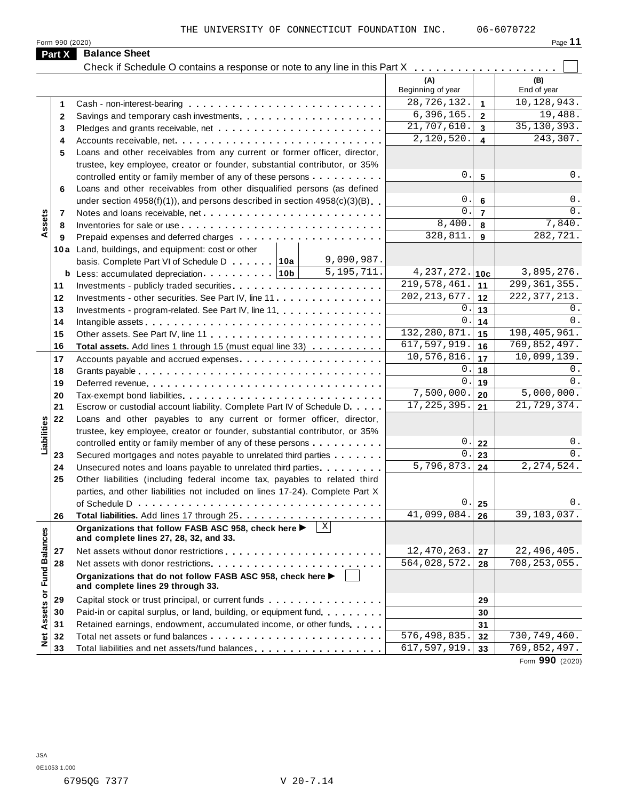Form <sup>990</sup> (2020) Page **11**

| Pane |  |
|------|--|
|      |  |

|                      | Part X | <b>Balance Sheet</b><br>Check if Schedule O contains a response or note to any line in this Part X             | .                            |                         |                          |
|----------------------|--------|----------------------------------------------------------------------------------------------------------------|------------------------------|-------------------------|--------------------------|
|                      |        |                                                                                                                | (A)<br>Beginning of year     |                         | (B)<br>End of year       |
|                      | 1      |                                                                                                                | 28,726,132.                  | $\mathbf{1}$            | 10,128,943.              |
|                      | 2      |                                                                                                                | 6, 396, 165.                 | $\overline{2}$          | 19,488.                  |
|                      | 3      |                                                                                                                | 21,707,610.                  | $\overline{3}$          | 35, 130, 393.            |
|                      | 4      |                                                                                                                | 2,120,520.                   | $\overline{\mathbf{4}}$ | 243,307.                 |
|                      | 5      | Loans and other receivables from any current or former officer, director,                                      |                              |                         |                          |
|                      |        | trustee, key employee, creator or founder, substantial contributor, or 35%                                     |                              |                         |                          |
|                      |        | controlled entity or family member of any of these persons                                                     | 0.                           | $5\phantom{1}$          | 0.                       |
|                      | 6      | Loans and other receivables from other disqualified persons (as defined                                        |                              |                         |                          |
|                      |        | under section $4958(f)(1)$ , and persons described in section $4958(c)(3)(B)$                                  | 0.                           | $6\phantom{1}$          | $0$ .                    |
|                      | 7      | Notes and loans receivable, net                                                                                | 0.                           | $\overline{7}$          | 0.                       |
| Assets               | 8      |                                                                                                                | 8,400.                       | 8                       | 7,840.                   |
|                      | 9      |                                                                                                                | 328,811                      | 9                       | 282,721.                 |
|                      |        | 10a Land, buildings, and equipment: cost or other                                                              |                              |                         |                          |
|                      |        | 9,090,987.<br>basis. Complete Part VI of Schedule D 10a                                                        |                              |                         |                          |
|                      |        | $\overline{5,195,711}$ .                                                                                       | $4,237,272.$ 10c             |                         | 3,895,276.               |
|                      | 11     |                                                                                                                | 219,578,461.                 | 11                      | 299, 361, 355.           |
|                      | 12     | Investments - other securities. See Part IV, line 11                                                           | $\overline{202}$ , 213, 677. | 12                      | 222, 377, 213.           |
|                      | 13     | Investments - program-related. See Part IV, line 11                                                            | 0.                           | 13                      | 0.                       |
|                      | 14     |                                                                                                                | 0.                           | 14                      | 0.                       |
|                      | 15     |                                                                                                                | 132, 280, 871.               | 15                      | 198, 405, 961.           |
|                      | 16     | Total assets. Add lines 1 through 15 (must equal line 33)                                                      | 617,597,919.                 | 16                      | 769,852,497.             |
|                      | 17     |                                                                                                                | 10,576,816.                  | 17                      | 10,099,139.              |
|                      | 18     |                                                                                                                | 0.                           | 18                      | 0.                       |
|                      | 19     |                                                                                                                | 0.                           | 19                      | 0.                       |
|                      | 20     |                                                                                                                | 7,500,000.                   | 20                      | 5,000,000.               |
|                      | 21     | Escrow or custodial account liability. Complete Part IV of Schedule D.                                         | 17, 225, 395.                | 21                      | 21,729,374.              |
|                      | 22     | Loans and other payables to any current or former officer, director,                                           |                              |                         |                          |
|                      |        | trustee, key employee, creator or founder, substantial contributor, or 35%                                     |                              |                         |                          |
| Liabilities          |        | controlled entity or family member of any of these persons                                                     | $0$ .                        | 22                      | $0$ .                    |
|                      | 23     | Secured mortgages and notes payable to unrelated third parties                                                 | 0.                           | 23                      | 0.                       |
|                      | 24     | Unsecured notes and loans payable to unrelated third parties.                                                  | 5,796,873.                   | 24                      | $\overline{2,274,524}$ . |
|                      | 25     | Other liabilities (including federal income tax, payables to related third                                     |                              |                         |                          |
|                      |        | parties, and other liabilities not included on lines 17-24). Complete Part X                                   |                              |                         |                          |
|                      |        |                                                                                                                | 0.                           | 25                      | $0$ .                    |
|                      | 26     |                                                                                                                | 41,099,084.                  | 26                      | 39,103,037.              |
| <b>Fund Balances</b> |        | $\mathbf{x}$<br>Organizations that follow FASB ASC 958, check here ▶<br>and complete lines 27, 28, 32, and 33. |                              |                         |                          |
|                      | 27     | Net assets without donor restrictions                                                                          | 12,470,263.                  | 27                      | 22,496,405.              |
|                      | 28     |                                                                                                                | 564,028,572.                 | 28                      | 708, 253, 055.           |
|                      |        | Organizations that do not follow FASB ASC 958, check here ▶<br>and complete lines 29 through 33.               |                              |                         |                          |
| Net Assets or        | 29     | Capital stock or trust principal, or current funds                                                             |                              | 29                      |                          |
|                      | 30     | Paid-in or capital surplus, or land, building, or equipment fund.                                              |                              | 30                      |                          |
|                      | 31     | Retained earnings, endowment, accumulated income, or other funds                                               |                              | 31                      |                          |
|                      | 32     |                                                                                                                | 576,498,835.                 | 32                      | 730,749,460.             |
|                      | 33     | Total liabilities and net assets/fund balances                                                                 | 617,597,919.                 | 33                      | 769,852,497.             |

Form **990** (2020)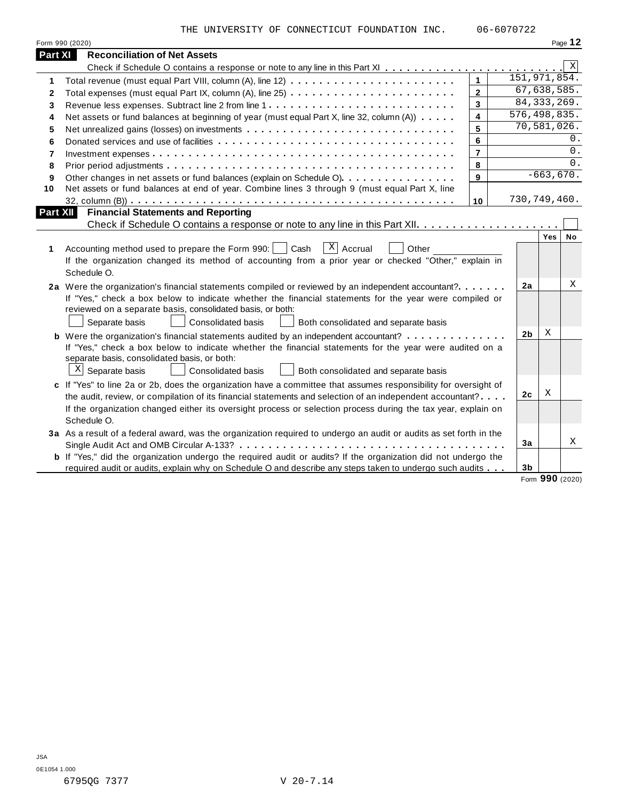THE UNIVERSITY OF CONNECTICUT FOUNDATION INC. 06-6070722

|                         | Form 990 (2020)                                                                                                                                                                                                                                                                                                                                                   |                         |                |                      | Page 12     |
|-------------------------|-------------------------------------------------------------------------------------------------------------------------------------------------------------------------------------------------------------------------------------------------------------------------------------------------------------------------------------------------------------------|-------------------------|----------------|----------------------|-------------|
| Part XI                 | <b>Reconciliation of Net Assets</b>                                                                                                                                                                                                                                                                                                                               |                         |                |                      |             |
|                         |                                                                                                                                                                                                                                                                                                                                                                   |                         |                |                      | $\mathbf X$ |
| 1                       |                                                                                                                                                                                                                                                                                                                                                                   | $\mathbf{1}$            |                | 151, 971, 854.       |             |
| 2                       |                                                                                                                                                                                                                                                                                                                                                                   | $\overline{2}$          |                | 67,638,585.          |             |
| 3                       |                                                                                                                                                                                                                                                                                                                                                                   | $\overline{3}$          |                | 84, 333, 269.        |             |
| 4                       | Net assets or fund balances at beginning of year (must equal Part X, line 32, column (A))                                                                                                                                                                                                                                                                         | $\overline{\mathbf{4}}$ |                | 576,498,835.         |             |
| 5                       |                                                                                                                                                                                                                                                                                                                                                                   | 5                       |                | 70,581,026.          |             |
| 6                       |                                                                                                                                                                                                                                                                                                                                                                   | 6                       |                |                      | 0.          |
| $\overline{\mathbf{r}}$ |                                                                                                                                                                                                                                                                                                                                                                   | $\overline{7}$          |                |                      | $0$ .       |
| 8                       |                                                                                                                                                                                                                                                                                                                                                                   | 8                       |                |                      | 0.          |
| 9                       | Other changes in net assets or fund balances (explain on Schedule O).                                                                                                                                                                                                                                                                                             | 9                       |                | $-663,670.$          |             |
| 10                      | Net assets or fund balances at end of year. Combine lines 3 through 9 (must equal Part X, line                                                                                                                                                                                                                                                                    |                         |                |                      |             |
|                         |                                                                                                                                                                                                                                                                                                                                                                   | 10                      |                | 730,749,460.         |             |
| Part XII                | <b>Financial Statements and Reporting</b>                                                                                                                                                                                                                                                                                                                         |                         |                |                      |             |
|                         |                                                                                                                                                                                                                                                                                                                                                                   |                         |                |                      |             |
| 1                       | $\sqrt{X}$ Accrual<br>Accounting method used to prepare the Form 990:     Cash<br>Other<br>If the organization changed its method of accounting from a prior year or checked "Other," explain in<br>Schedule O.                                                                                                                                                   |                         |                | Yes                  | <b>No</b>   |
|                         | 2a Were the organization's financial statements compiled or reviewed by an independent accountant?<br>If "Yes," check a box below to indicate whether the financial statements for the year were compiled or<br>reviewed on a separate basis, consolidated basis, or both:<br>Separate basis<br><b>Consolidated basis</b><br>Both consolidated and separate basis |                         | 2a             |                      | Χ           |
|                         | <b>b</b> Were the organization's financial statements audited by an independent accountant?<br>If "Yes," check a box below to indicate whether the financial statements for the year were audited on a<br>separate basis, consolidated basis, or both:<br>$\mathbb{X}$ Separate basis<br>Consolidated basis<br>Both consolidated and separate basis               |                         | 2 <sub>b</sub> | X                    |             |
|                         | c If "Yes" to line 2a or 2b, does the organization have a committee that assumes responsibility for oversight of<br>the audit, review, or compilation of its financial statements and selection of an independent accountant?                                                                                                                                     |                         | 2c             | X                    |             |
|                         | If the organization changed either its oversight process or selection process during the tax year, explain on<br>Schedule O.                                                                                                                                                                                                                                      |                         |                |                      |             |
|                         | 3a As a result of a federal award, was the organization required to undergo an audit or audits as set forth in the                                                                                                                                                                                                                                                |                         | 3a             |                      | Χ           |
|                         | b If "Yes," did the organization undergo the required audit or audits? If the organization did not undergo the<br>required audit or audits, explain why on Schedule O and describe any steps taken to undergo such audits                                                                                                                                         |                         | 3 <sub>b</sub> |                      |             |
|                         |                                                                                                                                                                                                                                                                                                                                                                   |                         | $\sim$         | $000 \text{ (0000)}$ |             |

Form **990** (2020)

 $\overline{\phantom{a}}$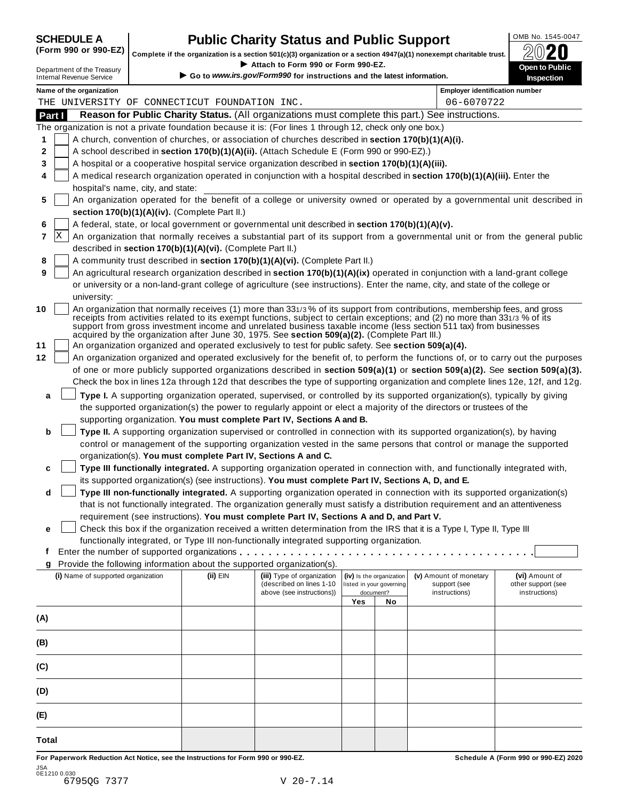| <b>SCHEDULE A</b> |  |                               |  |
|-------------------|--|-------------------------------|--|
|                   |  | $\sqrt{2}$ and and $\sqrt{2}$ |  |

## **CHEDULE A Public Charity Status and Public Support**  $\frac{100\text{dB No. }1545-0047}{000\text{dB No.}}$

(Form 990 or 990-EZ) complete if the organization is a section 501(c)(3) organization or a section 4947(a)(1) nonexempt charitable trust.  $2020$ 

|              |                                                               |                                                            |                                                                                                              |     |                                       | Complete if the organization is a section 501(c)(3) organization or a section 4947(a)(1) nonexempt charitable trust.                                                                                                                              | ZWŁU                                |
|--------------|---------------------------------------------------------------|------------------------------------------------------------|--------------------------------------------------------------------------------------------------------------|-----|---------------------------------------|---------------------------------------------------------------------------------------------------------------------------------------------------------------------------------------------------------------------------------------------------|-------------------------------------|
|              | Department of the Treasury<br><b>Internal Revenue Service</b> |                                                            | Attach to Form 990 or Form 990-EZ.<br>Go to www.irs.gov/Form990 for instructions and the latest information. |     |                                       |                                                                                                                                                                                                                                                   | Open to Public<br><b>Inspection</b> |
|              | Name of the organization                                      |                                                            |                                                                                                              |     |                                       | <b>Employer identification number</b>                                                                                                                                                                                                             |                                     |
|              |                                                               | THE UNIVERSITY OF CONNECTICUT FOUNDATION INC.              |                                                                                                              |     |                                       | 06-6070722                                                                                                                                                                                                                                        |                                     |
| Part I       |                                                               |                                                            |                                                                                                              |     |                                       | Reason for Public Charity Status. (All organizations must complete this part.) See instructions.                                                                                                                                                  |                                     |
|              |                                                               |                                                            | The organization is not a private foundation because it is: (For lines 1 through 12, check only one box.)    |     |                                       |                                                                                                                                                                                                                                                   |                                     |
| 1            |                                                               |                                                            | A church, convention of churches, or association of churches described in section 170(b)(1)(A)(i).           |     |                                       |                                                                                                                                                                                                                                                   |                                     |
| 2            |                                                               |                                                            | A school described in section 170(b)(1)(A)(ii). (Attach Schedule E (Form 990 or 990-EZ).)                    |     |                                       |                                                                                                                                                                                                                                                   |                                     |
| 3            |                                                               |                                                            | A hospital or a cooperative hospital service organization described in section 170(b)(1)(A)(iii).            |     |                                       |                                                                                                                                                                                                                                                   |                                     |
| 4            | hospital's name, city, and state:                             |                                                            |                                                                                                              |     |                                       | A medical research organization operated in conjunction with a hospital described in section 170(b)(1)(A)(iii). Enter the                                                                                                                         |                                     |
| 5            |                                                               |                                                            |                                                                                                              |     |                                       | An organization operated for the benefit of a college or university owned or operated by a governmental unit described in                                                                                                                         |                                     |
|              |                                                               | section 170(b)(1)(A)(iv). (Complete Part II.)              |                                                                                                              |     |                                       |                                                                                                                                                                                                                                                   |                                     |
| 6            |                                                               |                                                            | A federal, state, or local government or governmental unit described in section 170(b)(1)(A)(v).             |     |                                       |                                                                                                                                                                                                                                                   |                                     |
| 7            | X                                                             |                                                            |                                                                                                              |     |                                       | An organization that normally receives a substantial part of its support from a governmental unit or from the general public                                                                                                                      |                                     |
|              |                                                               | described in section 170(b)(1)(A)(vi). (Complete Part II.) |                                                                                                              |     |                                       |                                                                                                                                                                                                                                                   |                                     |
| 8            |                                                               |                                                            | A community trust described in section 170(b)(1)(A)(vi). (Complete Part II.)                                 |     |                                       |                                                                                                                                                                                                                                                   |                                     |
| 9            |                                                               |                                                            |                                                                                                              |     |                                       | An agricultural research organization described in section 170(b)(1)(A)(ix) operated in conjunction with a land-grant college                                                                                                                     |                                     |
|              | university:                                                   |                                                            |                                                                                                              |     |                                       | or university or a non-land-grant college of agriculture (see instructions). Enter the name, city, and state of the college or                                                                                                                    |                                     |
| 10           |                                                               |                                                            |                                                                                                              |     |                                       | An organization that normally receives (1) more than 331/3% of its support from contributions, membership fees, and gross                                                                                                                         |                                     |
|              |                                                               |                                                            | acquired by the organization after June 30, 1975. See section 509(a)(2). (Complete Part III.)                |     |                                       | receipts from activities related to its exempt functions, subject to certain exceptions; and (2) no more than 331/3 % of its<br>support from gross investment income and unrelated business taxable income (less section 511 tax) from businesses |                                     |
| 11           |                                                               |                                                            | An organization organized and operated exclusively to test for public safety. See section 509(a)(4).         |     |                                       |                                                                                                                                                                                                                                                   |                                     |
| 12           |                                                               |                                                            |                                                                                                              |     |                                       | An organization organized and operated exclusively for the benefit of, to perform the functions of, or to carry out the purposes                                                                                                                  |                                     |
|              |                                                               |                                                            |                                                                                                              |     |                                       | of one or more publicly supported organizations described in section 509(a)(1) or section 509(a)(2). See section 509(a)(3).                                                                                                                       |                                     |
|              |                                                               |                                                            |                                                                                                              |     |                                       | Check the box in lines 12a through 12d that describes the type of supporting organization and complete lines 12e, 12f, and 12g.                                                                                                                   |                                     |
| а            |                                                               |                                                            |                                                                                                              |     |                                       | Type I. A supporting organization operated, supervised, or controlled by its supported organization(s), typically by giving                                                                                                                       |                                     |
|              |                                                               |                                                            |                                                                                                              |     |                                       | the supported organization(s) the power to regularly appoint or elect a majority of the directors or trustees of the                                                                                                                              |                                     |
|              |                                                               |                                                            | supporting organization. You must complete Part IV, Sections A and B.                                        |     |                                       |                                                                                                                                                                                                                                                   |                                     |
| b            |                                                               |                                                            |                                                                                                              |     |                                       | Type II. A supporting organization supervised or controlled in connection with its supported organization(s), by having                                                                                                                           |                                     |
|              |                                                               |                                                            |                                                                                                              |     |                                       | control or management of the supporting organization vested in the same persons that control or manage the supported                                                                                                                              |                                     |
|              |                                                               |                                                            | organization(s). You must complete Part IV, Sections A and C.                                                |     |                                       |                                                                                                                                                                                                                                                   |                                     |
| c            |                                                               |                                                            |                                                                                                              |     |                                       | Type III functionally integrated. A supporting organization operated in connection with, and functionally integrated with,                                                                                                                        |                                     |
|              |                                                               |                                                            | its supported organization(s) (see instructions). You must complete Part IV, Sections A, D, and E.           |     |                                       |                                                                                                                                                                                                                                                   |                                     |
| d            |                                                               |                                                            |                                                                                                              |     |                                       | Type III non-functionally integrated. A supporting organization operated in connection with its supported organization(s)                                                                                                                         |                                     |
|              |                                                               |                                                            |                                                                                                              |     |                                       | that is not functionally integrated. The organization generally must satisfy a distribution requirement and an attentiveness                                                                                                                      |                                     |
|              |                                                               |                                                            | requirement (see instructions). You must complete Part IV, Sections A and D, and Part V.                     |     |                                       |                                                                                                                                                                                                                                                   |                                     |
| е            |                                                               |                                                            |                                                                                                              |     |                                       | Check this box if the organization received a written determination from the IRS that it is a Type I, Type II, Type III                                                                                                                           |                                     |
|              |                                                               |                                                            | functionally integrated, or Type III non-functionally integrated supporting organization.                    |     |                                       |                                                                                                                                                                                                                                                   |                                     |
| f            |                                                               |                                                            |                                                                                                              |     |                                       |                                                                                                                                                                                                                                                   |                                     |
| g            |                                                               |                                                            | Provide the following information about the supported organization(s).                                       |     |                                       |                                                                                                                                                                                                                                                   |                                     |
|              | (i) Name of supported organization                            | (ii) EIN                                                   | (iii) Type of organization                                                                                   |     | (iv) Is the organization              | (v) Amount of monetary                                                                                                                                                                                                                            | (vi) Amount of                      |
|              |                                                               |                                                            | (described on lines 1-10<br>above (see instructions))                                                        |     | listed in your governing<br>document? | support (see<br>instructions)                                                                                                                                                                                                                     | other support (see<br>instructions) |
|              |                                                               |                                                            |                                                                                                              | Yes | No                                    |                                                                                                                                                                                                                                                   |                                     |
| (A)          |                                                               |                                                            |                                                                                                              |     |                                       |                                                                                                                                                                                                                                                   |                                     |
|              |                                                               |                                                            |                                                                                                              |     |                                       |                                                                                                                                                                                                                                                   |                                     |
| (B)          |                                                               |                                                            |                                                                                                              |     |                                       |                                                                                                                                                                                                                                                   |                                     |
| (C)          |                                                               |                                                            |                                                                                                              |     |                                       |                                                                                                                                                                                                                                                   |                                     |
| (D)          |                                                               |                                                            |                                                                                                              |     |                                       |                                                                                                                                                                                                                                                   |                                     |
| (E)          |                                                               |                                                            |                                                                                                              |     |                                       |                                                                                                                                                                                                                                                   |                                     |
| <b>Total</b> |                                                               |                                                            |                                                                                                              |     |                                       |                                                                                                                                                                                                                                                   |                                     |

For Paperwork Reduction Act Notice, see the Instructions for Form 990 or 990-EZ. Schedule A (Form 990 or 990-EZ) 2020 JSA 0E1210 0.030 6795QG 7377 V 20-7.14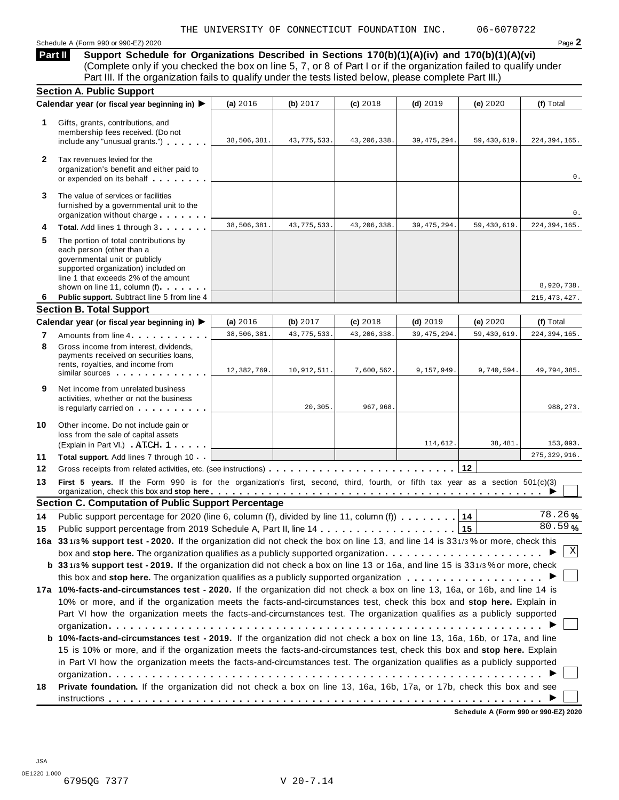Schedule <sup>A</sup> (Form <sup>990</sup> or 990-EZ) <sup>2020</sup> Page **2**

**Support Schedule for Organizations Described in Sections 170(b)(1)(A)(iv) and 170(b)(1)(A)(vi)** Complete only if you checked the box on line 5, 7, or 8 of Part I or if the organization failed to qualify under Part III. If the organization fails to qualify under the tests listed below, please complete Part III.) **Part II**

|              | <b>Section A. Public Support</b>                                                                                                                                                                                                                    |             |               |               |               |             |                      |
|--------------|-----------------------------------------------------------------------------------------------------------------------------------------------------------------------------------------------------------------------------------------------------|-------------|---------------|---------------|---------------|-------------|----------------------|
|              | Calendar year (or fiscal year beginning in) ▶                                                                                                                                                                                                       | (a) 2016    | (b) 2017      | $(c)$ 2018    | $(d)$ 2019    | (e) 2020    | (f) Total            |
| 1            | Gifts, grants, contributions, and<br>membership fees received. (Do not<br>include any "unusual grants.")                                                                                                                                            | 38,506,381. | 43, 775, 533. | 43, 206, 338. | 39, 475, 294. | 59,430,619. | 224, 394, 165.       |
| $\mathbf{2}$ | Tax revenues levied for the<br>organization's benefit and either paid to<br>or expended on its behalf                                                                                                                                               |             |               |               |               |             | 0.                   |
| 3            | The value of services or facilities<br>furnished by a governmental unit to the<br>organization without charge                                                                                                                                       |             |               |               |               |             | 0.                   |
| 4            | Total. Add lines 1 through 3                                                                                                                                                                                                                        | 38,506,381  | 43, 775, 533. | 43, 206, 338. | 39, 475, 294. | 59,430,619. | 224, 394, 165.       |
| 5            | The portion of total contributions by<br>each person (other than a<br>governmental unit or publicly<br>supported organization) included on<br>line 1 that exceeds 2% of the amount<br>shown on line 11, column (f)                                  |             |               |               |               |             | 8,920,738.           |
| 6            | Public support. Subtract line 5 from line 4                                                                                                                                                                                                         |             |               |               |               |             | 215, 473, 427.       |
|              | <b>Section B. Total Support</b>                                                                                                                                                                                                                     |             |               |               |               |             |                      |
|              | Calendar year (or fiscal year beginning in) ▶                                                                                                                                                                                                       | (a) 2016    | (b) 2017      | (c) 2018      | $(d)$ 2019    | (e) 2020    | (f) Total            |
| 7            | Amounts from line 4                                                                                                                                                                                                                                 | 38,506,381. | 43, 775, 533. | 43, 206, 338. | 39, 475, 294. | 59,430,619. | 224, 394, 165.       |
| 8            | Gross income from interest, dividends,<br>payments received on securities loans,<br>rents, royalties, and income from<br>similar sources experiences                                                                                                | 12,382,769. | 10, 912, 511. | 7,600,562.    | 9,157,949.    | 9,740,594.  | 49,794,385.          |
| 9            | Net income from unrelated business<br>activities, whether or not the business<br>is regularly carried on the control of the set of the set of the set of the set of the set of the set of the s                                                     |             | 20, 305.      | 967,968.      |               |             | 988, 273.            |
| 10           | Other income. Do not include gain or<br>loss from the sale of capital assets<br>(Explain in Part VI.) ATCH 1                                                                                                                                        |             |               |               | 114,612.      | 38,481.     | 153,093.             |
| 11           | Total support. Add lines 7 through 10                                                                                                                                                                                                               |             |               |               |               |             | 275, 329, 916.       |
| 12           |                                                                                                                                                                                                                                                     |             |               |               |               |             |                      |
| 13           | First 5 years. If the Form 990 is for the organization's first, second, third, fourth, or fifth tax year as a section 501(c)(3)                                                                                                                     |             |               |               |               |             |                      |
|              | <b>Section C. Computation of Public Support Percentage</b>                                                                                                                                                                                          |             |               |               |               |             |                      |
| 14           | Public support percentage for 2020 (line 6, column (f), divided by line 11, column (f) $\ldots \ldots$                                                                                                                                              |             |               |               |               | 14          | $\overline{78.26}$ % |
| 15           |                                                                                                                                                                                                                                                     |             |               |               |               | 15          | 80.59%               |
|              | 16a 331/3% support test - 2020. If the organization did not check the box on line 13, and line 14 is 331/3% or more, check this                                                                                                                     |             |               |               |               |             |                      |
|              | box and stop here. The organization qualifies as a publicly supported organization                                                                                                                                                                  |             |               |               |               |             | Χ                    |
|              |                                                                                                                                                                                                                                                     |             |               |               |               |             |                      |
|              |                                                                                                                                                                                                                                                     |             |               |               |               |             |                      |
|              | b 331/3% support test - 2019. If the organization did not check a box on line 13 or 16a, and line 15 is 331/3% or more, check                                                                                                                       |             |               |               |               |             |                      |
|              |                                                                                                                                                                                                                                                     |             |               |               |               |             |                      |
|              | 17a 10%-facts-and-circumstances test - 2020. If the organization did not check a box on line 13, 16a, or 16b, and line 14 is                                                                                                                        |             |               |               |               |             |                      |
|              | 10% or more, and if the organization meets the facts-and-circumstances test, check this box and stop here. Explain in                                                                                                                               |             |               |               |               |             |                      |
|              | Part VI how the organization meets the facts-and-circumstances test. The organization qualifies as a publicly supported                                                                                                                             |             |               |               |               |             |                      |
|              | b 10%-facts-and-circumstances test - 2019. If the organization did not check a box on line 13, 16a, 16b, or 17a, and line                                                                                                                           |             |               |               |               |             |                      |
|              | 15 is 10% or more, and if the organization meets the facts-and-circumstances test, check this box and stop here. Explain                                                                                                                            |             |               |               |               |             |                      |
| 18           | in Part VI how the organization meets the facts-and-circumstances test. The organization qualifies as a publicly supported<br>Private foundation. If the organization did not check a box on line 13, 16a, 16b, 17a, or 17b, check this box and see |             |               |               |               |             |                      |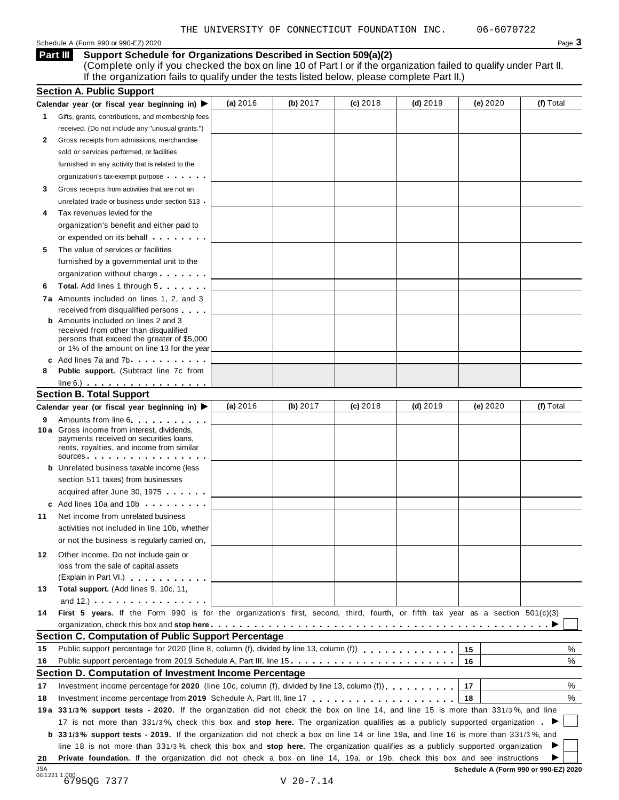Schedule A (Form 990 or 990-EZ) 2020 Page  $3$ 

**Support Schedule for Organizations Described in Section 509(a)(2) Part III**

(Complete only if you checked the box on line 10 of Part I or if the organization failed to qualify under Part II. If the organization fails to qualify under the tests listed below, please complete Part II.)

|     | <b>Section A. Public Support</b>                                                                                                                                                                                                                                                                                                            |          |          |            |            |          |           |
|-----|---------------------------------------------------------------------------------------------------------------------------------------------------------------------------------------------------------------------------------------------------------------------------------------------------------------------------------------------|----------|----------|------------|------------|----------|-----------|
|     | Calendar year (or fiscal year beginning in) $\blacktriangleright$                                                                                                                                                                                                                                                                           | (a) 2016 | (b) 2017 | $(c)$ 2018 | $(d)$ 2019 | (e) 2020 | (f) Total |
| 1.  | Gifts, grants, contributions, and membership fees                                                                                                                                                                                                                                                                                           |          |          |            |            |          |           |
|     | received. (Do not include any "unusual grants.")                                                                                                                                                                                                                                                                                            |          |          |            |            |          |           |
| 2   | Gross receipts from admissions, merchandise                                                                                                                                                                                                                                                                                                 |          |          |            |            |          |           |
|     | sold or services performed, or facilities                                                                                                                                                                                                                                                                                                   |          |          |            |            |          |           |
|     | furnished in any activity that is related to the                                                                                                                                                                                                                                                                                            |          |          |            |            |          |           |
|     | organization's tax-exempt purpose                                                                                                                                                                                                                                                                                                           |          |          |            |            |          |           |
| 3   | Gross receipts from activities that are not an                                                                                                                                                                                                                                                                                              |          |          |            |            |          |           |
|     | unrelated trade or business under section 513                                                                                                                                                                                                                                                                                               |          |          |            |            |          |           |
| 4   | Tax revenues levied for the                                                                                                                                                                                                                                                                                                                 |          |          |            |            |          |           |
|     | organization's benefit and either paid to                                                                                                                                                                                                                                                                                                   |          |          |            |            |          |           |
|     | or expended on its behalf <b>contained</b> on $\theta$                                                                                                                                                                                                                                                                                      |          |          |            |            |          |           |
| 5   | The value of services or facilities                                                                                                                                                                                                                                                                                                         |          |          |            |            |          |           |
|     | furnished by a governmental unit to the                                                                                                                                                                                                                                                                                                     |          |          |            |            |          |           |
|     | organization without charge                                                                                                                                                                                                                                                                                                                 |          |          |            |            |          |           |
| 6   | <b>Total.</b> Add lines 1 through 5                                                                                                                                                                                                                                                                                                         |          |          |            |            |          |           |
|     | 7a Amounts included on lines 1, 2, and 3                                                                                                                                                                                                                                                                                                    |          |          |            |            |          |           |
|     | received from disqualified persons                                                                                                                                                                                                                                                                                                          |          |          |            |            |          |           |
|     | <b>b</b> Amounts included on lines 2 and 3                                                                                                                                                                                                                                                                                                  |          |          |            |            |          |           |
|     | received from other than disqualified                                                                                                                                                                                                                                                                                                       |          |          |            |            |          |           |
|     | persons that exceed the greater of \$5,000<br>or 1% of the amount on line 13 for the year                                                                                                                                                                                                                                                   |          |          |            |            |          |           |
|     | c Add lines 7a and 7b                                                                                                                                                                                                                                                                                                                       |          |          |            |            |          |           |
| 8   | <b>Public support.</b> (Subtract line 7c from                                                                                                                                                                                                                                                                                               |          |          |            |            |          |           |
|     | $line 6.)$                                                                                                                                                                                                                                                                                                                                  |          |          |            |            |          |           |
|     | <b>Section B. Total Support</b>                                                                                                                                                                                                                                                                                                             |          |          |            |            |          |           |
|     | Calendar year (or fiscal year beginning in) ▶                                                                                                                                                                                                                                                                                               | (a) 2016 | (b) 2017 | $(c)$ 2018 | $(d)$ 2019 | (e) 2020 | (f) Total |
| 9   | Amounts from line 6                                                                                                                                                                                                                                                                                                                         |          |          |            |            |          |           |
|     | <b>10a</b> Gross income from interest, dividends,                                                                                                                                                                                                                                                                                           |          |          |            |            |          |           |
|     | payments received on securities loans,<br>rents, royalties, and income from similar                                                                                                                                                                                                                                                         |          |          |            |            |          |           |
|     | SOUICES                                                                                                                                                                                                                                                                                                                                     |          |          |            |            |          |           |
|     | <b>b</b> Unrelated business taxable income (less                                                                                                                                                                                                                                                                                            |          |          |            |            |          |           |
|     | section 511 taxes) from businesses                                                                                                                                                                                                                                                                                                          |          |          |            |            |          |           |
|     | acquired after June 30, 1975                                                                                                                                                                                                                                                                                                                |          |          |            |            |          |           |
|     | c Add lines 10a and 10b                                                                                                                                                                                                                                                                                                                     |          |          |            |            |          |           |
| 11  | Net income from unrelated business                                                                                                                                                                                                                                                                                                          |          |          |            |            |          |           |
|     | activities not included in line 10b, whether                                                                                                                                                                                                                                                                                                |          |          |            |            |          |           |
|     | or not the business is regularly carried on                                                                                                                                                                                                                                                                                                 |          |          |            |            |          |           |
| 12. | Other income. Do not include gain or                                                                                                                                                                                                                                                                                                        |          |          |            |            |          |           |
|     | loss from the sale of capital assets                                                                                                                                                                                                                                                                                                        |          |          |            |            |          |           |
|     | (Explain in Part VI.)                                                                                                                                                                                                                                                                                                                       |          |          |            |            |          |           |
| 13  | Total support. (Add lines 9, 10c, 11,                                                                                                                                                                                                                                                                                                       |          |          |            |            |          |           |
|     | and $12.$ ) $\qquad \qquad$ $\qquad \qquad$ $\qquad$ $\qquad$ $\qquad$ $\qquad$ $\qquad$ $\qquad$ $\qquad$ $\qquad$ $\qquad$ $\qquad$ $\qquad$ $\qquad$ $\qquad$ $\qquad$ $\qquad$ $\qquad$ $\qquad$ $\qquad$ $\qquad$ $\qquad$ $\qquad$ $\qquad$ $\qquad$ $\qquad$ $\qquad$ $\qquad$ $\qquad$ $\qquad$ $\qquad$ $\qquad$ $\qquad$ $\qquad$ |          |          |            |            |          |           |
| 14  | First 5 years. If the Form 990 is for the organization's first, second, third, fourth, or fifth tax year as a section 501(c)(3)                                                                                                                                                                                                             |          |          |            |            |          |           |
|     |                                                                                                                                                                                                                                                                                                                                             |          |          |            |            |          |           |
|     | Section C. Computation of Public Support Percentage                                                                                                                                                                                                                                                                                         |          |          |            |            |          |           |
| 15  |                                                                                                                                                                                                                                                                                                                                             |          |          |            |            | 15       | %         |
| 16  | Public support percentage from 2019 Schedule A, Part III, line 15                                                                                                                                                                                                                                                                           |          |          |            |            | 16       | %         |
|     | Section D. Computation of Investment Income Percentage                                                                                                                                                                                                                                                                                      |          |          |            |            |          |           |
| 17  | Investment income percentage for 2020 (line 10c, column (f), divided by line 13, column (f)).                                                                                                                                                                                                                                               |          |          |            |            | 17       | %         |
|     |                                                                                                                                                                                                                                                                                                                                             |          |          |            |            | 18       | %         |
|     |                                                                                                                                                                                                                                                                                                                                             |          |          |            |            |          |           |
|     |                                                                                                                                                                                                                                                                                                                                             |          |          |            |            |          |           |
|     | 19a 331/3% support tests - 2020. If the organization did not check the box on line 14, and line 15 is more than 331/3%, and line                                                                                                                                                                                                            |          |          |            |            |          |           |
| 18  | 17 is not more than 331/3%, check this box and stop here. The organization qualifies as a publicly supported organization.                                                                                                                                                                                                                  |          |          |            |            |          |           |
|     | <b>b</b> 331/3% support tests - 2019. If the organization did not check a box on line 14 or line 19a, and line 16 is more than 331/3%, and                                                                                                                                                                                                  |          |          |            |            |          |           |
| 20  | line 18 is not more than 331/3%, check this box and stop here. The organization qualifies as a publicly supported organization<br>Private foundation. If the organization did not check a box on line 14, 19a, or 19b, check this box and see instructions                                                                                  |          |          |            |            |          |           |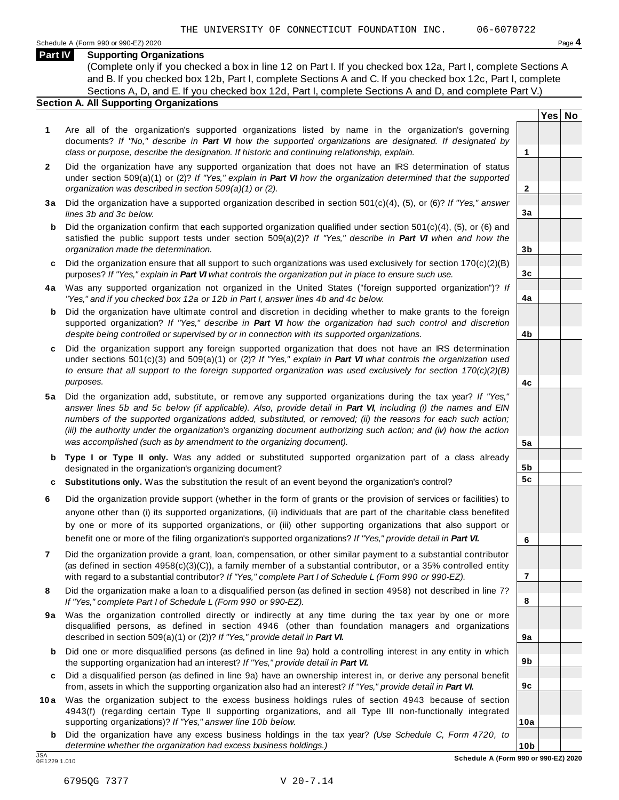#### **Part IV Supporting Organizations**

(Complete only if you checked a box in line 12 on Part I. If you checked box 12a, Part I, complete Sections A and B. If you checked box 12b, Part I, complete Sections A and C. If you checked box 12c, Part I, complete Sections A, D, and E. If you checked box 12d, Part I, complete Sections A and D, and complete Part V.)

#### **Section A. All Supporting Organizations**

- **1** Are all of the organization's supported organizations listed by name in the organization's governing documents? *If "No," describe in Part VI how the supported organizations are designated. If designated by class or purpose, describe the designation. If historic and continuing relationship, explain.* **1**
- **2** Did the organization have any supported organization that does not have an IRS determination of status under section 509(a)(1) or (2)? *If"Yes," explain in Part VI how the organization determined that the supported organization was described in section 509(a)(1) or (2).*
- **3 a** Did the organization have a supported organization described in section 501(c)(4), (5), or (6)? *If "Yes," answer lines 3b and 3c below.*
- **b** Did the organization confirm that each supported organization qualified under section 501(c)(4), (5), or (6) and | satisfied the public support tests under section 509(a)(2)? *If "Yes," describe in Part VI when and how the organization made the determination.*
- **c** Did the organization ensure that all support to such organizations was used exclusively for section 170(c)(2)(B) purposes? *If"Yes," explain in Part VI what controls the organization put in place to ensure such use.*
- **4 a** Was any supported organization not organized in the United States ("foreign supported organization")? *If "Yes," and if you checked box 12a or 12b in Part I, answer lines 4b and 4c below.*
- **b** Did the organization have ultimate control and discretion in deciding whether to make grants to the foreign | supported organization? *If "Yes," describe in Part VI how the organization had such control and discretion despite being controlled or supervised by or in connection with its supported organizations.*
- **c** Did the organization support any foreign supported organization that does not have an IRS determination | under sections 501(c)(3) and 509(a)(1) or (2)? *If "Yes," explain in Part VI what controls the organization used to ensure that all support to the foreign supported organization was used exclusively for section 170(c)(2)(B) purposes.*
- **5 a** Did the organization add, substitute, or remove any supported organizations during the tax year? *If "Yes,"* answer lines 5b and 5c below (if applicable). Also, provide detail in Part VI, including (i) the names and EIN *numbers of the supported organizations added, substituted, or removed; (ii) the reasons for each such action;* (iii) the authority under the organization's organizing document authorizing such action; and (iv) how the action *was accomplished (such as by amendment to the organizing document).*
- **b Type I or Type II only.** Was any added or substituted supported organization part of a class already designated in the organization's organizing document?
- **c Substitutions only.** Was the substitution the result of an event beyond the organization's control?
- **6** Did the organization provide support (whether in the form of grants or the provision of services or facilities) to anyone other than (i) its supported organizations, (ii) individuals that are part of the charitable class benefited by one or more of its supported organizations, or (iii) other supporting organizations that also support or benefit one or more of the filing organization's supported organizations? *If"Yes," provide detail in Part VI.*
- **7** Did the organization provide a grant, loan, compensation, or other similar payment to a substantial contributor (as defined in section 4958(c)(3)(C)), a family member of a substantial contributor, or a 35% controlled entity with regard to a substantial contributor? *If"Yes," complete Part I of Schedule L (Form 990 or 990-EZ).*
- **8** Did the organization make a loan to a disqualified person (as defined in section 4958) not described in line 7? *If "Yes," complete Part I of Schedule L (Form 990 or 990-EZ).*
- **9a** Was the organization controlled directly or indirectly at any time during the tax year by one or more | disqualified persons, as defined in section 4946 (other than foundation managers and organizations described in section 509(a)(1) or (2))? *If"Yes," provide detail in Part VI.*
- **b** Did one or more disqualified persons (as defined in line 9a) hold a controlling interest in any entity in which | the supporting organization had an interest? *If"Yes," provide detail in Part VI.*
- **c** Did a disqualified person (as defined in line 9a) have an ownership interest in, or derive any personal benefit from, assets in which the supporting organization also had an interest? *If"Yes," provide detail in Part VI.*
- **10a** Was the organization subject to the excess business holdings rules of section 4943 because of section | 4943(f) (regarding certain Type II supporting organizations, and all Type III non-functionally integrated supporting organizations)? *If"Yes," answer line 10b below.*
	- **b** Did the organization have any excess business holdings in the tax year? *(Use Schedule C, Form 4720, to determine whether the organization had excess business holdings.)*

**2**

**3a**

**3b**

**3c**

**4a**

**4b**

**4c**

**5a**

**5b 5c**

**6**

**7**

**8**

**9a**

**9b**

**9c**

**10a**

**Yes No**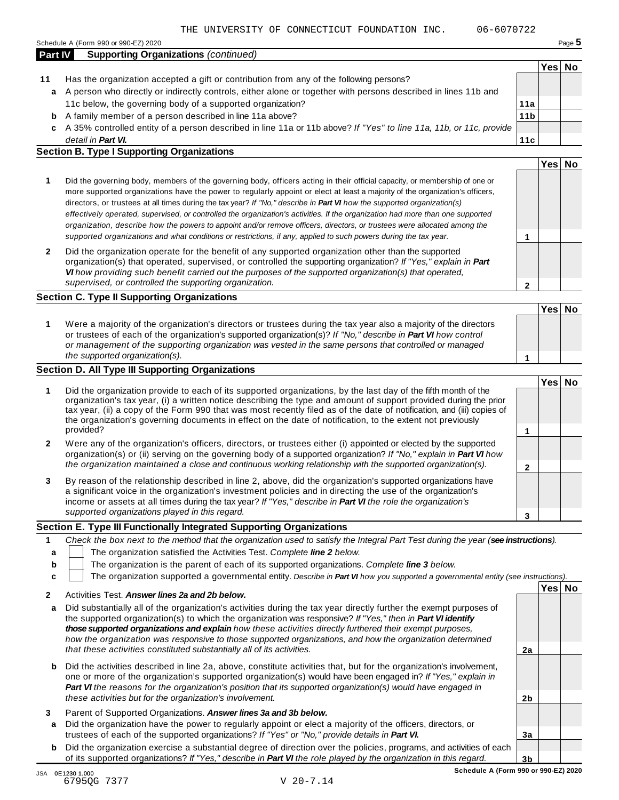| <b>Part IV</b> | <b>Supporting Organizations (continued)</b>                                                                        |                 |      |    |
|----------------|--------------------------------------------------------------------------------------------------------------------|-----------------|------|----|
|                |                                                                                                                    |                 | Yes⊺ | No |
| 11             | Has the organization accepted a gift or contribution from any of the following persons?                            |                 |      |    |
| a              | A person who directly or indirectly controls, either alone or together with persons described in lines 11b and     |                 |      |    |
|                | 11c below, the governing body of a supported organization?                                                         | 11a             |      |    |
| b              | A family member of a person described in line 11a above?                                                           | 11 <sub>b</sub> |      |    |
| c.             | A 35% controlled entity of a person described in line 11a or 11b above? If "Yes" to line 11a, 11b, or 11c, provide |                 |      |    |
|                | detail in Part VI.                                                                                                 | 11c             |      |    |

- *detail in Part VI.* **Section B. Type I Supporting Organizations**
- **1 2 Yes No 1** Did the governing body, members of the governing body, officers acting in their official capacity, or membership of one or more supported organizations have the power to regularly appoint or elect at least a majority of the organization's officers, directors, or trustees at all times during the tax year? *If"No," describe in Part VI how the supported organization(s)* effectively operated, supervised, or controlled the organization's activities. If the organization had more than one supported organization, describe how the powers to appoint and/or remove officers, directors, or trustees were allocated among the supported organizations and what conditions or restrictions, if any, applied to such powers during the tax year. **2** Did the organization operate for the benefit of any supported organization other than the supported organization(s) that operated, supervised, or controlled the supporting organization? *If "Yes," explain in Part VI how providing such benefit carried out the purposes of the supported organization(s) that operated, supervised, or controlled the supporting organization.*

#### **Section C. Type II Supporting Organizations**

**1 Yes No 1** Were a majority of the organization's directors or trustees during the tax year also a majority of the directors or trustees of each of the organization's supported organization(s)? *If"No," describe in Part VI how control or management of the supporting organization was vested in the same persons that controlled or managed the supported organization(s).*

#### **Section D. All Type III Supporting Organizations**

|              |                                                                                                                                                                                                                                                                                                                                                                                                                                                                                          | Yes⊺ |  |
|--------------|------------------------------------------------------------------------------------------------------------------------------------------------------------------------------------------------------------------------------------------------------------------------------------------------------------------------------------------------------------------------------------------------------------------------------------------------------------------------------------------|------|--|
|              | Did the organization provide to each of its supported organizations, by the last day of the fifth month of the<br>organization's tax year, (i) a written notice describing the type and amount of support provided during the prior<br>tax year, (ii) a copy of the Form 990 that was most recently filed as of the date of notification, and (iii) copies of<br>the organization's governing documents in effect on the date of notification, to the extent not previously<br>provided? |      |  |
| $\mathbf{2}$ | Were any of the organization's officers, directors, or trustees either (i) appointed or elected by the supported<br>organization(s) or (ii) serving on the governing body of a supported organization? If "No," explain in <b>Part VI</b> how<br>the organization maintained a close and continuous working relationship with the supported organization(s).                                                                                                                             |      |  |
| 3            | By reason of the relationship described in line 2, above, did the organization's supported organizations have<br>a significant voice in the organization's investment policies and in directing the use of the organization's<br>income or assets at all times during the tax year? If "Yes," describe in Part VI the role the organization's                                                                                                                                            |      |  |
|              | supported organizations played in this regard.                                                                                                                                                                                                                                                                                                                                                                                                                                           |      |  |

#### **Section E. Type III Functionally Integrated Supporting Organizations**

|   | $\Lambda$ and the compact of $\Lambda$ and constructed $\Lambda$ and $\Lambda$ and $\Lambda$ and $\Lambda$                        | Yesl | No |  |  |  |
|---|-----------------------------------------------------------------------------------------------------------------------------------|------|----|--|--|--|
|   | The organization supported a governmental entity. Describe in Part VI how you supported a governmental entity (see instructions). |      |    |  |  |  |
| b | The organization is the parent of each of its supported organizations. Complete line 3 below.                                     |      |    |  |  |  |
| a | The organization satisfied the Activities Test. Complete line 2 below.                                                            |      |    |  |  |  |
|   | Check the box next to the method that the organization used to satisfy the Integral Part Test during the year (see instructions). |      |    |  |  |  |

|   | Activities Test. Answer lines 2a and 2b below.                                                                                                                                                                                                                                                                                                                                                                                                                   |                |  |
|---|------------------------------------------------------------------------------------------------------------------------------------------------------------------------------------------------------------------------------------------------------------------------------------------------------------------------------------------------------------------------------------------------------------------------------------------------------------------|----------------|--|
| a | Did substantially all of the organization's activities during the tax year directly further the exempt purposes of<br>the supported organization(s) to which the organization was responsive? If "Yes," then in <b>Part VI identify</b><br>those supported organizations and explain how these activities directly furthered their exempt purposes.<br>how the organization was responsive to those supported organizations, and how the organization determined |                |  |
|   | that these activities constituted substantially all of its activities.                                                                                                                                                                                                                                                                                                                                                                                           | 2a             |  |
| b | Did the activities described in line 2a, above, constitute activities that, but for the organization's involvement,<br>one or more of the organization's supported organization(s) would have been engaged in? If "Yes," explain in<br><b>Part VI</b> the reasons for the organization's position that its supported organization(s) would have engaged in<br>these activities but for the organization's involvement.                                           | 2 <sub>b</sub> |  |
| a | Parent of Supported Organizations. Answer lines 3a and 3b below.<br>Did the organization have the power to regularly appoint or elect a majority of the officers, directors, or<br>trustees of each of the supported organizations? If "Yes" or "No," provide details in Part VI.                                                                                                                                                                                | 3a             |  |
| b | Did the organization exercise a substantial degree of direction over the policies, programs, and activities of each                                                                                                                                                                                                                                                                                                                                              |                |  |
|   | of its supported organizations? If "Yes," describe in Part VI the role played by the organization in this regard.                                                                                                                                                                                                                                                                                                                                                | 3 <sub>b</sub> |  |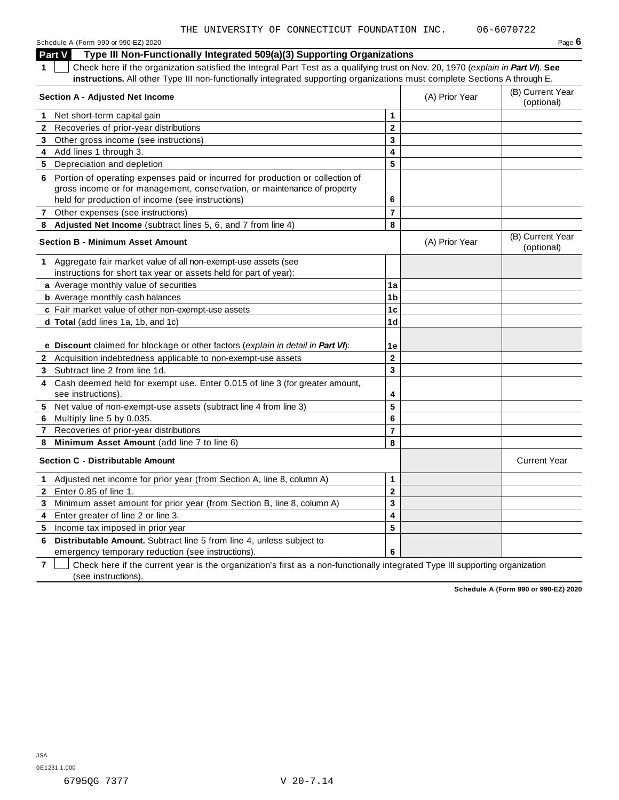Schedule <sup>A</sup> (Form <sup>990</sup> or 990-EZ) <sup>2020</sup> Page **6**

**Part V Type III Non-Functionally Integrated 509(a)(3) Supporting Organizations**

**1** Check here if the organization satisfied the Integral Part Test as a qualifying trust on Nov. 20, 1970 (*explain in Part VI*). **See instructions.** All other Type III non-functionally integrated supporting organizations must complete Sections A through E.

|              | <b>Section A - Adjusted Net Income</b>                                                                                    |                         | (A) Prior Year | (B) Current Year<br>(optional) |
|--------------|---------------------------------------------------------------------------------------------------------------------------|-------------------------|----------------|--------------------------------|
|              | 1 Net short-term capital gain                                                                                             | 1                       |                |                                |
|              | 2 Recoveries of prior-year distributions                                                                                  | $\mathbf 2$             |                |                                |
|              | 3 Other gross income (see instructions)                                                                                   | 3                       |                |                                |
|              | 4 Add lines 1 through 3.                                                                                                  | 4                       |                |                                |
|              | 5 Depreciation and depletion                                                                                              | 5                       |                |                                |
|              | 6 Portion of operating expenses paid or incurred for production or collection of                                          |                         |                |                                |
|              | gross income or for management, conservation, or maintenance of property                                                  |                         |                |                                |
|              | held for production of income (see instructions)                                                                          | 6                       |                |                                |
| $\mathbf{7}$ | Other expenses (see instructions)                                                                                         | $\overline{7}$          |                |                                |
|              | 8 Adjusted Net Income (subtract lines 5, 6, and 7 from line 4)                                                            | 8                       |                |                                |
|              | <b>Section B - Minimum Asset Amount</b>                                                                                   |                         | (A) Prior Year | (B) Current Year<br>(optional) |
|              | 1 Aggregate fair market value of all non-exempt-use assets (see                                                           |                         |                |                                |
|              | instructions for short tax year or assets held for part of year):                                                         |                         |                |                                |
|              | a Average monthly value of securities                                                                                     | 1a                      |                |                                |
|              | <b>b</b> Average monthly cash balances                                                                                    | 1b                      |                |                                |
|              | c Fair market value of other non-exempt-use assets                                                                        | 1c                      |                |                                |
|              | d Total (add lines 1a, 1b, and 1c)                                                                                        | 1 <sub>d</sub>          |                |                                |
|              | e Discount claimed for blockage or other factors (explain in detail in Part VI):                                          | 1e                      |                |                                |
|              | 2 Acquisition indebtedness applicable to non-exempt-use assets                                                            | $\overline{2}$          |                |                                |
|              | 3 Subtract line 2 from line 1d.                                                                                           | 3                       |                |                                |
| 4            | Cash deemed held for exempt use. Enter 0.015 of line 3 (for greater amount,<br>see instructions).                         | 4                       |                |                                |
| 5            | Net value of non-exempt-use assets (subtract line 4 from line 3)                                                          | $\overline{\mathbf{5}}$ |                |                                |
| 6            | Multiply line 5 by 0.035.                                                                                                 | 6                       |                |                                |
| 7            | Recoveries of prior-year distributions                                                                                    | $\overline{7}$          |                |                                |
| 8            | Minimum Asset Amount (add line 7 to line 6)                                                                               | 8                       |                |                                |
|              | <b>Section C - Distributable Amount</b>                                                                                   |                         |                | <b>Current Year</b>            |
| $\mathbf{1}$ | Adjusted net income for prior year (from Section A, line 8, column A)                                                     | 1                       |                |                                |
| $2^{\circ}$  | Enter 0.85 of line 1.                                                                                                     | $\mathbf 2$             |                |                                |
| 3            | Minimum asset amount for prior year (from Section B, line 8, column A)                                                    | 3                       |                |                                |
| 4            | Enter greater of line 2 or line 3.                                                                                        | 4                       |                |                                |
|              | 5 Income tax imposed in prior year                                                                                        | 5                       |                |                                |
| 6            | Distributable Amount. Subtract line 5 from line 4, unless subject to<br>emergency temporary reduction (see instructions). | 6                       |                |                                |

**7**  $\Box$  Check here if the current year is the organization's first as a non-functionally integrated Type III supporting organization (see instructions).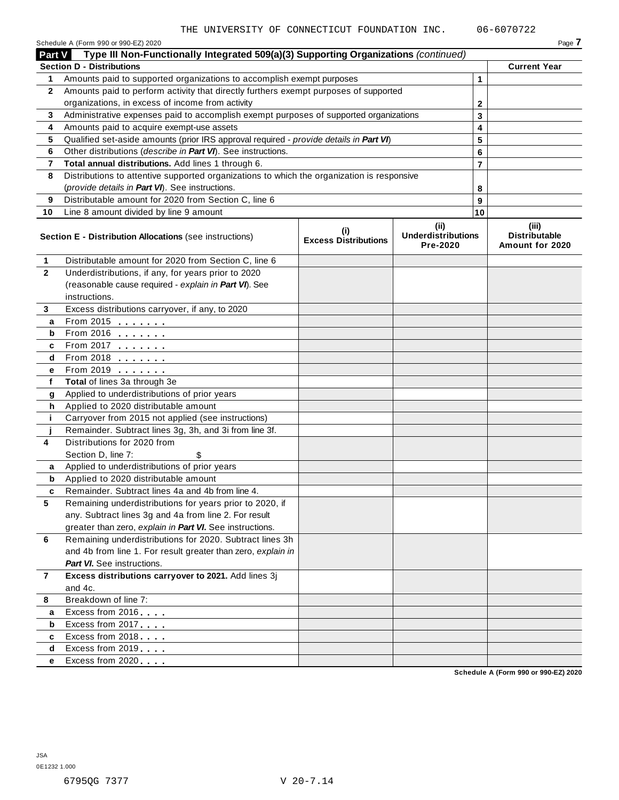|               | Schedule A (Form 990 or 990-EZ) 2020                                                                                                     |                                    |                                               |        | Page 7                                           |
|---------------|------------------------------------------------------------------------------------------------------------------------------------------|------------------------------------|-----------------------------------------------|--------|--------------------------------------------------|
| <b>Part V</b> | Type III Non-Functionally Integrated 509(a)(3) Supporting Organizations (continued)                                                      |                                    |                                               |        |                                                  |
|               | <b>Section D - Distributions</b>                                                                                                         |                                    |                                               |        | <b>Current Year</b>                              |
| 1             | Amounts paid to supported organizations to accomplish exempt purposes                                                                    |                                    |                                               | 1      |                                                  |
| $\mathbf{2}$  | Amounts paid to perform activity that directly furthers exempt purposes of supported<br>organizations, in excess of income from activity |                                    |                                               |        |                                                  |
|               |                                                                                                                                          |                                    |                                               | 2      |                                                  |
| 3<br>4        | Administrative expenses paid to accomplish exempt purposes of supported organizations<br>Amounts paid to acquire exempt-use assets       |                                    | 3                                             |        |                                                  |
| 5             | Qualified set-aside amounts (prior IRS approval required - provide details in Part VI)                                                   |                                    |                                               | 4<br>5 |                                                  |
| 6             | Other distributions (describe in Part VI). See instructions.                                                                             |                                    |                                               | 6      |                                                  |
| 7             | Total annual distributions. Add lines 1 through 6.                                                                                       |                                    |                                               | 7      |                                                  |
| 8             | Distributions to attentive supported organizations to which the organization is responsive                                               |                                    |                                               |        |                                                  |
|               | (provide details in Part VI). See instructions.                                                                                          |                                    |                                               | 8      |                                                  |
| 9             | Distributable amount for 2020 from Section C, line 6                                                                                     |                                    |                                               | 9      |                                                  |
| 10            | Line 8 amount divided by line 9 amount                                                                                                   |                                    |                                               | 10     |                                                  |
|               |                                                                                                                                          |                                    |                                               |        |                                                  |
|               | Section E - Distribution Allocations (see instructions)                                                                                  | (i)<br><b>Excess Distributions</b> | (ii)<br><b>Underdistributions</b><br>Pre-2020 |        | (iii)<br><b>Distributable</b><br>Amount for 2020 |
| 1             | Distributable amount for 2020 from Section C, line 6                                                                                     |                                    |                                               |        |                                                  |
| $\mathbf{2}$  | Underdistributions, if any, for years prior to 2020                                                                                      |                                    |                                               |        |                                                  |
|               | (reasonable cause required - explain in Part VI). See                                                                                    |                                    |                                               |        |                                                  |
|               | instructions.                                                                                                                            |                                    |                                               |        |                                                  |
| 3             | Excess distributions carryover, if any, to 2020                                                                                          |                                    |                                               |        |                                                  |
| а             | From 2015 $\frac{1}{2}$                                                                                                                  |                                    |                                               |        |                                                  |
| b             | From 2016 $\frac{2016}{200}$                                                                                                             |                                    |                                               |        |                                                  |
| c             | From 2017 $\frac{1}{2}$                                                                                                                  |                                    |                                               |        |                                                  |
| d             | From 2018 $\frac{2018}{200}$                                                                                                             |                                    |                                               |        |                                                  |
| е             | From 2019 <b>Figure 1.1</b>                                                                                                              |                                    |                                               |        |                                                  |
| f             | Total of lines 3a through 3e                                                                                                             |                                    |                                               |        |                                                  |
| g             | Applied to underdistributions of prior years                                                                                             |                                    |                                               |        |                                                  |
| h             | Applied to 2020 distributable amount                                                                                                     |                                    |                                               |        |                                                  |
| j.            | Carryover from 2015 not applied (see instructions)                                                                                       |                                    |                                               |        |                                                  |
|               | Remainder. Subtract lines 3g, 3h, and 3i from line 3f.                                                                                   |                                    |                                               |        |                                                  |
| 4             | Distributions for 2020 from                                                                                                              |                                    |                                               |        |                                                  |
|               | Section D, line 7:<br>\$                                                                                                                 |                                    |                                               |        |                                                  |
| a             | Applied to underdistributions of prior years                                                                                             |                                    |                                               |        |                                                  |
| b             | Applied to 2020 distributable amount<br>Remainder. Subtract lines 4a and 4b from line 4.                                                 |                                    |                                               |        |                                                  |
| c<br>5        |                                                                                                                                          |                                    |                                               |        |                                                  |
|               | Remaining underdistributions for years prior to 2020, if<br>any. Subtract lines 3g and 4a from line 2. For result                        |                                    |                                               |        |                                                  |
|               | greater than zero, explain in Part VI. See instructions.                                                                                 |                                    |                                               |        |                                                  |
| 6             | Remaining underdistributions for 2020. Subtract lines 3h                                                                                 |                                    |                                               |        |                                                  |
|               | and 4b from line 1. For result greater than zero, explain in                                                                             |                                    |                                               |        |                                                  |
|               | <b>Part VI.</b> See instructions.                                                                                                        |                                    |                                               |        |                                                  |
| 7             | Excess distributions carryover to 2021. Add lines 3j                                                                                     |                                    |                                               |        |                                                  |
|               | and 4c.                                                                                                                                  |                                    |                                               |        |                                                  |
| 8             | Breakdown of line 7:                                                                                                                     |                                    |                                               |        |                                                  |
| а             | Excess from 2016                                                                                                                         |                                    |                                               |        |                                                  |
| b             | Excess from 2017                                                                                                                         |                                    |                                               |        |                                                  |
| c             | Excess from 2018                                                                                                                         |                                    |                                               |        |                                                  |
| d             | Excess from 2019                                                                                                                         |                                    |                                               |        |                                                  |
| е             | Excess from 2020                                                                                                                         |                                    |                                               |        |                                                  |
|               |                                                                                                                                          |                                    |                                               |        |                                                  |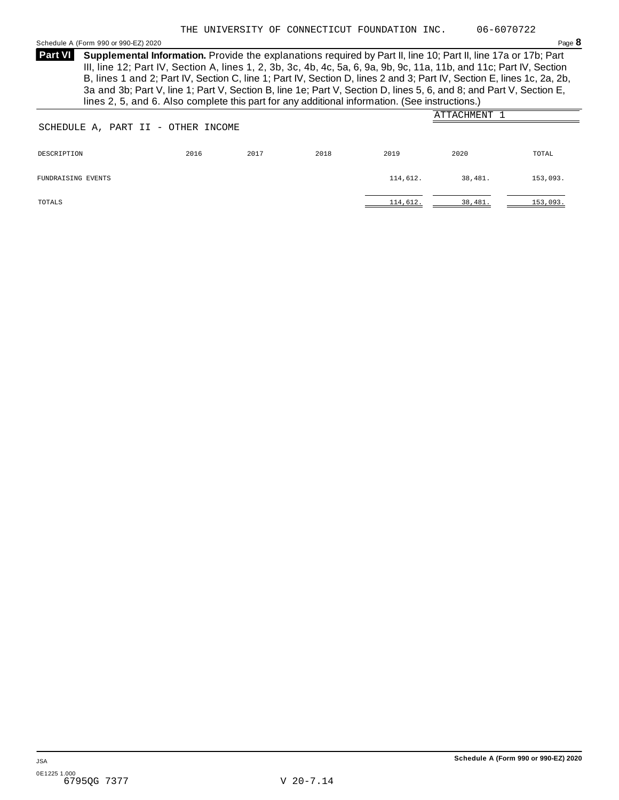<span id="page-22-0"></span>Schedule <sup>A</sup> (Form <sup>990</sup> or 990-EZ) <sup>2020</sup> Page **8**

**Supplemental Information.** Provide the explanations required by Part II, line 10; Part II, line 17a or 17b; Part **Part VI** III, line 12; Part IV, Section A, lines 1, 2, 3b, 3c, 4b, 4c, 5a, 6, 9a, 9b, 9c, 11a, 11b, and 11c; Part IV, Section B, lines 1 and 2; Part IV, Section C, line 1; Part IV, Section D, lines 2 and 3; Part IV, Section E, lines 1c, 2a, 2b, 3a and 3b; Part V, line 1; Part V, Section B, line 1e; Part V, Section D, lines 5, 6, and 8; and Part V, Section E, lines 2, 5, and 6. Also complete this part for any additional information. (See instructions.)

|                                    |      |      |      |          | ATTACHMENT |          |
|------------------------------------|------|------|------|----------|------------|----------|
| SCHEDULE A, PART II - OTHER INCOME |      |      |      |          |            |          |
|                                    |      |      |      |          |            |          |
| DESCRIPTION                        | 2016 | 2017 | 2018 | 2019     | 2020       | TOTAL    |
|                                    |      |      |      |          |            |          |
| FUNDRAISING EVENTS                 |      |      |      | 114,612. | 38,481.    | 153,093. |
|                                    |      |      |      |          |            |          |
| TOTALS                             |      |      |      | 114,612. | 38,481.    | 153,093. |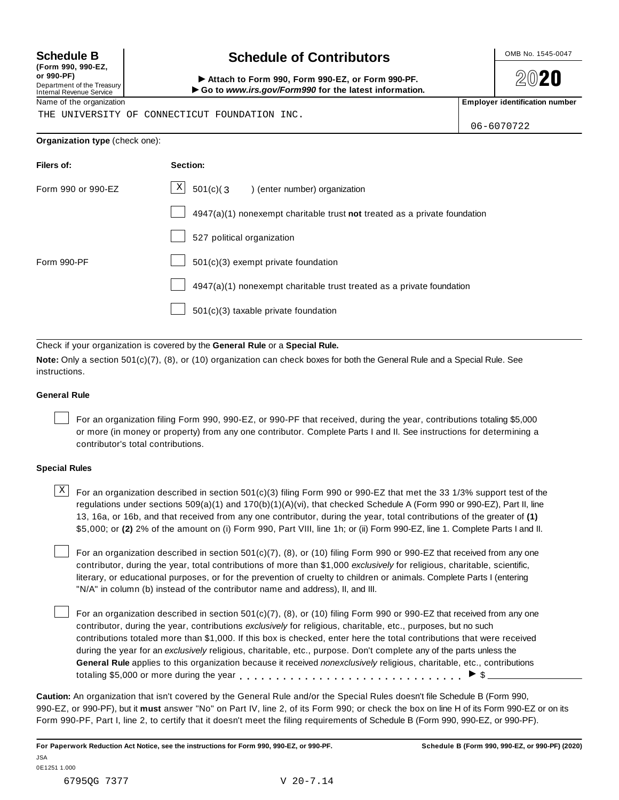| (Form 990, 990-EZ,         |  |
|----------------------------|--|
| or 990-PF)                 |  |
| Department of the Treasury |  |
| Internal Pevenue Senice    |  |

## **Schedule B chedule of Contributors**

(Form 990, 990-EZ,<br>
or 990-PF,<br>
Department of the Treasury **COLOCY**<br>
Internal Revenue Service **COLOCY**<br>
Name of the organization<br>
Name of the organization

**2020** 

THE UNIVERSITY OF CONNECTICUT FOUNDATION INC.

06-6070722

#### **Organization type** (check one):

| Filers of:         | Section:                                                                    |
|--------------------|-----------------------------------------------------------------------------|
| Form 990 or 990-EZ | $\mathbf{x}$<br>$501(c)$ (3<br>) (enter number) organization                |
|                    | $4947(a)(1)$ nonexempt charitable trust not treated as a private foundation |
|                    | 527 political organization                                                  |
| Form 990-PF        | $501(c)(3)$ exempt private foundation                                       |
|                    | 4947(a)(1) nonexempt charitable trust treated as a private foundation       |
|                    | 501(c)(3) taxable private foundation                                        |

Check if your organization is covered by the **General Rule** or a **Special Rule.**

**Note:** Only a section 501(c)(7), (8), or (10) organization can check boxes for both the General Rule and a Special Rule. See instructions.

#### **General Rule**

For an organization filing Form 990, 990-EZ, or 990-PF that received, during the year, contributions totaling \$5,000 or more (in money or property) from any one contributor. Complete Parts I and II. See instructions for determining a contributor's total contributions.

#### **Special Rules**

 $\text{X}$  For an organization described in section 501(c)(3) filing Form 990 or 990-EZ that met the 33 1/3% support test of the regulations under sections 509(a)(1) and 170(b)(1)(A)(vi), that checked Schedule A (Form 990 or 990-EZ), Part II, line 13, 16a, or 16b, and that received from any one contributor, during the year, total contributions of the greater of **(1)** \$5,000; or **(2)** 2% of the amount on (i) Form 990, Part VIII, line 1h; or (ii) Form 990-EZ, line 1. Complete Parts I and II.

For an organization described in section 501(c)(7), (8), or (10) filing Form 990 or 990-EZ that received from any one contributor, during the year, total contributions of more than \$1,000 *exclusively* for religious, charitable, scientific, literary, or educational purposes, or for the prevention of cruelty to children or animals. Complete Parts I (entering "N/A" in column (b) instead of the contributor name and address), II, and III.

For an organization described in section 501(c)(7), (8), or (10) filing Form 990 or 990-EZ that received from any one contributor, during the year, contributions *exclusively* for religious, charitable, etc., purposes, but no such contributions totaled more than \$1,000. If this box is checked, enter here the total contributions that were received during the year for an *exclusively* religious, charitable, etc., purpose. Don't complete any of the parts unless the **General Rule** applies to this organization because it received *nonexclusively* religious, charitable, etc., contributions totaling \$5,000 or more during the year m m m m m m m m m m m m m m m m m m m m m m m m m m m m m m m I \$

**Caution:** An organization that isn't covered by the General Rule and/or the Special Rules doesn't file Schedule B (Form 990, 990-EZ, or 990-PF), but it **must** answer "No" on Part IV, line 2, of its Form 990; or check the box on line H of its Form 990-EZ or on its Form 990-PF, Part I, line 2, to certify that it doesn't meet the filing requirements of Schedule B (Form 990, 990-EZ, or 990-PF).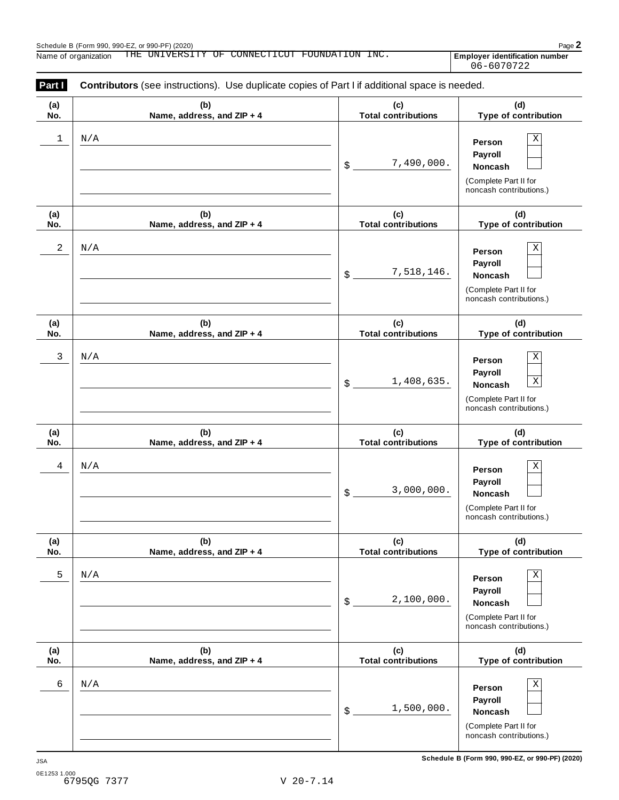Employer identification number<br>06-6070722

| Part I<br>Contributors (see instructions). Use duplicate copies of Part I if additional space is needed. |                                   |                                   |                                                                                                                |  |  |
|----------------------------------------------------------------------------------------------------------|-----------------------------------|-----------------------------------|----------------------------------------------------------------------------------------------------------------|--|--|
| (a)<br>No.                                                                                               | (b)<br>Name, address, and ZIP + 4 | (c)<br><b>Total contributions</b> | (d)<br>Type of contribution                                                                                    |  |  |
| 1                                                                                                        | N/A                               | 7,490,000.<br>\$                  | Χ<br>Person<br>Payroll<br>Noncash<br>(Complete Part II for<br>noncash contributions.)                          |  |  |
| (a)<br>No.                                                                                               | (b)<br>Name, address, and ZIP + 4 | (c)<br><b>Total contributions</b> | (d)<br>Type of contribution                                                                                    |  |  |
| 2                                                                                                        | N/A                               | 7,518,146.<br>\$                  | Χ<br>Person<br>Payroll<br>Noncash<br>(Complete Part II for<br>noncash contributions.)                          |  |  |
| (a)<br>No.                                                                                               | (b)<br>Name, address, and ZIP + 4 | (c)<br><b>Total contributions</b> | (d)<br>Type of contribution                                                                                    |  |  |
| 3                                                                                                        | N/A                               | 1,408,635.<br>\$                  | $\mathbf X$<br>Person<br>Payroll<br>$\mathbf X$<br>Noncash<br>(Complete Part II for<br>noncash contributions.) |  |  |
| (a)<br>No.                                                                                               | (b)<br>Name, address, and ZIP + 4 | (c)<br><b>Total contributions</b> | (d)<br>Type of contribution                                                                                    |  |  |
| 4                                                                                                        | N/A                               | 3,000,000.<br>\$                  | $\mathbf X$<br>Person<br>Payroll<br>Noncash<br>(Complete Part II for<br>noncash contributions.)                |  |  |
| (a)<br>No.                                                                                               | (b)<br>Name, address, and ZIP + 4 | (c)<br><b>Total contributions</b> | (d)<br>Type of contribution                                                                                    |  |  |
| 5                                                                                                        | N/A                               | 2,100,000.<br>\$                  | Χ<br>Person<br>Payroll<br><b>Noncash</b><br>(Complete Part II for<br>noncash contributions.)                   |  |  |
| (a)<br>No.                                                                                               | (b)<br>Name, address, and ZIP + 4 | (c)<br><b>Total contributions</b> | (d)<br>Type of contribution                                                                                    |  |  |
| 6                                                                                                        | N/A                               | 1,500,000.<br>\$                  | $\mathbf X$<br>Person<br>Payroll<br><b>Noncash</b><br>(Complete Part II for<br>noncash contributions.)         |  |  |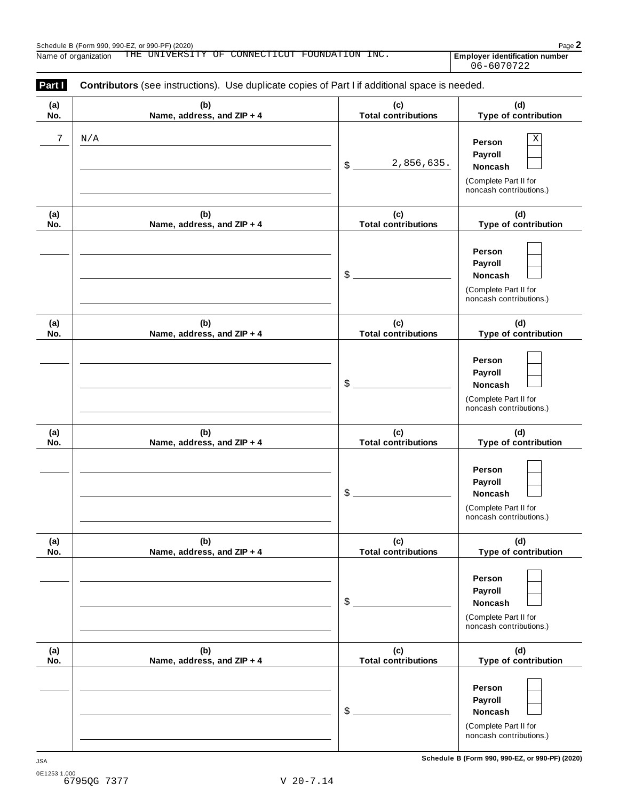| Part I<br>Contributors (see instructions). Use duplicate copies of Part I if additional space is needed. |                                   |                                   |                                                                                                 |  |  |  |
|----------------------------------------------------------------------------------------------------------|-----------------------------------|-----------------------------------|-------------------------------------------------------------------------------------------------|--|--|--|
| (a)<br>No.                                                                                               | (b)<br>Name, address, and ZIP + 4 | (c)<br><b>Total contributions</b> | (d)<br>Type of contribution                                                                     |  |  |  |
| 7                                                                                                        | $\rm N/A$                         | 2,856,635.<br>\$                  | $\mathbf X$<br>Person<br>Payroll<br>Noncash<br>(Complete Part II for<br>noncash contributions.) |  |  |  |
| (a)<br>No.                                                                                               | (b)<br>Name, address, and ZIP + 4 | (c)<br><b>Total contributions</b> | (d)<br>Type of contribution                                                                     |  |  |  |
|                                                                                                          |                                   | \$                                | Person<br>Payroll<br>Noncash<br>(Complete Part II for<br>noncash contributions.)                |  |  |  |
| (a)<br>No.                                                                                               | (b)<br>Name, address, and ZIP + 4 | (c)<br><b>Total contributions</b> | (d)<br>Type of contribution                                                                     |  |  |  |
|                                                                                                          |                                   | \$                                | Person<br>Payroll<br>Noncash<br>(Complete Part II for<br>noncash contributions.)                |  |  |  |
| (a)<br>No.                                                                                               | (b)<br>Name, address, and ZIP + 4 | (c)<br><b>Total contributions</b> | (d)<br>Type of contribution                                                                     |  |  |  |
|                                                                                                          |                                   | \$                                | Person<br>Payroll<br>Noncash<br>(Complete Part II for<br>noncash contributions.)                |  |  |  |
| (a)<br>No.                                                                                               | (b)<br>Name, address, and ZIP + 4 | (c)<br><b>Total contributions</b> | (d)<br>Type of contribution                                                                     |  |  |  |
|                                                                                                          |                                   | \$                                | Person<br>Payroll<br><b>Noncash</b><br>(Complete Part II for<br>noncash contributions.)         |  |  |  |
| (a)<br>No.                                                                                               | (b)<br>Name, address, and ZIP + 4 | (c)<br><b>Total contributions</b> | (d)<br>Type of contribution                                                                     |  |  |  |
|                                                                                                          |                                   | \$                                | Person<br>Payroll<br>Noncash<br>(Complete Part II for<br>noncash contributions.)                |  |  |  |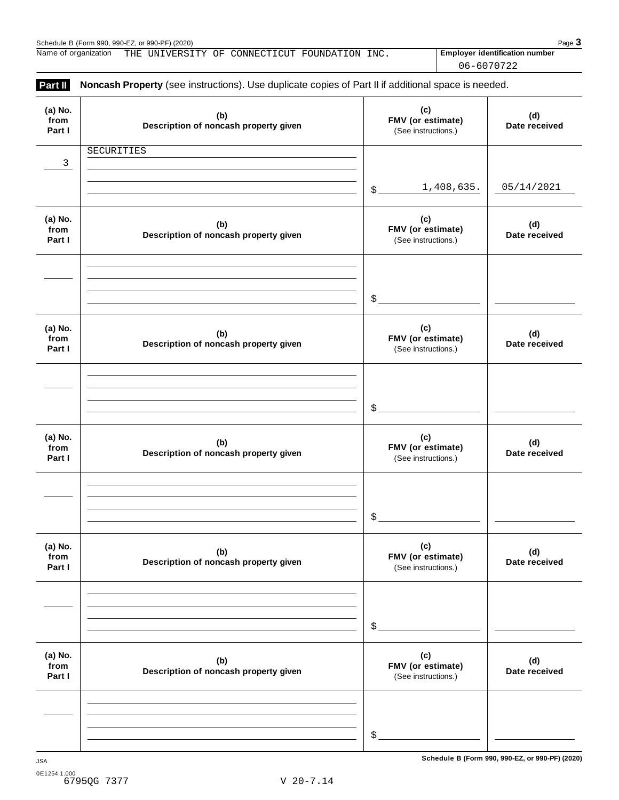Name of organization THE UNIVERSITY OF CONNECTICUT FOUNDATION INC. **Finally providentification number** 

06-6070722

| (a) No.<br>from<br>Part I | (b)<br>Description of noncash property given | (c)<br>FMV (or estimate)<br>(See instructions.) | (d)<br>Date received |
|---------------------------|----------------------------------------------|-------------------------------------------------|----------------------|
| 3                         | SECURITIES                                   |                                                 |                      |
|                           |                                              | 1,408,635.<br>$\frac{1}{2}$                     | 05/14/2021           |
| (a) No.<br>from<br>Part I | (b)<br>Description of noncash property given | (c)<br>FMV (or estimate)<br>(See instructions.) | (d)<br>Date received |
|                           |                                              | $\frac{1}{2}$                                   |                      |
| (a) No.<br>from<br>Part I | (b)<br>Description of noncash property given | (c)<br>FMV (or estimate)<br>(See instructions.) | (d)<br>Date received |
|                           |                                              | $\frac{1}{2}$                                   |                      |
| (a) No.<br>from<br>Part I | (b)<br>Description of noncash property given | (c)<br>FMV (or estimate)<br>(See instructions.) | (d)<br>Date received |
|                           |                                              | \$                                              |                      |
| (a) No.<br>from<br>Part I | (b)<br>Description of noncash property given | (c)<br>FMV (or estimate)<br>(See instructions.) | (d)<br>Date received |
|                           |                                              | \$                                              |                      |
| (a) No.<br>from<br>Part I | (b)<br>Description of noncash property given | (c)<br>FMV (or estimate)<br>(See instructions.) | (d)<br>Date received |
|                           |                                              |                                                 |                      |
|                           |                                              | \$                                              |                      |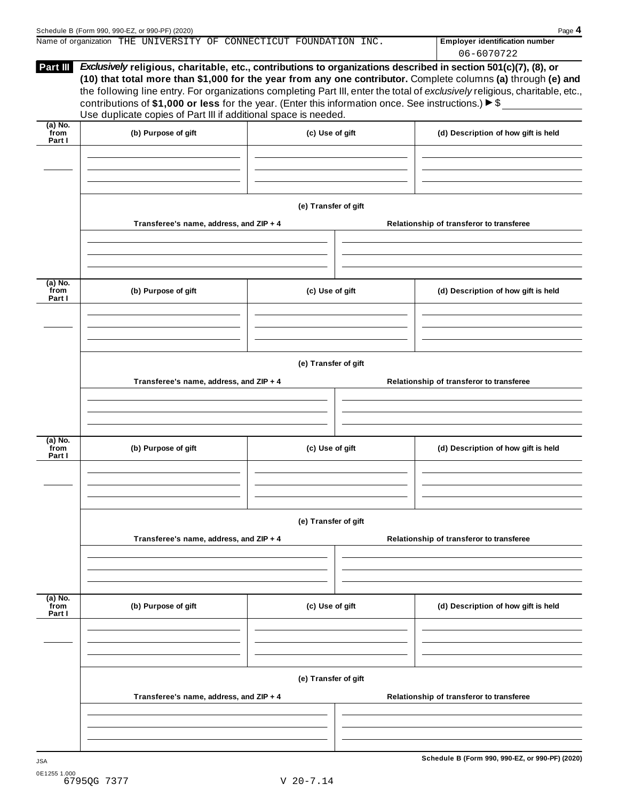|                   |                                                                                                                     |                      |  | 06-6070722                                                                                                                                                                                                                                    |  |  |  |
|-------------------|---------------------------------------------------------------------------------------------------------------------|----------------------|--|-----------------------------------------------------------------------------------------------------------------------------------------------------------------------------------------------------------------------------------------------|--|--|--|
| Part III          | Exclusively religious, charitable, etc., contributions to organizations described in section 501(c)(7), (8), or     |                      |  |                                                                                                                                                                                                                                               |  |  |  |
|                   |                                                                                                                     |                      |  | (10) that total more than \$1,000 for the year from any one contributor. Complete columns (a) through (e) and<br>the following line entry. For organizations completing Part III, enter the total of exclusively religious, charitable, etc., |  |  |  |
|                   | contributions of \$1,000 or less for the year. (Enter this information once. See instructions.) $\triangleright$ \$ |                      |  |                                                                                                                                                                                                                                               |  |  |  |
|                   | Use duplicate copies of Part III if additional space is needed.                                                     |                      |  |                                                                                                                                                                                                                                               |  |  |  |
| (a) No.<br>from   | (b) Purpose of gift                                                                                                 |                      |  |                                                                                                                                                                                                                                               |  |  |  |
| Part I            |                                                                                                                     | (c) Use of gift      |  | (d) Description of how gift is held                                                                                                                                                                                                           |  |  |  |
|                   |                                                                                                                     |                      |  |                                                                                                                                                                                                                                               |  |  |  |
|                   |                                                                                                                     |                      |  |                                                                                                                                                                                                                                               |  |  |  |
|                   |                                                                                                                     |                      |  |                                                                                                                                                                                                                                               |  |  |  |
|                   |                                                                                                                     |                      |  |                                                                                                                                                                                                                                               |  |  |  |
|                   |                                                                                                                     | (e) Transfer of gift |  |                                                                                                                                                                                                                                               |  |  |  |
|                   | Transferee's name, address, and ZIP + 4                                                                             |                      |  | Relationship of transferor to transferee                                                                                                                                                                                                      |  |  |  |
|                   |                                                                                                                     |                      |  |                                                                                                                                                                                                                                               |  |  |  |
|                   |                                                                                                                     |                      |  |                                                                                                                                                                                                                                               |  |  |  |
|                   |                                                                                                                     |                      |  |                                                                                                                                                                                                                                               |  |  |  |
| $(a)$ No.<br>from | (b) Purpose of gift                                                                                                 | (c) Use of gift      |  | (d) Description of how gift is held                                                                                                                                                                                                           |  |  |  |
| Part I            |                                                                                                                     |                      |  |                                                                                                                                                                                                                                               |  |  |  |
|                   |                                                                                                                     |                      |  |                                                                                                                                                                                                                                               |  |  |  |
|                   |                                                                                                                     |                      |  |                                                                                                                                                                                                                                               |  |  |  |
|                   |                                                                                                                     |                      |  |                                                                                                                                                                                                                                               |  |  |  |
|                   |                                                                                                                     |                      |  |                                                                                                                                                                                                                                               |  |  |  |
|                   | (e) Transfer of gift                                                                                                |                      |  |                                                                                                                                                                                                                                               |  |  |  |
|                   | Transferee's name, address, and ZIP + 4                                                                             |                      |  | Relationship of transferor to transferee                                                                                                                                                                                                      |  |  |  |
|                   |                                                                                                                     |                      |  |                                                                                                                                                                                                                                               |  |  |  |
|                   |                                                                                                                     |                      |  |                                                                                                                                                                                                                                               |  |  |  |
|                   |                                                                                                                     |                      |  |                                                                                                                                                                                                                                               |  |  |  |
| (a) No.<br>from   | (b) Purpose of gift                                                                                                 | (c) Use of gift      |  | (d) Description of how gift is held                                                                                                                                                                                                           |  |  |  |
| Part I            |                                                                                                                     |                      |  |                                                                                                                                                                                                                                               |  |  |  |
|                   |                                                                                                                     |                      |  |                                                                                                                                                                                                                                               |  |  |  |
|                   |                                                                                                                     |                      |  |                                                                                                                                                                                                                                               |  |  |  |
|                   |                                                                                                                     |                      |  |                                                                                                                                                                                                                                               |  |  |  |
|                   |                                                                                                                     | (e) Transfer of gift |  |                                                                                                                                                                                                                                               |  |  |  |
|                   | Transferee's name, address, and ZIP + 4                                                                             |                      |  | Relationship of transferor to transferee                                                                                                                                                                                                      |  |  |  |
|                   |                                                                                                                     |                      |  |                                                                                                                                                                                                                                               |  |  |  |
|                   |                                                                                                                     |                      |  |                                                                                                                                                                                                                                               |  |  |  |
|                   |                                                                                                                     |                      |  |                                                                                                                                                                                                                                               |  |  |  |
| $(a)$ No.         |                                                                                                                     |                      |  |                                                                                                                                                                                                                                               |  |  |  |
| from<br>Part I    | (b) Purpose of gift                                                                                                 | (c) Use of gift      |  | (d) Description of how gift is held                                                                                                                                                                                                           |  |  |  |
|                   |                                                                                                                     |                      |  |                                                                                                                                                                                                                                               |  |  |  |
|                   |                                                                                                                     |                      |  |                                                                                                                                                                                                                                               |  |  |  |
|                   |                                                                                                                     |                      |  |                                                                                                                                                                                                                                               |  |  |  |
|                   |                                                                                                                     |                      |  |                                                                                                                                                                                                                                               |  |  |  |
|                   |                                                                                                                     | (e) Transfer of gift |  |                                                                                                                                                                                                                                               |  |  |  |
|                   | Transferee's name, address, and ZIP + 4                                                                             |                      |  | Relationship of transferor to transferee                                                                                                                                                                                                      |  |  |  |
|                   |                                                                                                                     |                      |  |                                                                                                                                                                                                                                               |  |  |  |
|                   |                                                                                                                     |                      |  |                                                                                                                                                                                                                                               |  |  |  |
|                   |                                                                                                                     |                      |  |                                                                                                                                                                                                                                               |  |  |  |
|                   |                                                                                                                     |                      |  |                                                                                                                                                                                                                                               |  |  |  |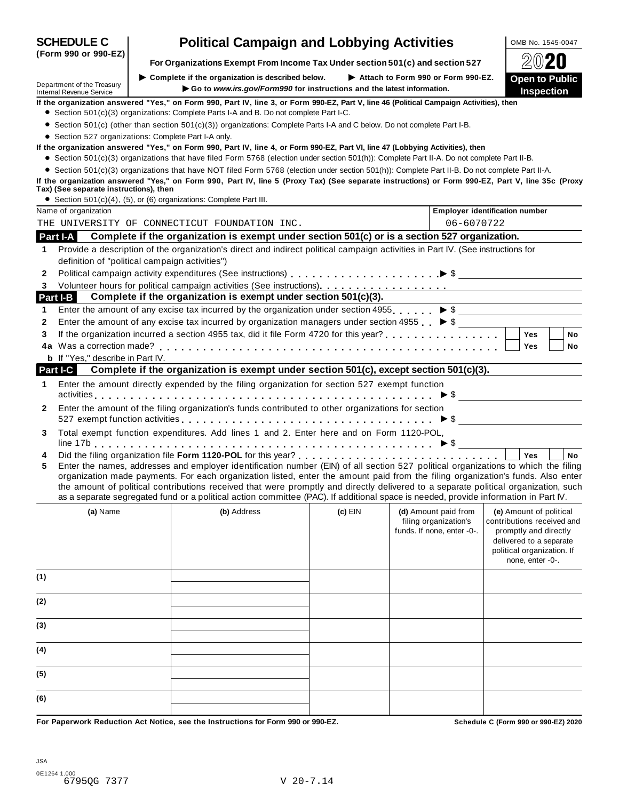| <b>SCHEDULE C</b>                                                                                                                                                                          |                                                                    | <b>Political Campaign and Lobbying Activities</b>                                                                                                                                                                                                                                                                                                                                                                                                                                                                                                    |           |  |                                                     | OMB No. 1545-0047                                                                                                                |           |
|--------------------------------------------------------------------------------------------------------------------------------------------------------------------------------------------|--------------------------------------------------------------------|------------------------------------------------------------------------------------------------------------------------------------------------------------------------------------------------------------------------------------------------------------------------------------------------------------------------------------------------------------------------------------------------------------------------------------------------------------------------------------------------------------------------------------------------------|-----------|--|-----------------------------------------------------|----------------------------------------------------------------------------------------------------------------------------------|-----------|
| (Form 990 or 990-EZ)                                                                                                                                                                       |                                                                    | For Organizations Exempt From Income Tax Under section 501(c) and section 527                                                                                                                                                                                                                                                                                                                                                                                                                                                                        |           |  |                                                     |                                                                                                                                  | $20$ 20   |
| Department of the Treasury<br><b>Internal Revenue Service</b>                                                                                                                              |                                                                    | Complete if the organization is described below.<br>Go to www.irs.gov/Form990 for instructions and the latest information.                                                                                                                                                                                                                                                                                                                                                                                                                           |           |  | Attach to Form 990 or Form 990-EZ.                  | <b>Open to Public</b><br>Inspection                                                                                              |           |
| If the organization answered "Yes," on Form 990, Part IV, line 3, or Form 990-EZ, Part V, line 46 (Political Campaign Activities), then                                                    |                                                                    |                                                                                                                                                                                                                                                                                                                                                                                                                                                                                                                                                      |           |  |                                                     |                                                                                                                                  |           |
|                                                                                                                                                                                            |                                                                    | • Section 501(c)(3) organizations: Complete Parts I-A and B. Do not complete Part I-C.<br>• Section 501(c) (other than section 501(c)(3)) organizations: Complete Parts I-A and C below. Do not complete Part I-B.                                                                                                                                                                                                                                                                                                                                   |           |  |                                                     |                                                                                                                                  |           |
|                                                                                                                                                                                            | • Section 527 organizations: Complete Part I-A only.               |                                                                                                                                                                                                                                                                                                                                                                                                                                                                                                                                                      |           |  |                                                     |                                                                                                                                  |           |
| If the organization answered "Yes," on Form 990, Part IV, line 4, or Form 990-EZ, Part VI, line 47 (Lobbying Activities), then                                                             |                                                                    |                                                                                                                                                                                                                                                                                                                                                                                                                                                                                                                                                      |           |  |                                                     |                                                                                                                                  |           |
|                                                                                                                                                                                            |                                                                    | • Section 501(c)(3) organizations that have filed Form 5768 (election under section 501(h)): Complete Part II-A. Do not complete Part II-B.                                                                                                                                                                                                                                                                                                                                                                                                          |           |  |                                                     |                                                                                                                                  |           |
| If the organization answered "Yes," on Form 990, Part IV, line 5 (Proxy Tax) (See separate instructions) or Form 990-EZ, Part V, line 35c (Proxy<br>Tax) (See separate instructions), then |                                                                    | • Section 501(c)(3) organizations that have NOT filed Form 5768 (election under section 501(h)): Complete Part II-B. Do not complete Part II-A.                                                                                                                                                                                                                                                                                                                                                                                                      |           |  |                                                     |                                                                                                                                  |           |
|                                                                                                                                                                                            | • Section 501(c)(4), (5), or (6) organizations: Complete Part III. |                                                                                                                                                                                                                                                                                                                                                                                                                                                                                                                                                      |           |  |                                                     |                                                                                                                                  |           |
| Name of organization                                                                                                                                                                       |                                                                    |                                                                                                                                                                                                                                                                                                                                                                                                                                                                                                                                                      |           |  |                                                     | <b>Employer identification number</b>                                                                                            |           |
| THE UNIVERSITY OF CONNECTICUT FOUNDATION INC.                                                                                                                                              |                                                                    |                                                                                                                                                                                                                                                                                                                                                                                                                                                                                                                                                      |           |  | 06-6070722                                          |                                                                                                                                  |           |
| <b>Part I-A</b>                                                                                                                                                                            |                                                                    | Complete if the organization is exempt under section 501(c) or is a section 527 organization.                                                                                                                                                                                                                                                                                                                                                                                                                                                        |           |  |                                                     |                                                                                                                                  |           |
| 1.                                                                                                                                                                                         | definition of "political campaign activities")                     | Provide a description of the organization's direct and indirect political campaign activities in Part IV. (See instructions for                                                                                                                                                                                                                                                                                                                                                                                                                      |           |  |                                                     |                                                                                                                                  |           |
| 2                                                                                                                                                                                          |                                                                    |                                                                                                                                                                                                                                                                                                                                                                                                                                                                                                                                                      |           |  |                                                     |                                                                                                                                  |           |
| 3                                                                                                                                                                                          |                                                                    |                                                                                                                                                                                                                                                                                                                                                                                                                                                                                                                                                      |           |  |                                                     |                                                                                                                                  |           |
| Part I-B                                                                                                                                                                                   |                                                                    | Complete if the organization is exempt under section 501(c)(3).                                                                                                                                                                                                                                                                                                                                                                                                                                                                                      |           |  |                                                     |                                                                                                                                  |           |
| 1                                                                                                                                                                                          |                                                                    | Enter the amount of any excise tax incurred by the organization under section 4955. $\triangleright$ \$                                                                                                                                                                                                                                                                                                                                                                                                                                              |           |  |                                                     |                                                                                                                                  |           |
| 2                                                                                                                                                                                          |                                                                    | Enter the amount of any excise tax incurred by organization managers under section 4955 $\triangleright$ \$                                                                                                                                                                                                                                                                                                                                                                                                                                          |           |  |                                                     |                                                                                                                                  |           |
| 3                                                                                                                                                                                          |                                                                    |                                                                                                                                                                                                                                                                                                                                                                                                                                                                                                                                                      |           |  |                                                     | <b>Yes</b>                                                                                                                       | <b>No</b> |
|                                                                                                                                                                                            |                                                                    |                                                                                                                                                                                                                                                                                                                                                                                                                                                                                                                                                      |           |  |                                                     | Yes                                                                                                                              | No        |
| <b>b</b> If "Yes," describe in Part IV.<br>Part I-C                                                                                                                                        |                                                                    | Complete if the organization is exempt under section 501(c), except section 501(c)(3).                                                                                                                                                                                                                                                                                                                                                                                                                                                               |           |  |                                                     |                                                                                                                                  |           |
| 1                                                                                                                                                                                          |                                                                    | Enter the amount directly expended by the filing organization for section 527 exempt function                                                                                                                                                                                                                                                                                                                                                                                                                                                        |           |  |                                                     |                                                                                                                                  |           |
|                                                                                                                                                                                            |                                                                    |                                                                                                                                                                                                                                                                                                                                                                                                                                                                                                                                                      |           |  |                                                     |                                                                                                                                  |           |
| 2                                                                                                                                                                                          |                                                                    | Enter the amount of the filing organization's funds contributed to other organizations for section<br>527 exempt function activities $\ldots \ldots \ldots \ldots \ldots \ldots \ldots \ldots \ldots \ldots \ldots \blacktriangleright$ \$ __________________________                                                                                                                                                                                                                                                                                |           |  |                                                     |                                                                                                                                  |           |
| 3                                                                                                                                                                                          |                                                                    | Total exempt function expenditures. Add lines 1 and 2. Enter here and on Form 1120-POL,                                                                                                                                                                                                                                                                                                                                                                                                                                                              |           |  |                                                     |                                                                                                                                  |           |
| 4<br>5                                                                                                                                                                                     |                                                                    | Enter the names, addresses and employer identification number (EIN) of all section 527 political organizations to which the filing<br>organization made payments. For each organization listed, enter the amount paid from the filing organization's funds. Also enter<br>the amount of political contributions received that were promptly and directly delivered to a separate political organization, such<br>as a separate segregated fund or a political action committee (PAC). If additional space is needed, provide information in Part IV. |           |  |                                                     | Yes                                                                                                                              | <b>No</b> |
| (a) Name                                                                                                                                                                                   |                                                                    | (b) Address                                                                                                                                                                                                                                                                                                                                                                                                                                                                                                                                          | $(c)$ EIN |  | (d) Amount paid from                                | (e) Amount of political                                                                                                          |           |
|                                                                                                                                                                                            |                                                                    |                                                                                                                                                                                                                                                                                                                                                                                                                                                                                                                                                      |           |  | filing organization's<br>funds. If none, enter -0-. | contributions received and<br>promptly and directly<br>delivered to a separate<br>political organization. If<br>none, enter -0-. |           |
| (1)                                                                                                                                                                                        |                                                                    |                                                                                                                                                                                                                                                                                                                                                                                                                                                                                                                                                      |           |  |                                                     |                                                                                                                                  |           |
| (2)                                                                                                                                                                                        |                                                                    |                                                                                                                                                                                                                                                                                                                                                                                                                                                                                                                                                      |           |  |                                                     |                                                                                                                                  |           |
| (3)                                                                                                                                                                                        |                                                                    |                                                                                                                                                                                                                                                                                                                                                                                                                                                                                                                                                      |           |  |                                                     |                                                                                                                                  |           |
| (4)                                                                                                                                                                                        |                                                                    |                                                                                                                                                                                                                                                                                                                                                                                                                                                                                                                                                      |           |  |                                                     |                                                                                                                                  |           |
| (5)                                                                                                                                                                                        |                                                                    |                                                                                                                                                                                                                                                                                                                                                                                                                                                                                                                                                      |           |  |                                                     |                                                                                                                                  |           |
| (6)                                                                                                                                                                                        |                                                                    |                                                                                                                                                                                                                                                                                                                                                                                                                                                                                                                                                      |           |  |                                                     |                                                                                                                                  |           |
|                                                                                                                                                                                            |                                                                    | For Panerwork Poduction, Act Notice, see the Instructions for Form 000 or 000 FZ                                                                                                                                                                                                                                                                                                                                                                                                                                                                     |           |  |                                                     | <b>Cohodulo C (Form 000 or 000 EZ) 2020</b>                                                                                      |           |

For Paperwork Reduction Act Notice, see the Instructions for Form 990 or 990-EZ. Schedule C (Form 990 or 990-EZ) 2020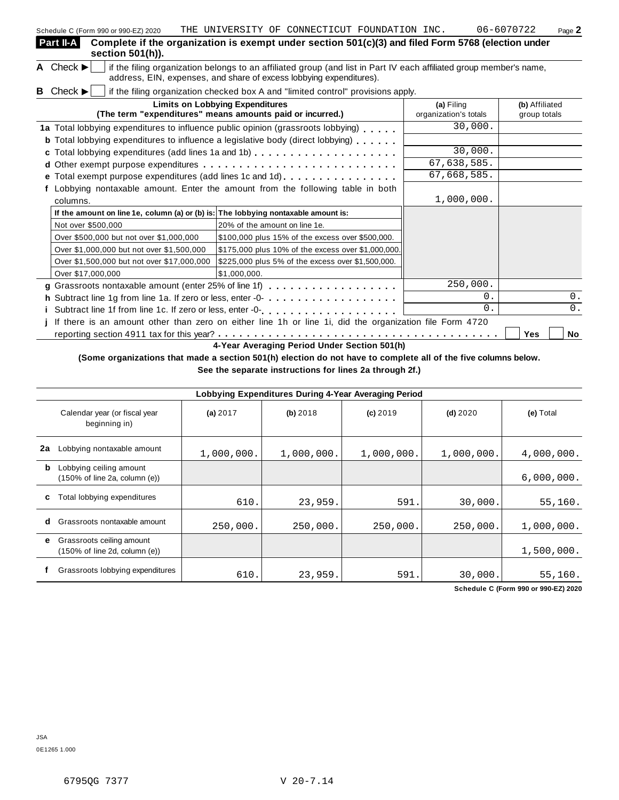|    | Schedule C (Form 990 or 990-EZ) 2020                                                                                                                                                                                        | THE UNIVERSITY OF CONNECTICUT FOUNDATION INC. |                                                    |  |                                     |          | 06-6070722                     | Page 2 |
|----|-----------------------------------------------------------------------------------------------------------------------------------------------------------------------------------------------------------------------------|-----------------------------------------------|----------------------------------------------------|--|-------------------------------------|----------|--------------------------------|--------|
|    | Part II-A<br>Complete if the organization is exempt under section 501(c)(3) and filed Form 5768 (election under<br>section 501(h)).                                                                                         |                                               |                                                    |  |                                     |          |                                |        |
|    | A Check $\blacktriangleright$<br>if the filing organization belongs to an affiliated group (and list in Part IV each affiliated group member's name,<br>address, EIN, expenses, and share of excess lobbying expenditures). |                                               |                                                    |  |                                     |          |                                |        |
|    | <b>B</b> Check $\blacktriangleright$<br>if the filing organization checked box A and "limited control" provisions apply.                                                                                                    |                                               |                                                    |  |                                     |          |                                |        |
|    | (The term "expenditures" means amounts paid or incurred.)                                                                                                                                                                   | <b>Limits on Lobbying Expenditures</b>        |                                                    |  | (a) Filing<br>organization's totals |          | (b) Affiliated<br>group totals |        |
|    | 1a Total lobbying expenditures to influence public opinion (grassroots lobbying)                                                                                                                                            |                                               |                                                    |  |                                     | 30,000.  |                                |        |
|    | <b>b</b> Total lobbying expenditures to influence a legislative body (direct lobbying)                                                                                                                                      |                                               |                                                    |  |                                     |          |                                |        |
| c. |                                                                                                                                                                                                                             |                                               |                                                    |  |                                     | 30,000.  |                                |        |
|    |                                                                                                                                                                                                                             |                                               |                                                    |  | 67,638,585.                         |          |                                |        |
|    |                                                                                                                                                                                                                             |                                               |                                                    |  | 67,668,585.                         |          |                                |        |
|    | Lobbying nontaxable amount. Enter the amount from the following table in both                                                                                                                                               |                                               |                                                    |  |                                     |          |                                |        |
|    | columns.                                                                                                                                                                                                                    |                                               |                                                    |  | 1,000,000.                          |          |                                |        |
|    | If the amount on line 1e, column (a) or (b) is: The lobbying nontaxable amount is:                                                                                                                                          |                                               |                                                    |  |                                     |          |                                |        |
|    | Not over \$500,000                                                                                                                                                                                                          | 20% of the amount on line 1e.                 |                                                    |  |                                     |          |                                |        |
|    | Over \$500,000 but not over \$1,000,000                                                                                                                                                                                     |                                               | \$100,000 plus 15% of the excess over \$500,000.   |  |                                     |          |                                |        |
|    | Over \$1,000,000 but not over \$1,500,000                                                                                                                                                                                   |                                               | \$175,000 plus 10% of the excess over \$1,000,000. |  |                                     |          |                                |        |
|    | Over \$1,500,000 but not over \$17,000,000                                                                                                                                                                                  |                                               | \$225,000 plus 5% of the excess over \$1,500,000.  |  |                                     |          |                                |        |
|    | Over \$17,000,000                                                                                                                                                                                                           | \$1,000,000.                                  |                                                    |  |                                     |          |                                |        |
|    | g Grassroots nontaxable amount (enter 25% of line 1f)                                                                                                                                                                       |                                               |                                                    |  |                                     | 250,000. |                                |        |
|    | h Subtract line 1g from line 1a. If zero or less, enter -0-                                                                                                                                                                 |                                               |                                                    |  |                                     | $0$ .    |                                | 0.     |
|    | i Subtract line 1f from line 1c. If zero or less, enter -0-<br>interior-nanceric-nancerical services in the 1-c.                                                                                                            |                                               |                                                    |  |                                     | 0.       |                                | 0.     |
|    | If there is an amount other than zero on either line 1h or line 1i, did the organization file Form 4720                                                                                                                     |                                               |                                                    |  |                                     |          |                                |        |

reporting section <sup>4911</sup> tax for this year? m m m m m m m m m m m m m m m m m m m m m m m m m m m m m m m m m m m m m m m **Yes No**

**4-Year Averaging Period Under Section 501(h)**

(Some organizations that made a section 501(h) election do not have to complete all of the five columns below.

**See the separate instructions for lines 2a through 2f.)**

|    | Lobbying Expenditures During 4-Year Averaging Period                            |            |            |            |            |            |  |  |
|----|---------------------------------------------------------------------------------|------------|------------|------------|------------|------------|--|--|
|    | Calendar year (or fiscal year<br>beginning in)                                  | (a) 2017   | (b) 2018   | $(c)$ 2019 | $(d)$ 2020 | (e) Total  |  |  |
| 2a | Lobbying nontaxable amount                                                      | 1,000,000. | 1,000,000. | 1,000,000. | 1,000,000. | 4,000,000. |  |  |
| b  | Lobbying ceiling amount<br>$(150\% \text{ of line } 2a, \text{ column } (e))$   |            |            |            |            | 6,000,000. |  |  |
| с  | Total lobbying expenditures                                                     | 610.       | 23,959.    | 591.       | 30,000.    | 55,160.    |  |  |
| d  | Grassroots nontaxable amount                                                    | 250,000.   | 250,000.   | 250,000.   | 250,000.   | 1,000,000. |  |  |
| е  | Grassroots ceiling amount<br>$(150\% \text{ of line } 2d, \text{ column } (e))$ |            |            |            |            | 1,500,000. |  |  |
|    | Grassroots lobbying expenditures                                                | 610.       | 23,959.    | 591.       | 30,000.    | 55,160.    |  |  |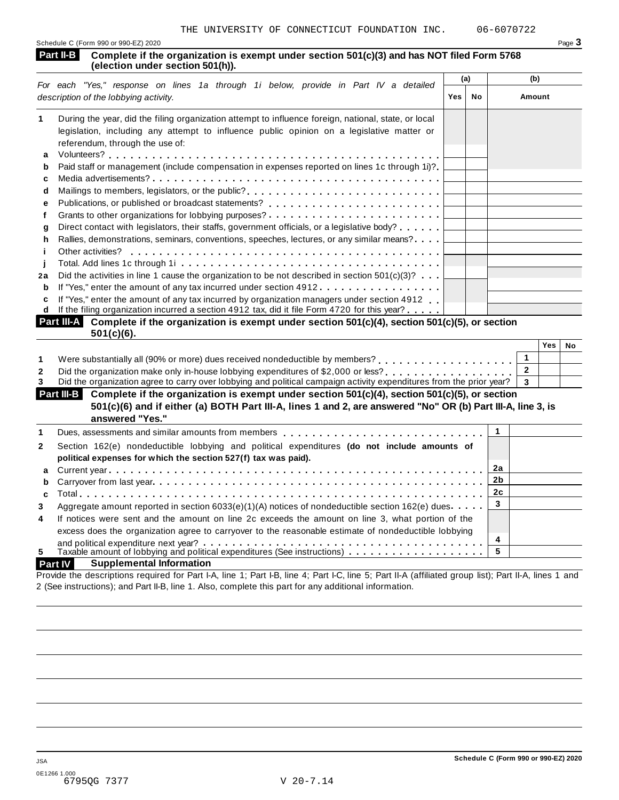| Schedule C (Form 990 or 990-EZ) 2020 | Page $\mathbf{\dot{5}}$ |
|--------------------------------------|-------------------------|
|                                      |                         |

#### **Complete if the organization is exempt under section 501(c)(3) and has NOT filed Form 5768 (election under section 501(h).** Part II-B<br>(election under section 501(h)).

|    | For each "Yes," response on lines 1a through 1i below, provide in Part IV a detailed                       | (a) |    | (b)    |
|----|------------------------------------------------------------------------------------------------------------|-----|----|--------|
|    | description of the lobbying activity.                                                                      | Yes | No | Amount |
| 1  | During the year, did the filing organization attempt to influence foreign, national, state, or local       |     |    |        |
|    | legislation, including any attempt to influence public opinion on a legislative matter or                  |     |    |        |
|    | referendum, through the use of:                                                                            |     |    |        |
| a  |                                                                                                            |     |    |        |
| b  | Paid staff or management (include compensation in expenses reported on lines 1c through 1i)?               |     |    |        |
| c  |                                                                                                            |     |    |        |
| d  | Mailings to members, legislators, or the public?                                                           |     |    |        |
| е  |                                                                                                            |     |    |        |
| f  |                                                                                                            |     |    |        |
| g  | Direct contact with legislators, their staffs, government officials, or a legislative body?                |     |    |        |
| h. | Rallies, demonstrations, seminars, conventions, speeches, lectures, or any similar means?                  |     |    |        |
|    | Other activities?                                                                                          |     |    |        |
|    |                                                                                                            |     |    |        |
| 2a | Did the activities in line 1 cause the organization to be not described in section $501(c)(3)$ ?           |     |    |        |
| b  | If "Yes," enter the amount of any tax incurred under section 4912                                          |     |    |        |
| C  | If "Yes," enter the amount of any tax incurred by organization managers under section 4912.                |     |    |        |
| d  | If the filing organization incurred a section 4912 tax, did it file Form 4720 for this year?               |     |    |        |
|    | $Part III-A$ Complete if the organization is exampt under section $501(c)/4$ section $501(c)/5$ or section |     |    |        |

| <b>Part III-A</b> Complete if the organization is exempt under section $501(c)(4)$ , section $501(c)(5)$ , or section<br>$501(c)(6)$ . |  |     |    |  |
|----------------------------------------------------------------------------------------------------------------------------------------|--|-----|----|--|
|                                                                                                                                        |  | Yes | No |  |
| Were substantially all (90% or more) dues received nondeductible by members?                                                           |  |     |    |  |
| . Did de estado de decorado en la contrada de la contrada de la contrada de 1400. A 2000 en la cal                                     |  |     |    |  |

|         |  |  | 2 Did the organization make only in-house lobbying expenditures of \$2,000 or less?                                  |  |  |
|---------|--|--|----------------------------------------------------------------------------------------------------------------------|--|--|
| _______ |  |  | المعاني والمتحام والمستنقص والمتحام والمستحيل والمتحام والمتحام والمتحام والمتحام والمتحام والمتحام والمتحام والمتحا |  |  |

3 Did the organization agree to carry over lobbying and political campaign activity expenditures from the prior year? **3** 

#### **Complete if the organization is exempt under section 501(c)(4), section 501(c)(5), or section Part III-B** 501(c)(6) and if either (a) BOTH Part III-A, lines 1 and 2, are answered "No" OR (b) Part III-A, line 3, is **answered "Yes."**

|                         | answered res.                                                                                            |    |  |
|-------------------------|----------------------------------------------------------------------------------------------------------|----|--|
| 1                       |                                                                                                          |    |  |
| $\overline{2}$          | Section 162(e) nondeductible lobbying and political expenditures (do not include amounts of              |    |  |
|                         | political expenses for which the section 527(f) tax was paid).                                           |    |  |
|                         |                                                                                                          | 2a |  |
|                         |                                                                                                          |    |  |
|                         |                                                                                                          |    |  |
| 3                       | Aggregate amount reported in section 6033(e)(1)(A) notices of nondeductible section 162(e) dues $\cdots$ |    |  |
| $\overline{\mathbf{4}}$ | If notices were sent and the amount on line 2c exceeds the amount on line 3, what portion of the         |    |  |
|                         | excess does the organization agree to carryover to the reasonable estimate of nondeductible lobbying     |    |  |
|                         |                                                                                                          | 4  |  |
| 5.                      |                                                                                                          |    |  |
|                         |                                                                                                          |    |  |

#### **Part IV Supplemental Information**

Provide the descriptions required for Part I-A, line 1; Part I-B, line 4; Part I-C, line 5; Part II-A (affiliated group list); Part II-A, lines 1 and 2 (See instructions); and Part II-B, line 1. Also, complete this part for any additional information.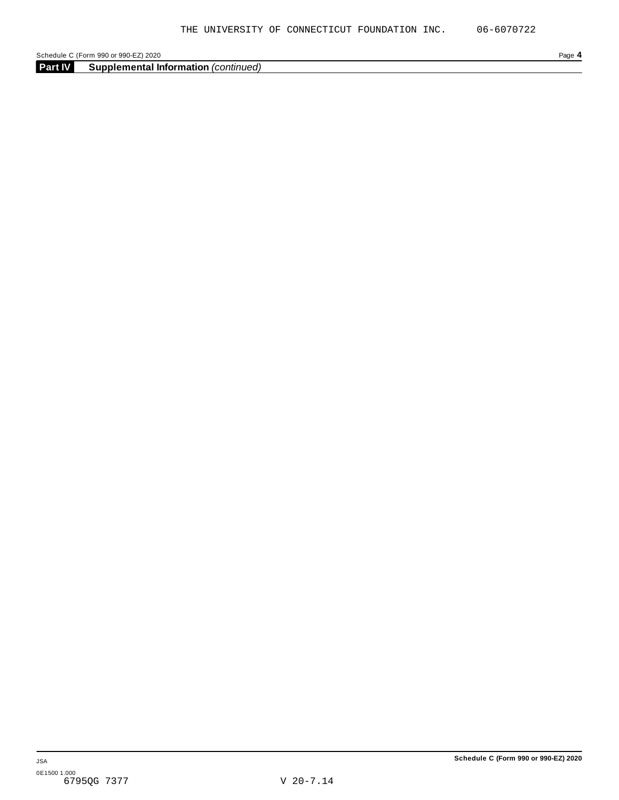**Part IV Supplemental Information** *(continued)*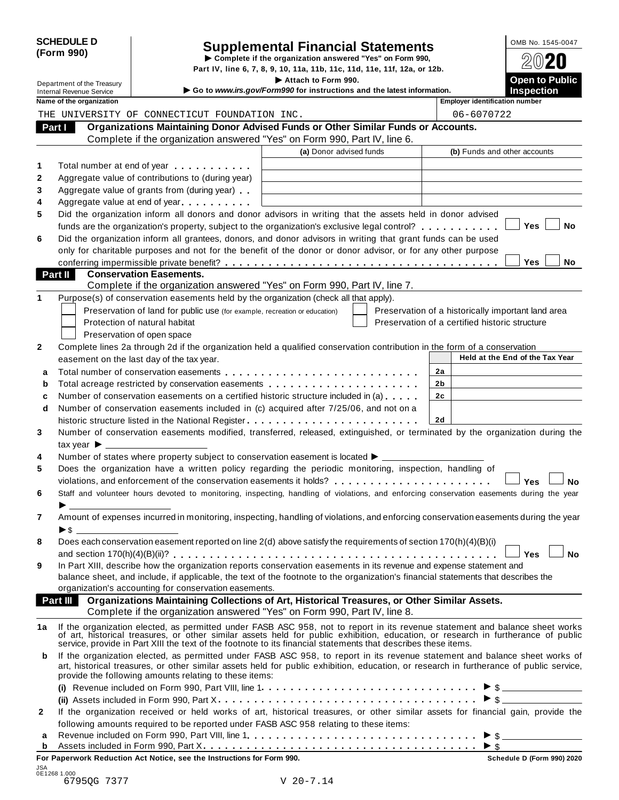| <b>SCHEDULE D</b> |  |
|-------------------|--|
| (Form 990)        |  |

# SCHEDULE D<br>
Supplemental Financial Statements<br>
Form 990)<br>
Part IV, line 6, 7, 8, 9, 10, 11a, 11b, 11c, 11d, 11e, 11f, 12a, or 12b.<br>
Part IV, line 6, 7, 8, 9, 10, 11a, 11b, 11c, 11d, 11e, 11f, 12a, or 12b.

Part IV, line 6, 7, 8, 9, 10, 11a, 11b, 11c, 11d, 11e, 11f, 12a, or 12b.<br> **Department of the Treasury** Increasury **Included** Section 1990. **1** Department of the Treasury internal Revenue Service internal Revenue Service internal Revenue Service internal Revenue Service internal Revenue Service internal Revenue Service internal Revenue Service internal Revenu

|                | Name of the organization                                                                                                                                                                                                                                                                                                         |                         | <b>Employer identification number</b>              |
|----------------|----------------------------------------------------------------------------------------------------------------------------------------------------------------------------------------------------------------------------------------------------------------------------------------------------------------------------------|-------------------------|----------------------------------------------------|
|                | THE UNIVERSITY OF CONNECTICUT FOUNDATION INC.                                                                                                                                                                                                                                                                                    |                         | 06-6070722                                         |
|                | Organizations Maintaining Donor Advised Funds or Other Similar Funds or Accounts.<br>Part I<br>Complete if the organization answered "Yes" on Form 990, Part IV, line 6.                                                                                                                                                         |                         |                                                    |
|                |                                                                                                                                                                                                                                                                                                                                  | (a) Donor advised funds | (b) Funds and other accounts                       |
| 1              | Total number at end of year entitled as a set of year                                                                                                                                                                                                                                                                            |                         |                                                    |
| 2              | Aggregate value of contributions to (during year)                                                                                                                                                                                                                                                                                |                         |                                                    |
| 3              | Aggregate value of grants from (during year)                                                                                                                                                                                                                                                                                     |                         |                                                    |
| 4              | Aggregate value at end of year                                                                                                                                                                                                                                                                                                   |                         |                                                    |
| 5              | Did the organization inform all donors and donor advisors in writing that the assets held in donor advised                                                                                                                                                                                                                       |                         |                                                    |
|                | funds are the organization's property, subject to the organization's exclusive legal control?                                                                                                                                                                                                                                    |                         | Yes<br>No                                          |
| 6              | Did the organization inform all grantees, donors, and donor advisors in writing that grant funds can be used                                                                                                                                                                                                                     |                         |                                                    |
|                | only for charitable purposes and not for the benefit of the donor or donor advisor, or for any other purpose                                                                                                                                                                                                                     |                         |                                                    |
|                |                                                                                                                                                                                                                                                                                                                                  |                         | <b>Yes</b><br>No                                   |
| <b>Part II</b> | <b>Conservation Easements.</b>                                                                                                                                                                                                                                                                                                   |                         |                                                    |
|                | Complete if the organization answered "Yes" on Form 990, Part IV, line 7.                                                                                                                                                                                                                                                        |                         |                                                    |
| 1              | Purpose(s) of conservation easements held by the organization (check all that apply).                                                                                                                                                                                                                                            |                         |                                                    |
|                | Preservation of land for public use (for example, recreation or education)                                                                                                                                                                                                                                                       |                         | Preservation of a historically important land area |
|                | Protection of natural habitat                                                                                                                                                                                                                                                                                                    |                         | Preservation of a certified historic structure     |
|                | Preservation of open space                                                                                                                                                                                                                                                                                                       |                         |                                                    |
| 2              | Complete lines 2a through 2d if the organization held a qualified conservation contribution in the form of a conservation                                                                                                                                                                                                        |                         |                                                    |
|                | easement on the last day of the tax year.                                                                                                                                                                                                                                                                                        |                         | Held at the End of the Tax Year                    |
| a              |                                                                                                                                                                                                                                                                                                                                  |                         | 2a                                                 |
| b              | Total acreage restricted by conservation easements                                                                                                                                                                                                                                                                               |                         | 2b                                                 |
| c              | Number of conservation easements on a certified historic structure included in (a)                                                                                                                                                                                                                                               |                         | 2c                                                 |
| d              | Number of conservation easements included in (c) acquired after 7/25/06, and not on a                                                                                                                                                                                                                                            |                         |                                                    |
|                |                                                                                                                                                                                                                                                                                                                                  |                         | 2d                                                 |
| 3              | Number of conservation easements modified, transferred, released, extinguished, or terminated by the organization during the                                                                                                                                                                                                     |                         |                                                    |
|                |                                                                                                                                                                                                                                                                                                                                  |                         |                                                    |
| 4              | Number of states where property subject to conservation easement is located ▶ _________                                                                                                                                                                                                                                          |                         |                                                    |
| 5              | Does the organization have a written policy regarding the periodic monitoring, inspection, handling of                                                                                                                                                                                                                           |                         |                                                    |
|                | violations, and enforcement of the conservation easements it holds?                                                                                                                                                                                                                                                              |                         | Yes<br>No                                          |
| 6              | Staff and volunteer hours devoted to monitoring, inspecting, handling of violations, and enforcing conservation easements during the year                                                                                                                                                                                        |                         |                                                    |
|                |                                                                                                                                                                                                                                                                                                                                  |                         |                                                    |
| 7              | Amount of expenses incurred in monitoring, inspecting, handling of violations, and enforcing conservation easements during the year                                                                                                                                                                                              |                         |                                                    |
|                |                                                                                                                                                                                                                                                                                                                                  |                         |                                                    |
| 8              | Does each conservation easement reported on line 2(d) above satisfy the requirements of section 170(h)(4)(B)(i)                                                                                                                                                                                                                  |                         |                                                    |
|                | In Part XIII, describe how the organization reports conservation easements in its revenue and expense statement and                                                                                                                                                                                                              |                         | J Yes<br>No                                        |
| 9              | balance sheet, and include, if applicable, the text of the footnote to the organization's financial statements that describes the                                                                                                                                                                                                |                         |                                                    |
|                | organization's accounting for conservation easements.                                                                                                                                                                                                                                                                            |                         |                                                    |
|                | Organizations Maintaining Collections of Art, Historical Treasures, or Other Similar Assets.<br><b>Part III</b>                                                                                                                                                                                                                  |                         |                                                    |
|                | Complete if the organization answered "Yes" on Form 990, Part IV, line 8.                                                                                                                                                                                                                                                        |                         |                                                    |
| 1a             |                                                                                                                                                                                                                                                                                                                                  |                         |                                                    |
|                | If the organization elected, as permitted under FASB ASC 958, not to report in its revenue statement and balance sheet works<br>of art, historical treasures, or other similar assets held for public exhibition, education, or r                                                                                                |                         |                                                    |
|                | service, provide in Part XIII the text of the footnote to its financial statements that describes these items.                                                                                                                                                                                                                   |                         |                                                    |
| b              | If the organization elected, as permitted under FASB ASC 958, to report in its revenue statement and balance sheet works of<br>art, historical treasures, or other similar assets held for public exhibition, education, or research in furtherance of public service,<br>provide the following amounts relating to these items: |                         |                                                    |
|                |                                                                                                                                                                                                                                                                                                                                  |                         | $\triangleright$ \$                                |
|                |                                                                                                                                                                                                                                                                                                                                  |                         | $\triangleright$ \$                                |
| $\mathbf{2}$   | If the organization received or held works of art, historical treasures, or other similar assets for financial gain, provide the                                                                                                                                                                                                 |                         |                                                    |
|                | following amounts required to be reported under FASB ASC 958 relating to these items:                                                                                                                                                                                                                                            |                         |                                                    |
| а              |                                                                                                                                                                                                                                                                                                                                  |                         | $\triangleright$ \$                                |
| b              |                                                                                                                                                                                                                                                                                                                                  |                         | $\triangleright$ \$                                |

**For Paperwork Reduction Act Notice, see the Instructions for Form 990. Schedule D (Form 990) 2020**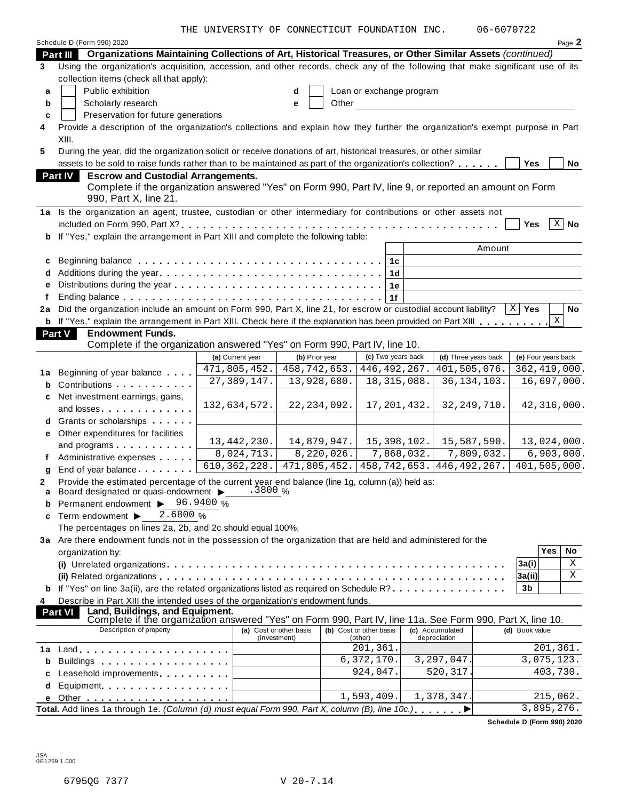THE UNIVERSITY OF CONNECTICUT FOUNDATION INC. 06-6070722

|    | Schedule D (Form 990) 2020                                                                                                                                                                                                          |                  |                             |                          |                 |                      |                     | Page 2            |
|----|-------------------------------------------------------------------------------------------------------------------------------------------------------------------------------------------------------------------------------------|------------------|-----------------------------|--------------------------|-----------------|----------------------|---------------------|-------------------|
|    | Organizations Maintaining Collections of Art, Historical Treasures, or Other Similar Assets (continued)<br><b>Part III</b>                                                                                                          |                  |                             |                          |                 |                      |                     |                   |
| 3  | Using the organization's acquisition, accession, and other records, check any of the following that make significant use of its                                                                                                     |                  |                             |                          |                 |                      |                     |                   |
|    | collection items (check all that apply):                                                                                                                                                                                            |                  |                             |                          |                 |                      |                     |                   |
| a  | Public exhibition                                                                                                                                                                                                                   |                  | d                           | Loan or exchange program |                 |                      |                     |                   |
| b  | Scholarly research                                                                                                                                                                                                                  |                  | Other<br>е                  |                          |                 |                      |                     |                   |
| c  | Preservation for future generations                                                                                                                                                                                                 |                  |                             |                          |                 |                      |                     |                   |
| 4  | Provide a description of the organization's collections and explain how they further the organization's exempt purpose in Part                                                                                                      |                  |                             |                          |                 |                      |                     |                   |
|    | XIII.                                                                                                                                                                                                                               |                  |                             |                          |                 |                      |                     |                   |
| 5  | During the year, did the organization solicit or receive donations of art, historical treasures, or other similar                                                                                                                   |                  |                             |                          |                 |                      |                     |                   |
|    | assets to be sold to raise funds rather than to be maintained as part of the organization's collection?                                                                                                                             |                  |                             |                          |                 |                      | <b>Yes</b>          | No                |
|    | <b>Part IV</b><br><b>Escrow and Custodial Arrangements.</b>                                                                                                                                                                         |                  |                             |                          |                 |                      |                     |                   |
|    | Complete if the organization answered "Yes" on Form 990, Part IV, line 9, or reported an amount on Form                                                                                                                             |                  |                             |                          |                 |                      |                     |                   |
|    | 990, Part X, line 21.                                                                                                                                                                                                               |                  |                             |                          |                 |                      |                     |                   |
|    | 1a Is the organization an agent, trustee, custodian or other intermediary for contributions or other assets not                                                                                                                     |                  |                             |                          |                 |                      |                     |                   |
|    |                                                                                                                                                                                                                                     |                  |                             |                          |                 |                      | <b>Yes</b>          | $\overline{X}$ No |
| b  | If "Yes," explain the arrangement in Part XIII and complete the following table:                                                                                                                                                    |                  |                             |                          |                 |                      |                     |                   |
|    |                                                                                                                                                                                                                                     |                  |                             |                          |                 | Amount               |                     |                   |
| c  |                                                                                                                                                                                                                                     |                  |                             | 1c                       |                 |                      |                     |                   |
|    |                                                                                                                                                                                                                                     |                  |                             | 1 <sub>d</sub>           |                 |                      |                     |                   |
|    |                                                                                                                                                                                                                                     |                  |                             | 1e                       |                 |                      |                     |                   |
|    |                                                                                                                                                                                                                                     |                  |                             | 1f                       |                 |                      |                     |                   |
| 2a | Did the organization include an amount on Form 990, Part X, line 21, for escrow or custodial account liability?                                                                                                                     |                  |                             |                          |                 |                      | $X \mid Y$ es       | No                |
|    | <b>b</b> If "Yes," explain the arrangement in Part XIII. Check here if the explanation has been provided on Part XIII                                                                                                               |                  |                             |                          |                 |                      |                     | X                 |
|    | <b>Endowment Funds.</b><br>Part V                                                                                                                                                                                                   |                  |                             |                          |                 |                      |                     |                   |
|    | Complete if the organization answered "Yes" on Form 990, Part IV, line 10.                                                                                                                                                          |                  |                             |                          |                 |                      |                     |                   |
|    |                                                                                                                                                                                                                                     | (a) Current year | (b) Prior year              | (c) Two years back       |                 | (d) Three years back | (e) Four years back |                   |
| 1а | Beginning of year balance                                                                                                                                                                                                           | 471,805,452.     | 458, 742, 653.              | 446, 492, 267.           |                 | 401,505,076.         | 362, 419, 000.      |                   |
| b  | Contributions <b>Contributions</b>                                                                                                                                                                                                  | 27, 389, 147.    | 13,928,680.                 | 18, 315, 088.            |                 | 36, 134, 103.        | 16,697,000.         |                   |
| c  | Net investment earnings, gains,                                                                                                                                                                                                     |                  |                             |                          |                 |                      |                     |                   |
|    |                                                                                                                                                                                                                                     | 132,634,572.     | 22, 234, 092.               | 17, 201, 432.            |                 | 32, 249, 710.        | 42,316,000.         |                   |
| d  | Grants or scholarships                                                                                                                                                                                                              |                  |                             |                          |                 |                      |                     |                   |
| е  | Other expenditures for facilities                                                                                                                                                                                                   |                  |                             |                          |                 |                      |                     |                   |
|    | and programs                                                                                                                                                                                                                        | 13, 442, 230.    | 14,879,947.                 | 15, 398, 102.            |                 | 15,587,590.          | 13,024,000.         |                   |
|    | Administrative expenses                                                                                                                                                                                                             | 8,024,713.       | 8,220,026.                  | 7,868,032.               |                 | 7,809,032.           | 6,903,000.          |                   |
| q  | End of year balance                                                                                                                                                                                                                 | 610, 362, 228.   | $\overline{471,805}$ , 452. | 458, 742, 653.           |                 | 446, 492, 267.       | 401,505,000.        |                   |
| 2  | Provide the estimated percentage of the current year end balance (line 1g, column (a)) held as:                                                                                                                                     |                  |                             |                          |                 |                      |                     |                   |
|    | a Board designated or quasi-endowment >                                                                                                                                                                                             | .3800 %          |                             |                          |                 |                      |                     |                   |
|    | Permanent endowment >                                                                                                                                                                                                               | 96.9400 %        |                             |                          |                 |                      |                     |                   |
| c  | 2.6800%<br>Term endowment ▶                                                                                                                                                                                                         |                  |                             |                          |                 |                      |                     |                   |
|    | The percentages on lines 2a, 2b, and 2c should equal 100%.                                                                                                                                                                          |                  |                             |                          |                 |                      |                     |                   |
|    | 3a Are there endowment funds not in the possession of the organization that are held and administered for the                                                                                                                       |                  |                             |                          |                 |                      | Yes                 |                   |
|    | organization by:                                                                                                                                                                                                                    |                  |                             |                          |                 |                      |                     | No                |
|    |                                                                                                                                                                                                                                     |                  |                             |                          |                 |                      | 3a(i)               | X                 |
|    |                                                                                                                                                                                                                                     |                  |                             |                          |                 |                      | 3a(ii)              | X                 |
|    | If "Yes" on line 3a(ii), are the related organizations listed as required on Schedule $R$ ?                                                                                                                                         |                  |                             |                          |                 |                      | 3b                  |                   |
| 4  | Describe in Part XIII the intended uses of the organization's endowment funds.                                                                                                                                                      |                  |                             |                          |                 |                      |                     |                   |
|    | Land, Buildings, and Equipment.<br><b>Part VI</b><br>Complete if the organization answered "Yes" on Form 990, Part IV, line 11a. See Form 990, Part X, line 10.                                                                     |                  |                             |                          |                 |                      |                     |                   |
|    | Description of property                                                                                                                                                                                                             |                  | (a) Cost or other basis     | (b) Cost or other basis  | (c) Accumulated |                      | (d) Book value      |                   |
|    |                                                                                                                                                                                                                                     |                  | (investment)                | (other)                  | depreciation    |                      |                     |                   |
| 1a |                                                                                                                                                                                                                                     |                  |                             | 201,361.                 |                 |                      | 201,361.            |                   |
| b  | Buildings <b>Example 20</b> Section 20 and 20 and 20 and 20 and 20 and 20 and 20 and 20 and 20 and 20 and 20 and 20 and 20 and 20 and 20 and 20 and 20 and 20 and 20 and 20 and 20 and 20 and 20 and 20 and 20 and 20 and 20 and 20 |                  |                             | 6,372,170.               |                 | 3, 297, 047.         | 3,075,123.          |                   |
|    | Leasehold improvements entitled and the set of the set of the set of the set of the set of the set of the set of the set of the set of the set of the set of the set of the set of the set of the set of the set of the set of      |                  |                             | 924,047.                 |                 | 520, 317.            |                     | 403,730.          |
| d  | Equipment experience and a series are a series and a series of the series of the series of the series of the s                                                                                                                      |                  |                             |                          |                 |                      |                     |                   |
| е  |                                                                                                                                                                                                                                     |                  |                             | 1,593,409.               |                 | 1,378,347.           | 215,062.            |                   |
|    | Total. Add lines 1a through 1e. (Column (d) must equal Form 990, Part X, column (B), line 10c.)                                                                                                                                     |                  |                             |                          |                 |                      | 3,895,276.          |                   |

**Schedule D (Form 990) 2020**

JSA 0E1269 1.000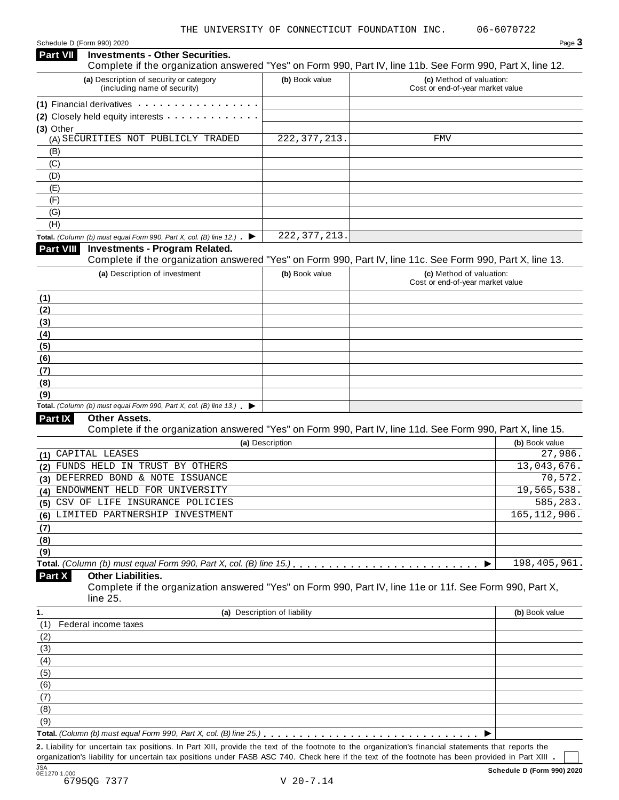Schedule D (Form 990) 2020 Page 3

| <b>Part VII</b> | <b>Investments - Other Securities.</b><br>Complete if the organization answered "Yes" on Form 990, Part IV, line 11b. See Form 990, Part X, line 12. |                              |                                  |                |
|-----------------|------------------------------------------------------------------------------------------------------------------------------------------------------|------------------------------|----------------------------------|----------------|
|                 | (a) Description of security or category                                                                                                              | (b) Book value               | (c) Method of valuation:         |                |
|                 | (including name of security)                                                                                                                         |                              | Cost or end-of-year market value |                |
|                 | (1) Financial derivatives                                                                                                                            |                              |                                  |                |
|                 | (2) Closely held equity interests                                                                                                                    |                              |                                  |                |
| (3) Other       | (A) SECURITIES NOT PUBLICLY TRADED                                                                                                                   | 222, 377, 213.               | FMV                              |                |
|                 |                                                                                                                                                      |                              |                                  |                |
| (B)<br>(C)      |                                                                                                                                                      |                              |                                  |                |
| (D)             |                                                                                                                                                      |                              |                                  |                |
| (E)             |                                                                                                                                                      |                              |                                  |                |
| (F)             |                                                                                                                                                      |                              |                                  |                |
| (G)             |                                                                                                                                                      |                              |                                  |                |
| (H)             |                                                                                                                                                      |                              |                                  |                |
|                 | Total. (Column (b) must equal Form 990, Part X, col. (B) line 12.)<br>▶                                                                              | 222, 377, 213.               |                                  |                |
| Part VIII       | <b>Investments - Program Related.</b>                                                                                                                |                              |                                  |                |
|                 | Complete if the organization answered "Yes" on Form 990, Part IV, line 11c. See Form 990, Part X, line 13.                                           |                              |                                  |                |
|                 | (a) Description of investment                                                                                                                        | (b) Book value               | (c) Method of valuation:         |                |
|                 |                                                                                                                                                      |                              | Cost or end-of-year market value |                |
| (1)             |                                                                                                                                                      |                              |                                  |                |
| (2)             |                                                                                                                                                      |                              |                                  |                |
| (3)             |                                                                                                                                                      |                              |                                  |                |
| (4)             |                                                                                                                                                      |                              |                                  |                |
| (5)             |                                                                                                                                                      |                              |                                  |                |
| (6)             |                                                                                                                                                      |                              |                                  |                |
| (7)             |                                                                                                                                                      |                              |                                  |                |
| (8)             |                                                                                                                                                      |                              |                                  |                |
| (9)             |                                                                                                                                                      |                              |                                  |                |
|                 | Total. (Column (b) must equal Form 990, Part X, col. (B) line 13.)<br>▸                                                                              |                              |                                  |                |
| Part IX         | <b>Other Assets.</b>                                                                                                                                 |                              |                                  |                |
|                 | Complete if the organization answered "Yes" on Form 990, Part IV, line 11d. See Form 990, Part X, line 15.                                           |                              |                                  |                |
|                 |                                                                                                                                                      | (a) Description              |                                  | (b) Book value |
| (1)             | CAPITAL LEASES                                                                                                                                       |                              |                                  | 27,986.        |
| (2)             | FUNDS HELD IN TRUST BY OTHERS                                                                                                                        |                              |                                  | 13,043,676.    |
| (3)             | DEFERRED BOND & NOTE ISSUANCE                                                                                                                        |                              |                                  | 70, 572.       |
|                 | (4) ENDOWMENT HELD FOR UNIVERSITY                                                                                                                    |                              |                                  | 19,565,538.    |
|                 | (5) CSV OF LIFE INSURANCE POLICIES                                                                                                                   |                              |                                  | 585,283        |
|                 | (6) LIMITED PARTNERSHIP INVESTMENT                                                                                                                   |                              |                                  | 165, 112, 906. |
| (7)             |                                                                                                                                                      |                              |                                  |                |
| (8)             |                                                                                                                                                      |                              |                                  |                |
| (9)             |                                                                                                                                                      |                              |                                  | 198, 405, 961. |
|                 |                                                                                                                                                      |                              | ▶                                |                |
| Part X          | <b>Other Liabilities.</b><br>Complete if the organization answered "Yes" on Form 990, Part IV, line 11e or 11f. See Form 990, Part X,                |                              |                                  |                |
|                 | line 25.                                                                                                                                             |                              |                                  |                |
| 1.<br>(1)       | Federal income taxes                                                                                                                                 | (a) Description of liability |                                  | (b) Book value |
| (2)             |                                                                                                                                                      |                              |                                  |                |
| (3)             |                                                                                                                                                      |                              |                                  |                |
| (4)             |                                                                                                                                                      |                              |                                  |                |
| (5)             |                                                                                                                                                      |                              |                                  |                |
| (6)             |                                                                                                                                                      |                              |                                  |                |
| (7)             |                                                                                                                                                      |                              |                                  |                |
| (8)             |                                                                                                                                                      |                              |                                  |                |
| (9)             |                                                                                                                                                      |                              |                                  |                |
|                 |                                                                                                                                                      |                              |                                  |                |
|                 | 2. Liability for uncertain tax positions. In Part XIII, provide the text of the footnote to the organization's financial statements that reports the |                              |                                  |                |
|                 | organization's liability for uncertain tax positions under FASB ASC 740. Check here if the text of the footnote has been provided in Part XIII       |                              |                                  |                |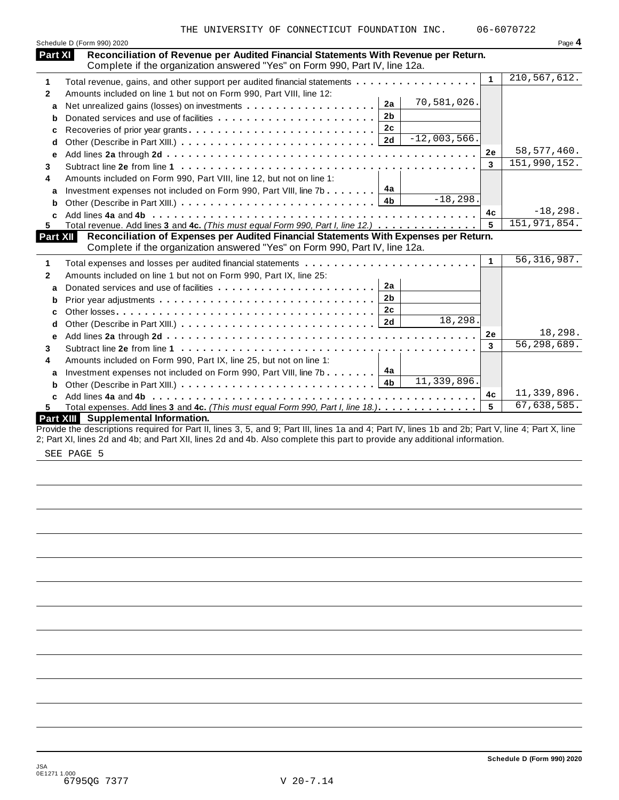|                 | Schedule D (Form 990) 2020                                                                                                                                           |              | Page 4        |
|-----------------|----------------------------------------------------------------------------------------------------------------------------------------------------------------------|--------------|---------------|
| Part XI         | Reconciliation of Revenue per Audited Financial Statements With Revenue per Return.<br>Complete if the organization answered "Yes" on Form 990, Part IV, line 12a.   |              |               |
| 1               | Total revenue, gains, and other support per audited financial statements                                                                                             | $\mathbf{1}$ | 210,567,612.  |
| $\mathbf{2}$    | Amounts included on line 1 but not on Form 990, Part VIII, line 12:                                                                                                  |              |               |
| a               | 70,581,026.<br>2a                                                                                                                                                    |              |               |
| b               | 2 <sub>b</sub><br>Donated services and use of facilities                                                                                                             |              |               |
| c               |                                                                                                                                                                      |              |               |
| d               | $-12,003,566.$                                                                                                                                                       |              |               |
| e               |                                                                                                                                                                      | 2e           | 58, 577, 460. |
| 3               |                                                                                                                                                                      | 3            | 151,990,152.  |
| 4               | Amounts included on Form 990, Part VIII, line 12, but not on line 1:                                                                                                 |              |               |
| a               | Investment expenses not included on Form 990, Part VIII, line 7b $\boxed{4a}$                                                                                        |              |               |
| b               | $-18,298.$                                                                                                                                                           |              |               |
| C               |                                                                                                                                                                      | 4c           | $-18, 298.$   |
| 5.              | Total revenue. Add lines 3 and 4c. (This must equal Form 990, Part I, line 12.)                                                                                      | 5            | 151,971,854.  |
| <b>Part XII</b> | Reconciliation of Expenses per Audited Financial Statements With Expenses per Return.<br>Complete if the organization answered "Yes" on Form 990, Part IV, line 12a. |              |               |
| 1               | Total expenses and losses per audited financial statements                                                                                                           | 1            | 56, 316, 987. |
| $\mathbf{2}$    | Amounts included on line 1 but not on Form 990, Part IX, line 25:                                                                                                    |              |               |
| a               | 2a                                                                                                                                                                   |              |               |
| b               | 2 <sub>b</sub>                                                                                                                                                       |              |               |
|                 | 2c                                                                                                                                                                   |              |               |
| c<br>d          | 18,298.<br>2d                                                                                                                                                        |              |               |
|                 |                                                                                                                                                                      | 2e           | 18,298.       |
| е<br>3          |                                                                                                                                                                      | 3            | 56,298,689.   |
| 4               | Amounts included on Form 990, Part IX, line 25, but not on line 1:                                                                                                   |              |               |
|                 |                                                                                                                                                                      |              |               |
| a               | Investment expenses not included on Form 990, Part VIII, line 7b 4a<br>11,339,896.                                                                                   |              |               |
| b               |                                                                                                                                                                      | 4c           | 11,339,896.   |
| 5.              | Total expenses. Add lines 3 and 4c. (This must equal Form 990, Part I, line 18.)                                                                                     | 5            | 67,638,585.   |
|                 | Part XIII Supplemental Information.                                                                                                                                  |              |               |
|                 | Provide the descriptions required for Part II, lines 3, 5, and 9; Part III, lines 1a and 4; Part IV, lines 1b and 2b; Part V, line 4; Part X, line                   |              |               |

2; Part XI, lines 2d and 4b; and Part XII, lines 2d and 4b. Also complete this part to provide any additional information.

SEE PAGE 5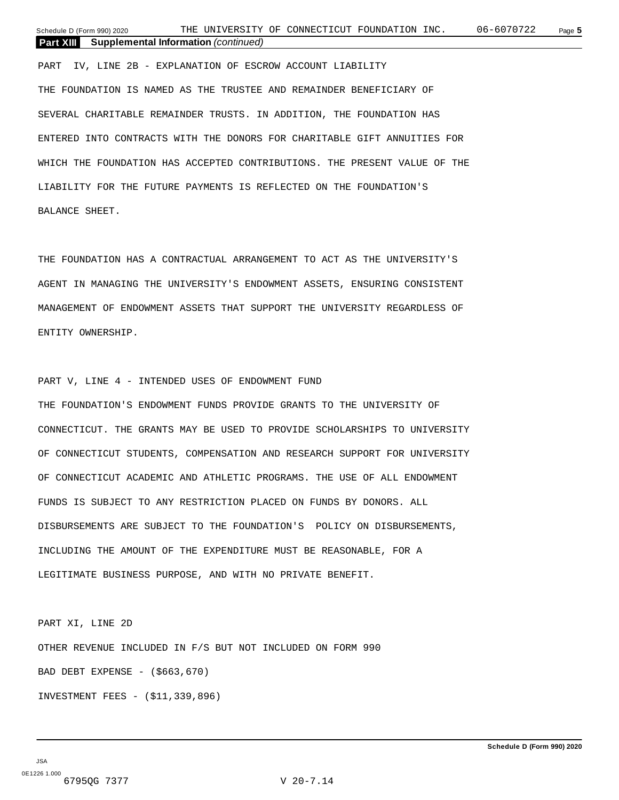**Part XIII Supplemental Information** *(continued)*

PART IV, LINE 2B - EXPLANATION OF ESCROW ACCOUNT LIABILITY THE FOUNDATION IS NAMED AS THE TRUSTEE AND REMAINDER BENEFICIARY OF SEVERAL CHARITABLE REMAINDER TRUSTS. IN ADDITION, THE FOUNDATION HAS

ENTERED INTO CONTRACTS WITH THE DONORS FOR CHARITABLE GIFT ANNUITIES FOR WHICH THE FOUNDATION HAS ACCEPTED CONTRIBUTIONS. THE PRESENT VALUE OF THE LIABILITY FOR THE FUTURE PAYMENTS IS REFLECTED ON THE FOUNDATION'S BALANCE SHEET.

THE FOUNDATION HAS A CONTRACTUAL ARRANGEMENT TO ACT AS THE UNIVERSITY'S AGENT IN MANAGING THE UNIVERSITY'S ENDOWMENT ASSETS, ENSURING CONSISTENT MANAGEMENT OF ENDOWMENT ASSETS THAT SUPPORT THE UNIVERSITY REGARDLESS OF ENTITY OWNERSHIP.

PART V, LINE 4 - INTENDED USES OF ENDOWMENT FUND

THE FOUNDATION'S ENDOWMENT FUNDS PROVIDE GRANTS TO THE UNIVERSITY OF CONNECTICUT. THE GRANTS MAY BE USED TO PROVIDE SCHOLARSHIPS TO UNIVERSITY OF CONNECTICUT STUDENTS, COMPENSATION AND RESEARCH SUPPORT FOR UNIVERSITY OF CONNECTICUT ACADEMIC AND ATHLETIC PROGRAMS. THE USE OF ALL ENDOWMENT FUNDS IS SUBJECT TO ANY RESTRICTION PLACED ON FUNDS BY DONORS. ALL DISBURSEMENTS ARE SUBJECT TO THE FOUNDATION'S POLICY ON DISBURSEMENTS, INCLUDING THE AMOUNT OF THE EXPENDITURE MUST BE REASONABLE, FOR A LEGITIMATE BUSINESS PURPOSE, AND WITH NO PRIVATE BENEFIT.

PART XI, LINE 2D OTHER REVENUE INCLUDED IN F/S BUT NOT INCLUDED ON FORM 990 BAD DEBT EXPENSE - (\$663,670) INVESTMENT FEES - (\$11,339,896)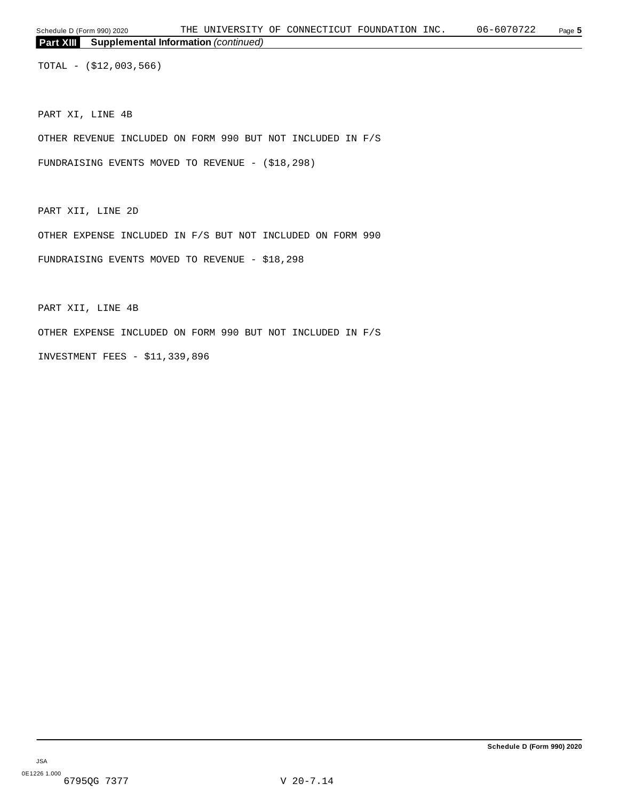TOTAL - (\$12,003,566)

PART XI, LINE 4B

OTHER REVENUE INCLUDED ON FORM 990 BUT NOT INCLUDED IN F/S

FUNDRAISING EVENTS MOVED TO REVENUE - (\$18,298)

PART XII, LINE 2D

OTHER EXPENSE INCLUDED IN F/S BUT NOT INCLUDED ON FORM 990

FUNDRAISING EVENTS MOVED TO REVENUE - \$18,298

PART XII, LINE 4B

OTHER EXPENSE INCLUDED ON FORM 990 BUT NOT INCLUDED IN F/S

INVESTMENT FEES - \$11,339,896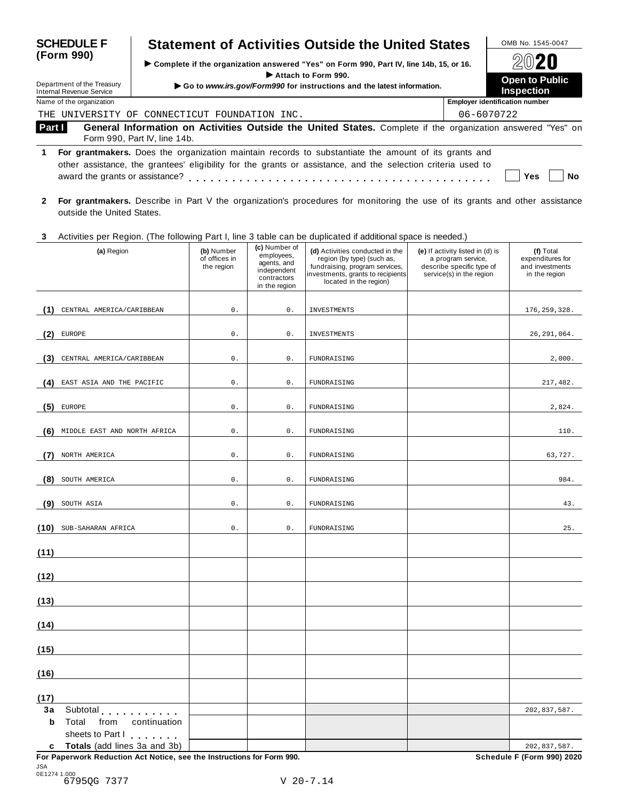| <b>SCHEDULE F</b>                                      | <b>Statement of Activities Outside the United States</b>                                                                                                                                                             | OMB No. 1545-0047                          |
|--------------------------------------------------------|----------------------------------------------------------------------------------------------------------------------------------------------------------------------------------------------------------------------|--------------------------------------------|
| (Form 990)                                             | ► Complete if the organization answered "Yes" on Form 990, Part IV, line 14b, 15, or 16.                                                                                                                             | 2020                                       |
| Department of the Treasury<br>Internal Revenue Service | Attach to Form 990.<br>Go to www.irs.gov/Form990 for instructions and the latest information.                                                                                                                        | <b>Open to Public</b><br><b>Inspection</b> |
| Name of the organization                               |                                                                                                                                                                                                                      | <b>Employer identification number</b>      |
| THE.                                                   | UNIVERSITY OF CONNECTICUT FOUNDATION INC.                                                                                                                                                                            | 06-6070722                                 |
| Part I                                                 | General Information on Activities Outside the United States. Complete if the organization answered "Yes" on<br>Form 990, Part IV, line 14b.                                                                          |                                            |
| award the grants or assistance?                        | For grantmakers. Does the organization maintain records to substantiate the amount of its grants and<br>other assistance, the grantees' eligibility for the grants or assistance, and the selection criteria used to | Yes<br>Nο                                  |

**2 For grantmakers.** Describe in Part V the organization's procedures for monitoring the use of its grants and other assistance outside the United States.

#### **3** Activities per Region. (The following Part I, line 3 table can be duplicated if additional space is needed.)

|         | riournios por riogioni (mo rollo ming rialiti), lino o<br>(a) Region                                     | (b) Number<br>of offices in<br>the region | (c) Number of<br>employees,<br>agents, and<br>independent<br>contractors<br>in the region | adprivation in additional opace to hooded.<br>(d) Activities conducted in the<br>region (by type) (such as,<br>fundraising, program services,<br>investments, grants to recipients<br>located in the region) | (e) If activity listed in (d) is<br>a program service,<br>describe specific type of<br>service(s) in the region | (f) Total<br>expenditures for<br>and investments<br>in the region |
|---------|----------------------------------------------------------------------------------------------------------|-------------------------------------------|-------------------------------------------------------------------------------------------|--------------------------------------------------------------------------------------------------------------------------------------------------------------------------------------------------------------|-----------------------------------------------------------------------------------------------------------------|-------------------------------------------------------------------|
| (1)     | CENTRAL AMERICA/CARIBBEAN                                                                                | 0.                                        | 0.                                                                                        | INVESTMENTS                                                                                                                                                                                                  |                                                                                                                 | 176, 259, 328.                                                    |
| (2)     | <b>EUROPE</b>                                                                                            | $0$ .                                     | $0$ .                                                                                     | <b>INVESTMENTS</b>                                                                                                                                                                                           |                                                                                                                 | 26, 291, 064.                                                     |
| (3)     | CENTRAL AMERICA/CARIBBEAN                                                                                | 0.                                        | $\mathsf{0}$ .                                                                            | FUNDRAISING                                                                                                                                                                                                  |                                                                                                                 | 2,000.                                                            |
| (4)     | EAST ASIA AND THE PACIFIC                                                                                | 0.                                        | $0$ .                                                                                     | FUNDRAISING                                                                                                                                                                                                  |                                                                                                                 | 217,482.                                                          |
| (5)     | ${\tt EUROPE}$                                                                                           | 0.                                        | $\mathsf{0}$ .                                                                            | FUNDRAISING                                                                                                                                                                                                  |                                                                                                                 | 2,824.                                                            |
| (6)     | MIDDLE EAST AND NORTH AFRICA                                                                             | 0.                                        | $\mathsf{0}$ .                                                                            | FUNDRAISING                                                                                                                                                                                                  |                                                                                                                 | 110.                                                              |
| (7)     | NORTH AMERICA                                                                                            | 0.                                        | $\mathsf{0}$ .                                                                            | FUNDRAISING                                                                                                                                                                                                  |                                                                                                                 | 63,727.                                                           |
| (8)     | SOUTH AMERICA                                                                                            | 0.                                        | $\mathsf{0}$ .                                                                            | FUNDRAISING                                                                                                                                                                                                  |                                                                                                                 | 984.                                                              |
| (9)     | SOUTH ASIA                                                                                               | 0.                                        | 0.                                                                                        | FUNDRAISING                                                                                                                                                                                                  |                                                                                                                 | 43.                                                               |
| (10)    | SUB-SAHARAN AFRICA                                                                                       | 0.                                        | $0$ .                                                                                     | FUNDRAISING                                                                                                                                                                                                  |                                                                                                                 | 25.                                                               |
| (11)    |                                                                                                          |                                           |                                                                                           |                                                                                                                                                                                                              |                                                                                                                 |                                                                   |
| (12)    |                                                                                                          |                                           |                                                                                           |                                                                                                                                                                                                              |                                                                                                                 |                                                                   |
| (13)    |                                                                                                          |                                           |                                                                                           |                                                                                                                                                                                                              |                                                                                                                 |                                                                   |
| (14)    |                                                                                                          |                                           |                                                                                           |                                                                                                                                                                                                              |                                                                                                                 |                                                                   |
| (15)    |                                                                                                          |                                           |                                                                                           |                                                                                                                                                                                                              |                                                                                                                 |                                                                   |
| (16)    |                                                                                                          |                                           |                                                                                           |                                                                                                                                                                                                              |                                                                                                                 |                                                                   |
| (17)    |                                                                                                          |                                           |                                                                                           |                                                                                                                                                                                                              |                                                                                                                 |                                                                   |
| 3a<br>b | Subtotal experiences<br>Total<br>from<br>continuation<br>sheets to Part I                                |                                           |                                                                                           |                                                                                                                                                                                                              |                                                                                                                 | 202,837,587.                                                      |
|         | c Totals (add lines 3a and 3b)<br>For Paperwork Reduction Act Notice, see the Instructions for Form 990. |                                           |                                                                                           |                                                                                                                                                                                                              |                                                                                                                 | 202,837,587.<br>Schedule F (Form 990) 2020                        |

JSA 0E1274 1.000 6795QG 7377 V 20-7.14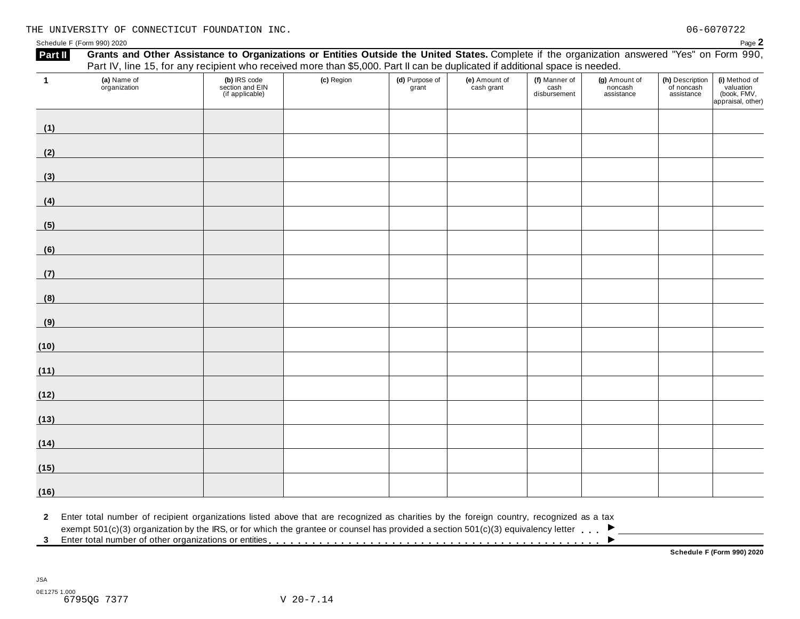Schedule F (Form 990) 2020 Page 2

| Part II           | Grants and Other Assistance to Organizations or Entities Outside the United States. Complete if the organization answered "Yes" on Form 990,<br>Part IV, line 15, for any recipient who received more than \$5,000. Part II can be duplicated if additional space is needed.            |                                                    |            |                         |                             |                                       |                                        |                                             |                                                                |
|-------------------|-----------------------------------------------------------------------------------------------------------------------------------------------------------------------------------------------------------------------------------------------------------------------------------------|----------------------------------------------------|------------|-------------------------|-----------------------------|---------------------------------------|----------------------------------------|---------------------------------------------|----------------------------------------------------------------|
| $\mathbf{1}$      | (a) Name of<br>organization                                                                                                                                                                                                                                                             | (b) IRS code<br>section and EIN<br>(if applicable) | (c) Region | (d) Purpose of<br>grant | (e) Amount of<br>cash grant | (f) Manner of<br>cash<br>disbursement | (g) Amount of<br>noncash<br>assistance | (h) Description<br>of noncash<br>assistance | (i) Method of<br>valuation<br>(book, FMV,<br>appraisal, other) |
| (1)               |                                                                                                                                                                                                                                                                                         |                                                    |            |                         |                             |                                       |                                        |                                             |                                                                |
| (2)               | <u> 1989 - Johann Barn, mars eta bainar e</u>                                                                                                                                                                                                                                           |                                                    |            |                         |                             |                                       |                                        |                                             |                                                                |
| (3)               |                                                                                                                                                                                                                                                                                         |                                                    |            |                         |                             |                                       |                                        |                                             |                                                                |
| (4)               | <u> Maria Maria Alemania (</u>                                                                                                                                                                                                                                                          |                                                    |            |                         |                             |                                       |                                        |                                             |                                                                |
| (5)               | <u> Tanzania (h. 1878).</u>                                                                                                                                                                                                                                                             |                                                    |            |                         |                             |                                       |                                        |                                             |                                                                |
| (6)               |                                                                                                                                                                                                                                                                                         |                                                    |            |                         |                             |                                       |                                        |                                             |                                                                |
| (7)               |                                                                                                                                                                                                                                                                                         |                                                    |            |                         |                             |                                       |                                        |                                             |                                                                |
| (8)               |                                                                                                                                                                                                                                                                                         |                                                    |            |                         |                             |                                       |                                        |                                             |                                                                |
| (9)               |                                                                                                                                                                                                                                                                                         |                                                    |            |                         |                             |                                       |                                        |                                             |                                                                |
| (10)              |                                                                                                                                                                                                                                                                                         |                                                    |            |                         |                             |                                       |                                        |                                             |                                                                |
| (11)              |                                                                                                                                                                                                                                                                                         |                                                    |            |                         |                             |                                       |                                        |                                             |                                                                |
| (12)              |                                                                                                                                                                                                                                                                                         |                                                    |            |                         |                             |                                       |                                        |                                             |                                                                |
| (13)              |                                                                                                                                                                                                                                                                                         |                                                    |            |                         |                             |                                       |                                        |                                             |                                                                |
| (14)              | <u> 1999 - Johann Barnett, fransk politiker (</u>                                                                                                                                                                                                                                       |                                                    |            |                         |                             |                                       |                                        |                                             |                                                                |
| (15)              | <u> Tanzania (h. 1878).</u>                                                                                                                                                                                                                                                             |                                                    |            |                         |                             |                                       |                                        |                                             |                                                                |
| (16)              |                                                                                                                                                                                                                                                                                         |                                                    |            |                         |                             |                                       |                                        |                                             |                                                                |
| $\mathbf{2}$<br>3 | Enter total number of recipient organizations listed above that are recognized as charities by the foreign country, recognized as a tax<br>exempt $501(c)(3)$ organization by the IRS, or for which the grantee or counsel has provided a section $501(c)(3)$ equivalency letter $\Box$ |                                                    |            |                         |                             |                                       |                                        |                                             | Schedule F (Form 990) 2020                                     |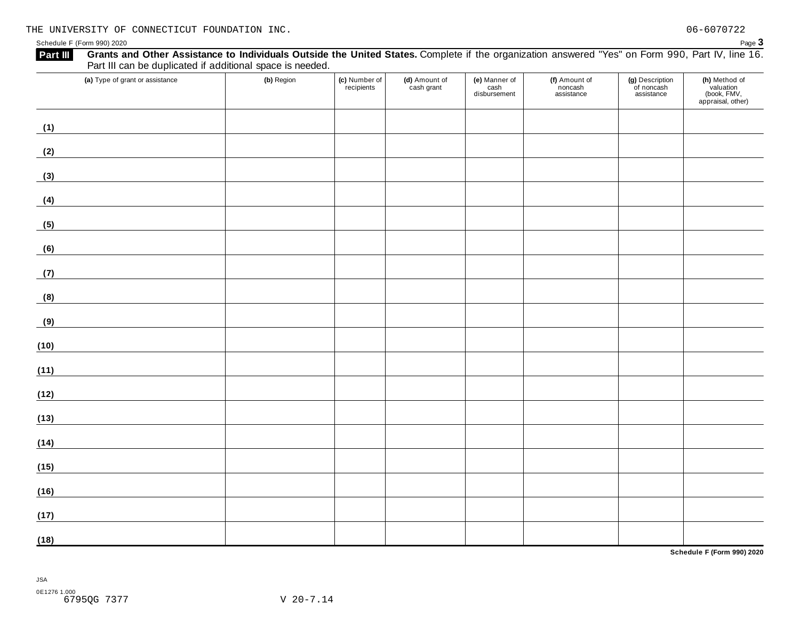| (a) Type of grant or assistance | (b) Region | (c) Number of<br>recipients | (d) Amount of<br>cash grant | (e) Manner of<br>cash<br>disbursement | (f) Amount of<br>noncash<br>assistance | (g) Description<br>of noncash<br>assistance | (h) Method of<br>valuation<br>(book, FMV,<br>appraisal, other) |
|---------------------------------|------------|-----------------------------|-----------------------------|---------------------------------------|----------------------------------------|---------------------------------------------|----------------------------------------------------------------|
| (1)                             |            |                             |                             |                                       |                                        |                                             |                                                                |
| (2)                             |            |                             |                             |                                       |                                        |                                             |                                                                |
| (3)                             |            |                             |                             |                                       |                                        |                                             |                                                                |
| (4)                             |            |                             |                             |                                       |                                        |                                             |                                                                |
| (5)                             |            |                             |                             |                                       |                                        |                                             |                                                                |
| (6)                             |            |                             |                             |                                       |                                        |                                             |                                                                |
| (7)                             |            |                             |                             |                                       |                                        |                                             |                                                                |
| (8)                             |            |                             |                             |                                       |                                        |                                             |                                                                |
| (9)                             |            |                             |                             |                                       |                                        |                                             |                                                                |
| (10)                            |            |                             |                             |                                       |                                        |                                             |                                                                |
| (11)                            |            |                             |                             |                                       |                                        |                                             |                                                                |
| (12)                            |            |                             |                             |                                       |                                        |                                             |                                                                |
| (13)                            |            |                             |                             |                                       |                                        |                                             |                                                                |
| (14)                            |            |                             |                             |                                       |                                        |                                             |                                                                |
| (15)                            |            |                             |                             |                                       |                                        |                                             |                                                                |
| (16)                            |            |                             |                             |                                       |                                        |                                             |                                                                |
| (17)                            |            |                             |                             |                                       |                                        |                                             |                                                                |
| (18)                            |            |                             |                             |                                       |                                        |                                             |                                                                |

**Schedule F (Form 990) 2020**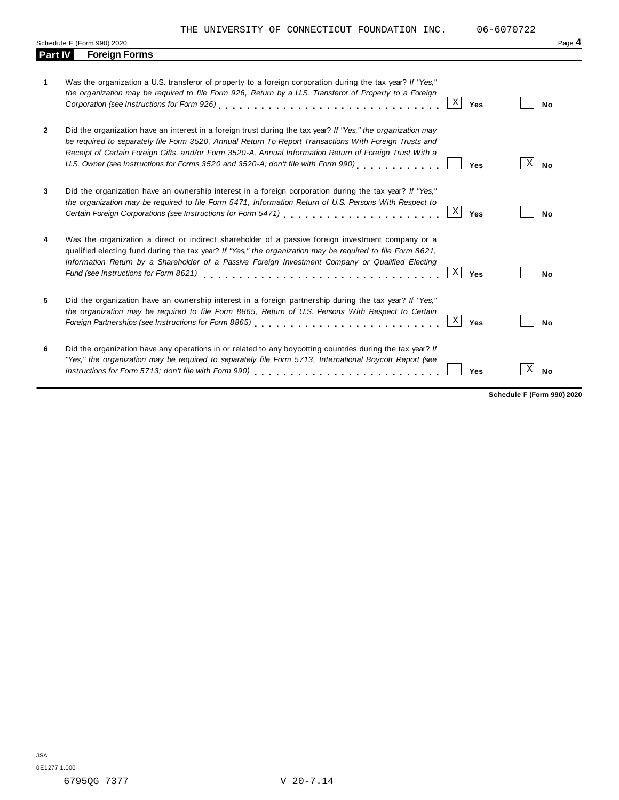THE UNIVERSITY OF CONNECTICUT FOUNDATION INC. 06-6070722

|              | Schedule F (Form 990) 2020                                                                                                                                                                                                                                                                                                                                                                                                    | Page 4         |
|--------------|-------------------------------------------------------------------------------------------------------------------------------------------------------------------------------------------------------------------------------------------------------------------------------------------------------------------------------------------------------------------------------------------------------------------------------|----------------|
| Part IV      | <b>Foreign Forms</b>                                                                                                                                                                                                                                                                                                                                                                                                          |                |
| 1            | Was the organization a U.S. transferor of property to a foreign corporation during the tax year? If "Yes,"<br>the organization may be required to file Form 926, Return by a U.S. Transferor of Property to a Foreign<br>Χ<br>Corporation (see Instructions for Form 926) enterprise value of the service of the contract of the Corporation<br>Yes                                                                           | No             |
| $\mathbf{2}$ | Did the organization have an interest in a foreign trust during the tax year? If "Yes," the organization may<br>be required to separately file Form 3520, Annual Return To Report Transactions With Foreign Trusts and<br>Receipt of Certain Foreign Gifts, and/or Form 3520-A, Annual Information Return of Foreign Trust With a<br>U.S. Owner (see Instructions for Forms 3520 and 3520-A; don't file with Form 990)<br>Yes | X<br><b>No</b> |
| 3            | Did the organization have an ownership interest in a foreign corporation during the tax year? If "Yes,"<br>the organization may be required to file Form 5471, Information Return of U.S. Persons With Respect to<br>$\mathbf X$<br>Certain Foreign Corporations (see Instructions for Form 5471) [10] Carrier Corporation Foreign Corporations (<br>Yes                                                                      | No             |
| 4            | Was the organization a direct or indirect shareholder of a passive foreign investment company or a<br>qualified electing fund during the tax year? If "Yes," the organization may be required to file Form 8621,<br>Information Return by a Shareholder of a Passive Foreign Investment Company or Qualified Electing<br>Χ<br>Fund (see Instructions for Form 8621)<br>Yes                                                    | <b>No</b>      |
|              | Did the organization have an ownership interest in a foreign partnership during the tax year? If "Yes,"<br>the organization may be required to file Form 8865, Return of U.S. Persons With Respect to Certain<br>$\mathbf X$<br>Yes                                                                                                                                                                                           | No             |
| 6            | Did the organization have any operations in or related to any boycotting countries during the tax year? If<br>"Yes," the organization may be required to separately file Form 5713, International Boycott Report (see<br>Yes                                                                                                                                                                                                  | Χ<br><b>No</b> |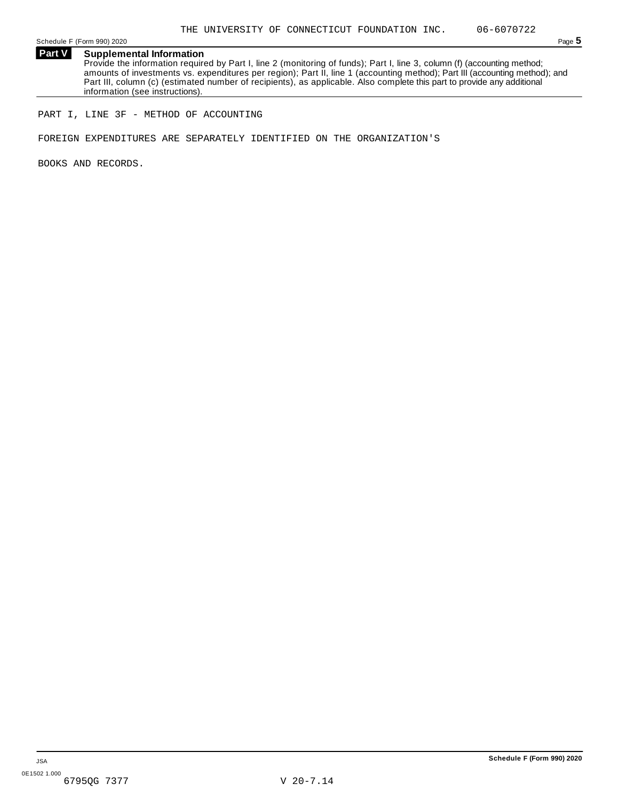Schedule F (Form 990) 2020 Page 5

**Part V Supplemental Information** Provide the information required by Part I, line 2 (monitoring of funds); Part I, line 3, column (f) (accounting method; amounts of investments vs. expenditures per region); Part II, line 1 (accounting method); Part III (accounting method); and Part III, column (c) (estimated number of recipients), as applicable. Also complete this part to provide any additional information (see instructions).

PART I, LINE 3F - METHOD OF ACCOUNTING

FOREIGN EXPENDITURES ARE SEPARATELY IDENTIFIED ON THE ORGANIZATION'S

BOOKS AND RECORDS.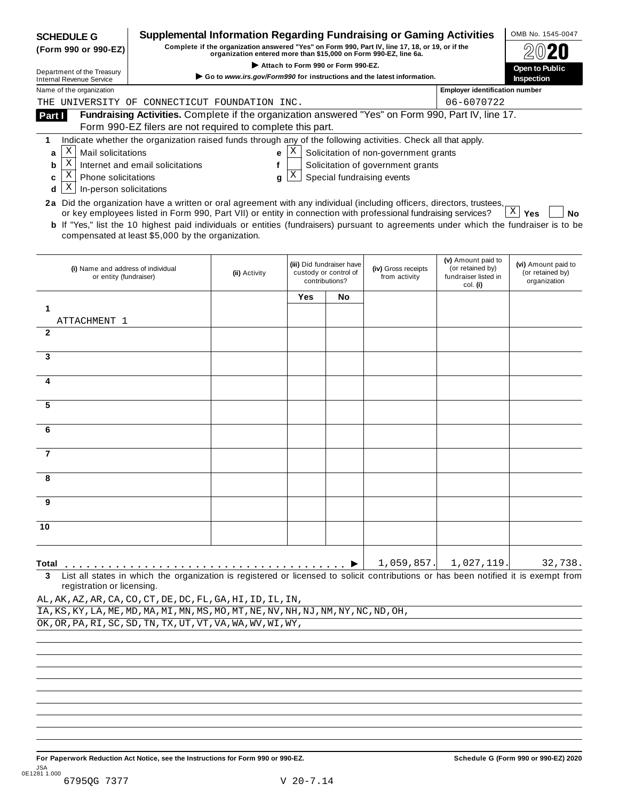| Supplemental Information Regarding Fundraising or Gaming Activities<br><b>SCHEDULE G</b><br>Complete if the organization answered "Yes" on Form 990, Part IV, line 17, 18, or 19, or if the<br>(Form 990 or 990-EZ)<br>organization entered more than \$15,000 on Form 990-EZ, line 6a. |                                                                                                                                                                                                                                                                                                                     |               |            |                                                                      |                                       |                                                                            | OMB No. 1545-0047                                       |  |  |  |
|-----------------------------------------------------------------------------------------------------------------------------------------------------------------------------------------------------------------------------------------------------------------------------------------|---------------------------------------------------------------------------------------------------------------------------------------------------------------------------------------------------------------------------------------------------------------------------------------------------------------------|---------------|------------|----------------------------------------------------------------------|---------------------------------------|----------------------------------------------------------------------------|---------------------------------------------------------|--|--|--|
| Department of the Treasury                                                                                                                                                                                                                                                              | Attach to Form 990 or Form 990-EZ.                                                                                                                                                                                                                                                                                  |               |            |                                                                      |                                       |                                                                            |                                                         |  |  |  |
| <b>Internal Revenue Service</b>                                                                                                                                                                                                                                                         | Go to www.irs.gov/Form990 for instructions and the latest information.                                                                                                                                                                                                                                              |               |            |                                                                      |                                       |                                                                            |                                                         |  |  |  |
| Name of the organization<br>THE                                                                                                                                                                                                                                                         | UNIVERSITY OF CONNECTICUT FOUNDATION INC.                                                                                                                                                                                                                                                                           |               |            |                                                                      |                                       | <b>Employer identification number</b><br>06-6070722                        |                                                         |  |  |  |
| Part I                                                                                                                                                                                                                                                                                  | Fundraising Activities. Complete if the organization answered "Yes" on Form 990, Part IV, line 17.                                                                                                                                                                                                                  |               |            |                                                                      |                                       |                                                                            |                                                         |  |  |  |
|                                                                                                                                                                                                                                                                                         | Form 990-EZ filers are not required to complete this part.                                                                                                                                                                                                                                                          |               |            |                                                                      |                                       |                                                                            |                                                         |  |  |  |
| 1                                                                                                                                                                                                                                                                                       | Indicate whether the organization raised funds through any of the following activities. Check all that apply.                                                                                                                                                                                                       |               |            |                                                                      |                                       |                                                                            |                                                         |  |  |  |
| Χ<br>Mail solicitations<br>a                                                                                                                                                                                                                                                            |                                                                                                                                                                                                                                                                                                                     | е             | х          |                                                                      | Solicitation of non-government grants |                                                                            |                                                         |  |  |  |
| Χ<br>b                                                                                                                                                                                                                                                                                  | Internet and email solicitations                                                                                                                                                                                                                                                                                    | f             |            |                                                                      | Solicitation of government grants     |                                                                            |                                                         |  |  |  |
| Χ<br>Phone solicitations<br>c                                                                                                                                                                                                                                                           |                                                                                                                                                                                                                                                                                                                     | g             | X          |                                                                      | Special fundraising events            |                                                                            |                                                         |  |  |  |
| X<br>In-person solicitations<br>d                                                                                                                                                                                                                                                       |                                                                                                                                                                                                                                                                                                                     |               |            |                                                                      |                                       |                                                                            |                                                         |  |  |  |
|                                                                                                                                                                                                                                                                                         | 2a Did the organization have a written or oral agreement with any individual (including officers, directors, trustees,                                                                                                                                                                                              |               |            |                                                                      |                                       |                                                                            |                                                         |  |  |  |
|                                                                                                                                                                                                                                                                                         | or key employees listed in Form 990, Part VII) or entity in connection with professional fundraising services?<br><b>b</b> If "Yes," list the 10 highest paid individuals or entities (fundraisers) pursuant to agreements under which the fundraiser is to be<br>compensated at least \$5,000 by the organization. |               |            |                                                                      |                                       |                                                                            | $\vert X \vert$<br>No<br>Yes                            |  |  |  |
| (i) Name and address of individual<br>or entity (fundraiser)                                                                                                                                                                                                                            |                                                                                                                                                                                                                                                                                                                     | (ii) Activity |            | (iii) Did fundraiser have<br>custody or control of<br>contributions? | (iv) Gross receipts<br>from activity  | (v) Amount paid to<br>(or retained by)<br>fundraiser listed in<br>col. (i) | (vi) Amount paid to<br>(or retained by)<br>organization |  |  |  |
|                                                                                                                                                                                                                                                                                         |                                                                                                                                                                                                                                                                                                                     |               | <b>Yes</b> | No                                                                   |                                       |                                                                            |                                                         |  |  |  |
| 1                                                                                                                                                                                                                                                                                       |                                                                                                                                                                                                                                                                                                                     |               |            |                                                                      |                                       |                                                                            |                                                         |  |  |  |
| ATTACHMENT 1                                                                                                                                                                                                                                                                            |                                                                                                                                                                                                                                                                                                                     |               |            |                                                                      |                                       |                                                                            |                                                         |  |  |  |
| $\mathbf{2}$                                                                                                                                                                                                                                                                            |                                                                                                                                                                                                                                                                                                                     |               |            |                                                                      |                                       |                                                                            |                                                         |  |  |  |
| 3                                                                                                                                                                                                                                                                                       |                                                                                                                                                                                                                                                                                                                     |               |            |                                                                      |                                       |                                                                            |                                                         |  |  |  |
|                                                                                                                                                                                                                                                                                         |                                                                                                                                                                                                                                                                                                                     |               |            |                                                                      |                                       |                                                                            |                                                         |  |  |  |
| 4                                                                                                                                                                                                                                                                                       |                                                                                                                                                                                                                                                                                                                     |               |            |                                                                      |                                       |                                                                            |                                                         |  |  |  |
|                                                                                                                                                                                                                                                                                         |                                                                                                                                                                                                                                                                                                                     |               |            |                                                                      |                                       |                                                                            |                                                         |  |  |  |
| 5                                                                                                                                                                                                                                                                                       |                                                                                                                                                                                                                                                                                                                     |               |            |                                                                      |                                       |                                                                            |                                                         |  |  |  |
|                                                                                                                                                                                                                                                                                         |                                                                                                                                                                                                                                                                                                                     |               |            |                                                                      |                                       |                                                                            |                                                         |  |  |  |
| 6                                                                                                                                                                                                                                                                                       |                                                                                                                                                                                                                                                                                                                     |               |            |                                                                      |                                       |                                                                            |                                                         |  |  |  |
| $\overline{7}$                                                                                                                                                                                                                                                                          |                                                                                                                                                                                                                                                                                                                     |               |            |                                                                      |                                       |                                                                            |                                                         |  |  |  |
|                                                                                                                                                                                                                                                                                         |                                                                                                                                                                                                                                                                                                                     |               |            |                                                                      |                                       |                                                                            |                                                         |  |  |  |
| 8                                                                                                                                                                                                                                                                                       |                                                                                                                                                                                                                                                                                                                     |               |            |                                                                      |                                       |                                                                            |                                                         |  |  |  |
|                                                                                                                                                                                                                                                                                         |                                                                                                                                                                                                                                                                                                                     |               |            |                                                                      |                                       |                                                                            |                                                         |  |  |  |
| 9                                                                                                                                                                                                                                                                                       |                                                                                                                                                                                                                                                                                                                     |               |            |                                                                      |                                       |                                                                            |                                                         |  |  |  |
|                                                                                                                                                                                                                                                                                         |                                                                                                                                                                                                                                                                                                                     |               |            |                                                                      |                                       |                                                                            |                                                         |  |  |  |
| 10                                                                                                                                                                                                                                                                                      |                                                                                                                                                                                                                                                                                                                     |               |            |                                                                      |                                       |                                                                            |                                                         |  |  |  |
|                                                                                                                                                                                                                                                                                         |                                                                                                                                                                                                                                                                                                                     |               |            |                                                                      |                                       |                                                                            |                                                         |  |  |  |
|                                                                                                                                                                                                                                                                                         |                                                                                                                                                                                                                                                                                                                     |               |            |                                                                      | 1,059,857.                            | 1,027,119.                                                                 | 32,738.                                                 |  |  |  |
| Total<br>3                                                                                                                                                                                                                                                                              | List all states in which the organization is registered or licensed to solicit contributions or has been notified it is exempt from                                                                                                                                                                                 |               |            |                                                                      |                                       |                                                                            |                                                         |  |  |  |
| registration or licensing.                                                                                                                                                                                                                                                              |                                                                                                                                                                                                                                                                                                                     |               |            |                                                                      |                                       |                                                                            |                                                         |  |  |  |
| AL, AK, AZ, AR, CA, CO, CT, DE, DC, FL, GA, HI, ID, IL, IN,                                                                                                                                                                                                                             |                                                                                                                                                                                                                                                                                                                     |               |            |                                                                      |                                       |                                                                            |                                                         |  |  |  |
| IA, KS, KY, LA, ME, MD, MA, MI, MN, MS, MO, MT, NE, NV, NH, NJ, NM, NY, NC, ND, OH,                                                                                                                                                                                                     |                                                                                                                                                                                                                                                                                                                     |               |            |                                                                      |                                       |                                                                            |                                                         |  |  |  |
| OK, OR, PA, RI, SC, SD, TN, TX, UT, VT, VA, WA, WV, WI, WY,                                                                                                                                                                                                                             |                                                                                                                                                                                                                                                                                                                     |               |            |                                                                      |                                       |                                                                            |                                                         |  |  |  |
|                                                                                                                                                                                                                                                                                         |                                                                                                                                                                                                                                                                                                                     |               |            |                                                                      |                                       |                                                                            |                                                         |  |  |  |
|                                                                                                                                                                                                                                                                                         |                                                                                                                                                                                                                                                                                                                     |               |            |                                                                      |                                       |                                                                            |                                                         |  |  |  |
|                                                                                                                                                                                                                                                                                         |                                                                                                                                                                                                                                                                                                                     |               |            |                                                                      |                                       |                                                                            |                                                         |  |  |  |
|                                                                                                                                                                                                                                                                                         |                                                                                                                                                                                                                                                                                                                     |               |            |                                                                      |                                       |                                                                            |                                                         |  |  |  |
|                                                                                                                                                                                                                                                                                         |                                                                                                                                                                                                                                                                                                                     |               |            |                                                                      |                                       |                                                                            |                                                         |  |  |  |
|                                                                                                                                                                                                                                                                                         |                                                                                                                                                                                                                                                                                                                     |               |            |                                                                      |                                       |                                                                            |                                                         |  |  |  |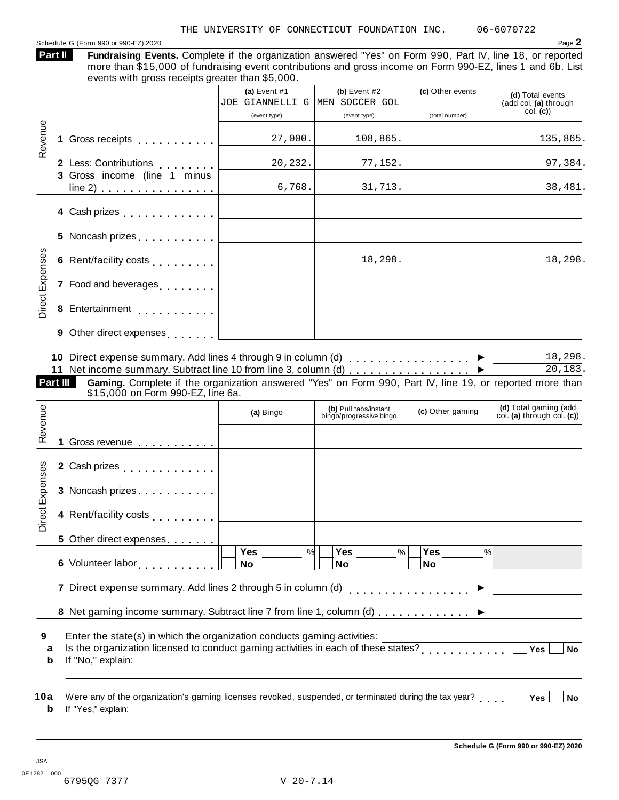#### Schedule G (Form 990 or 990-EZ) 2020 Page 2

**Fundraising Events.** Complete if the organization answered "Yes" on Form 990, Part IV, line 18, or reported more than \$15,000 of fundraising event contributions and gross income on Form 990-EZ, lines 1 and 6b. List events with gross receipts greater than \$5,000. **Part II**

|                 |                                                                                                                                                                                                                                | (a) Event $#1$<br>JOE GIANNELLI G MEN SOCCER GOL                        | (b) Event $#2$                                                                                                                                                                                                                                        | (c) Other events         | (d) Total events<br>(add col. (a) through            |
|-----------------|--------------------------------------------------------------------------------------------------------------------------------------------------------------------------------------------------------------------------------|-------------------------------------------------------------------------|-------------------------------------------------------------------------------------------------------------------------------------------------------------------------------------------------------------------------------------------------------|--------------------------|------------------------------------------------------|
|                 |                                                                                                                                                                                                                                | (event type)                                                            | (event type)                                                                                                                                                                                                                                          | (total number)           | col. (c)                                             |
|                 |                                                                                                                                                                                                                                |                                                                         |                                                                                                                                                                                                                                                       |                          |                                                      |
| Revenue         |                                                                                                                                                                                                                                | 27,000.                                                                 | 108,865.                                                                                                                                                                                                                                              |                          | 135,865.                                             |
|                 | 2 Less: Contributions                                                                                                                                                                                                          | 20, 232.                                                                | 77,152.                                                                                                                                                                                                                                               |                          | 97,384.                                              |
|                 | 3 Gross income (line 1 minus<br>line 2)                                                                                                                                                                                        | 6,768.                                                                  | 31,713.                                                                                                                                                                                                                                               |                          | 38,481.                                              |
|                 | 4 Cash prizes <b>All Accord Cash prizes</b>                                                                                                                                                                                    |                                                                         |                                                                                                                                                                                                                                                       |                          |                                                      |
|                 | 5 Noncash prizes <u>  _ _ _ _ _ _ _ _ _</u> _ _ _ _                                                                                                                                                                            |                                                                         | $\mathcal{L}^{\mathcal{L}}$ and $\mathcal{L}^{\mathcal{L}}$ are the set of the set of the set of the set of the set of the set of the set of the set of the set of the set of the set of the set of the set of the set of the set of the set of the s |                          |                                                      |
| Direct Expenses | 6 Rent/facility costs <u>  _ _ _ _ _ _ _ _ _ _ _ _ _</u>                                                                                                                                                                       |                                                                         | 18,298.                                                                                                                                                                                                                                               |                          | 18,298.                                              |
|                 | 7 Food and beverages equal to the set of the set of the set of the set of the set of the set of the set of the set of the set of the set of the set of the set of the set of the set of the set of the set of the set of the s |                                                                         |                                                                                                                                                                                                                                                       |                          |                                                      |
|                 |                                                                                                                                                                                                                                |                                                                         |                                                                                                                                                                                                                                                       |                          |                                                      |
|                 | 9 Other direct expenses [1995]                                                                                                                                                                                                 |                                                                         |                                                                                                                                                                                                                                                       |                          |                                                      |
|                 | 10 Direct expense summary. Add lines 4 through 9 in column (d) $\ldots \ldots \ldots \ldots$                                                                                                                                   |                                                                         |                                                                                                                                                                                                                                                       |                          | 18,298.                                              |
|                 | 11 Net income summary. Subtract line 10 from line 3, column (d) ▶                                                                                                                                                              |                                                                         |                                                                                                                                                                                                                                                       |                          | 20, 183.                                             |
|                 | Part III<br>Gaming. Complete if the organization answered "Yes" on Form 990, Part IV, line 19, or reported more than                                                                                                           |                                                                         |                                                                                                                                                                                                                                                       |                          |                                                      |
|                 | \$15,000 on Form 990-EZ, line 6a.                                                                                                                                                                                              |                                                                         |                                                                                                                                                                                                                                                       |                          |                                                      |
| Revenue         |                                                                                                                                                                                                                                | (a) Bingo                                                               | (b) Pull tabs/instant<br>bingo/progressive bingo                                                                                                                                                                                                      | (c) Other gaming         | (d) Total gaming (add<br>col. (a) through col. $(c)$ |
|                 |                                                                                                                                                                                                                                |                                                                         |                                                                                                                                                                                                                                                       |                          |                                                      |
|                 |                                                                                                                                                                                                                                |                                                                         |                                                                                                                                                                                                                                                       |                          |                                                      |
|                 | 2 Cash prizes                                                                                                                                                                                                                  |                                                                         |                                                                                                                                                                                                                                                       |                          |                                                      |
|                 |                                                                                                                                                                                                                                |                                                                         |                                                                                                                                                                                                                                                       |                          |                                                      |
| Direct Expenses | 4 Rent/facility costs [                                                                                                                                                                                                        |                                                                         |                                                                                                                                                                                                                                                       |                          |                                                      |
|                 | 5 Other direct expenses                                                                                                                                                                                                        |                                                                         |                                                                                                                                                                                                                                                       |                          |                                                      |
|                 |                                                                                                                                                                                                                                | Yes $\qquad \qquad \qquad$<br>%<br>No                                   | Yes<br>%<br><b>No</b>                                                                                                                                                                                                                                 | Yes<br>$\%$<br><b>No</b> |                                                      |
|                 | 7 Direct expense summary. Add lines 2 through 5 in column (d)                                                                                                                                                                  |                                                                         |                                                                                                                                                                                                                                                       | .                        |                                                      |
|                 | 8 Net gaming income summary. Subtract line 7 from line 1, column (d)                                                                                                                                                           |                                                                         |                                                                                                                                                                                                                                                       |                          |                                                      |
| 9<br>a<br>b     | Enter the state(s) in which the organization conducts gaming activities:<br>Is the organization licensed to conduct gaming activities in each of these states?<br>If "No," explain:                                            | <u> 1989 - Johann Barn, fransk politik amerikansk politik (d. 1989)</u> |                                                                                                                                                                                                                                                       |                          | Yes<br><b>No</b>                                     |
| 10a<br>b        | Were any of the organization's gaming licenses revoked, suspended, or terminated during the tax year?<br>If "Yes," explain: $\qquad \qquad$                                                                                    |                                                                         |                                                                                                                                                                                                                                                       |                          | Yes<br>No                                            |

JSA 0E1282 1.000 6795QG 7377 V 20-7.14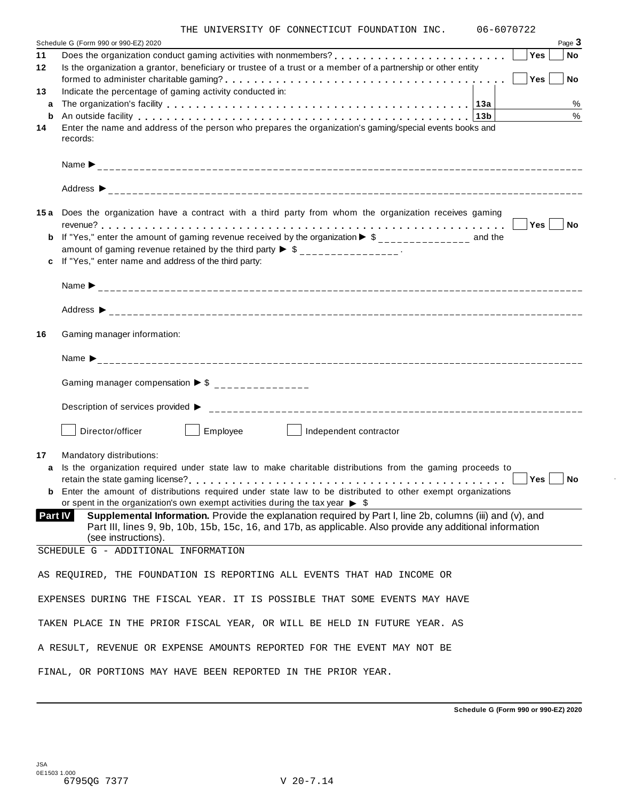|  |  |  | THE UNIVERSITY OF CONNECTICUT FOUNDATION INC. |  |  | 06-6070722 |
|--|--|--|-----------------------------------------------|--|--|------------|
|--|--|--|-----------------------------------------------|--|--|------------|

|         | UNIVERSITY OF CONNECTICUT FOUNDATION INC.<br>U0-0U/U/ZZ                                                                                                                                                                   |
|---------|---------------------------------------------------------------------------------------------------------------------------------------------------------------------------------------------------------------------------|
| 11      | Page 3<br>Schedule G (Form 990 or 990-EZ) 2020<br>Yes<br><b>No</b>                                                                                                                                                        |
| 12      | Is the organization a grantor, beneficiary or trustee of a trust or a member of a partnership or other entity                                                                                                             |
|         | Yes<br><b>No</b>                                                                                                                                                                                                          |
| 13      | Indicate the percentage of gaming activity conducted in:                                                                                                                                                                  |
| a       | $\%$                                                                                                                                                                                                                      |
| b       | $\%$<br>An outside facility enterpretence in the service of the service in the service in the service in the service i                                                                                                    |
| 14      | Enter the name and address of the person who prepares the organization's gaming/special events books and                                                                                                                  |
|         | records:                                                                                                                                                                                                                  |
|         |                                                                                                                                                                                                                           |
|         |                                                                                                                                                                                                                           |
|         | 15a Does the organization have a contract with a third party from whom the organization receives gaming<br>Yes<br><b>No</b>                                                                                               |
|         | <b>b</b> If "Yes," enter the amount of gaming revenue received by the organization $\triangleright$ \$______________ and the<br>amount of gaming revenue retained by the third party $\triangleright$ \$ _______________. |
| c       | If "Yes," enter name and address of the third party:                                                                                                                                                                      |
|         |                                                                                                                                                                                                                           |
|         |                                                                                                                                                                                                                           |
|         |                                                                                                                                                                                                                           |
| 16      | Gaming manager information:                                                                                                                                                                                               |
|         |                                                                                                                                                                                                                           |
|         | Gaming manager compensation $\triangleright$ \$ _______________                                                                                                                                                           |
|         |                                                                                                                                                                                                                           |
|         | Employee<br>Director/officer<br>Independent contractor                                                                                                                                                                    |
| 17      | Mandatory distributions:                                                                                                                                                                                                  |
| a       | Is the organization required under state law to make charitable distributions from the gaming proceeds to                                                                                                                 |
|         | Yes<br>No                                                                                                                                                                                                                 |
|         | <b>b</b> Enter the amount of distributions required under state law to be distributed to other exempt organizations                                                                                                       |
|         | or spent in the organization's own exempt activities during the tax year $\triangleright$ \$                                                                                                                              |
| Part IV | Supplemental Information. Provide the explanation required by Part I, line 2b, columns (iii) and (v), and                                                                                                                 |
|         | Part III, lines 9, 9b, 10b, 15b, 15c, 16, and 17b, as applicable. Also provide any additional information                                                                                                                 |
|         | (see instructions).                                                                                                                                                                                                       |
|         | SCHEDULE G - ADDITIONAL INFORMATION                                                                                                                                                                                       |
|         | AS REQUIRED, THE FOUNDATION IS REPORTING ALL EVENTS THAT HAD INCOME OR                                                                                                                                                    |
|         | EXPENSES DURING THE FISCAL YEAR. IT IS POSSIBLE THAT SOME EVENTS MAY HAVE                                                                                                                                                 |
|         | TAKEN PLACE IN THE PRIOR FISCAL YEAR, OR WILL BE HELD IN FUTURE YEAR. AS                                                                                                                                                  |
|         | A RESULT, REVENUE OR EXPENSE AMOUNTS REPORTED FOR THE EVENT MAY NOT BE                                                                                                                                                    |
|         | FINAL, OR PORTIONS MAY HAVE BEEN REPORTED IN THE PRIOR YEAR.                                                                                                                                                              |

**Schedule G (Form 990 or 990-EZ) 2020**

÷,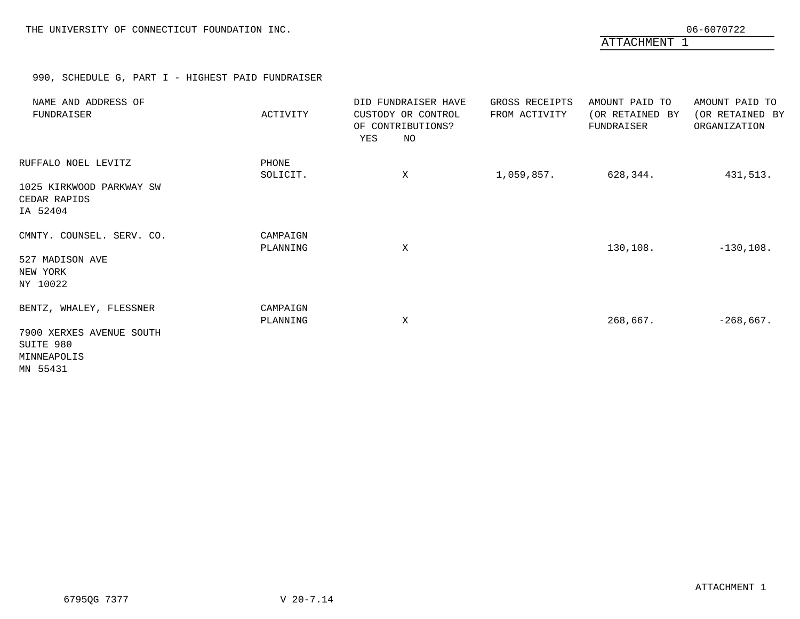ATTACHMENT 1

### 990, SCHEDULE G, PART I - HIGHEST PAID FUNDRAISER

<span id="page-46-0"></span>

| NAME AND ADDRESS OF<br>FUNDRAISER                                | ACTIVITY             | DID FUNDRAISER HAVE<br>CUSTODY OR CONTROL<br>OF CONTRIBUTIONS?<br>YES<br>NO | GROSS RECEIPTS<br>FROM ACTIVITY | AMOUNT PAID TO<br>(OR RETAINED BY<br>FUNDRAISER | AMOUNT PAID TO<br>(OR RETAINED BY<br>ORGANIZATION |
|------------------------------------------------------------------|----------------------|-----------------------------------------------------------------------------|---------------------------------|-------------------------------------------------|---------------------------------------------------|
| RUFFALO NOEL LEVITZ                                              | PHONE<br>SOLICIT.    | X                                                                           | 1,059,857.                      | 628,344.                                        | 431,513.                                          |
| 1025 KIRKWOOD PARKWAY SW<br>CEDAR RAPIDS<br>IA 52404             |                      |                                                                             |                                 |                                                 |                                                   |
| CMNTY. COUNSEL. SERV. CO.                                        | CAMPAIGN<br>PLANNING | X                                                                           |                                 | 130, 108.                                       | $-130,108.$                                       |
| 527 MADISON AVE<br>NEW YORK<br>NY 10022                          |                      |                                                                             |                                 |                                                 |                                                   |
| BENTZ, WHALEY, FLESSNER                                          | CAMPAIGN<br>PLANNING | Χ                                                                           |                                 | 268,667.                                        | $-268,667.$                                       |
| 7900 XERXES AVENUE SOUTH<br>SUITE 980<br>MINNEAPOLIS<br>MN 55431 |                      |                                                                             |                                 |                                                 |                                                   |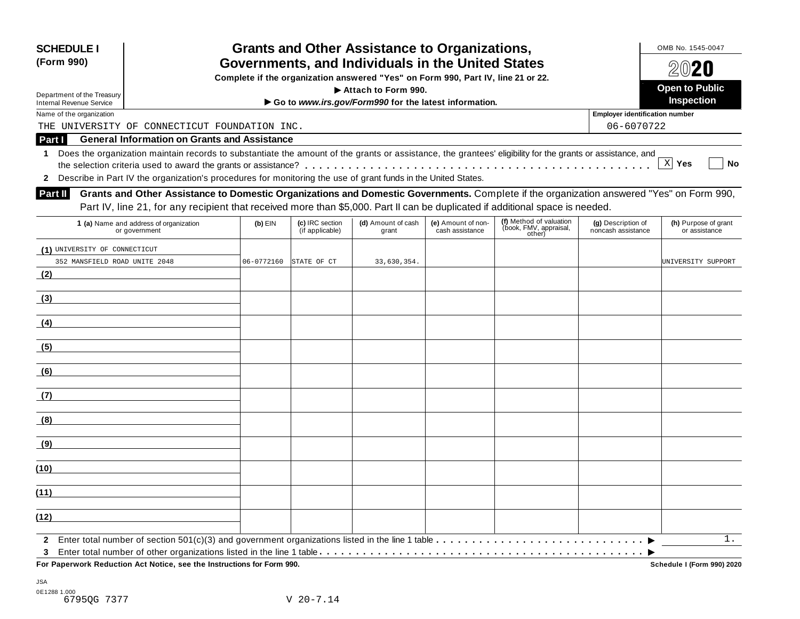| <b>SCHEDULE I</b>                                             |                                                                                                                                                            |            |                                    | <b>Grants and Other Assistance to Organizations,</b>                         |                                       |                                                             |                                          | OMB No. 1545-0047<br>2020             |  |
|---------------------------------------------------------------|------------------------------------------------------------------------------------------------------------------------------------------------------------|------------|------------------------------------|------------------------------------------------------------------------------|---------------------------------------|-------------------------------------------------------------|------------------------------------------|---------------------------------------|--|
| (Form 990)                                                    | Governments, and Individuals in the United States<br>Complete if the organization answered "Yes" on Form 990, Part IV, line 21 or 22.                      |            |                                    |                                                                              |                                       |                                                             |                                          |                                       |  |
|                                                               |                                                                                                                                                            |            |                                    |                                                                              |                                       |                                                             |                                          | <b>Open to Public</b>                 |  |
| Department of the Treasury<br><b>Internal Revenue Service</b> |                                                                                                                                                            |            |                                    | Attach to Form 990.<br>Go to www.irs.gov/Form990 for the latest information. |                                       |                                                             |                                          | <b>Inspection</b>                     |  |
| Name of the organization                                      |                                                                                                                                                            |            |                                    |                                                                              |                                       |                                                             | <b>Employer identification number</b>    |                                       |  |
|                                                               | THE UNIVERSITY OF CONNECTICUT FOUNDATION INC.                                                                                                              |            |                                    |                                                                              |                                       |                                                             | 06-6070722                               |                                       |  |
| Part I                                                        | <b>General Information on Grants and Assistance</b>                                                                                                        |            |                                    |                                                                              |                                       |                                                             |                                          |                                       |  |
| 1                                                             | Does the organization maintain records to substantiate the amount of the grants or assistance, the grantees' eligibility for the grants or assistance, and |            |                                    |                                                                              |                                       |                                                             |                                          |                                       |  |
|                                                               |                                                                                                                                                            |            |                                    |                                                                              |                                       |                                                             |                                          | X Yes<br>No                           |  |
| $\mathbf{2}$                                                  | Describe in Part IV the organization's procedures for monitoring the use of grant funds in the United States.                                              |            |                                    |                                                                              |                                       |                                                             |                                          |                                       |  |
| <b>Part II</b>                                                | Grants and Other Assistance to Domestic Organizations and Domestic Governments. Complete if the organization answered "Yes" on Form 990,                   |            |                                    |                                                                              |                                       |                                                             |                                          |                                       |  |
|                                                               | Part IV, line 21, for any recipient that received more than \$5,000. Part II can be duplicated if additional space is needed.                              |            |                                    |                                                                              |                                       |                                                             |                                          |                                       |  |
|                                                               | 1 (a) Name and address of organization<br>or government                                                                                                    | $(b)$ EIN  | (c) IRC section<br>(if applicable) | (d) Amount of cash<br>grant                                                  | (e) Amount of non-<br>cash assistance | (f) Method of valuation<br>(book, FMV, appraisal,<br>other) | (g) Description of<br>noncash assistance | (h) Purpose of grant<br>or assistance |  |
| (1) UNIVERSITY OF CONNECTICUT                                 |                                                                                                                                                            |            |                                    |                                                                              |                                       |                                                             |                                          |                                       |  |
| 352 MANSFIELD ROAD UNITE 2048                                 |                                                                                                                                                            | 06-0772160 | STATE OF CT                        | 33,630,354.                                                                  |                                       |                                                             |                                          | UNIVERSITY SUPPORT                    |  |
| (2)                                                           |                                                                                                                                                            |            |                                    |                                                                              |                                       |                                                             |                                          |                                       |  |
| (3)                                                           |                                                                                                                                                            |            |                                    |                                                                              |                                       |                                                             |                                          |                                       |  |
| (4)                                                           |                                                                                                                                                            |            |                                    |                                                                              |                                       |                                                             |                                          |                                       |  |
| (5)                                                           |                                                                                                                                                            |            |                                    |                                                                              |                                       |                                                             |                                          |                                       |  |
| (6)                                                           |                                                                                                                                                            |            |                                    |                                                                              |                                       |                                                             |                                          |                                       |  |
| (7)                                                           |                                                                                                                                                            |            |                                    |                                                                              |                                       |                                                             |                                          |                                       |  |
| (8)                                                           |                                                                                                                                                            |            |                                    |                                                                              |                                       |                                                             |                                          |                                       |  |
| (9)                                                           |                                                                                                                                                            |            |                                    |                                                                              |                                       |                                                             |                                          |                                       |  |
| (10)                                                          |                                                                                                                                                            |            |                                    |                                                                              |                                       |                                                             |                                          |                                       |  |
| (11)                                                          |                                                                                                                                                            |            |                                    |                                                                              |                                       |                                                             |                                          |                                       |  |
| (12)                                                          |                                                                                                                                                            |            |                                    |                                                                              |                                       |                                                             |                                          |                                       |  |
| $\mathbf{2}$                                                  |                                                                                                                                                            |            |                                    |                                                                              |                                       |                                                             |                                          | 1.                                    |  |
| 3                                                             | For Paperwork Reduction Act Notice, see the Instructions for Form 990.                                                                                     |            |                                    |                                                                              |                                       |                                                             |                                          | Schedule I (Form 990) 2020            |  |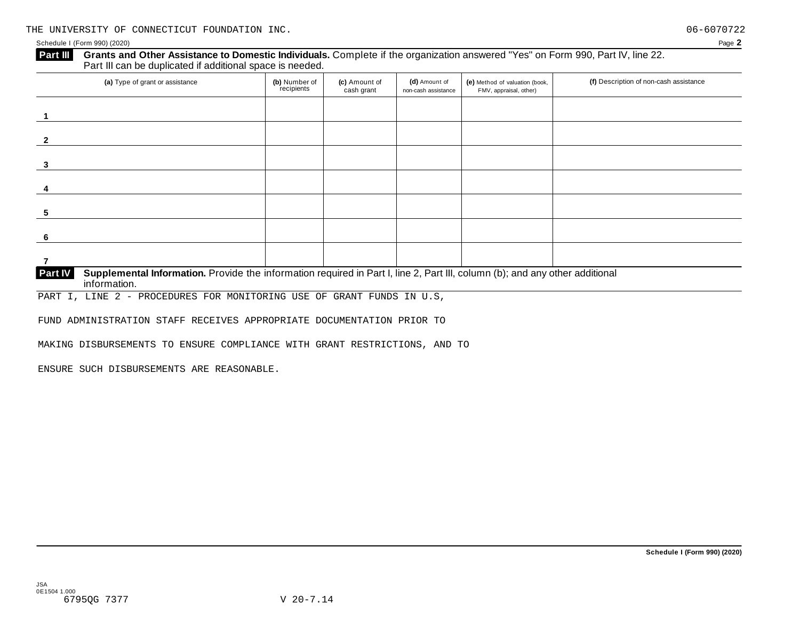#### **Grants and Other Assistance to Domestic Individuals.** Complete ifthe organization answered "Yes" on Form 990, Part IV, line 22. **Part III** Grants and Other Assistance to Domestic Individuals<br>Part III can be duplicated if additional space is needed.

| (a) Type of grant or assistance                                                                                                                | (b) Number of<br>recipients | (c) Amount of<br>cash grant | (d) Amount of<br>non-cash assistance | (e) Method of valuation (book,<br>FMV, appraisal, other) | (f) Description of non-cash assistance |
|------------------------------------------------------------------------------------------------------------------------------------------------|-----------------------------|-----------------------------|--------------------------------------|----------------------------------------------------------|----------------------------------------|
|                                                                                                                                                |                             |                             |                                      |                                                          |                                        |
|                                                                                                                                                |                             |                             |                                      |                                                          |                                        |
|                                                                                                                                                |                             |                             |                                      |                                                          |                                        |
|                                                                                                                                                |                             |                             |                                      |                                                          |                                        |
|                                                                                                                                                |                             |                             |                                      |                                                          |                                        |
| 3                                                                                                                                              |                             |                             |                                      |                                                          |                                        |
|                                                                                                                                                |                             |                             |                                      |                                                          |                                        |
|                                                                                                                                                |                             |                             |                                      |                                                          |                                        |
|                                                                                                                                                |                             |                             |                                      |                                                          |                                        |
| 5                                                                                                                                              |                             |                             |                                      |                                                          |                                        |
|                                                                                                                                                |                             |                             |                                      |                                                          |                                        |
| 6                                                                                                                                              |                             |                             |                                      |                                                          |                                        |
|                                                                                                                                                |                             |                             |                                      |                                                          |                                        |
|                                                                                                                                                |                             |                             |                                      |                                                          |                                        |
| Supplemental Information. Provide the information required in Part I, line 2, Part III, column (b); and any other additional<br><b>Part IV</b> |                             |                             |                                      |                                                          |                                        |

**information. Partish** 

PART I, LINE 2 - PROCEDURES FOR MONITORING USE OF GRANT FUNDS IN U.S,

FUND ADMINISTRATION STAFF RECEIVES APPROPRIATE DOCUMENTATION PRIOR TO

MAKING DISBURSEMENTS TO ENSURE COMPLIANCE WITH GRANT RESTRICTIONS, AND TO

ENSURE SUCH DISBURSEMENTS ARE REASONABLE.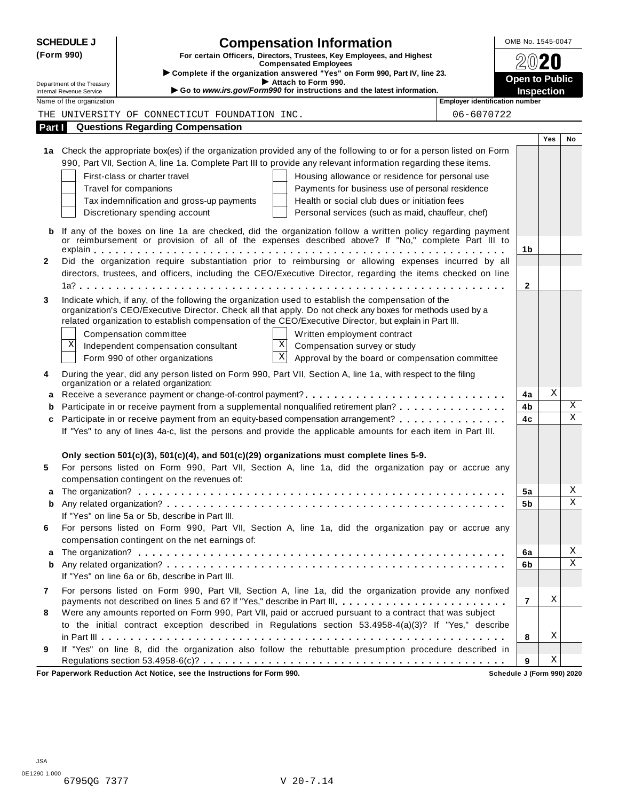|              | <b>SCHEDULE J</b>                                    | <b>Compensation Information</b>                                                                                                                                                                                   | OMB No. 1545-0047     |     |             |
|--------------|------------------------------------------------------|-------------------------------------------------------------------------------------------------------------------------------------------------------------------------------------------------------------------|-----------------------|-----|-------------|
|              | (Form 990)                                           | For certain Officers, Directors, Trustees, Key Employees, and Highest                                                                                                                                             |                       |     |             |
|              |                                                      | <b>Compensated Employees</b><br>Complete if the organization answered "Yes" on Form 990, Part IV, line 23.                                                                                                        |                       |     |             |
|              | Department of the Treasury                           | Attach to Form 990.                                                                                                                                                                                               | <b>Open to Public</b> |     |             |
|              | Internal Revenue Service<br>Name of the organization | Go to www.irs.gov/Form990 for instructions and the latest information.<br><b>Employer identification number</b>                                                                                                   | <b>Inspection</b>     |     |             |
|              |                                                      | THE UNIVERSITY OF CONNECTICUT FOUNDATION INC.<br>06-6070722                                                                                                                                                       |                       |     |             |
| Part I       |                                                      | <b>Questions Regarding Compensation</b>                                                                                                                                                                           |                       |     |             |
|              |                                                      |                                                                                                                                                                                                                   |                       | Yes | No          |
|              |                                                      | 1a Check the appropriate box(es) if the organization provided any of the following to or for a person listed on Form                                                                                              |                       |     |             |
|              |                                                      | 990, Part VII, Section A, line 1a. Complete Part III to provide any relevant information regarding these items.                                                                                                   |                       |     |             |
|              |                                                      | First-class or charter travel<br>Housing allowance or residence for personal use                                                                                                                                  |                       |     |             |
|              |                                                      | Travel for companions<br>Payments for business use of personal residence                                                                                                                                          |                       |     |             |
|              |                                                      | Health or social club dues or initiation fees<br>Tax indemnification and gross-up payments                                                                                                                        |                       |     |             |
|              |                                                      | Discretionary spending account<br>Personal services (such as maid, chauffeur, chef)                                                                                                                               |                       |     |             |
|              |                                                      |                                                                                                                                                                                                                   |                       |     |             |
|              |                                                      | If any of the boxes on line 1a are checked, did the organization follow a written policy regarding payment<br>or reimbursement or provision of all of the expenses described above? If "No," complete Part III to |                       |     |             |
|              |                                                      |                                                                                                                                                                                                                   | 1b                    |     |             |
| $\mathbf{2}$ |                                                      | Did the organization require substantiation prior to reimbursing or allowing expenses incurred by all                                                                                                             |                       |     |             |
|              |                                                      | directors, trustees, and officers, including the CEO/Executive Director, regarding the items checked on line                                                                                                      |                       |     |             |
|              |                                                      |                                                                                                                                                                                                                   | $\mathbf{2}$          |     |             |
| 3            |                                                      | Indicate which, if any, of the following the organization used to establish the compensation of the                                                                                                               |                       |     |             |
|              |                                                      | organization's CEO/Executive Director. Check all that apply. Do not check any boxes for methods used by a                                                                                                         |                       |     |             |
|              |                                                      | related organization to establish compensation of the CEO/Executive Director, but explain in Part III.                                                                                                            |                       |     |             |
|              |                                                      | Written employment contract<br>Compensation committee<br>X                                                                                                                                                        |                       |     |             |
|              | Χ                                                    | Compensation survey or study<br>Independent compensation consultant<br>$\boldsymbol{\mathrm{X}}$                                                                                                                  |                       |     |             |
|              |                                                      | Approval by the board or compensation committee<br>Form 990 of other organizations                                                                                                                                |                       |     |             |
| 4            |                                                      | During the year, did any person listed on Form 990, Part VII, Section A, line 1a, with respect to the filing                                                                                                      |                       |     |             |
|              |                                                      | organization or a related organization:                                                                                                                                                                           | 4a                    | Χ   |             |
| a<br>b       |                                                      | Participate in or receive payment from a supplemental nonqualified retirement plan?                                                                                                                               | 4b                    |     | Χ           |
| c            |                                                      | Participate in or receive payment from an equity-based compensation arrangement?                                                                                                                                  | 4c                    |     | $\mathbf X$ |
|              |                                                      | If "Yes" to any of lines 4a-c, list the persons and provide the applicable amounts for each item in Part III.                                                                                                     |                       |     |             |
|              |                                                      |                                                                                                                                                                                                                   |                       |     |             |
|              |                                                      | Only section 501(c)(3), 501(c)(4), and 501(c)(29) organizations must complete lines 5-9.                                                                                                                          |                       |     |             |
| 5            |                                                      | For persons listed on Form 990, Part VII, Section A, line 1a, did the organization pay or accrue any                                                                                                              |                       |     |             |
|              |                                                      | compensation contingent on the revenues of:                                                                                                                                                                       |                       |     |             |
|              |                                                      |                                                                                                                                                                                                                   | 5a                    |     | Χ           |
| b            |                                                      |                                                                                                                                                                                                                   | 5b                    |     | X           |
|              |                                                      | If "Yes" on line 5a or 5b, describe in Part III.                                                                                                                                                                  |                       |     |             |
| 6            |                                                      | For persons listed on Form 990, Part VII, Section A, line 1a, did the organization pay or accrue any                                                                                                              |                       |     |             |
|              |                                                      | compensation contingent on the net earnings of:                                                                                                                                                                   |                       |     |             |
| a            |                                                      |                                                                                                                                                                                                                   | 6a                    |     | Χ           |
| b            |                                                      |                                                                                                                                                                                                                   | 6b                    |     | $\mathbf X$ |
|              |                                                      | If "Yes" on line 6a or 6b, describe in Part III.                                                                                                                                                                  |                       |     |             |
| 7            |                                                      | For persons listed on Form 990, Part VII, Section A, line 1a, did the organization provide any nonfixed                                                                                                           |                       |     |             |
|              |                                                      | payments not described on lines 5 and 6? If "Yes," describe in Part III.                                                                                                                                          | $\overline{7}$        | Χ   |             |
| 8            |                                                      | Were any amounts reported on Form 990, Part VII, paid or accrued pursuant to a contract that was subject                                                                                                          |                       |     |             |
|              |                                                      | to the initial contract exception described in Regulations section 53.4958-4(a)(3)? If "Yes," describe                                                                                                            |                       |     |             |
|              |                                                      |                                                                                                                                                                                                                   | 8                     | Χ   |             |
| 9            |                                                      | If "Yes" on line 8, did the organization also follow the rebuttable presumption procedure described in                                                                                                            |                       | Χ   |             |
|              |                                                      | surally Reduction, Act Notice, ace the Instructions for Form 000.                                                                                                                                                 | 9                     |     |             |

**For Paperwork Reduction Act Notice, see the Instructions for Form 990. Schedule J (Form 990) 2020**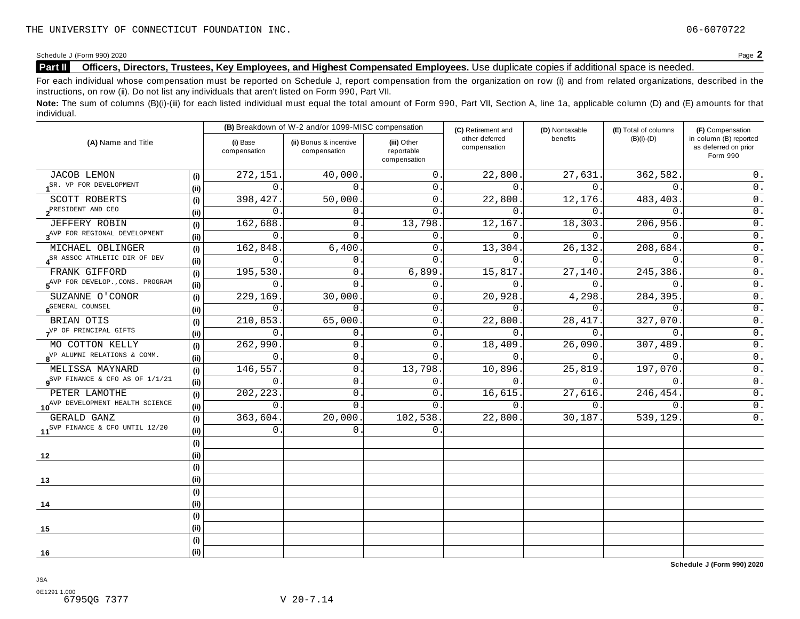Schedule <sup>J</sup> (Form 990) <sup>2020</sup> Page **2**

## **Part II Officers, Directors, Trustees, Key Employees, and Highest Compensated Employees.** Use duplicate copies ifadditional space is needed.

For each individual whose compensation must be reported on Schedule J, report compensation from the organization on row (i) and from related organizations, described in the instructions, on row (ii). Do not list any individuals that aren't listed on Form 990, Part VII.

Note: The sum of columns (B)(i)-(iii) for each listed individual must equal the total amount of Form 990, Part VII, Section A, line 1a, applicable column (D) and (E) amounts for that individual.

|                                                        |      |                          | (B) Breakdown of W-2 and/or 1099-MISC compensation |                                           | (C) Retirement and             | (D) Nontaxable | (E) Total of columns | (F) Compensation                                           |
|--------------------------------------------------------|------|--------------------------|----------------------------------------------------|-------------------------------------------|--------------------------------|----------------|----------------------|------------------------------------------------------------|
| (A) Name and Title                                     |      | (i) Base<br>compensation | (ii) Bonus & incentive<br>compensation             | (iii) Other<br>reportable<br>compensation | other deferred<br>compensation | benefits       | $(B)(i)-(D)$         | in column (B) reported<br>as deferred on prior<br>Form 990 |
| <b>JACOB LEMON</b>                                     | (i)  | 272,151                  | 40,000.                                            | $\mathbf{0}$ .                            | 22,800.                        | 27,631.        | 362,582.             | 0.                                                         |
| SR. VP FOR DEVELOPMENT                                 | (ii) | 0                        | $\overline{0}$ .                                   | $\mathbf 0$ .                             | $0$ .                          | 0.             | $\mathbf 0$ .        | $0$ .                                                      |
| SCOTT ROBERTS                                          | (i)  | 398,427                  | 50,000.                                            | $\mathbf{0}$ .                            | 22,800.                        | 12,176.        | 483,403.             | $\mathsf 0$ .                                              |
| PRESIDENT AND CEO                                      | (ii) | 0                        | 0.                                                 | $\Omega$ .                                | 0.                             | $\Omega$ .     | $\Omega$ .           | $\overline{0}$ .                                           |
| JEFFERY ROBIN                                          | (i)  | 162,688                  | 0.                                                 | 13,798.                                   | 12,167.                        | 18,303.        | 206,956.             | $\overline{0}$ .                                           |
| 3 <sup>AVP</sup> FOR REGIONAL DEVELOPMENT              | (ii) | 0                        | $\Omega$ .                                         | $\mathbf 0$ .                             | $\Omega$ .                     | 0.             | $\Omega$ .           | $0$ .                                                      |
| MICHAEL OBLINGER                                       | (i)  | 162,848                  | 6,400                                              | $\mathbf{0}$ .                            | 13,304.                        | 26,132.        | 208,684.             | $\mathsf 0$ .                                              |
| SR ASSOC ATHLETIC DIR OF DEV                           | (ii) | 0                        | $0$ .                                              | $\Omega$                                  | 0.                             | 0.             | $\Omega$ .           | $0$ .                                                      |
| FRANK GIFFORD                                          | (i)  | 195,530                  | 0.                                                 | 6,899                                     | 15,817.                        | 27,140.        | 245,386.             | $0$ .                                                      |
| 5 <sup>AVP</sup> FOR DEVELOP., CONS. PROGRAM           | (i)  | 0                        | $\Omega$ .                                         | 0                                         | $\Omega$ .                     | 0.             | $\mathbf{0}$ .       | 0.                                                         |
| SUZANNE O'CONOR                                        | (i)  | 229,169.                 | 30,000.                                            | 0.                                        | 20,928.                        | 4,298.         | 284,395.             | $\overline{0}$ .                                           |
| 6 <sup>GENERAL</sup> COUNSEL                           | (i)  | 0                        | 0                                                  | $\mathsf{0}$ .                            | 0.                             | 0.             | $\overline{0}$ .     | $\overline{0}$ .                                           |
| BRIAN OTIS                                             |      | 210,853.                 | 65,000.                                            | 0                                         | 22,800.                        | 28, 417.       | 327,070.             | $\overline{0}$ .                                           |
| VP OF PRINCIPAL GIFTS                                  | (ii) | 0                        | $\mathbf{0}$ .                                     | $\mathbf{0}$                              | 0.                             | $0$ .          | $\overline{0}$ .     | $\overline{0}$ .                                           |
| MO COTTON KELLY                                        | (i)  | 262,990                  | $\mathbf 0$ .                                      | $\mathbf{0}$ .                            | 18,409.                        | 26,090.        | 307,489.             | $0$ .                                                      |
| 8 <sup>VP</sup> ALUMNI RELATIONS & COMM.               | (i)  | 0                        | $\mathbf 0$ .                                      | $\Omega$ .                                | $0$ .                          | $0$ .          | $\mathbf{0}$ .       | $\overline{0}$ .                                           |
| MELISSA MAYNARD                                        | (i)  | 146,557                  | 0.                                                 | 13,798.                                   | 10,896.                        | 25,819.        | 197,070.             | $0$ .                                                      |
| $\mathbf{g}^{\text{SVP}}$ FINANCE & CFO AS OF $1/1/21$ | (i)  | $\mathbf 0$              | 0.                                                 | $\mathbf{0}$ .                            | 0.                             | $\Omega$ .     | $\Omega$ .           | $0$ .                                                      |
| PETER LAMOTHE                                          | (i)  | 202,223                  | 0.                                                 | $\mathbf{0}$ .                            | 16,615.                        | 27,616.        | 246,454.             | $\overline{0}$ .                                           |
| 10 <sup>AVP</sup> DEVELOPMENT HEALTH SCIENCE           | (i)  | $\mathbf{0}$ .           | $\mathbf 0$ .                                      | $\mathbf{0}$ .                            | $\overline{0}$ .               | 0.             | $\mathsf{O}$ .       | $0$ .                                                      |
| GERALD GANZ                                            | (i)  | 363,604.                 | 20,000.                                            | 102,538.                                  | 22,800.                        | 30,187.        | 539,129              | 0.                                                         |
| 11 <sup>SVP</sup> FINANCE & CFO UNTIL 12/20            | (i)  | $\Omega$ .               | $\Omega$ .                                         | $\Omega$                                  |                                |                |                      |                                                            |
|                                                        | (i)  |                          |                                                    |                                           |                                |                |                      |                                                            |
| 12                                                     | (ii) |                          |                                                    |                                           |                                |                |                      |                                                            |
|                                                        | (i)  |                          |                                                    |                                           |                                |                |                      |                                                            |
| 13                                                     | (i)  |                          |                                                    |                                           |                                |                |                      |                                                            |
|                                                        | (i)  |                          |                                                    |                                           |                                |                |                      |                                                            |
| 14                                                     | (ii) |                          |                                                    |                                           |                                |                |                      |                                                            |
|                                                        | (i)  |                          |                                                    |                                           |                                |                |                      |                                                            |
| 15                                                     | (ii) |                          |                                                    |                                           |                                |                |                      |                                                            |
|                                                        | (i)  |                          |                                                    |                                           |                                |                |                      |                                                            |
| 16                                                     | (ii) |                          |                                                    |                                           |                                |                |                      |                                                            |

JSA

**Schedule J (Form 990) 2020**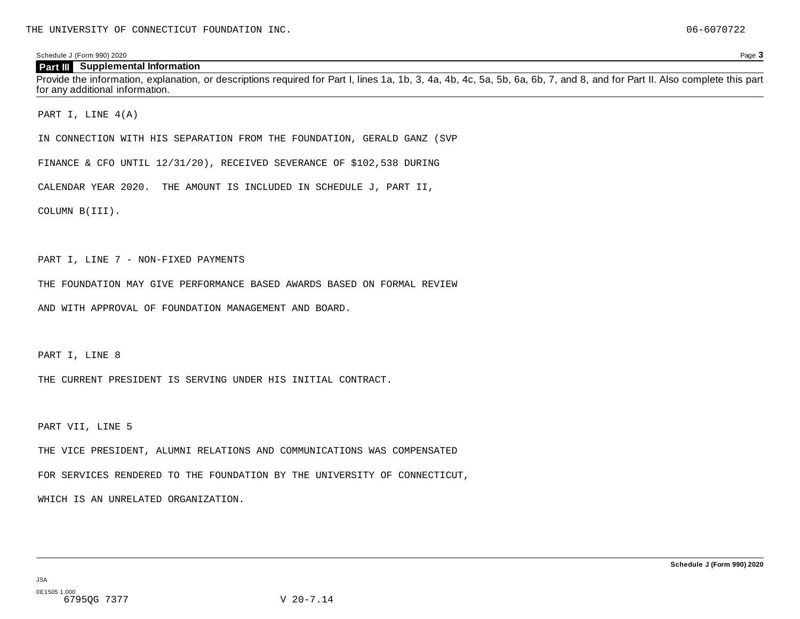Schedule J (Form 990) 2020 Page **3**

#### **Part III Supplemental Information**

Provide the information, explanation, or descriptions required for Part I, lines 1a, 1b, 3, 4a, 4b, 4c, 5a, 5b, 6a, 6b, 7, and 8, and for Part II. Also complete this part for any additional information.

PART I, LINE 4(A)

IN CONNECTION WITH HIS SEPARATION FROM THE FOUNDATION, GERALD GANZ (SVP

FINANCE & CFO UNTIL 12/31/20), RECEIVED SEVERANCE OF \$102,538 DURING

CALENDAR YEAR 2020. THE AMOUNT IS INCLUDED IN SCHEDULE J, PART II,

COLUMN B(III).

PART I, LINE 7 - NON-FIXED PAYMENTS

THE FOUNDATION MAY GIVE PERFORMANCE BASED AWARDS BASED ON FORMAL REVIEW

AND WITH APPROVAL OF FOUNDATION MANAGEMENT AND BOARD.

PART I, LINE 8

THE CURRENT PRESIDENT IS SERVING UNDER HIS INITIAL CONTRACT.

PART VII, LINE 5

THE VICE PRESIDENT, ALUMNI RELATIONS AND COMMUNICATIONS WAS COMPENSATED

FOR SERVICES RENDERED TO THE FOUNDATION BY THE UNIVERSITY OF CONNECTICUT,

WHICH IS AN UNRELATED ORGANIZATION.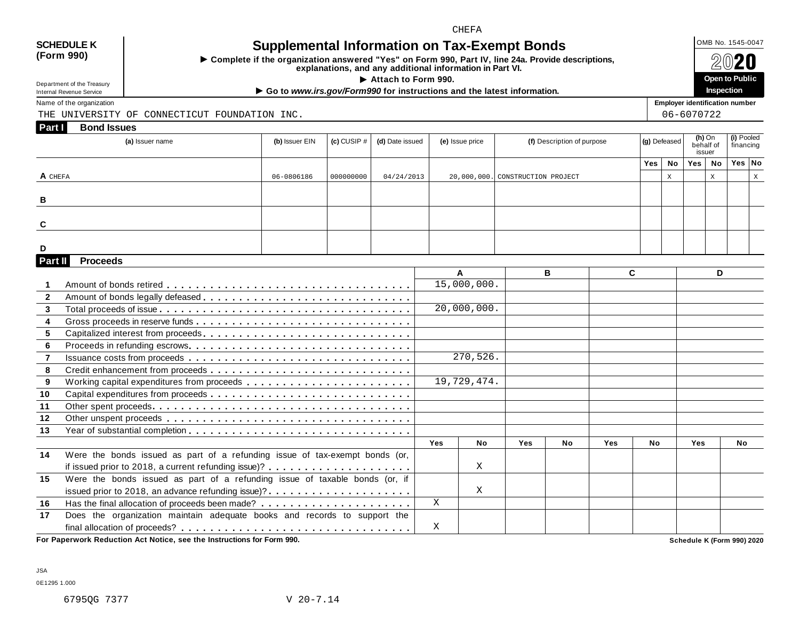#### CHEFA

## **(Form 990)**

## SCHEDULE K  $\bigcup_{\text{OMB No. 1545-0047}}$  **Supplemental Information on Tax-Exempt Bonds**

 $\triangleright$  Complete if the organization answered "Yes" on Form 990, Part IV, line 24a. Provide descriptions,<br>explanations, and any additional information in Part VI.

The any additional information in Part VI.<br>► Attach to Form 990. **Open** to Public<br>mo00 for instructions and the latest information

Department of the Treasury<br>Internal Revenue Service

Department of the Treasury<br>
Inspection<br>
Name of the organization<br>
Name of the organization<br>
Name of the organization

THE UNIVERSITY OF CONNECTICUT FOUNDATION INC. 06-6070722

| Part I<br><b>Bond Issues</b><br>(a) Issuer name | (b) Issuer EIN | $ $ (c) CUSIP $\#$ $ $ | (d) Date issued | (e) Issue price | (f) Description of purpose       | (g) Defeased |                           | (h) On<br>behalf of<br>issuer |    | (i) Pooled<br>financing |  |
|-------------------------------------------------|----------------|------------------------|-----------------|-----------------|----------------------------------|--------------|---------------------------|-------------------------------|----|-------------------------|--|
|                                                 |                |                        |                 |                 |                                  | Yes          | No                        | Yes                           | No | Yes No                  |  |
| A CHEFA                                         | 06-0806186     | 000000000              | 04/24/2013      |                 | 20,000,000. CONSTRUCTION PROJECT |              | $\mathbf{v}$<br>$\Lambda$ |                               | X  |                         |  |
| B                                               |                |                        |                 |                 |                                  |              |                           |                               |    |                         |  |
| C                                               |                |                        |                 |                 |                                  |              |                           |                               |    |                         |  |
| D                                               |                |                        |                 |                 |                                  |              |                           |                               |    |                         |  |

| Part II        | <b>Proceeds</b>                                                             |     |             |            |           |            |           |            |           |
|----------------|-----------------------------------------------------------------------------|-----|-------------|------------|-----------|------------|-----------|------------|-----------|
|                |                                                                             |     | A           |            | в         |            | C.        |            | D         |
|                |                                                                             |     | 15,000,000. |            |           |            |           |            |           |
| $\overline{2}$ |                                                                             |     |             |            |           |            |           |            |           |
| $\overline{3}$ |                                                                             |     | 20,000,000. |            |           |            |           |            |           |
| 4              |                                                                             |     |             |            |           |            |           |            |           |
| 5              |                                                                             |     |             |            |           |            |           |            |           |
| 6              |                                                                             |     |             |            |           |            |           |            |           |
| $\overline{7}$ |                                                                             |     | 270,526.    |            |           |            |           |            |           |
| 8              |                                                                             |     |             |            |           |            |           |            |           |
| 9              |                                                                             |     | 19,729,474. |            |           |            |           |            |           |
| 10             |                                                                             |     |             |            |           |            |           |            |           |
| 11             |                                                                             |     |             |            |           |            |           |            |           |
| 12             |                                                                             |     |             |            |           |            |           |            |           |
| 13             |                                                                             |     |             |            |           |            |           |            |           |
|                |                                                                             | Yes | <b>No</b>   | <b>Yes</b> | <b>No</b> | <b>Yes</b> | <b>No</b> | <b>Yes</b> | <b>No</b> |
| 14             | Were the bonds issued as part of a refunding issue of tax-exempt bonds (or, |     |             |            |           |            |           |            |           |
|                |                                                                             |     | X           |            |           |            |           |            |           |
| 15             | Were the bonds issued as part of a refunding issue of taxable bonds (or, if |     |             |            |           |            |           |            |           |
|                | issued prior to 2018, an advance refunding issue)?                          |     | X           |            |           |            |           |            |           |
| 16             |                                                                             | X   |             |            |           |            |           |            |           |
| 17             | Does the organization maintain adequate books and records to support the    |     |             |            |           |            |           |            |           |
|                |                                                                             | X   |             |            |           |            |           |            |           |

**For Paperwork Reduction Act Notice, see the Instructions for Form 990. Schedule K (Form 990) 2020**

**Inspection**

JSA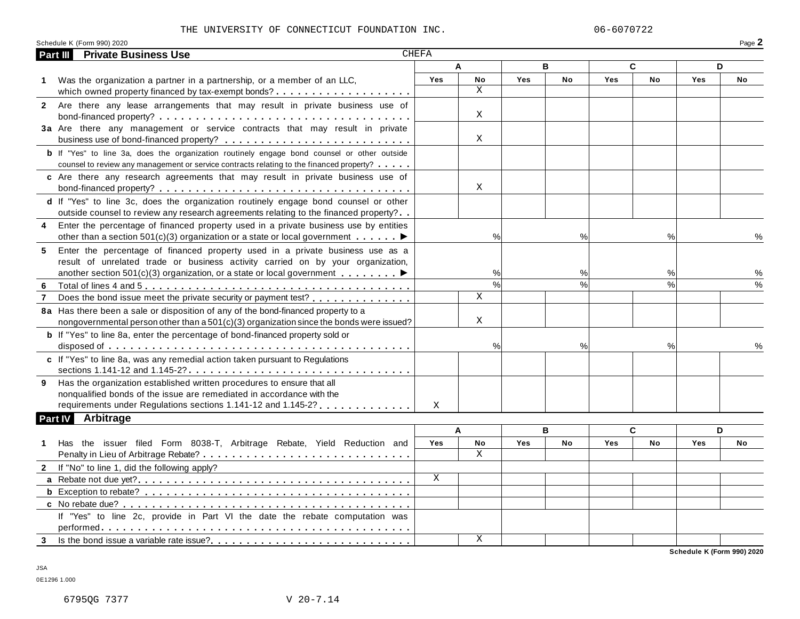#### THE UNIVERSITY OF CONNECTICUT FOUNDATION INC.  $06-6070722$

| -aue - |      |
|--------|------|
|        | Dogo |

| Part III       | <b>Private Business Use</b>                                                                                          | <b>CHEFA</b> |                          |            |               |     |           |            |               |
|----------------|----------------------------------------------------------------------------------------------------------------------|--------------|--------------------------|------------|---------------|-----|-----------|------------|---------------|
|                |                                                                                                                      |              | A                        |            | B             |     | C         |            | D             |
|                | 1 Was the organization a partner in a partnership, or a member of an LLC,                                            | Yes          | No                       | Yes        | <b>No</b>     | Yes | <b>No</b> | <b>Yes</b> | No            |
|                |                                                                                                                      |              | X                        |            |               |     |           |            |               |
|                | 2 Are there any lease arrangements that may result in private business use of                                        |              |                          |            |               |     |           |            |               |
|                |                                                                                                                      |              | X                        |            |               |     |           |            |               |
|                | 3a Are there any management or service contracts that may result in private                                          |              |                          |            |               |     |           |            |               |
|                |                                                                                                                      |              | X                        |            |               |     |           |            |               |
|                | <b>b</b> If "Yes" to line 3a, does the organization routinely engage bond counsel or other outside                   |              |                          |            |               |     |           |            |               |
|                | counsel to review any management or service contracts relating to the financed property?                             |              |                          |            |               |     |           |            |               |
|                | c Are there any research agreements that may result in private business use of                                       |              |                          |            |               |     |           |            |               |
|                |                                                                                                                      |              | X                        |            |               |     |           |            |               |
|                | d If "Yes" to line 3c, does the organization routinely engage bond counsel or other                                  |              |                          |            |               |     |           |            |               |
|                | outside counsel to review any research agreements relating to the financed property?                                 |              |                          |            |               |     |           |            |               |
| 4              | Enter the percentage of financed property used in a private business use by entities                                 |              |                          |            |               |     |           |            |               |
|                | other than a section 501(c)(3) organization or a state or local government $\dots \dots$                             |              | $\%$                     |            | $\frac{0}{0}$ |     | $\%$      |            |               |
| 5              | Enter the percentage of financed property used in a private business use as a                                        |              |                          |            |               |     |           |            |               |
|                | result of unrelated trade or business activity carried on by your organization,                                      |              |                          |            |               |     |           |            |               |
|                | another section 501(c)(3) organization, or a state or local government $\blacksquare$                                |              | %                        |            | %             |     | %         |            | %             |
| 6              |                                                                                                                      |              | $\overline{\frac{9}{6}}$ |            | %             |     | $\%$      |            | $\frac{0}{0}$ |
| 7              | Does the bond issue meet the private security or payment test?                                                       |              | $\mathbf X$              |            |               |     |           |            |               |
|                | 8a Has there been a sale or disposition of any of the bond-financed property to a                                    |              |                          |            |               |     |           |            |               |
|                | nongovernmental person other than $a\,501(c)(3)$ organization since the bonds were issued?                           |              | X                        |            |               |     |           |            |               |
|                | <b>b</b> If "Yes" to line 8a, enter the percentage of bond-financed property sold or                                 |              |                          |            |               |     |           |            |               |
|                |                                                                                                                      |              | %                        |            | %             |     | %         |            | ℅             |
|                | c If "Yes" to line 8a, was any remedial action taken pursuant to Regulations                                         |              |                          |            |               |     |           |            |               |
|                | sections 1.141-12 and 1.145-2? $\dots \dots \dots \dots \dots \dots \dots \dots \dots \dots \dots \dots \dots \dots$ |              |                          |            |               |     |           |            |               |
| 9              | Has the organization established written procedures to ensure that all                                               |              |                          |            |               |     |           |            |               |
|                | nonqualified bonds of the issue are remediated in accordance with the                                                |              |                          |            |               |     |           |            |               |
|                | requirements under Regulations sections 1.141-12 and 1.145-2?                                                        | X            |                          |            |               |     |           |            |               |
| <b>Part IV</b> | Arbitrage                                                                                                            |              |                          |            |               |     |           |            |               |
|                |                                                                                                                      |              | A                        |            | B             |     | C         |            | D             |
| 1              | Has the issuer filed Form 8038-T, Arbitrage Rebate, Yield Reduction and                                              | <b>Yes</b>   | No                       | <b>Yes</b> | <b>No</b>     | Yes | No        | <b>Yes</b> | No            |
|                |                                                                                                                      |              | X                        |            |               |     |           |            |               |
|                | 2 If "No" to line 1, did the following apply?                                                                        |              |                          |            |               |     |           |            |               |
|                |                                                                                                                      | X            |                          |            |               |     |           |            |               |
|                |                                                                                                                      |              |                          |            |               |     |           |            |               |
|                |                                                                                                                      |              |                          |            |               |     |           |            |               |
|                | If "Yes" to line 2c, provide in Part VI the date the rebate computation was                                          |              |                          |            |               |     |           |            |               |
|                |                                                                                                                      |              |                          |            |               |     |           |            |               |
| 3 <sup>1</sup> |                                                                                                                      |              | X                        |            |               |     |           |            |               |
|                |                                                                                                                      |              |                          |            |               |     |           |            |               |

**Schedule K (Form 990) 2020**

JSA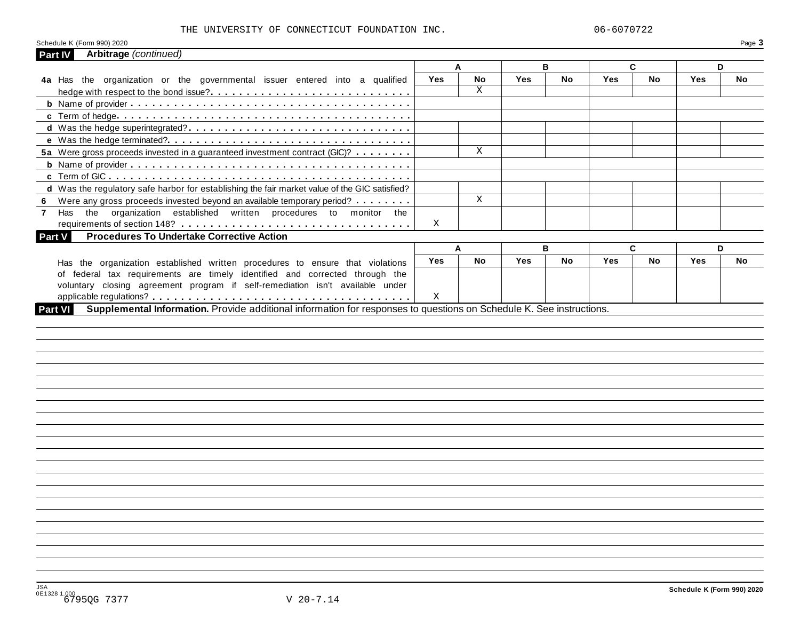#### THE UNIVERSITY OF CONNECTICUT FOUNDATION INC.  $06-6070722$

|                                                                                                                      |            | A         |     | B         |     | C  |     | D  |
|----------------------------------------------------------------------------------------------------------------------|------------|-----------|-----|-----------|-----|----|-----|----|
| 4a Has the organization or the governmental issuer entered into a qualified                                          | <b>Yes</b> | No        | Yes | No        | Yes | No | Yes | No |
|                                                                                                                      |            | X         |     |           |     |    |     |    |
|                                                                                                                      |            |           |     |           |     |    |     |    |
|                                                                                                                      |            |           |     |           |     |    |     |    |
|                                                                                                                      |            |           |     |           |     |    |     |    |
|                                                                                                                      |            |           |     |           |     |    |     |    |
| 5a Were gross proceeds invested in a guaranteed investment contract (GIC)?                                           |            | X         |     |           |     |    |     |    |
|                                                                                                                      |            |           |     |           |     |    |     |    |
|                                                                                                                      |            |           |     |           |     |    |     |    |
|                                                                                                                      |            |           |     |           |     |    |     |    |
| d Was the regulatory safe harbor for establishing the fair market value of the GIC satisfied?                        |            |           |     |           |     |    |     |    |
| Were any gross proceeds invested beyond an available temporary period?<br>6                                          |            | X         |     |           |     |    |     |    |
| the organization established written procedures to monitor the<br>Has<br>$\mathbf{7}$                                |            |           |     |           |     |    |     |    |
|                                                                                                                      | Χ          |           |     |           |     |    |     |    |
| <b>Procedures To Undertake Corrective Action</b><br><b>Part V</b>                                                    |            |           |     |           |     |    |     |    |
|                                                                                                                      |            | A         |     | B         |     | C  |     | D  |
| Has the organization established written procedures to ensure that violations                                        | Yes        | <b>No</b> | Yes | <b>No</b> | Yes | No | Yes | No |
| of federal tax requirements are timely identified and corrected through the                                          |            |           |     |           |     |    |     |    |
| voluntary closing agreement program if self-remediation isn't available under                                        |            |           |     |           |     |    |     |    |
| Supplemental Information. Provide additional information for responses to questions on Schedule K. See instructions. | Χ          |           |     |           |     |    |     |    |
|                                                                                                                      |            |           |     |           |     |    |     |    |
|                                                                                                                      |            |           |     |           |     |    |     |    |
|                                                                                                                      |            |           |     |           |     |    |     |    |
|                                                                                                                      |            |           |     |           |     |    |     |    |
|                                                                                                                      |            |           |     |           |     |    |     |    |
|                                                                                                                      |            |           |     |           |     |    |     |    |
|                                                                                                                      |            |           |     |           |     |    |     |    |
|                                                                                                                      |            |           |     |           |     |    |     |    |
|                                                                                                                      |            |           |     |           |     |    |     |    |
|                                                                                                                      |            |           |     |           |     |    |     |    |
|                                                                                                                      |            |           |     |           |     |    |     |    |
|                                                                                                                      |            |           |     |           |     |    |     |    |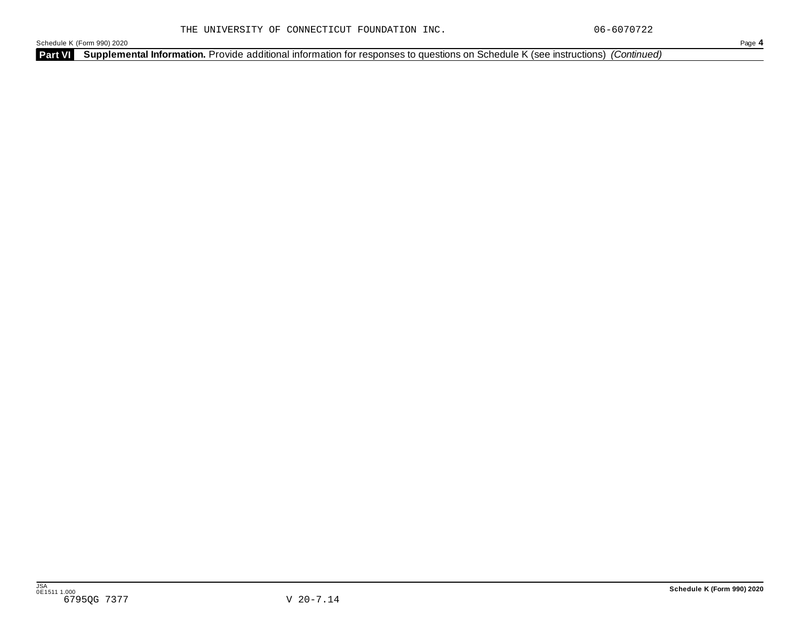Schedule K (Form 990) 2020 Page **4**

**Part VI Supplemental Information.** Provide additional information for responses to questions on Schedule K (see instructions) *(Continued)*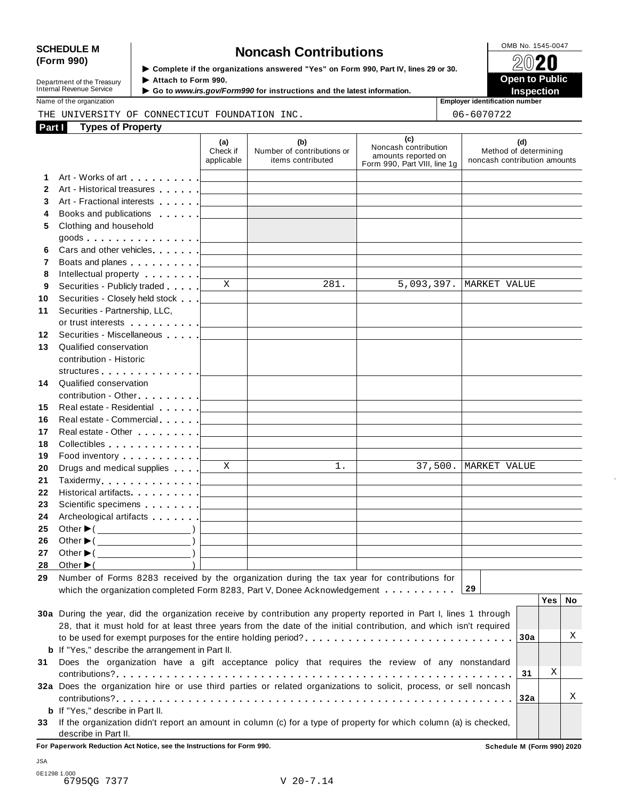# SCHEDULE M<br>
(Form 990) **Supplementary of the organizations answered** "Yes" on Form 990 Part IV lines 29 or 30

| Department of the Treasury |  |
|----------------------------|--|
| Internal Revenue Service   |  |

**Examplete** if the organizations answered "Yes" on Form 990, Part Ⅳ, lines 29 or 30.<br>▶ Attach to Form 990.  $\blacktriangleright$  Attach to Form 990. **Department of the Treasury ▶ Attach to Form 990.**<br>Internal Revenue Service ▶ Go to *www.irs.gov/Form990* for instructions and the latest information.<br>Nome of the organization aumhor

Name of the organization **intervalse of the organization intervalse of the organization intervalse of the organization intervalse of the organization intervalse of the organization intervalse of the organization** THE UNIVERSITY OF CONNECTICUT FOUNDATION INC.  $\vert$  06-6070722

| Part I | <b>Types of Property</b>                                                                                           |                               |                                                        |                                                                                    |                                                              |
|--------|--------------------------------------------------------------------------------------------------------------------|-------------------------------|--------------------------------------------------------|------------------------------------------------------------------------------------|--------------------------------------------------------------|
|        |                                                                                                                    | (a)<br>Check if<br>applicable | (b)<br>Number of contributions or<br>items contributed | (c)<br>Noncash contribution<br>amounts reported on<br>Form 990, Part VIII, line 1g | (d)<br>Method of determining<br>noncash contribution amounts |
| 1.     | Art - Works of art [1]                                                                                             |                               |                                                        |                                                                                    |                                                              |
| 2      | Art - Historical treasures                                                                                         |                               |                                                        |                                                                                    |                                                              |
| 3      | Art - Fractional interests                                                                                         |                               |                                                        |                                                                                    |                                                              |
| 4      | Books and publications <b>Exercise 2</b>                                                                           |                               |                                                        |                                                                                    |                                                              |
| 5      | Clothing and household                                                                                             |                               |                                                        |                                                                                    |                                                              |
|        | goods $\vert$                                                                                                      |                               |                                                        |                                                                                    |                                                              |
| 6      | Cars and other vehicles. [11]                                                                                      |                               |                                                        |                                                                                    |                                                              |
| 7      | Boats and planes <u>  _ _ _ _ _</u>                                                                                |                               |                                                        |                                                                                    |                                                              |
| 8      | Intellectual property [                                                                                            |                               |                                                        |                                                                                    |                                                              |
| 9      | Securities - Publicly traded [                                                                                     | X                             | 281.                                                   |                                                                                    | 5,093,397.   MARKET VALUE                                    |
| 10     | Securities - Closely held stock [16]                                                                               |                               |                                                        |                                                                                    |                                                              |
| 11     | Securities - Partnership, LLC,                                                                                     |                               |                                                        |                                                                                    |                                                              |
|        | or trust interests [1]                                                                                             |                               |                                                        |                                                                                    |                                                              |
| 12     | Securities - Miscellaneous                                                                                         |                               |                                                        |                                                                                    |                                                              |
| 13     | Qualified conservation                                                                                             |                               |                                                        |                                                                                    |                                                              |
|        | contribution - Historic                                                                                            |                               |                                                        |                                                                                    |                                                              |
|        | structures [19]                                                                                                    |                               |                                                        |                                                                                    |                                                              |
| 14     | Qualified conservation                                                                                             |                               |                                                        |                                                                                    |                                                              |
|        | contribution - Other [19]                                                                                          |                               |                                                        |                                                                                    |                                                              |
| 15     | Real estate - Residential New York 1                                                                               |                               |                                                        |                                                                                    |                                                              |
| 16     |                                                                                                                    |                               |                                                        |                                                                                    |                                                              |
| 17     | Real estate - Other New York New York 1                                                                            |                               |                                                        |                                                                                    |                                                              |
| 18     | Collectibles experience of the collectibles                                                                        |                               |                                                        |                                                                                    |                                                              |
| 19     | Food inventory [19]                                                                                                |                               |                                                        |                                                                                    |                                                              |
| 20     | Drugs and medical supplies                                                                                         | X                             | 1.                                                     |                                                                                    | 37,500.   MARKET VALUE                                       |
| 21     |                                                                                                                    |                               |                                                        |                                                                                    |                                                              |
| 22     | Historical artifacts <u>  _ _ _ _ _</u>                                                                            |                               |                                                        |                                                                                    |                                                              |
| 23     | Scientific specimens [1994]                                                                                        |                               |                                                        |                                                                                    |                                                              |
| 24     | Archeological artifacts [1995]                                                                                     |                               |                                                        |                                                                                    |                                                              |
| 25     | Other $\blacktriangleright$ ( $\_\_\_\_\_\_\_\_$ )                                                                 |                               |                                                        |                                                                                    |                                                              |
| 26     | Other $\blacktriangleright$ ( $\_\_\_\_\_\_\_\_$ )                                                                 |                               |                                                        |                                                                                    |                                                              |
| 27     | Other $\blacktriangleright$ ( $\_\_\_\_\_\_\_\_$ )                                                                 |                               |                                                        |                                                                                    |                                                              |
|        | $\mathcal{L}$<br>28 Other $\blacktriangleright$ (                                                                  |                               |                                                        |                                                                                    |                                                              |
| 29     | Number of Forms 8283 received by the organization during the tax year for contributions for                        |                               |                                                        |                                                                                    |                                                              |
|        | which the organization completed Form 8283, Part V, Donee Acknowledgement                                          |                               |                                                        |                                                                                    | 29                                                           |
|        |                                                                                                                    |                               |                                                        |                                                                                    | Yes<br><b>No</b>                                             |
|        | 30a During the year, did the organization receive by contribution any property reported in Part I, lines 1 through |                               |                                                        |                                                                                    |                                                              |
|        | 28, that it must hold for at least three years from the date of the initial contribution, and which isn't required |                               |                                                        |                                                                                    |                                                              |
|        | to be used for exempt purposes for the entire holding period?                                                      |                               |                                                        |                                                                                    | Χ<br>30a                                                     |
|        | <b>b</b> If "Yes," describe the arrangement in Part II.                                                            |                               |                                                        |                                                                                    |                                                              |
| 31     | Does the organization have a gift acceptance policy that requires the review of any nonstandard                    |                               |                                                        |                                                                                    |                                                              |
|        |                                                                                                                    |                               |                                                        |                                                                                    | Χ<br>31                                                      |
|        | 32a Does the organization hire or use third parties or related organizations to solicit, process, or sell noncash  |                               |                                                        |                                                                                    |                                                              |
|        |                                                                                                                    |                               |                                                        |                                                                                    | Χ<br>32a                                                     |
|        | <b>b</b> If "Yes," describe in Part II.                                                                            |                               |                                                        |                                                                                    |                                                              |
| 33     | If the organization didn't report an amount in column (c) for a type of property for which column (a) is checked,  |                               |                                                        |                                                                                    |                                                              |
|        | describe in Part II.                                                                                               |                               |                                                        |                                                                                    |                                                              |

**For Paperwork Reduction Act Notice, see the Instructions for Form 990. Schedule M (Form 990) 2020**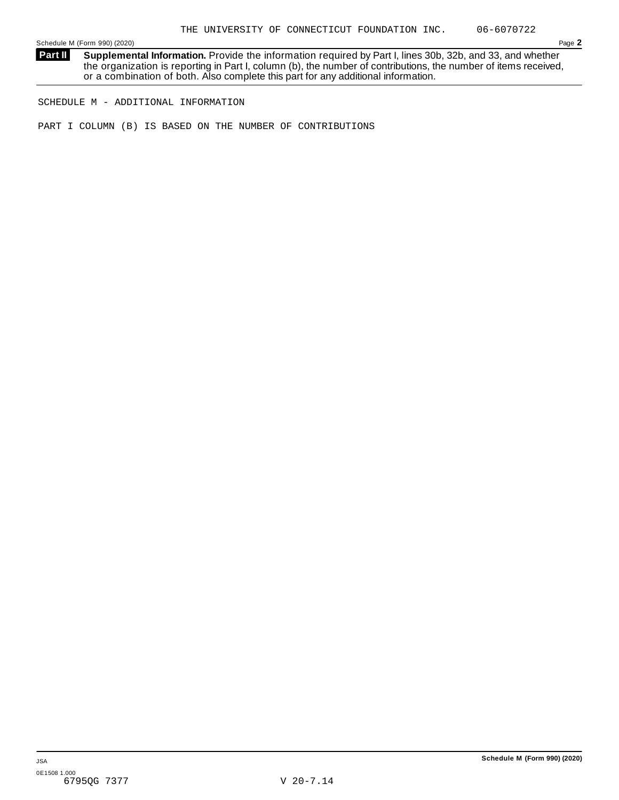**Supplemental Information.** Provide the information required by Part I, lines 30b, 32b, and 33, and whether the organization is reporting in Part I, column (b), the number of contributions, the number of items received, or a combination of both. Also complete this part for any additional information. **Part II**

SCHEDULE M - ADDITIONAL INFORMATION

PART I COLUMN (B) IS BASED ON THE NUMBER OF CONTRIBUTIONS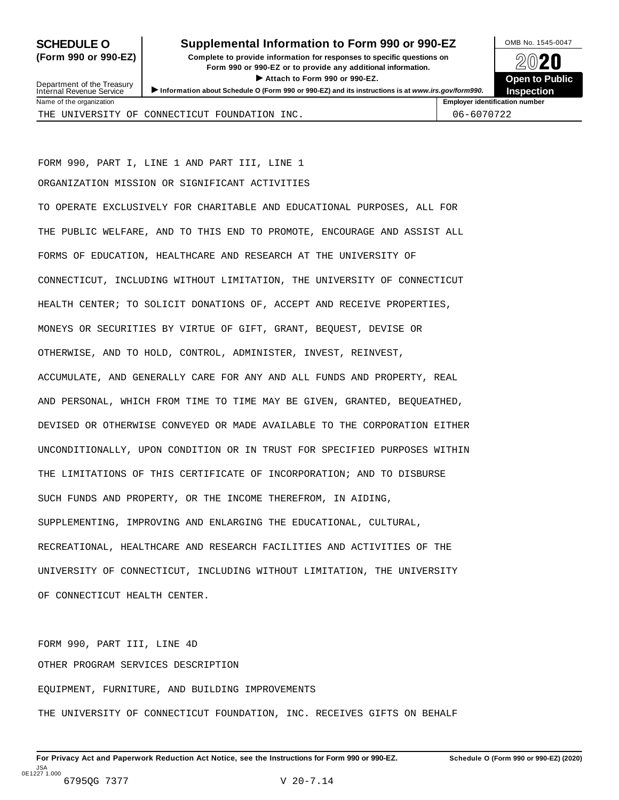### **SCHEDULE O** Supplemental Information to Form 990 or 990-EZ DAMB No. 1545-0047

**(Form 990 or 990-EZ) Complete to provide information for responses to specific questions on** Provide information for responses to specific questions on<br>
Form 990 or 990-EZ or to provide any additional information.<br>
▶ Attach to Form 990 or 990-EZ.<br>
Open to Public  $\blacktriangleright$  Attach to Form 990 or 990-EZ.



| Department of the Treasury<br>Internal Revenue Service | Attach to Form 990 or 990-EZ.<br>Information about Schedule O (Form 990 or 990-EZ) and its instructions is at www.irs.gov/form990. | <b>Open to Public</b><br><b>Inspection</b> |  |
|--------------------------------------------------------|------------------------------------------------------------------------------------------------------------------------------------|--------------------------------------------|--|
| Name of the organization                               |                                                                                                                                    | <b>Employer identification number</b>      |  |
|                                                        | THE UNIVERSITY OF CONNECTICUT FOUNDATION INC.                                                                                      | 06-6070722                                 |  |

FORM 990, PART I, LINE 1 AND PART III, LINE 1

ORGANIZATION MISSION OR SIGNIFICANT ACTIVITIES

TO OPERATE EXCLUSIVELY FOR CHARITABLE AND EDUCATIONAL PURPOSES, ALL FOR THE PUBLIC WELFARE, AND TO THIS END TO PROMOTE, ENCOURAGE AND ASSIST ALL FORMS OF EDUCATION, HEALTHCARE AND RESEARCH AT THE UNIVERSITY OF CONNECTICUT, INCLUDING WITHOUT LIMITATION, THE UNIVERSITY OF CONNECTICUT HEALTH CENTER; TO SOLICIT DONATIONS OF, ACCEPT AND RECEIVE PROPERTIES, MONEYS OR SECURITIES BY VIRTUE OF GIFT, GRANT, BEQUEST, DEVISE OR OTHERWISE, AND TO HOLD, CONTROL, ADMINISTER, INVEST, REINVEST, ACCUMULATE, AND GENERALLY CARE FOR ANY AND ALL FUNDS AND PROPERTY, REAL AND PERSONAL, WHICH FROM TIME TO TIME MAY BE GIVEN, GRANTED, BEQUEATHED, DEVISED OR OTHERWISE CONVEYED OR MADE AVAILABLE TO THE CORPORATION EITHER UNCONDITIONALLY, UPON CONDITION OR IN TRUST FOR SPECIFIED PURPOSES WITHIN THE LIMITATIONS OF THIS CERTIFICATE OF INCORPORATION; AND TO DISBURSE SUCH FUNDS AND PROPERTY, OR THE INCOME THEREFROM, IN AIDING, SUPPLEMENTING, IMPROVING AND ENLARGING THE EDUCATIONAL, CULTURAL, RECREATIONAL, HEALTHCARE AND RESEARCH FACILITIES AND ACTIVITIES OF THE UNIVERSITY OF CONNECTICUT, INCLUDING WITHOUT LIMITATION, THE UNIVERSITY OF CONNECTICUT HEALTH CENTER.

FORM 990, PART III, LINE 4D OTHER PROGRAM SERVICES DESCRIPTION EQUIPMENT, FURNITURE, AND BUILDING IMPROVEMENTS THE UNIVERSITY OF CONNECTICUT FOUNDATION, INC. RECEIVES GIFTS ON BEHALF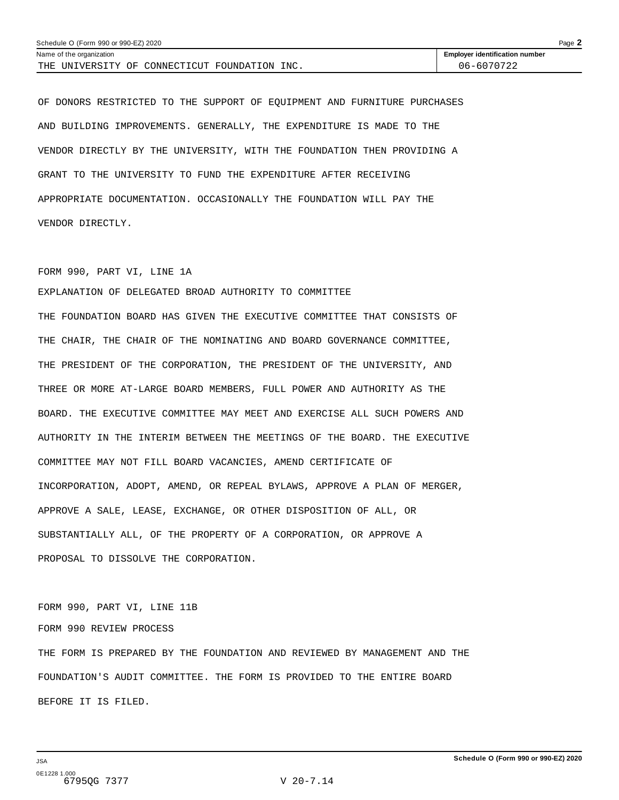| Schedule O (Form 990 or 990-EZ) 2020<br>Page $\blacktriangle$ |                                       |  |  |  |
|---------------------------------------------------------------|---------------------------------------|--|--|--|
| Name of the organization                                      | <b>Employer identification number</b> |  |  |  |
| THE UNIVERSITY OF CONNECTICUT FOUNDATION INC.                 | 06-6070722                            |  |  |  |

OF DONORS RESTRICTED TO THE SUPPORT OF EQUIPMENT AND FURNITURE PURCHASES AND BUILDING IMPROVEMENTS. GENERALLY, THE EXPENDITURE IS MADE TO THE VENDOR DIRECTLY BY THE UNIVERSITY, WITH THE FOUNDATION THEN PROVIDING A GRANT TO THE UNIVERSITY TO FUND THE EXPENDITURE AFTER RECEIVING APPROPRIATE DOCUMENTATION. OCCASIONALLY THE FOUNDATION WILL PAY THE VENDOR DIRECTLY.

#### FORM 990, PART VI, LINE 1A

EXPLANATION OF DELEGATED BROAD AUTHORITY TO COMMITTEE THE FOUNDATION BOARD HAS GIVEN THE EXECUTIVE COMMITTEE THAT CONSISTS OF THE CHAIR, THE CHAIR OF THE NOMINATING AND BOARD GOVERNANCE COMMITTEE, THE PRESIDENT OF THE CORPORATION, THE PRESIDENT OF THE UNIVERSITY, AND THREE OR MORE AT-LARGE BOARD MEMBERS, FULL POWER AND AUTHORITY AS THE BOARD. THE EXECUTIVE COMMITTEE MAY MEET AND EXERCISE ALL SUCH POWERS AND AUTHORITY IN THE INTERIM BETWEEN THE MEETINGS OF THE BOARD. THE EXECUTIVE COMMITTEE MAY NOT FILL BOARD VACANCIES, AMEND CERTIFICATE OF INCORPORATION, ADOPT, AMEND, OR REPEAL BYLAWS, APPROVE A PLAN OF MERGER, APPROVE A SALE, LEASE, EXCHANGE, OR OTHER DISPOSITION OF ALL, OR SUBSTANTIALLY ALL, OF THE PROPERTY OF A CORPORATION, OR APPROVE A PROPOSAL TO DISSOLVE THE CORPORATION.

FORM 990, PART VI, LINE 11B FORM 990 REVIEW PROCESS THE FORM IS PREPARED BY THE FOUNDATION AND REVIEWED BY MANAGEMENT AND THE FOUNDATION'S AUDIT COMMITTEE. THE FORM IS PROVIDED TO THE ENTIRE BOARD BEFORE IT IS FILED.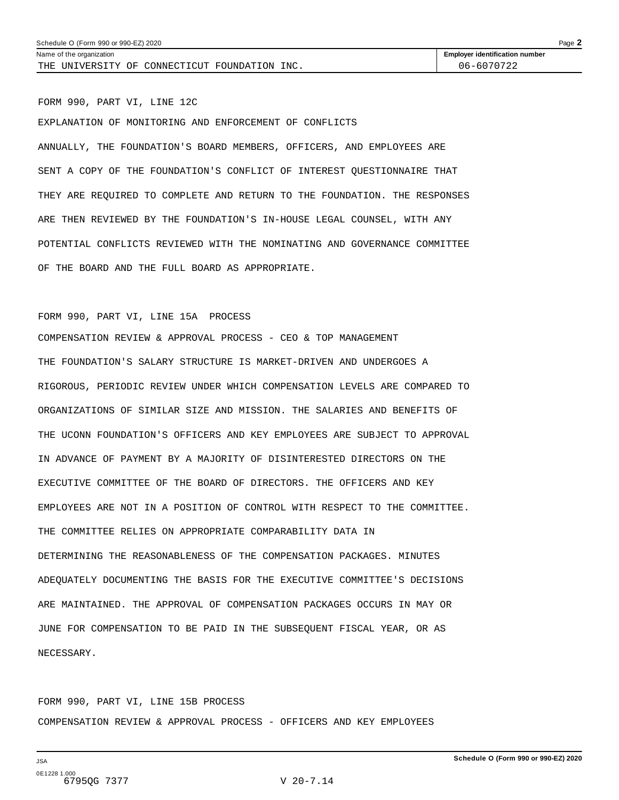THE UNIVERSITY OF CONNECTICUT FOUNDATION INC.  $\vert$  06-6070722

Name of the organization **intervalse of the organization number intervalse of the organization number intervalse of the organization number** 

FORM 990, PART VI, LINE 12C EXPLANATION OF MONITORING AND ENFORCEMENT OF CONFLICTS ANNUALLY, THE FOUNDATION'S BOARD MEMBERS, OFFICERS, AND EMPLOYEES ARE SENT A COPY OF THE FOUNDATION'S CONFLICT OF INTEREST QUESTIONNAIRE THAT THEY ARE REQUIRED TO COMPLETE AND RETURN TO THE FOUNDATION. THE RESPONSES ARE THEN REVIEWED BY THE FOUNDATION'S IN-HOUSE LEGAL COUNSEL, WITH ANY POTENTIAL CONFLICTS REVIEWED WITH THE NOMINATING AND GOVERNANCE COMMITTEE OF THE BOARD AND THE FULL BOARD AS APPROPRIATE.

#### FORM 990, PART VI, LINE 15A PROCESS

COMPENSATION REVIEW & APPROVAL PROCESS - CEO & TOP MANAGEMENT THE FOUNDATION'S SALARY STRUCTURE IS MARKET-DRIVEN AND UNDERGOES A RIGOROUS, PERIODIC REVIEW UNDER WHICH COMPENSATION LEVELS ARE COMPARED TO ORGANIZATIONS OF SIMILAR SIZE AND MISSION. THE SALARIES AND BENEFITS OF THE UCONN FOUNDATION'S OFFICERS AND KEY EMPLOYEES ARE SUBJECT TO APPROVAL IN ADVANCE OF PAYMENT BY A MAJORITY OF DISINTERESTED DIRECTORS ON THE EXECUTIVE COMMITTEE OF THE BOARD OF DIRECTORS. THE OFFICERS AND KEY EMPLOYEES ARE NOT IN A POSITION OF CONTROL WITH RESPECT TO THE COMMITTEE. THE COMMITTEE RELIES ON APPROPRIATE COMPARABILITY DATA IN DETERMINING THE REASONABLENESS OF THE COMPENSATION PACKAGES. MINUTES ADEQUATELY DOCUMENTING THE BASIS FOR THE EXECUTIVE COMMITTEE'S DECISIONS ARE MAINTAINED. THE APPROVAL OF COMPENSATION PACKAGES OCCURS IN MAY OR JUNE FOR COMPENSATION TO BE PAID IN THE SUBSEQUENT FISCAL YEAR, OR AS NECESSARY.

FORM 990, PART VI, LINE 15B PROCESS COMPENSATION REVIEW & APPROVAL PROCESS - OFFICERS AND KEY EMPLOYEES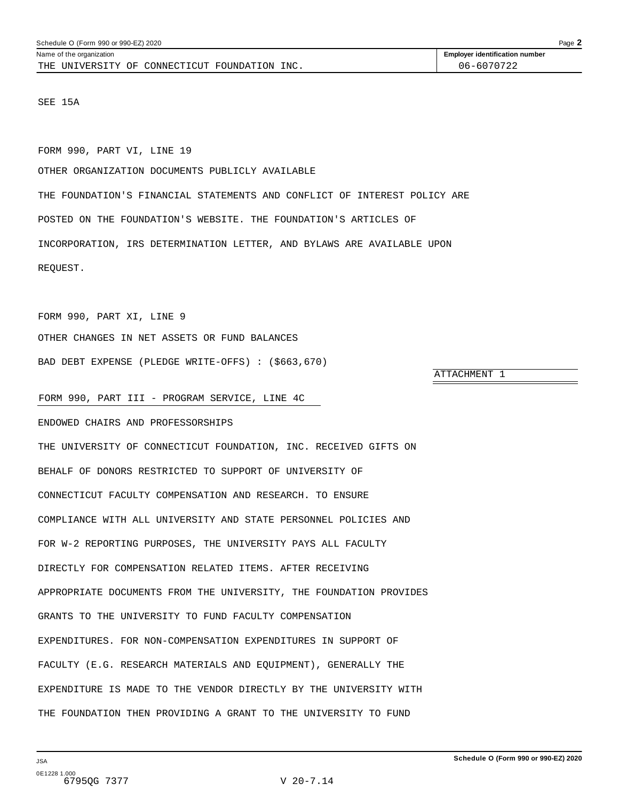THE UNIVERSITY OF CONNECTICUT FOUNDATION INC.  $\vert$  06-6070722

<span id="page-61-0"></span>Name of the organization **intervalse of the organization number intervalse of the organization number intervalse of the organization number** 

SEE 15A

FORM 990, PART VI, LINE 19

OTHER ORGANIZATION DOCUMENTS PUBLICLY AVAILABLE

THE FOUNDATION'S FINANCIAL STATEMENTS AND CONFLICT OF INTEREST POLICY ARE POSTED ON THE FOUNDATION'S WEBSITE. THE FOUNDATION'S ARTICLES OF INCORPORATION, IRS DETERMINATION LETTER, AND BYLAWS ARE AVAILABLE UPON REQUEST.

FORM 990, PART XI, LINE 9 OTHER CHANGES IN NET ASSETS OR FUND BALANCES BAD DEBT EXPENSE (PLEDGE WRITE-OFFS) : (\$663,670)

ATTACHMENT 1

FORM 990, PART III - PROGRAM SERVICE, LINE 4C

ENDOWED CHAIRS AND PROFESSORSHIPS

THE UNIVERSITY OF CONNECTICUT FOUNDATION, INC. RECEIVED GIFTS ON BEHALF OF DONORS RESTRICTED TO SUPPORT OF UNIVERSITY OF CONNECTICUT FACULTY COMPENSATION AND RESEARCH. TO ENSURE COMPLIANCE WITH ALL UNIVERSITY AND STATE PERSONNEL POLICIES AND FOR W-2 REPORTING PURPOSES, THE UNIVERSITY PAYS ALL FACULTY DIRECTLY FOR COMPENSATION RELATED ITEMS. AFTER RECEIVING APPROPRIATE DOCUMENTS FROM THE UNIVERSITY, THE FOUNDATION PROVIDES GRANTS TO THE UNIVERSITY TO FUND FACULTY COMPENSATION EXPENDITURES. FOR NON-COMPENSATION EXPENDITURES IN SUPPORT OF FACULTY (E.G. RESEARCH MATERIALS AND EQUIPMENT), GENERALLY THE EXPENDITURE IS MADE TO THE VENDOR DIRECTLY BY THE UNIVERSITY WITH THE FOUNDATION THEN PROVIDING A GRANT TO THE UNIVERSITY TO FUND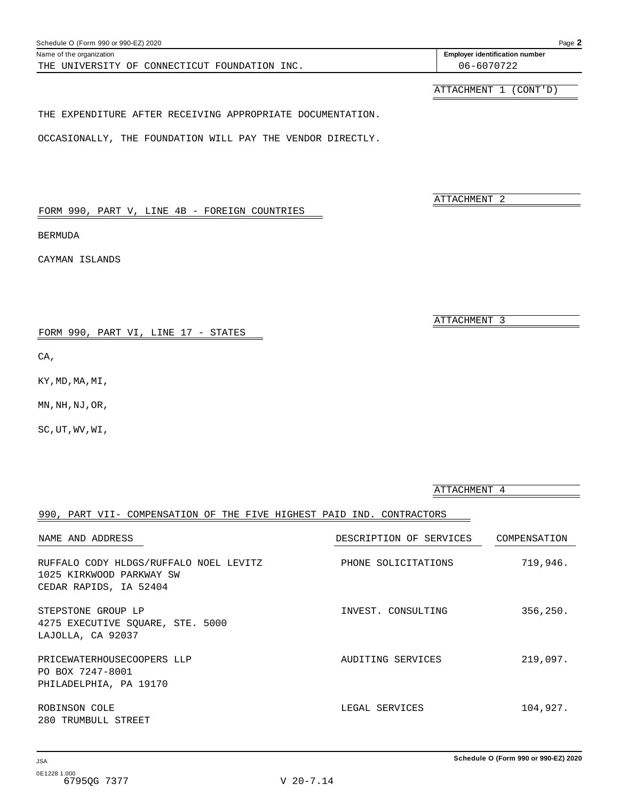| FORM 990, PART V, LINE 4B - FOREIGN COUNTRIES<br>BERMUDA<br>CAYMAN ISLANDS                   | ATTACHMENT 2            |              |
|----------------------------------------------------------------------------------------------|-------------------------|--------------|
| FORM 990, PART VI, LINE 17 - STATES<br>CA,                                                   | ATTACHMENT 3            |              |
| KY, MD, MA, MI,<br>MN, NH, NJ, OR,                                                           |                         |              |
| SC, UT, WV, WI,                                                                              |                         |              |
|                                                                                              | ATTACHMENT 4            |              |
| 990, PART VII- COMPENSATION OF THE FIVE HIGHEST PAID IND. CONTRACTORS                        |                         |              |
| NAME AND ADDRESS                                                                             | DESCRIPTION OF SERVICES | COMPENSATION |
| RUFFALO CODY HLDGS/RUFFALO NOEL LEVITZ<br>1025 KIRKWOOD PARKWAY SW<br>CEDAR RAPIDS, IA 52404 | PHONE SOLICITATIONS     | 719,946.     |
| STEPSTONE GROUP LP<br>4275 EXECUTIVE SQUARE, STE. 5000<br>LAJOLLA, CA 92037                  | INVEST. CONSULTING      | 356,250.     |
| PRICEWATERHOUSECOOPERS LLP<br>PO BOX 7247-8001<br>PHILADELPHIA, PA 19170                     | AUDITING SERVICES       | 219,097.     |
| ROBINSON COLE<br>280 TRUMBULL STREET                                                         | LEGAL SERVICES          | 104,927.     |

#### <span id="page-62-0"></span>Schedule O (Form 990 or 990-EZ) 2020 Page **2**

THE UNIVERSITY OF CONNECTICUT FOUNDATION INC.  $\vert$  06-6070722

Name of the organization **identification Employer identification number** 

ATTACHMENT 1 (CONT'D)

#### THE EXPENDITURE AFTER RECEIVING APPROPRIATE DOCUMENTATION.

OCCASIONALLY, THE FOUNDATION WILL PAY THE VENDOR DIRECTLY.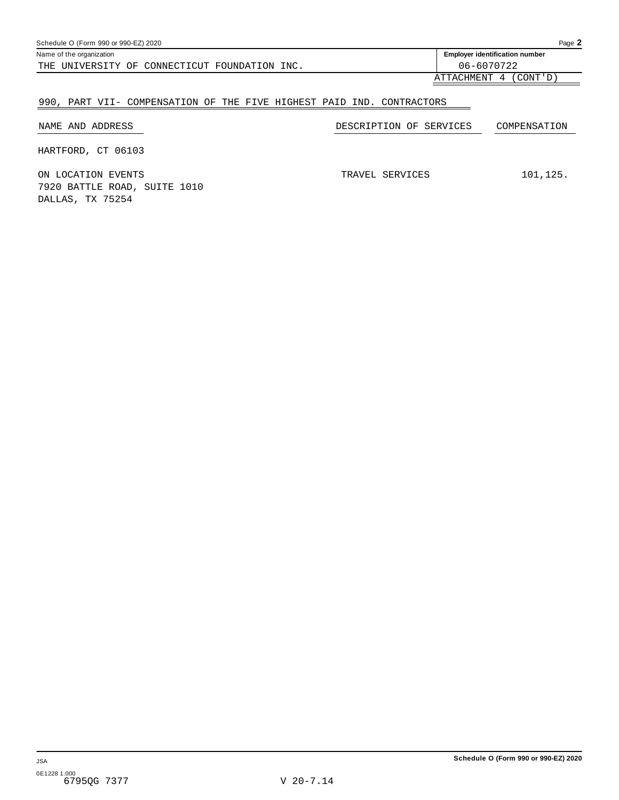| Schedule O (Form 990 or 990-EZ) 2020          |                                       |  |  |  |  |  |  |
|-----------------------------------------------|---------------------------------------|--|--|--|--|--|--|
| Name of the organization                      | <b>Employer identification number</b> |  |  |  |  |  |  |
| THE UNIVERSITY OF CONNECTICUT FOUNDATION INC. | 06-6070722                            |  |  |  |  |  |  |
|                                               | (CONT'D)<br>ATTACHMENT 4              |  |  |  |  |  |  |

## 990, PART VII- COMPENSATION OF THE FIVE HIGHEST PAID IND. CONTRACTORS

| NAME AND ADDRESS                                 | DESCRIPTION OF SERVICES | COMPENSATION |
|--------------------------------------------------|-------------------------|--------------|
| HARTFORD, CT 06103                               |                         |              |
| ON LOCATION EVENTS                               | TRAVEL SERVICES         | 101,125.     |
| 7920 BATTLE ROAD, SUITE 1010<br>DALLAS, TX 75254 |                         |              |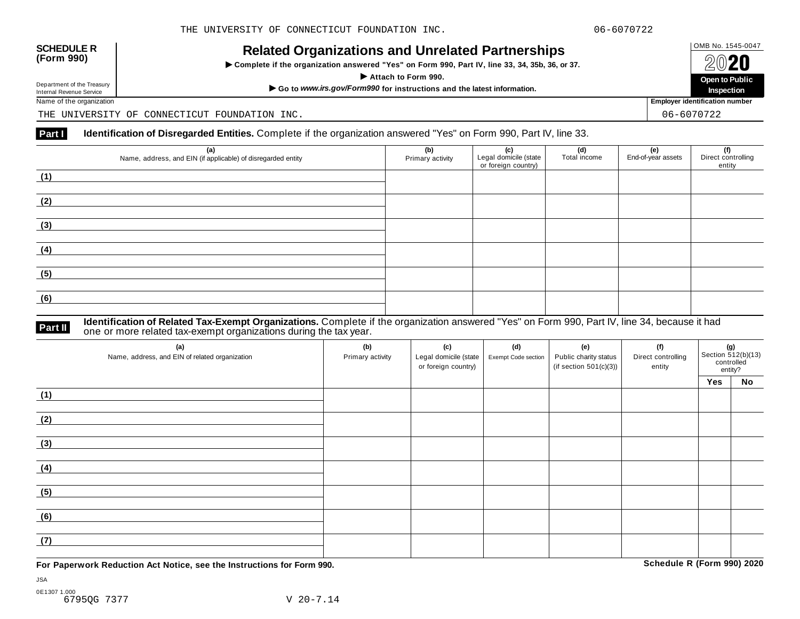| <b>SCHEDULE R</b> |  |
|-------------------|--|
| (Form 990)        |  |

# OMB No. 1545-0047 **SCHEDULE R (Form 990) Related Organizations and Unrelated Partnerships**

 $\triangleright$  Complete if the organization answered "Yes" on Form 990, Part IV, line 33, 34, 35b, 36, or 37.



Department of the Treasury

THE UNIVERSITY OF CONNECTICUT FOUNDATION INC.

#### **Part I Identification of Disregarded Entities.** Complete if the organization answered "Yes" on Form 990, Part IV, line 33.

| (a)<br>Name, address, and EIN (if applicable) of disregarded entity | (b)<br>Primary activity | (c)<br>Legal domicile (state<br>or foreign country) | (d)<br>Total income | (e)<br>End-of-year assets | (f)<br>Direct controlling<br>entity |
|---------------------------------------------------------------------|-------------------------|-----------------------------------------------------|---------------------|---------------------------|-------------------------------------|
| (1)                                                                 |                         |                                                     |                     |                           |                                     |
| (2)                                                                 |                         |                                                     |                     |                           |                                     |
| (3)                                                                 |                         |                                                     |                     |                           |                                     |
| (4)                                                                 |                         |                                                     |                     |                           |                                     |
| (5)                                                                 |                         |                                                     |                     |                           |                                     |
| (6)                                                                 |                         |                                                     |                     |                           |                                     |

#### **Identification of Related Tax-Exempt Organizations.** Complete if the organization answered "Yes" on Form 990, Part IV, line 34, because it had **Part II** one or more related tax-exempt organizations during the tax year.

| (a)<br>Name, address, and EIN of related organization | (b)<br>Primary activity | (c)<br>Legal domicile (state<br>or foreign country) | (d)<br>Exempt Code section | (e)<br>Public charity status<br>(if section $501(c)(3)$ ) | (f)<br>Direct controlling<br>entity | <b>(g)</b><br>Section 512(b)(13)<br>controlled<br>entity? |    |
|-------------------------------------------------------|-------------------------|-----------------------------------------------------|----------------------------|-----------------------------------------------------------|-------------------------------------|-----------------------------------------------------------|----|
|                                                       |                         |                                                     |                            |                                                           |                                     | Yes                                                       | No |
| (1)                                                   |                         |                                                     |                            |                                                           |                                     |                                                           |    |
| (2)                                                   |                         |                                                     |                            |                                                           |                                     |                                                           |    |
| (3)                                                   |                         |                                                     |                            |                                                           |                                     |                                                           |    |
| (4)                                                   |                         |                                                     |                            |                                                           |                                     |                                                           |    |
| (5)                                                   |                         |                                                     |                            |                                                           |                                     |                                                           |    |
| (6)                                                   |                         |                                                     |                            |                                                           |                                     |                                                           |    |
| (7)                                                   |                         |                                                     |                            |                                                           |                                     |                                                           |    |

**For Paperwork Reduction Act Notice, see the Instructions for Form 990. Schedule R (Form 990) 2020**

JSA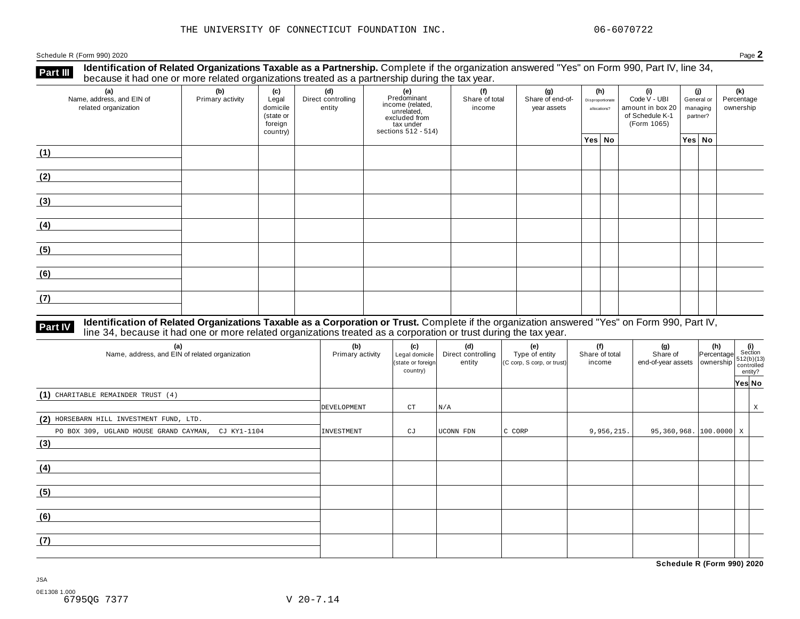Schedule <sup>R</sup> (Form 990) <sup>2020</sup> Page **2**

**Identification of Related Organizations Taxable as a Partnership.** Complete if the organization answered "Yes" on Form 990, Part IV, line 34, **because it had one or more related organizations Taxable as a Partnership.** Complete if the organization of Related organizations treated as a partnership during the tax year.

| (a)<br>Name, address, and EIN of<br>related organization | (b)<br>Primary activity | (c)<br>Legal<br>domicile<br>(state or<br>foreign<br>country) | (d)<br>Direct controlling<br>entity | (e)<br>Predominant<br>Frecomman<br>income (related,<br>unrelated,<br>excluded from<br>sections 512 - 514) | (f)<br>(h)<br>(g)<br>(i)<br>Share of end-of-<br>Share of total<br>Disproportionate<br>income<br>year assets<br>allocations? |  | Code V - UBI<br>amount in box 20<br>of Schedule K-1<br>(Form 1065) |  |          | (j)<br>General or<br>managing<br>partner? | (k)<br>Percentage<br>ownership |
|----------------------------------------------------------|-------------------------|--------------------------------------------------------------|-------------------------------------|-----------------------------------------------------------------------------------------------------------|-----------------------------------------------------------------------------------------------------------------------------|--|--------------------------------------------------------------------|--|----------|-------------------------------------------|--------------------------------|
|                                                          |                         |                                                              |                                     |                                                                                                           |                                                                                                                             |  | Yes No                                                             |  | Yes   No |                                           |                                |
| (1)                                                      |                         |                                                              |                                     |                                                                                                           |                                                                                                                             |  |                                                                    |  |          |                                           |                                |
| (2)                                                      |                         |                                                              |                                     |                                                                                                           |                                                                                                                             |  |                                                                    |  |          |                                           |                                |
| (3)                                                      |                         |                                                              |                                     |                                                                                                           |                                                                                                                             |  |                                                                    |  |          |                                           |                                |
| (4)                                                      |                         |                                                              |                                     |                                                                                                           |                                                                                                                             |  |                                                                    |  |          |                                           |                                |
| (5)                                                      |                         |                                                              |                                     |                                                                                                           |                                                                                                                             |  |                                                                    |  |          |                                           |                                |
| (6)                                                      |                         |                                                              |                                     |                                                                                                           |                                                                                                                             |  |                                                                    |  |          |                                           |                                |
| (7)                                                      |                         |                                                              |                                     |                                                                                                           |                                                                                                                             |  |                                                                    |  |          |                                           |                                |

# **Part IV** Identification of Related Organizations Taxable as a Corporation or Trust. Complete if the organization answered "Yes" on Form 990, Part IV,<br>line 34, because it had one or more related organizations treated as a

| (a)<br>Name, address, and EIN of related organization | (b)<br>Primary activity | (c)<br>Legal domicile<br>(state or foreign<br>country) | (d)<br>Direct controlling<br>entity | (e)<br>Type of entity<br>(C corp, S corp, or trust) | (f)<br>Share of total<br>income | $\begin{array}{c c} \textbf{(g)} & \textbf{(h)} & \textbf{(i)} \\ \text{Share of} & \text{Percentage} & \text{Section} \\ \text{end-of-year assets} & \text{ownership} & \begin{array}{c} \textbf{(i)} \\ \text{std\_b}(1(13) \\ \text{countrolled} \end{array} \end{array}$ | entity? |   |
|-------------------------------------------------------|-------------------------|--------------------------------------------------------|-------------------------------------|-----------------------------------------------------|---------------------------------|------------------------------------------------------------------------------------------------------------------------------------------------------------------------------------------------------------------------------------------------------------------------------|---------|---|
|                                                       |                         |                                                        |                                     |                                                     |                                 |                                                                                                                                                                                                                                                                              | Yes No  |   |
| $(1)$ CHARITABLE REMAINDER TRUST $(4)$                |                         |                                                        |                                     |                                                     |                                 |                                                                                                                                                                                                                                                                              |         |   |
|                                                       | DEVELOPMENT             | CT                                                     | N/A                                 |                                                     |                                 |                                                                                                                                                                                                                                                                              |         | X |
| (2) HORSEBARN HILL INVESTMENT FUND, LTD.              |                         |                                                        |                                     |                                                     |                                 |                                                                                                                                                                                                                                                                              |         |   |
| PO BOX 309, UGLAND HOUSE GRAND CAYMAN, CJ KY1-1104    | INVESTMENT              | CJ                                                     | UCONN FDN                           | C CORP                                              | 9,956,215.                      | $95,360,968.$ 100.0000 X                                                                                                                                                                                                                                                     |         |   |
| (3)                                                   |                         |                                                        |                                     |                                                     |                                 |                                                                                                                                                                                                                                                                              |         |   |
| (4)                                                   |                         |                                                        |                                     |                                                     |                                 |                                                                                                                                                                                                                                                                              |         |   |
| (5)                                                   |                         |                                                        |                                     |                                                     |                                 |                                                                                                                                                                                                                                                                              |         |   |
| (6)                                                   |                         |                                                        |                                     |                                                     |                                 |                                                                                                                                                                                                                                                                              |         |   |
| (7)                                                   |                         |                                                        |                                     |                                                     |                                 |                                                                                                                                                                                                                                                                              |         |   |

**Schedule R (Form 990) 2020**

JSA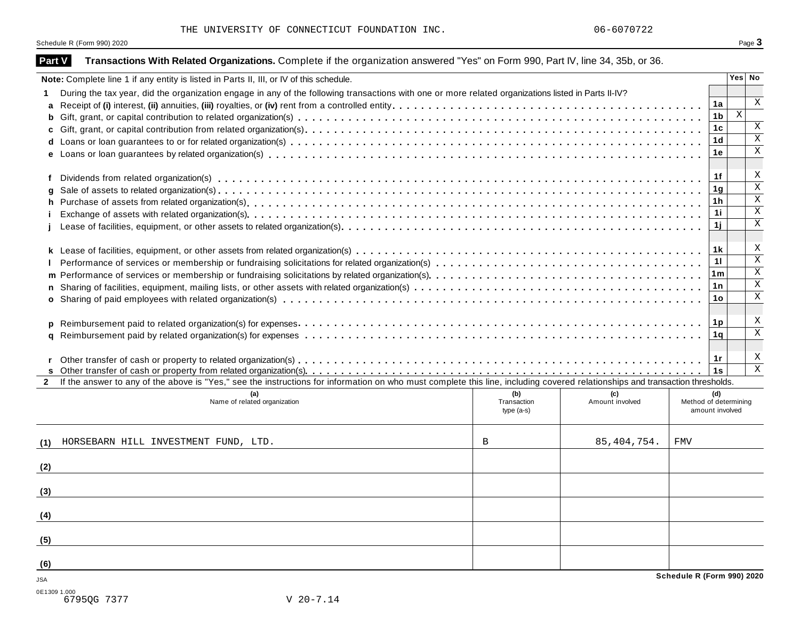THE UNIVERSITY OF CONNECTICUT FOUNDATION INC.  $06-6070722$ 

Schedule R (Form 990) 2020 Page 3

| Part V       | Transactions With Related Organizations. Complete if the organization answered "Yes" on Form 990, Part IV, line 34, 35b, or 36.                                              |                |                         |
|--------------|------------------------------------------------------------------------------------------------------------------------------------------------------------------------------|----------------|-------------------------|
|              | Note: Complete line 1 if any entity is listed in Parts II, III, or IV of this schedule.                                                                                      |                | Yes No                  |
|              | During the tax year, did the organization engage in any of the following transactions with one or more related organizations listed in Parts II-IV?                          |                |                         |
| a            |                                                                                                                                                                              | 1a             | $\mathbf X$             |
| b            |                                                                                                                                                                              | 1 <sub>b</sub> | $\mathbf X$             |
| c            |                                                                                                                                                                              | 1 <sub>c</sub> | $\mathbf X$             |
| d            |                                                                                                                                                                              | 1 <sub>d</sub> | $\overline{\mathbf{x}}$ |
| e            |                                                                                                                                                                              | 1e             | $\mathbf X$             |
|              |                                                                                                                                                                              | 1f             | X                       |
| a            |                                                                                                                                                                              | 1g             | $\overline{\mathbf{x}}$ |
| h            |                                                                                                                                                                              | 1 <sub>h</sub> | $\overline{\mathbf{x}}$ |
|              |                                                                                                                                                                              | 11             | $\mathbf X$             |
|              |                                                                                                                                                                              | 1j             | $\mathbf X$             |
|              |                                                                                                                                                                              |                |                         |
|              |                                                                                                                                                                              | 1 k            | X                       |
|              |                                                                                                                                                                              | 11             | $\overline{\mathbf{x}}$ |
| m            |                                                                                                                                                                              | 1 $m$          | $\mathbf X$             |
| n            |                                                                                                                                                                              | 1n             | $\mathbf X$             |
| $\mathbf{o}$ |                                                                                                                                                                              | 1 <sub>o</sub> | $\mathbf X$             |
|              |                                                                                                                                                                              |                |                         |
| p            |                                                                                                                                                                              | 1p             | X                       |
| a            |                                                                                                                                                                              | 1q             | $\mathbf X$             |
|              |                                                                                                                                                                              |                |                         |
|              |                                                                                                                                                                              | 1r             | X                       |
|              |                                                                                                                                                                              | 1s             | $\overline{\mathbf{x}}$ |
| $\mathbf{2}$ | If the answer to any of the above is "Yes," see the instructions for information on who must complete this line, including covered relationships and transaction thresholds. |                |                         |
|              | (b)<br>(c)<br>Name of related organization<br>Transaction<br>Amount involved<br>Method of determining                                                                        | (d)            |                         |
|              | amount involved<br>type $(a-s)$                                                                                                                                              |                |                         |
| (1)          | 85, 404, 754.<br>HORSEBARN HILL INVESTMENT FUND, LTD.<br>FMV<br>В                                                                                                            |                |                         |
|              |                                                                                                                                                                              |                |                         |
| (2)          |                                                                                                                                                                              |                |                         |
| (3)          |                                                                                                                                                                              |                |                         |
|              |                                                                                                                                                                              |                |                         |
| (4)          |                                                                                                                                                                              |                |                         |
| (5)          |                                                                                                                                                                              |                |                         |
| (6)          |                                                                                                                                                                              |                |                         |
| <b>JSA</b>   | Schedule R (Form 990) 2020                                                                                                                                                   |                |                         |
| 0E1309 1.000 |                                                                                                                                                                              |                |                         |
|              | 6795QG 7377<br>$V$ 20-7.14                                                                                                                                                   |                |                         |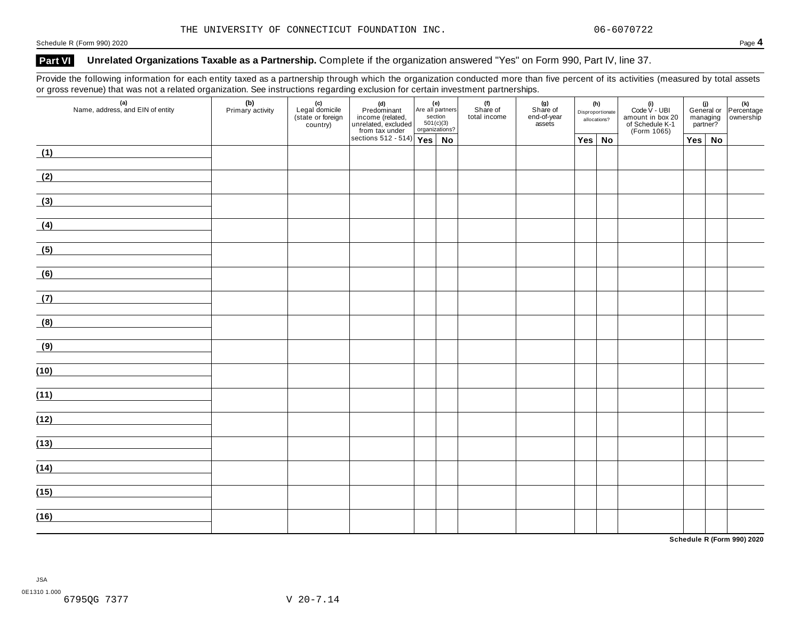Schedule <sup>R</sup> (Form 990) <sup>2020</sup> Page **4**

### **Part VI Unrelated Organizations Taxable as a Partnership.** Complete if the organization answered "Yes" on Form 990, Part IV, line 37.

Provide the following information for each entity taxed as a partnership through which the organization conducted more than five percent of its activities (measured by total assets or gross revenue) that was not a related organization. See instructions regarding exclusion for certain investment partnerships.

| $\sim$<br>(a)<br>Name, address, and EIN of entity       | (b)<br>Primary activity | (c)<br>Legal domicile<br>(state or foreign<br>country) | (d)<br>Predominant<br>income (related,<br>unrelated, excluded<br>section<br>from tax under<br>sections 512 - 514)<br>Yes<br>No |  | (f)<br>Share of<br>total income | (g)<br>Share of<br>end-of-year<br>assets | (h)<br>Disproportionate<br>allocations? | (i)<br>Code $V$ - UBI<br>amount in box 20<br>of Schedule K-1<br>(Form 1065) |               |  | (i)<br>General or Percentage<br>managing ownership<br>managing<br>partner? |  |  |  |  |  |  |  |  |  |  |
|---------------------------------------------------------|-------------------------|--------------------------------------------------------|--------------------------------------------------------------------------------------------------------------------------------|--|---------------------------------|------------------------------------------|-----------------------------------------|-----------------------------------------------------------------------------|---------------|--|----------------------------------------------------------------------------|--|--|--|--|--|--|--|--|--|--|
|                                                         |                         |                                                        |                                                                                                                                |  |                                 |                                          | $Yes \mid No$                           |                                                                             | $Yes \mid No$ |  |                                                                            |  |  |  |  |  |  |  |  |  |  |
| (1)                                                     |                         |                                                        |                                                                                                                                |  |                                 |                                          |                                         |                                                                             |               |  |                                                                            |  |  |  |  |  |  |  |  |  |  |
| (2)                                                     |                         |                                                        |                                                                                                                                |  |                                 |                                          |                                         |                                                                             |               |  |                                                                            |  |  |  |  |  |  |  |  |  |  |
| (3)                                                     |                         |                                                        |                                                                                                                                |  |                                 |                                          |                                         |                                                                             |               |  |                                                                            |  |  |  |  |  |  |  |  |  |  |
| (4)                                                     |                         |                                                        |                                                                                                                                |  |                                 |                                          |                                         |                                                                             |               |  |                                                                            |  |  |  |  |  |  |  |  |  |  |
| (5)                                                     |                         |                                                        |                                                                                                                                |  |                                 |                                          |                                         |                                                                             |               |  |                                                                            |  |  |  |  |  |  |  |  |  |  |
| (6)<br><u> 1989 - Jan Barbara Barbara, prima popula</u> |                         |                                                        |                                                                                                                                |  |                                 |                                          |                                         |                                                                             |               |  |                                                                            |  |  |  |  |  |  |  |  |  |  |
| (7)                                                     |                         |                                                        |                                                                                                                                |  |                                 |                                          |                                         |                                                                             |               |  |                                                                            |  |  |  |  |  |  |  |  |  |  |
| (8)                                                     |                         |                                                        |                                                                                                                                |  |                                 |                                          |                                         |                                                                             |               |  |                                                                            |  |  |  |  |  |  |  |  |  |  |
| (9)                                                     |                         |                                                        |                                                                                                                                |  |                                 |                                          |                                         |                                                                             |               |  |                                                                            |  |  |  |  |  |  |  |  |  |  |
| (10)                                                    |                         |                                                        |                                                                                                                                |  |                                 |                                          |                                         |                                                                             |               |  |                                                                            |  |  |  |  |  |  |  |  |  |  |
| (11)                                                    |                         |                                                        |                                                                                                                                |  |                                 |                                          |                                         |                                                                             |               |  |                                                                            |  |  |  |  |  |  |  |  |  |  |
| (12)                                                    |                         |                                                        |                                                                                                                                |  |                                 |                                          |                                         |                                                                             |               |  |                                                                            |  |  |  |  |  |  |  |  |  |  |
|                                                         |                         |                                                        |                                                                                                                                |  |                                 |                                          |                                         |                                                                             |               |  |                                                                            |  |  |  |  |  |  |  |  |  |  |
| (13)                                                    |                         |                                                        |                                                                                                                                |  |                                 |                                          |                                         |                                                                             |               |  |                                                                            |  |  |  |  |  |  |  |  |  |  |
| (14)                                                    |                         |                                                        |                                                                                                                                |  |                                 |                                          |                                         |                                                                             |               |  |                                                                            |  |  |  |  |  |  |  |  |  |  |
| (15)                                                    |                         |                                                        |                                                                                                                                |  |                                 |                                          |                                         |                                                                             |               |  |                                                                            |  |  |  |  |  |  |  |  |  |  |
| (16)                                                    |                         |                                                        |                                                                                                                                |  |                                 |                                          |                                         |                                                                             |               |  |                                                                            |  |  |  |  |  |  |  |  |  |  |

**Schedule R (Form 990) 2020**